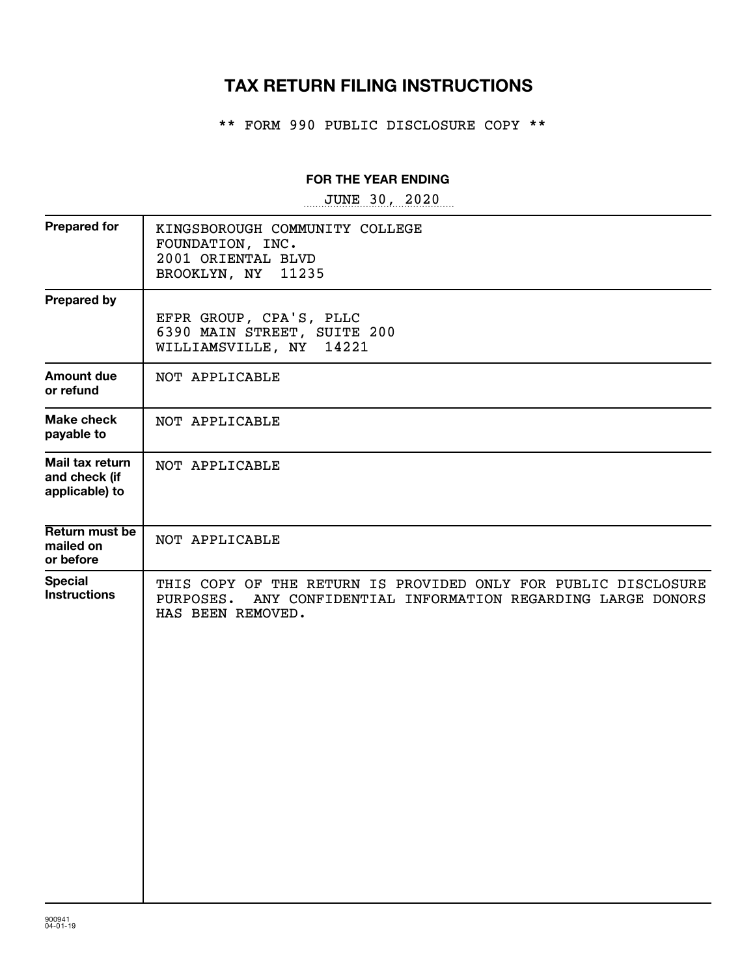# **TAX RETURN FILING INSTRUCTIONS**

\*\* FORM 990 PUBLIC DISCLOSURE COPY \*\*

### **FOR THE YEAR ENDING**

~~~~~~~~~~~~~~~~~ JUNE 30, 2020

| <b>Prepared for</b>                                | KINGSBOROUGH COMMUNITY COLLEGE<br>FOUNDATION, INC.<br>2001 ORIENTAL BLVD<br>BROOKLYN, NY<br>11235                                                       |
|----------------------------------------------------|---------------------------------------------------------------------------------------------------------------------------------------------------------|
| <b>Prepared by</b>                                 | EFPR GROUP, CPA'S, PLLC<br>6390 MAIN STREET, SUITE 200<br>WILLIAMSVILLE, NY<br>14221                                                                    |
| Amount due<br>or refund                            | NOT APPLICABLE                                                                                                                                          |
| Make check<br>payable to                           | NOT APPLICABLE                                                                                                                                          |
| Mail tax return<br>and check (if<br>applicable) to | NOT APPLICABLE                                                                                                                                          |
| Return must be<br>mailed on<br>or before           | NOT APPLICABLE                                                                                                                                          |
| <b>Special</b><br><b>Instructions</b>              | THIS COPY OF THE RETURN IS PROVIDED ONLY FOR PUBLIC DISCLOSURE<br>PURPOSES.<br>ANY CONFIDENTIAL INFORMATION REGARDING LARGE DONORS<br>HAS BEEN REMOVED. |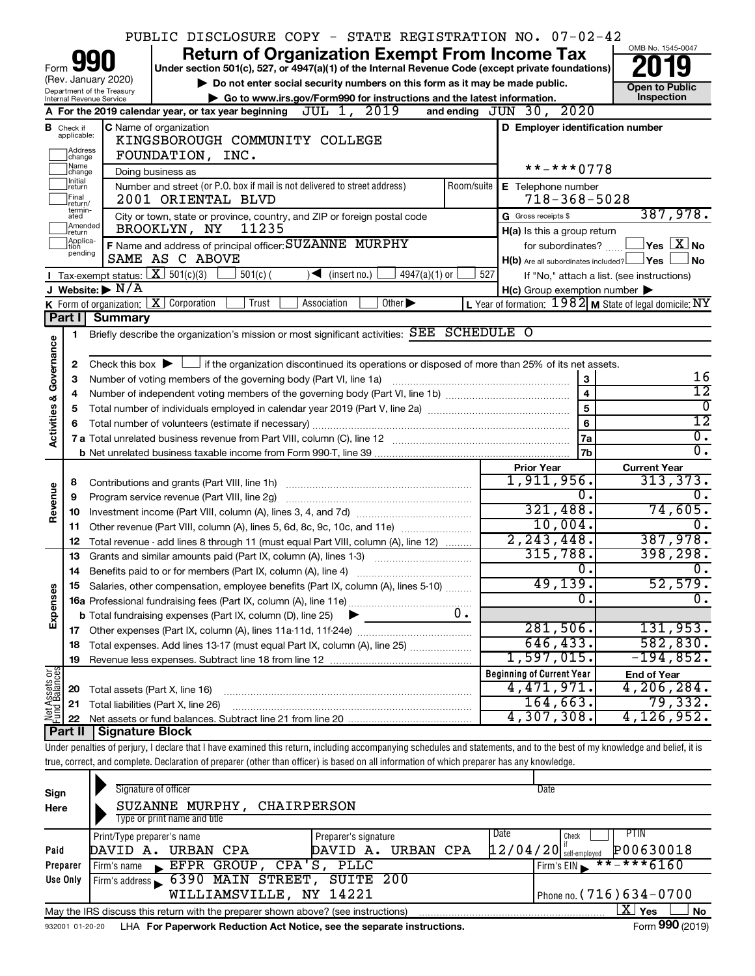|                                                                                                                                                                                                      |                               |                                        | PUBLIC DISCLOSURE COPY - STATE REGISTRATION NO. 07-02-42                                                                                                                   |            |                                                         |                                                                                             |
|------------------------------------------------------------------------------------------------------------------------------------------------------------------------------------------------------|-------------------------------|----------------------------------------|----------------------------------------------------------------------------------------------------------------------------------------------------------------------------|------------|---------------------------------------------------------|---------------------------------------------------------------------------------------------|
|                                                                                                                                                                                                      |                               |                                        | <b>Return of Organization Exempt From Income Tax</b>                                                                                                                       |            |                                                         | OMB No. 1545-0047                                                                           |
| Form                                                                                                                                                                                                 |                               |                                        | Under section 501(c), 527, or 4947(a)(1) of the Internal Revenue Code (except private foundations)                                                                         |            |                                                         |                                                                                             |
| (Rev. January 2020)<br>Do not enter social security numbers on this form as it may be made public.<br>Department of the Treasury                                                                     |                               |                                        |                                                                                                                                                                            |            |                                                         | <b>Open to Public</b>                                                                       |
| Go to www.irs.gov/Form990 for instructions and the latest information.<br>Internal Revenue Service<br>A For the 2019 calendar year, or tax year beginning $JUL$ 1, $2019$<br>and ending JUN 30, 2020 |                               |                                        |                                                                                                                                                                            |            |                                                         | Inspection                                                                                  |
|                                                                                                                                                                                                      | C Name of organization        |                                        |                                                                                                                                                                            |            |                                                         |                                                                                             |
|                                                                                                                                                                                                      | <b>B</b> Check if applicable: |                                        | KINGSBOROUGH COMMUNITY COLLEGE                                                                                                                                             |            | D Employer identification number                        |                                                                                             |
|                                                                                                                                                                                                      | ]Address<br>]change           |                                        | FOUNDATION, INC.                                                                                                                                                           |            |                                                         |                                                                                             |
|                                                                                                                                                                                                      | 1Name<br>change               |                                        | Doing business as                                                                                                                                                          |            | $***$ -*** 0778                                         |                                                                                             |
|                                                                                                                                                                                                      | Initial<br>return             |                                        | Number and street (or P.O. box if mail is not delivered to street address)                                                                                                 | Room/suite | E Telephone number                                      |                                                                                             |
|                                                                                                                                                                                                      | Final<br> return/             |                                        | 2001 ORIENTAL BLVD                                                                                                                                                         |            | $718 - 368 - 5028$                                      |                                                                                             |
|                                                                                                                                                                                                      | termin-<br>ated               |                                        | City or town, state or province, country, and ZIP or foreign postal code                                                                                                   |            | G Gross receipts \$                                     | 387,978.                                                                                    |
|                                                                                                                                                                                                      | Amended<br>Ireturn            |                                        | 11235<br>BROOKLYN, NY                                                                                                                                                      |            | H(a) Is this a group return                             |                                                                                             |
|                                                                                                                                                                                                      | Applica-<br>tion              |                                        | F Name and address of principal officer: SUZANNE MURPHY                                                                                                                    |            | for subordinates?                                       | $\left\vert \mathsf{Yes}\right\vert \overline{\mathsf{X}}\left\vert \mathsf{No}\right\vert$ |
|                                                                                                                                                                                                      | pending                       |                                        | SAME AS C ABOVE                                                                                                                                                            |            | $H(b)$ Are all subordinates included? $\Box$ Yes        | No                                                                                          |
|                                                                                                                                                                                                      |                               | Tax-exempt status: $X \over 301(c)(3)$ | $501(c)$ (<br>$4947(a)(1)$ or<br>$\sqrt{\frac{1}{1}}$ (insert no.)                                                                                                         | 527        |                                                         | If "No," attach a list. (see instructions)                                                  |
|                                                                                                                                                                                                      |                               | J Website: $\blacktriangleright$ N/A   |                                                                                                                                                                            |            | $H(c)$ Group exemption number $\blacktriangleright$     |                                                                                             |
|                                                                                                                                                                                                      |                               |                                        | <b>K</b> Form of organization: $\boxed{\textbf{X}}$ Corporation<br>Other $\blacktriangleright$<br>Trust<br>Association                                                     |            | L Year of formation: 1982 M State of legal domicile: NY |                                                                                             |
|                                                                                                                                                                                                      | Part I                        | <b>Summary</b>                         |                                                                                                                                                                            |            |                                                         |                                                                                             |
|                                                                                                                                                                                                      | 1                             |                                        | Briefly describe the organization's mission or most significant activities: SEE SCHEDULE O                                                                                 |            |                                                         |                                                                                             |
| Governance                                                                                                                                                                                           | 2                             |                                        | Check this box $\blacktriangleright$ $\Box$ if the organization discontinued its operations or disposed of more than 25% of its net assets.                                |            |                                                         |                                                                                             |
|                                                                                                                                                                                                      | З                             |                                        | Number of voting members of the governing body (Part VI, line 1a)                                                                                                          |            | 3                                                       | 16                                                                                          |
|                                                                                                                                                                                                      | 4                             |                                        |                                                                                                                                                                            |            | $\overline{\mathbf{4}}$                                 | 12                                                                                          |
|                                                                                                                                                                                                      | 5                             |                                        |                                                                                                                                                                            |            | 5                                                       | $\overline{0}$                                                                              |
|                                                                                                                                                                                                      | 6                             |                                        |                                                                                                                                                                            |            | 6                                                       | $\overline{12}$                                                                             |
| <b>Activities &amp;</b>                                                                                                                                                                              |                               |                                        |                                                                                                                                                                            |            | 7a                                                      | $\overline{0}$ .                                                                            |
|                                                                                                                                                                                                      |                               |                                        |                                                                                                                                                                            |            | 7b                                                      | σ.                                                                                          |
|                                                                                                                                                                                                      |                               |                                        |                                                                                                                                                                            |            | <b>Prior Year</b>                                       | <b>Current Year</b>                                                                         |
|                                                                                                                                                                                                      | 8                             |                                        |                                                                                                                                                                            |            | 1,911,956.                                              | 313,373.                                                                                    |
| Revenue                                                                                                                                                                                              | 9                             |                                        | Program service revenue (Part VIII, line 2g)                                                                                                                               |            | 0.                                                      | Ο.                                                                                          |
|                                                                                                                                                                                                      | 10                            |                                        |                                                                                                                                                                            |            | 321,488.                                                | 74,605.                                                                                     |
|                                                                                                                                                                                                      | 11                            |                                        | Other revenue (Part VIII, column (A), lines 5, 6d, 8c, 9c, 10c, and 11e)                                                                                                   |            | 10,004.                                                 |                                                                                             |
|                                                                                                                                                                                                      | 12                            |                                        | Total revenue - add lines 8 through 11 (must equal Part VIII, column (A), line 12)                                                                                         |            | 2, 243, 448.                                            | 387,978.                                                                                    |
|                                                                                                                                                                                                      | 13                            |                                        | Grants and similar amounts paid (Part IX, column (A), lines 1-3)                                                                                                           |            | 315,788.                                                | 398,298.                                                                                    |
|                                                                                                                                                                                                      | 14                            |                                        | Benefits paid to or for members (Part IX, column (A), line 4)                                                                                                              |            | $\overline{0}$ .                                        | $\overline{0}$ .                                                                            |
|                                                                                                                                                                                                      |                               |                                        | 15 Salaries, other compensation, employee benefits (Part IX, column (A), lines 5-10)                                                                                       |            | 49,139.<br>$\Omega$                                     | 52,579.                                                                                     |
| Expenses                                                                                                                                                                                             |                               |                                        |                                                                                                                                                                            | υ.         |                                                         |                                                                                             |
|                                                                                                                                                                                                      |                               |                                        | <b>b</b> Total fundraising expenses (Part IX, column (D), line 25)<br>▸                                                                                                    |            | 281,506.                                                | 131,953.                                                                                    |
|                                                                                                                                                                                                      | 18                            |                                        | Total expenses. Add lines 13-17 (must equal Part IX, column (A), line 25)                                                                                                  |            | 646, 433.                                               | 582, 830.                                                                                   |
|                                                                                                                                                                                                      | 19                            |                                        |                                                                                                                                                                            |            | 1,597,015.                                              | $-194,852.$                                                                                 |
|                                                                                                                                                                                                      |                               |                                        |                                                                                                                                                                            |            | <b>Beginning of Current Year</b>                        | <b>End of Year</b>                                                                          |
| Net Assets or                                                                                                                                                                                        | 20                            |                                        | Total assets (Part X, line 16)                                                                                                                                             |            | 4,471,971.                                              | 4,206,284.                                                                                  |
|                                                                                                                                                                                                      | 21                            |                                        | Total liabilities (Part X, line 26)                                                                                                                                        |            | 164,663.                                                | 79,332.                                                                                     |
|                                                                                                                                                                                                      | 22                            |                                        |                                                                                                                                                                            |            | 4,307,308.                                              | 4, 126, 952.                                                                                |
|                                                                                                                                                                                                      | Part II                       | <b>Signature Block</b>                 |                                                                                                                                                                            |            |                                                         |                                                                                             |
|                                                                                                                                                                                                      |                               |                                        | Under penalties of perjury, I declare that I have examined this return, including accompanying schedules and statements, and to the best of my knowledge and belief, it is |            |                                                         |                                                                                             |
|                                                                                                                                                                                                      |                               |                                        | true, correct, and complete. Declaration of preparer (other than officer) is based on all information of which preparer has any knowledge.                                 |            |                                                         |                                                                                             |
|                                                                                                                                                                                                      |                               |                                        |                                                                                                                                                                            |            |                                                         |                                                                                             |
| Sign                                                                                                                                                                                                 |                               |                                        | Signature of officer                                                                                                                                                       |            | Date                                                    |                                                                                             |
| Here                                                                                                                                                                                                 |                               |                                        | SUZANNE MURPHY, CHAIRPERSON                                                                                                                                                |            |                                                         |                                                                                             |
|                                                                                                                                                                                                      |                               |                                        | Type or print name and title                                                                                                                                               |            |                                                         |                                                                                             |

|          | Type or print name and title                                                                                |                      |                                                                  |  |  |  |  |
|----------|-------------------------------------------------------------------------------------------------------------|----------------------|------------------------------------------------------------------|--|--|--|--|
|          | Print/Type preparer's name                                                                                  | Preparer's signature | Date<br>PHN<br>Check                                             |  |  |  |  |
| Paid     | DAVID A. URBAN CPA                                                                                          | DAVID A. URBAN CPA   | P00630018<br>$\left[1\,2\,/\,0\,4\,/\,2\,0\right]$ self-employed |  |  |  |  |
| Preparer | Firm's name EFPR GROUP, CPA'S, PLLC                                                                         |                      | $Firm's EIN \rightarrow * * - * * * 6160$                        |  |  |  |  |
| Use Only | Firm's address 6390 MAIN STREET, SUITE 200                                                                  |                      |                                                                  |  |  |  |  |
|          | WILLIAMSVILLE, NY 14221                                                                                     |                      | I Phone no. (716) 634-0700                                       |  |  |  |  |
|          | X.<br><b>No</b><br>Yes<br>May the IRS discuss this return with the preparer shown above? (see instructions) |                      |                                                                  |  |  |  |  |

932001 01-20-20 **For Paperwork Reduction Act Notice, see the separate instructions.** LHA Form (2019)

**990**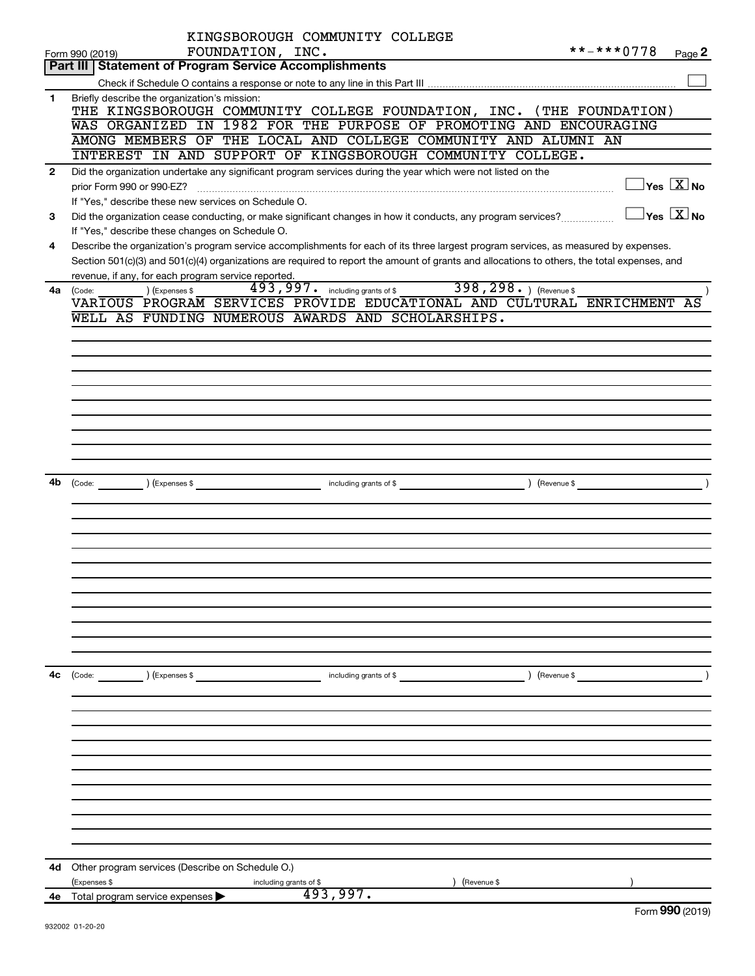|                | KINGSBOROUGH COMMUNITY COLLEGE                                                                                                               |                         |                                         |
|----------------|----------------------------------------------------------------------------------------------------------------------------------------------|-------------------------|-----------------------------------------|
|                | FOUNDATION, INC.<br>Form 990 (2019)                                                                                                          | **-***0778              | Page 2                                  |
|                | <b>Part III   Statement of Program Service Accomplishments</b>                                                                               |                         |                                         |
|                |                                                                                                                                              |                         |                                         |
| 1              | Briefly describe the organization's mission:<br>THE KINGSBOROUGH COMMUNITY COLLEGE FOUNDATION, INC. (THE FOUNDATION)                         |                         |                                         |
|                | WAS ORGANIZED IN 1982 FOR THE PURPOSE OF PROMOTING AND ENCOURAGING                                                                           |                         |                                         |
|                | AMONG MEMBERS OF THE LOCAL AND COLLEGE COMMUNITY AND ALUMNI AN                                                                               |                         |                                         |
|                | INTEREST IN AND SUPPORT OF KINGSBOROUGH COMMUNITY COLLEGE.                                                                                   |                         |                                         |
| $\overline{2}$ | Did the organization undertake any significant program services during the year which were not listed on the                                 |                         |                                         |
|                |                                                                                                                                              |                         | $\Box$ Yes $[\overline{\mathrm{X}}]$ No |
|                | If "Yes," describe these new services on Schedule O.                                                                                         |                         |                                         |
| 3              | Did the organization cease conducting, or make significant changes in how it conducts, any program services?                                 |                         | $\Box$ Yes $~\Box$ X $\Box$ No          |
|                | If "Yes," describe these changes on Schedule O.                                                                                              |                         |                                         |
| 4              | Describe the organization's program service accomplishments for each of its three largest program services, as measured by expenses.         |                         |                                         |
|                | Section 501(c)(3) and 501(c)(4) organizations are required to report the amount of grants and allocations to others, the total expenses, and |                         |                                         |
|                | revenue, if any, for each program service reported.                                                                                          |                         |                                         |
| 4a             | 398, 298. ) (Revenue \$<br>493, 997. including grants of \$<br>) (Expenses \$<br>(Code:                                                      |                         |                                         |
|                | VARIOUS PROGRAM SERVICES PROVIDE EDUCATIONAL AND CULTURAL ENRICHMENT                                                                         |                         | AS                                      |
|                | WELL AS FUNDING NUMEROUS AWARDS AND SCHOLARSHIPS.                                                                                            |                         |                                         |
|                |                                                                                                                                              |                         |                                         |
|                |                                                                                                                                              |                         |                                         |
|                |                                                                                                                                              |                         |                                         |
|                |                                                                                                                                              |                         |                                         |
|                |                                                                                                                                              |                         |                                         |
|                |                                                                                                                                              |                         |                                         |
|                |                                                                                                                                              |                         |                                         |
|                |                                                                                                                                              |                         |                                         |
|                |                                                                                                                                              |                         |                                         |
|                |                                                                                                                                              |                         |                                         |
| 4b             | including grants of \$ (Revenue \$)<br>(Code: ) (Expenses \$                                                                                 |                         |                                         |
|                |                                                                                                                                              |                         |                                         |
|                |                                                                                                                                              |                         |                                         |
|                |                                                                                                                                              |                         |                                         |
|                |                                                                                                                                              |                         |                                         |
|                |                                                                                                                                              |                         |                                         |
|                |                                                                                                                                              |                         |                                         |
|                |                                                                                                                                              |                         |                                         |
|                |                                                                                                                                              |                         |                                         |
|                |                                                                                                                                              |                         |                                         |
|                |                                                                                                                                              |                         |                                         |
|                |                                                                                                                                              |                         |                                         |
|                |                                                                                                                                              |                         |                                         |
| 4c             | $\int (Code: )$ $(Expenses \$                                                                                                                | $\left(\text{Revenue }$ |                                         |
|                |                                                                                                                                              |                         |                                         |
|                |                                                                                                                                              |                         |                                         |
|                |                                                                                                                                              |                         |                                         |
|                |                                                                                                                                              |                         |                                         |
|                |                                                                                                                                              |                         |                                         |
|                |                                                                                                                                              |                         |                                         |
|                |                                                                                                                                              |                         |                                         |
|                |                                                                                                                                              |                         |                                         |
|                |                                                                                                                                              |                         |                                         |
|                |                                                                                                                                              |                         |                                         |
|                |                                                                                                                                              |                         |                                         |
|                |                                                                                                                                              |                         |                                         |
|                |                                                                                                                                              |                         |                                         |
|                | 4d Other program services (Describe on Schedule O.)                                                                                          |                         |                                         |
|                | (Expenses \$<br>(Revenue \$<br>including grants of \$<br>493,997.                                                                            |                         |                                         |
|                | 4e Total program service expenses $\blacktriangleright$                                                                                      |                         | $T_{\text{sum}}$ 000 (2010)             |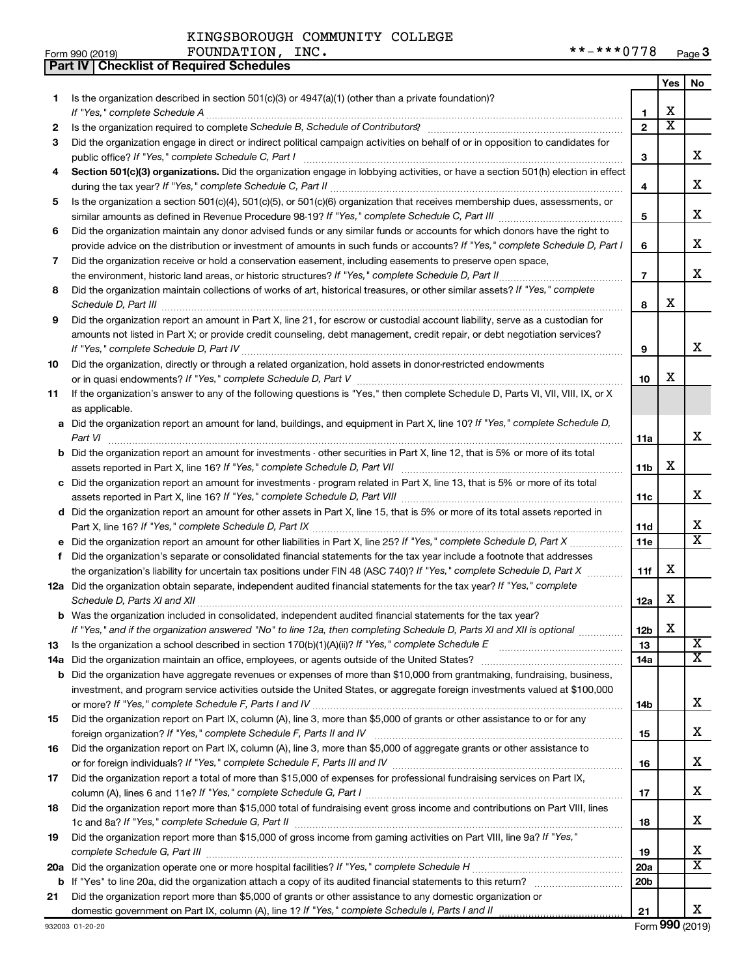**Part IV Checklist of Required Schedules**

| Form 990 (2019) | INC.<br><b>FOUNDATION</b> | מדדר<br>***<br>$* *$<br>$\cdot$ $\sim$<br><del>9 Page</del> |  |
|-----------------|---------------------------|-------------------------------------------------------------|--|
|-----------------|---------------------------|-------------------------------------------------------------|--|

|         |                                                                                                                                                                                                                                                                                                                                                                      |                        | Yes                   | No                      |
|---------|----------------------------------------------------------------------------------------------------------------------------------------------------------------------------------------------------------------------------------------------------------------------------------------------------------------------------------------------------------------------|------------------------|-----------------------|-------------------------|
| 1       | Is the organization described in section 501(c)(3) or $4947(a)(1)$ (other than a private foundation)?                                                                                                                                                                                                                                                                |                        |                       |                         |
|         |                                                                                                                                                                                                                                                                                                                                                                      | 1                      | X                     |                         |
| 2       | Is the organization required to complete Schedule B, Schedule of Contributors? [11] The organization required to complete Schedule B, Schedule of Contributors?                                                                                                                                                                                                      | $\overline{2}$         | $\overline{\text{x}}$ |                         |
| 3       | Did the organization engage in direct or indirect political campaign activities on behalf of or in opposition to candidates for                                                                                                                                                                                                                                      |                        |                       |                         |
|         |                                                                                                                                                                                                                                                                                                                                                                      | 3                      |                       | x                       |
| 4       | Section 501(c)(3) organizations. Did the organization engage in lobbying activities, or have a section 501(h) election in effect                                                                                                                                                                                                                                     |                        |                       |                         |
|         |                                                                                                                                                                                                                                                                                                                                                                      | 4                      |                       | x                       |
| 5       | Is the organization a section 501(c)(4), 501(c)(5), or 501(c)(6) organization that receives membership dues, assessments, or                                                                                                                                                                                                                                         |                        |                       |                         |
|         |                                                                                                                                                                                                                                                                                                                                                                      | 5                      |                       | x                       |
| 6       | Did the organization maintain any donor advised funds or any similar funds or accounts for which donors have the right to                                                                                                                                                                                                                                            |                        |                       |                         |
|         | provide advice on the distribution or investment of amounts in such funds or accounts? If "Yes," complete Schedule D, Part I                                                                                                                                                                                                                                         | 6                      |                       | x                       |
| 7       | Did the organization receive or hold a conservation easement, including easements to preserve open space,                                                                                                                                                                                                                                                            |                        |                       | x                       |
|         |                                                                                                                                                                                                                                                                                                                                                                      | $\overline{7}$         |                       |                         |
| 8       | Did the organization maintain collections of works of art, historical treasures, or other similar assets? If "Yes," complete                                                                                                                                                                                                                                         | 8                      | X                     |                         |
| 9       | Schedule D, Part III <b>Marting Communities</b> and the contract of the contract of the contract of the contract of the contract of the contract of the contract of the contract of the contract of the contract of the contract of<br>Did the organization report an amount in Part X, line 21, for escrow or custodial account liability, serve as a custodian for |                        |                       |                         |
|         | amounts not listed in Part X; or provide credit counseling, debt management, credit repair, or debt negotiation services?                                                                                                                                                                                                                                            |                        |                       |                         |
|         |                                                                                                                                                                                                                                                                                                                                                                      | 9                      |                       | x                       |
| 10      | Did the organization, directly or through a related organization, hold assets in donor-restricted endowments                                                                                                                                                                                                                                                         |                        |                       |                         |
|         |                                                                                                                                                                                                                                                                                                                                                                      | 10                     | х                     |                         |
| 11      | If the organization's answer to any of the following questions is "Yes," then complete Schedule D, Parts VI, VII, VIII, IX, or X                                                                                                                                                                                                                                     |                        |                       |                         |
|         | as applicable.                                                                                                                                                                                                                                                                                                                                                       |                        |                       |                         |
|         | a Did the organization report an amount for land, buildings, and equipment in Part X, line 10? If "Yes," complete Schedule D,                                                                                                                                                                                                                                        |                        |                       |                         |
|         | Part VI                                                                                                                                                                                                                                                                                                                                                              | 11a                    |                       | x                       |
| b       | Did the organization report an amount for investments - other securities in Part X, line 12, that is 5% or more of its total                                                                                                                                                                                                                                         |                        |                       |                         |
|         |                                                                                                                                                                                                                                                                                                                                                                      | 11b                    | X                     |                         |
| с       | Did the organization report an amount for investments - program related in Part X, line 13, that is 5% or more of its total                                                                                                                                                                                                                                          |                        |                       |                         |
|         |                                                                                                                                                                                                                                                                                                                                                                      | 11c                    |                       | x                       |
|         | d Did the organization report an amount for other assets in Part X, line 15, that is 5% or more of its total assets reported in                                                                                                                                                                                                                                      |                        |                       |                         |
|         |                                                                                                                                                                                                                                                                                                                                                                      | 11d                    |                       | x                       |
|         |                                                                                                                                                                                                                                                                                                                                                                      | 11e                    |                       | $\overline{\mathtt{x}}$ |
|         | Did the organization's separate or consolidated financial statements for the tax year include a footnote that addresses                                                                                                                                                                                                                                              |                        | X                     |                         |
|         | the organization's liability for uncertain tax positions under FIN 48 (ASC 740)? If "Yes," complete Schedule D, Part X                                                                                                                                                                                                                                               | 11f                    |                       |                         |
|         | 12a Did the organization obtain separate, independent audited financial statements for the tax year? If "Yes," complete                                                                                                                                                                                                                                              |                        | Х                     |                         |
|         | Was the organization included in consolidated, independent audited financial statements for the tax year?                                                                                                                                                                                                                                                            | 12a                    |                       |                         |
|         | If "Yes," and if the organization answered "No" to line 12a, then completing Schedule D, Parts XI and XII is optional                                                                                                                                                                                                                                                | 12b                    | X                     |                         |
| 13      |                                                                                                                                                                                                                                                                                                                                                                      | 13                     |                       | $\overline{\textbf{X}}$ |
| 14a     | Did the organization maintain an office, employees, or agents outside of the United States?                                                                                                                                                                                                                                                                          | 14a                    |                       | $\overline{\mathbf{X}}$ |
| b       | Did the organization have aggregate revenues or expenses of more than \$10,000 from grantmaking, fundraising, business,                                                                                                                                                                                                                                              |                        |                       |                         |
|         | investment, and program service activities outside the United States, or aggregate foreign investments valued at \$100,000                                                                                                                                                                                                                                           |                        |                       |                         |
|         |                                                                                                                                                                                                                                                                                                                                                                      | 14b                    |                       | х                       |
| 15      | Did the organization report on Part IX, column (A), line 3, more than \$5,000 of grants or other assistance to or for any                                                                                                                                                                                                                                            |                        |                       |                         |
|         |                                                                                                                                                                                                                                                                                                                                                                      | 15                     |                       | x                       |
| 16      | Did the organization report on Part IX, column (A), line 3, more than \$5,000 of aggregate grants or other assistance to                                                                                                                                                                                                                                             |                        |                       |                         |
|         |                                                                                                                                                                                                                                                                                                                                                                      | 16                     |                       | x                       |
| 17      | Did the organization report a total of more than \$15,000 of expenses for professional fundraising services on Part IX,                                                                                                                                                                                                                                              |                        |                       |                         |
|         |                                                                                                                                                                                                                                                                                                                                                                      | 17                     |                       | х                       |
| 18      | Did the organization report more than \$15,000 total of fundraising event gross income and contributions on Part VIII, lines                                                                                                                                                                                                                                         |                        |                       |                         |
|         |                                                                                                                                                                                                                                                                                                                                                                      | 18                     |                       | х                       |
| 19      | Did the organization report more than \$15,000 of gross income from gaming activities on Part VIII, line 9a? If "Yes,"                                                                                                                                                                                                                                               |                        |                       |                         |
|         |                                                                                                                                                                                                                                                                                                                                                                      | 19                     |                       | х<br>X                  |
| 20a     |                                                                                                                                                                                                                                                                                                                                                                      | 20a<br>20 <sub>b</sub> |                       |                         |
| b<br>21 | Did the organization report more than \$5,000 of grants or other assistance to any domestic organization or                                                                                                                                                                                                                                                          |                        |                       |                         |
|         |                                                                                                                                                                                                                                                                                                                                                                      | 21                     |                       | х                       |
|         |                                                                                                                                                                                                                                                                                                                                                                      |                        |                       |                         |

Form (2019) **990**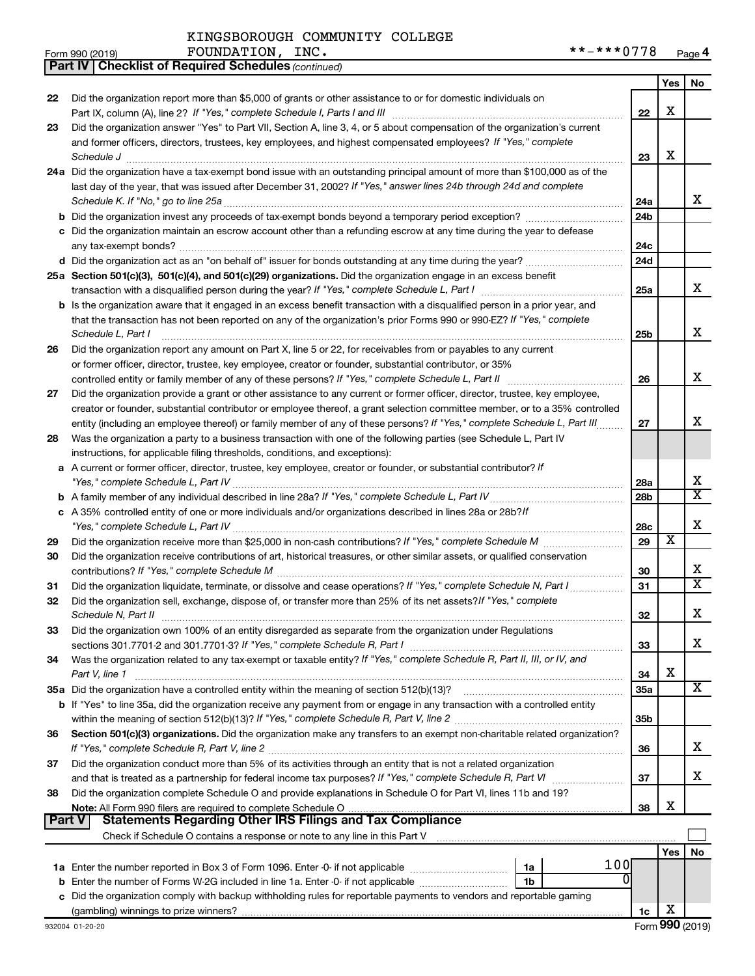| Form 990 (2019) | INC.<br>FOUNDATION | $+ + + 0770$<br>**<br>$\overline{\phantom{a}}$<br>$\overline{\phantom{a}}$<br>Page 4 |
|-----------------|--------------------|--------------------------------------------------------------------------------------|
|-----------------|--------------------|--------------------------------------------------------------------------------------|

| Yes<br>No.<br>Did the organization report more than \$5,000 of grants or other assistance to or for domestic individuals on<br>22<br>X<br>22<br>Did the organization answer "Yes" to Part VII, Section A, line 3, 4, or 5 about compensation of the organization's current<br>23<br>and former officers, directors, trustees, key employees, and highest compensated employees? If "Yes," complete<br>х<br>23<br>$\textit{Schedule J} \textit{ \textbf{}} \textit{ \textbf{}} \textit{ \textbf{}} \textit{ \textbf{}} \textit{ \textbf{}} \textit{ \textbf{}} \textit{ \textbf{}} \textit{ \textbf{}} \textit{ \textbf{}} \textit{ \textbf{}} \textit{ \textbf{}} \textit{ \textbf{}} \textit{ \textbf{}} \textit{ \textbf{}} \textit{ \textbf{}} \textit{ \textbf{}} \textit{ \textbf{}} \textit{ \textbf{}} \textit{ \textbf{}} \textit{ \textbf{}} \textit{ \textbf{}}$<br>24a Did the organization have a tax-exempt bond issue with an outstanding principal amount of more than \$100,000 as of the<br>last day of the year, that was issued after December 31, 2002? If "Yes," answer lines 24b through 24d and complete<br>x<br>24a<br>24b<br>c Did the organization maintain an escrow account other than a refunding escrow at any time during the year to defease<br>24c<br>24d<br>25a Section 501(c)(3), 501(c)(4), and 501(c)(29) organizations. Did the organization engage in an excess benefit<br>x<br>25a<br>b Is the organization aware that it engaged in an excess benefit transaction with a disqualified person in a prior year, and<br>that the transaction has not been reported on any of the organization's prior Forms 990 or 990-EZ? If "Yes," complete<br>х<br>Schedule L, Part I<br>25 <sub>b</sub><br>Did the organization report any amount on Part X, line 5 or 22, for receivables from or payables to any current<br>26<br>or former officer, director, trustee, key employee, creator or founder, substantial contributor, or 35%<br>X<br>controlled entity or family member of any of these persons? If "Yes," complete Schedule L, Part II<br>26<br>Did the organization provide a grant or other assistance to any current or former officer, director, trustee, key employee,<br>27<br>creator or founder, substantial contributor or employee thereof, a grant selection committee member, or to a 35% controlled<br>х<br>entity (including an employee thereof) or family member of any of these persons? If "Yes," complete Schedule L, Part III<br>27<br>Was the organization a party to a business transaction with one of the following parties (see Schedule L, Part IV<br>28<br>instructions, for applicable filing thresholds, conditions, and exceptions):<br>a A current or former officer, director, trustee, key employee, creator or founder, or substantial contributor? If<br>x<br><b>28a</b><br>$\overline{\texttt{x}}$<br>28b<br>c A 35% controlled entity of one or more individuals and/or organizations described in lines 28a or 28b?/f<br>х<br>28c<br>$\overline{\textbf{x}}$<br>29<br>29<br>Did the organization receive contributions of art, historical treasures, or other similar assets, or qualified conservation<br>30<br>х<br>30<br>X<br>Did the organization liquidate, terminate, or dissolve and cease operations? If "Yes," complete Schedule N, Part I<br>31<br>31<br>Did the organization sell, exchange, dispose of, or transfer more than 25% of its net assets? If "Yes," complete<br>32<br>Y<br>Schedule N, Part II<br>32<br>▵<br>Did the organization own 100% of an entity disregarded as separate from the organization under Regulations<br>33<br>x<br>33<br>Was the organization related to any tax-exempt or taxable entity? If "Yes," complete Schedule R, Part II, III, or IV, and<br>34<br>х<br>Part V, line 1<br>34<br>х<br>35a Did the organization have a controlled entity within the meaning of section 512(b)(13)?<br><b>35a</b><br>b If "Yes" to line 35a, did the organization receive any payment from or engage in any transaction with a controlled entity<br>35 <sub>b</sub><br>Section 501(c)(3) organizations. Did the organization make any transfers to an exempt non-charitable related organization?<br>36<br>x<br>36<br>Did the organization conduct more than 5% of its activities through an entity that is not a related organization<br>37<br>х<br>37<br>Did the organization complete Schedule O and provide explanations in Schedule O for Part VI, lines 11b and 19?<br>38<br>х<br>38<br><b>Statements Regarding Other IRS Filings and Tax Compliance</b><br><b>Part V</b><br>Check if Schedule O contains a response or note to any line in this Part V [11] [12] [12] [12] [12] Check if Schedule O contains a response or note to any line in this Part V<br>Yes<br>No<br>100<br>0<br>1b<br>b<br>c Did the organization comply with backup withholding rules for reportable payments to vendors and reportable gaming<br>х<br>1c | <b>Part IV   Checklist of Required Schedules (continued)</b> |  |  |
|----------------------------------------------------------------------------------------------------------------------------------------------------------------------------------------------------------------------------------------------------------------------------------------------------------------------------------------------------------------------------------------------------------------------------------------------------------------------------------------------------------------------------------------------------------------------------------------------------------------------------------------------------------------------------------------------------------------------------------------------------------------------------------------------------------------------------------------------------------------------------------------------------------------------------------------------------------------------------------------------------------------------------------------------------------------------------------------------------------------------------------------------------------------------------------------------------------------------------------------------------------------------------------------------------------------------------------------------------------------------------------------------------------------------------------------------------------------------------------------------------------------------------------------------------------------------------------------------------------------------------------------------------------------------------------------------------------------------------------------------------------------------------------------------------------------------------------------------------------------------------------------------------------------------------------------------------------------------------------------------------------------------------------------------------------------------------------------------------------------------------------------------------------------------------------------------------------------------------------------------------------------------------------------------------------------------------------------------------------------------------------------------------------------------------------------------------------------------------------------------------------------------------------------------------------------------------------------------------------------------------------------------------------------------------------------------------------------------------------------------------------------------------------------------------------------------------------------------------------------------------------------------------------------------------------------------------------------------------------------------------------------------------------------------------------------------------------------------------------------------------------------------------------------------------------------------------------------------------------------------------------------------------------------------------------------------------------------------------------------------------------------------------------------------------------------------------------------------------------------------------------------------------------------------------------------------------------------------------------------------------------------------------------------------------------------------------------------------------------------------------------------------------------------------------------------------------------------------------------------------------------------------------------------------------------------------------------------------------------------------------------------------------------------------------------------------------------------------------------------------------------------------------------------------------------------------------------------------------------------------------------------------------------------------------------------------------------------------------------------------------------------------------------------------------------------------------------------------------------------------------------------------------------------------------------------------------------------------------------------------------------------------------------------------------------------------------------------------------------------------------------------------------------------------------------------------------------------------------------------------------------------------------------------------------------------------------------|--------------------------------------------------------------|--|--|
|                                                                                                                                                                                                                                                                                                                                                                                                                                                                                                                                                                                                                                                                                                                                                                                                                                                                                                                                                                                                                                                                                                                                                                                                                                                                                                                                                                                                                                                                                                                                                                                                                                                                                                                                                                                                                                                                                                                                                                                                                                                                                                                                                                                                                                                                                                                                                                                                                                                                                                                                                                                                                                                                                                                                                                                                                                                                                                                                                                                                                                                                                                                                                                                                                                                                                                                                                                                                                                                                                                                                                                                                                                                                                                                                                                                                                                                                                                                                                                                                                                                                                                                                                                                                                                                                                                                                                                                                                                                                                                                                                                                                                                                                                                                                                                                                                                                                                                                                                          |                                                              |  |  |
|                                                                                                                                                                                                                                                                                                                                                                                                                                                                                                                                                                                                                                                                                                                                                                                                                                                                                                                                                                                                                                                                                                                                                                                                                                                                                                                                                                                                                                                                                                                                                                                                                                                                                                                                                                                                                                                                                                                                                                                                                                                                                                                                                                                                                                                                                                                                                                                                                                                                                                                                                                                                                                                                                                                                                                                                                                                                                                                                                                                                                                                                                                                                                                                                                                                                                                                                                                                                                                                                                                                                                                                                                                                                                                                                                                                                                                                                                                                                                                                                                                                                                                                                                                                                                                                                                                                                                                                                                                                                                                                                                                                                                                                                                                                                                                                                                                                                                                                                                          |                                                              |  |  |
|                                                                                                                                                                                                                                                                                                                                                                                                                                                                                                                                                                                                                                                                                                                                                                                                                                                                                                                                                                                                                                                                                                                                                                                                                                                                                                                                                                                                                                                                                                                                                                                                                                                                                                                                                                                                                                                                                                                                                                                                                                                                                                                                                                                                                                                                                                                                                                                                                                                                                                                                                                                                                                                                                                                                                                                                                                                                                                                                                                                                                                                                                                                                                                                                                                                                                                                                                                                                                                                                                                                                                                                                                                                                                                                                                                                                                                                                                                                                                                                                                                                                                                                                                                                                                                                                                                                                                                                                                                                                                                                                                                                                                                                                                                                                                                                                                                                                                                                                                          |                                                              |  |  |
|                                                                                                                                                                                                                                                                                                                                                                                                                                                                                                                                                                                                                                                                                                                                                                                                                                                                                                                                                                                                                                                                                                                                                                                                                                                                                                                                                                                                                                                                                                                                                                                                                                                                                                                                                                                                                                                                                                                                                                                                                                                                                                                                                                                                                                                                                                                                                                                                                                                                                                                                                                                                                                                                                                                                                                                                                                                                                                                                                                                                                                                                                                                                                                                                                                                                                                                                                                                                                                                                                                                                                                                                                                                                                                                                                                                                                                                                                                                                                                                                                                                                                                                                                                                                                                                                                                                                                                                                                                                                                                                                                                                                                                                                                                                                                                                                                                                                                                                                                          |                                                              |  |  |
|                                                                                                                                                                                                                                                                                                                                                                                                                                                                                                                                                                                                                                                                                                                                                                                                                                                                                                                                                                                                                                                                                                                                                                                                                                                                                                                                                                                                                                                                                                                                                                                                                                                                                                                                                                                                                                                                                                                                                                                                                                                                                                                                                                                                                                                                                                                                                                                                                                                                                                                                                                                                                                                                                                                                                                                                                                                                                                                                                                                                                                                                                                                                                                                                                                                                                                                                                                                                                                                                                                                                                                                                                                                                                                                                                                                                                                                                                                                                                                                                                                                                                                                                                                                                                                                                                                                                                                                                                                                                                                                                                                                                                                                                                                                                                                                                                                                                                                                                                          |                                                              |  |  |
|                                                                                                                                                                                                                                                                                                                                                                                                                                                                                                                                                                                                                                                                                                                                                                                                                                                                                                                                                                                                                                                                                                                                                                                                                                                                                                                                                                                                                                                                                                                                                                                                                                                                                                                                                                                                                                                                                                                                                                                                                                                                                                                                                                                                                                                                                                                                                                                                                                                                                                                                                                                                                                                                                                                                                                                                                                                                                                                                                                                                                                                                                                                                                                                                                                                                                                                                                                                                                                                                                                                                                                                                                                                                                                                                                                                                                                                                                                                                                                                                                                                                                                                                                                                                                                                                                                                                                                                                                                                                                                                                                                                                                                                                                                                                                                                                                                                                                                                                                          |                                                              |  |  |
|                                                                                                                                                                                                                                                                                                                                                                                                                                                                                                                                                                                                                                                                                                                                                                                                                                                                                                                                                                                                                                                                                                                                                                                                                                                                                                                                                                                                                                                                                                                                                                                                                                                                                                                                                                                                                                                                                                                                                                                                                                                                                                                                                                                                                                                                                                                                                                                                                                                                                                                                                                                                                                                                                                                                                                                                                                                                                                                                                                                                                                                                                                                                                                                                                                                                                                                                                                                                                                                                                                                                                                                                                                                                                                                                                                                                                                                                                                                                                                                                                                                                                                                                                                                                                                                                                                                                                                                                                                                                                                                                                                                                                                                                                                                                                                                                                                                                                                                                                          |                                                              |  |  |
|                                                                                                                                                                                                                                                                                                                                                                                                                                                                                                                                                                                                                                                                                                                                                                                                                                                                                                                                                                                                                                                                                                                                                                                                                                                                                                                                                                                                                                                                                                                                                                                                                                                                                                                                                                                                                                                                                                                                                                                                                                                                                                                                                                                                                                                                                                                                                                                                                                                                                                                                                                                                                                                                                                                                                                                                                                                                                                                                                                                                                                                                                                                                                                                                                                                                                                                                                                                                                                                                                                                                                                                                                                                                                                                                                                                                                                                                                                                                                                                                                                                                                                                                                                                                                                                                                                                                                                                                                                                                                                                                                                                                                                                                                                                                                                                                                                                                                                                                                          |                                                              |  |  |
|                                                                                                                                                                                                                                                                                                                                                                                                                                                                                                                                                                                                                                                                                                                                                                                                                                                                                                                                                                                                                                                                                                                                                                                                                                                                                                                                                                                                                                                                                                                                                                                                                                                                                                                                                                                                                                                                                                                                                                                                                                                                                                                                                                                                                                                                                                                                                                                                                                                                                                                                                                                                                                                                                                                                                                                                                                                                                                                                                                                                                                                                                                                                                                                                                                                                                                                                                                                                                                                                                                                                                                                                                                                                                                                                                                                                                                                                                                                                                                                                                                                                                                                                                                                                                                                                                                                                                                                                                                                                                                                                                                                                                                                                                                                                                                                                                                                                                                                                                          |                                                              |  |  |
|                                                                                                                                                                                                                                                                                                                                                                                                                                                                                                                                                                                                                                                                                                                                                                                                                                                                                                                                                                                                                                                                                                                                                                                                                                                                                                                                                                                                                                                                                                                                                                                                                                                                                                                                                                                                                                                                                                                                                                                                                                                                                                                                                                                                                                                                                                                                                                                                                                                                                                                                                                                                                                                                                                                                                                                                                                                                                                                                                                                                                                                                                                                                                                                                                                                                                                                                                                                                                                                                                                                                                                                                                                                                                                                                                                                                                                                                                                                                                                                                                                                                                                                                                                                                                                                                                                                                                                                                                                                                                                                                                                                                                                                                                                                                                                                                                                                                                                                                                          |                                                              |  |  |
|                                                                                                                                                                                                                                                                                                                                                                                                                                                                                                                                                                                                                                                                                                                                                                                                                                                                                                                                                                                                                                                                                                                                                                                                                                                                                                                                                                                                                                                                                                                                                                                                                                                                                                                                                                                                                                                                                                                                                                                                                                                                                                                                                                                                                                                                                                                                                                                                                                                                                                                                                                                                                                                                                                                                                                                                                                                                                                                                                                                                                                                                                                                                                                                                                                                                                                                                                                                                                                                                                                                                                                                                                                                                                                                                                                                                                                                                                                                                                                                                                                                                                                                                                                                                                                                                                                                                                                                                                                                                                                                                                                                                                                                                                                                                                                                                                                                                                                                                                          |                                                              |  |  |
|                                                                                                                                                                                                                                                                                                                                                                                                                                                                                                                                                                                                                                                                                                                                                                                                                                                                                                                                                                                                                                                                                                                                                                                                                                                                                                                                                                                                                                                                                                                                                                                                                                                                                                                                                                                                                                                                                                                                                                                                                                                                                                                                                                                                                                                                                                                                                                                                                                                                                                                                                                                                                                                                                                                                                                                                                                                                                                                                                                                                                                                                                                                                                                                                                                                                                                                                                                                                                                                                                                                                                                                                                                                                                                                                                                                                                                                                                                                                                                                                                                                                                                                                                                                                                                                                                                                                                                                                                                                                                                                                                                                                                                                                                                                                                                                                                                                                                                                                                          |                                                              |  |  |
|                                                                                                                                                                                                                                                                                                                                                                                                                                                                                                                                                                                                                                                                                                                                                                                                                                                                                                                                                                                                                                                                                                                                                                                                                                                                                                                                                                                                                                                                                                                                                                                                                                                                                                                                                                                                                                                                                                                                                                                                                                                                                                                                                                                                                                                                                                                                                                                                                                                                                                                                                                                                                                                                                                                                                                                                                                                                                                                                                                                                                                                                                                                                                                                                                                                                                                                                                                                                                                                                                                                                                                                                                                                                                                                                                                                                                                                                                                                                                                                                                                                                                                                                                                                                                                                                                                                                                                                                                                                                                                                                                                                                                                                                                                                                                                                                                                                                                                                                                          |                                                              |  |  |
|                                                                                                                                                                                                                                                                                                                                                                                                                                                                                                                                                                                                                                                                                                                                                                                                                                                                                                                                                                                                                                                                                                                                                                                                                                                                                                                                                                                                                                                                                                                                                                                                                                                                                                                                                                                                                                                                                                                                                                                                                                                                                                                                                                                                                                                                                                                                                                                                                                                                                                                                                                                                                                                                                                                                                                                                                                                                                                                                                                                                                                                                                                                                                                                                                                                                                                                                                                                                                                                                                                                                                                                                                                                                                                                                                                                                                                                                                                                                                                                                                                                                                                                                                                                                                                                                                                                                                                                                                                                                                                                                                                                                                                                                                                                                                                                                                                                                                                                                                          |                                                              |  |  |
|                                                                                                                                                                                                                                                                                                                                                                                                                                                                                                                                                                                                                                                                                                                                                                                                                                                                                                                                                                                                                                                                                                                                                                                                                                                                                                                                                                                                                                                                                                                                                                                                                                                                                                                                                                                                                                                                                                                                                                                                                                                                                                                                                                                                                                                                                                                                                                                                                                                                                                                                                                                                                                                                                                                                                                                                                                                                                                                                                                                                                                                                                                                                                                                                                                                                                                                                                                                                                                                                                                                                                                                                                                                                                                                                                                                                                                                                                                                                                                                                                                                                                                                                                                                                                                                                                                                                                                                                                                                                                                                                                                                                                                                                                                                                                                                                                                                                                                                                                          |                                                              |  |  |
|                                                                                                                                                                                                                                                                                                                                                                                                                                                                                                                                                                                                                                                                                                                                                                                                                                                                                                                                                                                                                                                                                                                                                                                                                                                                                                                                                                                                                                                                                                                                                                                                                                                                                                                                                                                                                                                                                                                                                                                                                                                                                                                                                                                                                                                                                                                                                                                                                                                                                                                                                                                                                                                                                                                                                                                                                                                                                                                                                                                                                                                                                                                                                                                                                                                                                                                                                                                                                                                                                                                                                                                                                                                                                                                                                                                                                                                                                                                                                                                                                                                                                                                                                                                                                                                                                                                                                                                                                                                                                                                                                                                                                                                                                                                                                                                                                                                                                                                                                          |                                                              |  |  |
|                                                                                                                                                                                                                                                                                                                                                                                                                                                                                                                                                                                                                                                                                                                                                                                                                                                                                                                                                                                                                                                                                                                                                                                                                                                                                                                                                                                                                                                                                                                                                                                                                                                                                                                                                                                                                                                                                                                                                                                                                                                                                                                                                                                                                                                                                                                                                                                                                                                                                                                                                                                                                                                                                                                                                                                                                                                                                                                                                                                                                                                                                                                                                                                                                                                                                                                                                                                                                                                                                                                                                                                                                                                                                                                                                                                                                                                                                                                                                                                                                                                                                                                                                                                                                                                                                                                                                                                                                                                                                                                                                                                                                                                                                                                                                                                                                                                                                                                                                          |                                                              |  |  |
|                                                                                                                                                                                                                                                                                                                                                                                                                                                                                                                                                                                                                                                                                                                                                                                                                                                                                                                                                                                                                                                                                                                                                                                                                                                                                                                                                                                                                                                                                                                                                                                                                                                                                                                                                                                                                                                                                                                                                                                                                                                                                                                                                                                                                                                                                                                                                                                                                                                                                                                                                                                                                                                                                                                                                                                                                                                                                                                                                                                                                                                                                                                                                                                                                                                                                                                                                                                                                                                                                                                                                                                                                                                                                                                                                                                                                                                                                                                                                                                                                                                                                                                                                                                                                                                                                                                                                                                                                                                                                                                                                                                                                                                                                                                                                                                                                                                                                                                                                          |                                                              |  |  |
|                                                                                                                                                                                                                                                                                                                                                                                                                                                                                                                                                                                                                                                                                                                                                                                                                                                                                                                                                                                                                                                                                                                                                                                                                                                                                                                                                                                                                                                                                                                                                                                                                                                                                                                                                                                                                                                                                                                                                                                                                                                                                                                                                                                                                                                                                                                                                                                                                                                                                                                                                                                                                                                                                                                                                                                                                                                                                                                                                                                                                                                                                                                                                                                                                                                                                                                                                                                                                                                                                                                                                                                                                                                                                                                                                                                                                                                                                                                                                                                                                                                                                                                                                                                                                                                                                                                                                                                                                                                                                                                                                                                                                                                                                                                                                                                                                                                                                                                                                          |                                                              |  |  |
|                                                                                                                                                                                                                                                                                                                                                                                                                                                                                                                                                                                                                                                                                                                                                                                                                                                                                                                                                                                                                                                                                                                                                                                                                                                                                                                                                                                                                                                                                                                                                                                                                                                                                                                                                                                                                                                                                                                                                                                                                                                                                                                                                                                                                                                                                                                                                                                                                                                                                                                                                                                                                                                                                                                                                                                                                                                                                                                                                                                                                                                                                                                                                                                                                                                                                                                                                                                                                                                                                                                                                                                                                                                                                                                                                                                                                                                                                                                                                                                                                                                                                                                                                                                                                                                                                                                                                                                                                                                                                                                                                                                                                                                                                                                                                                                                                                                                                                                                                          |                                                              |  |  |
|                                                                                                                                                                                                                                                                                                                                                                                                                                                                                                                                                                                                                                                                                                                                                                                                                                                                                                                                                                                                                                                                                                                                                                                                                                                                                                                                                                                                                                                                                                                                                                                                                                                                                                                                                                                                                                                                                                                                                                                                                                                                                                                                                                                                                                                                                                                                                                                                                                                                                                                                                                                                                                                                                                                                                                                                                                                                                                                                                                                                                                                                                                                                                                                                                                                                                                                                                                                                                                                                                                                                                                                                                                                                                                                                                                                                                                                                                                                                                                                                                                                                                                                                                                                                                                                                                                                                                                                                                                                                                                                                                                                                                                                                                                                                                                                                                                                                                                                                                          |                                                              |  |  |
|                                                                                                                                                                                                                                                                                                                                                                                                                                                                                                                                                                                                                                                                                                                                                                                                                                                                                                                                                                                                                                                                                                                                                                                                                                                                                                                                                                                                                                                                                                                                                                                                                                                                                                                                                                                                                                                                                                                                                                                                                                                                                                                                                                                                                                                                                                                                                                                                                                                                                                                                                                                                                                                                                                                                                                                                                                                                                                                                                                                                                                                                                                                                                                                                                                                                                                                                                                                                                                                                                                                                                                                                                                                                                                                                                                                                                                                                                                                                                                                                                                                                                                                                                                                                                                                                                                                                                                                                                                                                                                                                                                                                                                                                                                                                                                                                                                                                                                                                                          |                                                              |  |  |
|                                                                                                                                                                                                                                                                                                                                                                                                                                                                                                                                                                                                                                                                                                                                                                                                                                                                                                                                                                                                                                                                                                                                                                                                                                                                                                                                                                                                                                                                                                                                                                                                                                                                                                                                                                                                                                                                                                                                                                                                                                                                                                                                                                                                                                                                                                                                                                                                                                                                                                                                                                                                                                                                                                                                                                                                                                                                                                                                                                                                                                                                                                                                                                                                                                                                                                                                                                                                                                                                                                                                                                                                                                                                                                                                                                                                                                                                                                                                                                                                                                                                                                                                                                                                                                                                                                                                                                                                                                                                                                                                                                                                                                                                                                                                                                                                                                                                                                                                                          |                                                              |  |  |
|                                                                                                                                                                                                                                                                                                                                                                                                                                                                                                                                                                                                                                                                                                                                                                                                                                                                                                                                                                                                                                                                                                                                                                                                                                                                                                                                                                                                                                                                                                                                                                                                                                                                                                                                                                                                                                                                                                                                                                                                                                                                                                                                                                                                                                                                                                                                                                                                                                                                                                                                                                                                                                                                                                                                                                                                                                                                                                                                                                                                                                                                                                                                                                                                                                                                                                                                                                                                                                                                                                                                                                                                                                                                                                                                                                                                                                                                                                                                                                                                                                                                                                                                                                                                                                                                                                                                                                                                                                                                                                                                                                                                                                                                                                                                                                                                                                                                                                                                                          |                                                              |  |  |
|                                                                                                                                                                                                                                                                                                                                                                                                                                                                                                                                                                                                                                                                                                                                                                                                                                                                                                                                                                                                                                                                                                                                                                                                                                                                                                                                                                                                                                                                                                                                                                                                                                                                                                                                                                                                                                                                                                                                                                                                                                                                                                                                                                                                                                                                                                                                                                                                                                                                                                                                                                                                                                                                                                                                                                                                                                                                                                                                                                                                                                                                                                                                                                                                                                                                                                                                                                                                                                                                                                                                                                                                                                                                                                                                                                                                                                                                                                                                                                                                                                                                                                                                                                                                                                                                                                                                                                                                                                                                                                                                                                                                                                                                                                                                                                                                                                                                                                                                                          |                                                              |  |  |
|                                                                                                                                                                                                                                                                                                                                                                                                                                                                                                                                                                                                                                                                                                                                                                                                                                                                                                                                                                                                                                                                                                                                                                                                                                                                                                                                                                                                                                                                                                                                                                                                                                                                                                                                                                                                                                                                                                                                                                                                                                                                                                                                                                                                                                                                                                                                                                                                                                                                                                                                                                                                                                                                                                                                                                                                                                                                                                                                                                                                                                                                                                                                                                                                                                                                                                                                                                                                                                                                                                                                                                                                                                                                                                                                                                                                                                                                                                                                                                                                                                                                                                                                                                                                                                                                                                                                                                                                                                                                                                                                                                                                                                                                                                                                                                                                                                                                                                                                                          |                                                              |  |  |
|                                                                                                                                                                                                                                                                                                                                                                                                                                                                                                                                                                                                                                                                                                                                                                                                                                                                                                                                                                                                                                                                                                                                                                                                                                                                                                                                                                                                                                                                                                                                                                                                                                                                                                                                                                                                                                                                                                                                                                                                                                                                                                                                                                                                                                                                                                                                                                                                                                                                                                                                                                                                                                                                                                                                                                                                                                                                                                                                                                                                                                                                                                                                                                                                                                                                                                                                                                                                                                                                                                                                                                                                                                                                                                                                                                                                                                                                                                                                                                                                                                                                                                                                                                                                                                                                                                                                                                                                                                                                                                                                                                                                                                                                                                                                                                                                                                                                                                                                                          |                                                              |  |  |
|                                                                                                                                                                                                                                                                                                                                                                                                                                                                                                                                                                                                                                                                                                                                                                                                                                                                                                                                                                                                                                                                                                                                                                                                                                                                                                                                                                                                                                                                                                                                                                                                                                                                                                                                                                                                                                                                                                                                                                                                                                                                                                                                                                                                                                                                                                                                                                                                                                                                                                                                                                                                                                                                                                                                                                                                                                                                                                                                                                                                                                                                                                                                                                                                                                                                                                                                                                                                                                                                                                                                                                                                                                                                                                                                                                                                                                                                                                                                                                                                                                                                                                                                                                                                                                                                                                                                                                                                                                                                                                                                                                                                                                                                                                                                                                                                                                                                                                                                                          |                                                              |  |  |
|                                                                                                                                                                                                                                                                                                                                                                                                                                                                                                                                                                                                                                                                                                                                                                                                                                                                                                                                                                                                                                                                                                                                                                                                                                                                                                                                                                                                                                                                                                                                                                                                                                                                                                                                                                                                                                                                                                                                                                                                                                                                                                                                                                                                                                                                                                                                                                                                                                                                                                                                                                                                                                                                                                                                                                                                                                                                                                                                                                                                                                                                                                                                                                                                                                                                                                                                                                                                                                                                                                                                                                                                                                                                                                                                                                                                                                                                                                                                                                                                                                                                                                                                                                                                                                                                                                                                                                                                                                                                                                                                                                                                                                                                                                                                                                                                                                                                                                                                                          |                                                              |  |  |
|                                                                                                                                                                                                                                                                                                                                                                                                                                                                                                                                                                                                                                                                                                                                                                                                                                                                                                                                                                                                                                                                                                                                                                                                                                                                                                                                                                                                                                                                                                                                                                                                                                                                                                                                                                                                                                                                                                                                                                                                                                                                                                                                                                                                                                                                                                                                                                                                                                                                                                                                                                                                                                                                                                                                                                                                                                                                                                                                                                                                                                                                                                                                                                                                                                                                                                                                                                                                                                                                                                                                                                                                                                                                                                                                                                                                                                                                                                                                                                                                                                                                                                                                                                                                                                                                                                                                                                                                                                                                                                                                                                                                                                                                                                                                                                                                                                                                                                                                                          |                                                              |  |  |
|                                                                                                                                                                                                                                                                                                                                                                                                                                                                                                                                                                                                                                                                                                                                                                                                                                                                                                                                                                                                                                                                                                                                                                                                                                                                                                                                                                                                                                                                                                                                                                                                                                                                                                                                                                                                                                                                                                                                                                                                                                                                                                                                                                                                                                                                                                                                                                                                                                                                                                                                                                                                                                                                                                                                                                                                                                                                                                                                                                                                                                                                                                                                                                                                                                                                                                                                                                                                                                                                                                                                                                                                                                                                                                                                                                                                                                                                                                                                                                                                                                                                                                                                                                                                                                                                                                                                                                                                                                                                                                                                                                                                                                                                                                                                                                                                                                                                                                                                                          |                                                              |  |  |
|                                                                                                                                                                                                                                                                                                                                                                                                                                                                                                                                                                                                                                                                                                                                                                                                                                                                                                                                                                                                                                                                                                                                                                                                                                                                                                                                                                                                                                                                                                                                                                                                                                                                                                                                                                                                                                                                                                                                                                                                                                                                                                                                                                                                                                                                                                                                                                                                                                                                                                                                                                                                                                                                                                                                                                                                                                                                                                                                                                                                                                                                                                                                                                                                                                                                                                                                                                                                                                                                                                                                                                                                                                                                                                                                                                                                                                                                                                                                                                                                                                                                                                                                                                                                                                                                                                                                                                                                                                                                                                                                                                                                                                                                                                                                                                                                                                                                                                                                                          |                                                              |  |  |
|                                                                                                                                                                                                                                                                                                                                                                                                                                                                                                                                                                                                                                                                                                                                                                                                                                                                                                                                                                                                                                                                                                                                                                                                                                                                                                                                                                                                                                                                                                                                                                                                                                                                                                                                                                                                                                                                                                                                                                                                                                                                                                                                                                                                                                                                                                                                                                                                                                                                                                                                                                                                                                                                                                                                                                                                                                                                                                                                                                                                                                                                                                                                                                                                                                                                                                                                                                                                                                                                                                                                                                                                                                                                                                                                                                                                                                                                                                                                                                                                                                                                                                                                                                                                                                                                                                                                                                                                                                                                                                                                                                                                                                                                                                                                                                                                                                                                                                                                                          |                                                              |  |  |
|                                                                                                                                                                                                                                                                                                                                                                                                                                                                                                                                                                                                                                                                                                                                                                                                                                                                                                                                                                                                                                                                                                                                                                                                                                                                                                                                                                                                                                                                                                                                                                                                                                                                                                                                                                                                                                                                                                                                                                                                                                                                                                                                                                                                                                                                                                                                                                                                                                                                                                                                                                                                                                                                                                                                                                                                                                                                                                                                                                                                                                                                                                                                                                                                                                                                                                                                                                                                                                                                                                                                                                                                                                                                                                                                                                                                                                                                                                                                                                                                                                                                                                                                                                                                                                                                                                                                                                                                                                                                                                                                                                                                                                                                                                                                                                                                                                                                                                                                                          |                                                              |  |  |
|                                                                                                                                                                                                                                                                                                                                                                                                                                                                                                                                                                                                                                                                                                                                                                                                                                                                                                                                                                                                                                                                                                                                                                                                                                                                                                                                                                                                                                                                                                                                                                                                                                                                                                                                                                                                                                                                                                                                                                                                                                                                                                                                                                                                                                                                                                                                                                                                                                                                                                                                                                                                                                                                                                                                                                                                                                                                                                                                                                                                                                                                                                                                                                                                                                                                                                                                                                                                                                                                                                                                                                                                                                                                                                                                                                                                                                                                                                                                                                                                                                                                                                                                                                                                                                                                                                                                                                                                                                                                                                                                                                                                                                                                                                                                                                                                                                                                                                                                                          |                                                              |  |  |
|                                                                                                                                                                                                                                                                                                                                                                                                                                                                                                                                                                                                                                                                                                                                                                                                                                                                                                                                                                                                                                                                                                                                                                                                                                                                                                                                                                                                                                                                                                                                                                                                                                                                                                                                                                                                                                                                                                                                                                                                                                                                                                                                                                                                                                                                                                                                                                                                                                                                                                                                                                                                                                                                                                                                                                                                                                                                                                                                                                                                                                                                                                                                                                                                                                                                                                                                                                                                                                                                                                                                                                                                                                                                                                                                                                                                                                                                                                                                                                                                                                                                                                                                                                                                                                                                                                                                                                                                                                                                                                                                                                                                                                                                                                                                                                                                                                                                                                                                                          |                                                              |  |  |
|                                                                                                                                                                                                                                                                                                                                                                                                                                                                                                                                                                                                                                                                                                                                                                                                                                                                                                                                                                                                                                                                                                                                                                                                                                                                                                                                                                                                                                                                                                                                                                                                                                                                                                                                                                                                                                                                                                                                                                                                                                                                                                                                                                                                                                                                                                                                                                                                                                                                                                                                                                                                                                                                                                                                                                                                                                                                                                                                                                                                                                                                                                                                                                                                                                                                                                                                                                                                                                                                                                                                                                                                                                                                                                                                                                                                                                                                                                                                                                                                                                                                                                                                                                                                                                                                                                                                                                                                                                                                                                                                                                                                                                                                                                                                                                                                                                                                                                                                                          |                                                              |  |  |
|                                                                                                                                                                                                                                                                                                                                                                                                                                                                                                                                                                                                                                                                                                                                                                                                                                                                                                                                                                                                                                                                                                                                                                                                                                                                                                                                                                                                                                                                                                                                                                                                                                                                                                                                                                                                                                                                                                                                                                                                                                                                                                                                                                                                                                                                                                                                                                                                                                                                                                                                                                                                                                                                                                                                                                                                                                                                                                                                                                                                                                                                                                                                                                                                                                                                                                                                                                                                                                                                                                                                                                                                                                                                                                                                                                                                                                                                                                                                                                                                                                                                                                                                                                                                                                                                                                                                                                                                                                                                                                                                                                                                                                                                                                                                                                                                                                                                                                                                                          |                                                              |  |  |
|                                                                                                                                                                                                                                                                                                                                                                                                                                                                                                                                                                                                                                                                                                                                                                                                                                                                                                                                                                                                                                                                                                                                                                                                                                                                                                                                                                                                                                                                                                                                                                                                                                                                                                                                                                                                                                                                                                                                                                                                                                                                                                                                                                                                                                                                                                                                                                                                                                                                                                                                                                                                                                                                                                                                                                                                                                                                                                                                                                                                                                                                                                                                                                                                                                                                                                                                                                                                                                                                                                                                                                                                                                                                                                                                                                                                                                                                                                                                                                                                                                                                                                                                                                                                                                                                                                                                                                                                                                                                                                                                                                                                                                                                                                                                                                                                                                                                                                                                                          |                                                              |  |  |
|                                                                                                                                                                                                                                                                                                                                                                                                                                                                                                                                                                                                                                                                                                                                                                                                                                                                                                                                                                                                                                                                                                                                                                                                                                                                                                                                                                                                                                                                                                                                                                                                                                                                                                                                                                                                                                                                                                                                                                                                                                                                                                                                                                                                                                                                                                                                                                                                                                                                                                                                                                                                                                                                                                                                                                                                                                                                                                                                                                                                                                                                                                                                                                                                                                                                                                                                                                                                                                                                                                                                                                                                                                                                                                                                                                                                                                                                                                                                                                                                                                                                                                                                                                                                                                                                                                                                                                                                                                                                                                                                                                                                                                                                                                                                                                                                                                                                                                                                                          |                                                              |  |  |
|                                                                                                                                                                                                                                                                                                                                                                                                                                                                                                                                                                                                                                                                                                                                                                                                                                                                                                                                                                                                                                                                                                                                                                                                                                                                                                                                                                                                                                                                                                                                                                                                                                                                                                                                                                                                                                                                                                                                                                                                                                                                                                                                                                                                                                                                                                                                                                                                                                                                                                                                                                                                                                                                                                                                                                                                                                                                                                                                                                                                                                                                                                                                                                                                                                                                                                                                                                                                                                                                                                                                                                                                                                                                                                                                                                                                                                                                                                                                                                                                                                                                                                                                                                                                                                                                                                                                                                                                                                                                                                                                                                                                                                                                                                                                                                                                                                                                                                                                                          |                                                              |  |  |
|                                                                                                                                                                                                                                                                                                                                                                                                                                                                                                                                                                                                                                                                                                                                                                                                                                                                                                                                                                                                                                                                                                                                                                                                                                                                                                                                                                                                                                                                                                                                                                                                                                                                                                                                                                                                                                                                                                                                                                                                                                                                                                                                                                                                                                                                                                                                                                                                                                                                                                                                                                                                                                                                                                                                                                                                                                                                                                                                                                                                                                                                                                                                                                                                                                                                                                                                                                                                                                                                                                                                                                                                                                                                                                                                                                                                                                                                                                                                                                                                                                                                                                                                                                                                                                                                                                                                                                                                                                                                                                                                                                                                                                                                                                                                                                                                                                                                                                                                                          |                                                              |  |  |
|                                                                                                                                                                                                                                                                                                                                                                                                                                                                                                                                                                                                                                                                                                                                                                                                                                                                                                                                                                                                                                                                                                                                                                                                                                                                                                                                                                                                                                                                                                                                                                                                                                                                                                                                                                                                                                                                                                                                                                                                                                                                                                                                                                                                                                                                                                                                                                                                                                                                                                                                                                                                                                                                                                                                                                                                                                                                                                                                                                                                                                                                                                                                                                                                                                                                                                                                                                                                                                                                                                                                                                                                                                                                                                                                                                                                                                                                                                                                                                                                                                                                                                                                                                                                                                                                                                                                                                                                                                                                                                                                                                                                                                                                                                                                                                                                                                                                                                                                                          |                                                              |  |  |
|                                                                                                                                                                                                                                                                                                                                                                                                                                                                                                                                                                                                                                                                                                                                                                                                                                                                                                                                                                                                                                                                                                                                                                                                                                                                                                                                                                                                                                                                                                                                                                                                                                                                                                                                                                                                                                                                                                                                                                                                                                                                                                                                                                                                                                                                                                                                                                                                                                                                                                                                                                                                                                                                                                                                                                                                                                                                                                                                                                                                                                                                                                                                                                                                                                                                                                                                                                                                                                                                                                                                                                                                                                                                                                                                                                                                                                                                                                                                                                                                                                                                                                                                                                                                                                                                                                                                                                                                                                                                                                                                                                                                                                                                                                                                                                                                                                                                                                                                                          |                                                              |  |  |
|                                                                                                                                                                                                                                                                                                                                                                                                                                                                                                                                                                                                                                                                                                                                                                                                                                                                                                                                                                                                                                                                                                                                                                                                                                                                                                                                                                                                                                                                                                                                                                                                                                                                                                                                                                                                                                                                                                                                                                                                                                                                                                                                                                                                                                                                                                                                                                                                                                                                                                                                                                                                                                                                                                                                                                                                                                                                                                                                                                                                                                                                                                                                                                                                                                                                                                                                                                                                                                                                                                                                                                                                                                                                                                                                                                                                                                                                                                                                                                                                                                                                                                                                                                                                                                                                                                                                                                                                                                                                                                                                                                                                                                                                                                                                                                                                                                                                                                                                                          |                                                              |  |  |
|                                                                                                                                                                                                                                                                                                                                                                                                                                                                                                                                                                                                                                                                                                                                                                                                                                                                                                                                                                                                                                                                                                                                                                                                                                                                                                                                                                                                                                                                                                                                                                                                                                                                                                                                                                                                                                                                                                                                                                                                                                                                                                                                                                                                                                                                                                                                                                                                                                                                                                                                                                                                                                                                                                                                                                                                                                                                                                                                                                                                                                                                                                                                                                                                                                                                                                                                                                                                                                                                                                                                                                                                                                                                                                                                                                                                                                                                                                                                                                                                                                                                                                                                                                                                                                                                                                                                                                                                                                                                                                                                                                                                                                                                                                                                                                                                                                                                                                                                                          |                                                              |  |  |
|                                                                                                                                                                                                                                                                                                                                                                                                                                                                                                                                                                                                                                                                                                                                                                                                                                                                                                                                                                                                                                                                                                                                                                                                                                                                                                                                                                                                                                                                                                                                                                                                                                                                                                                                                                                                                                                                                                                                                                                                                                                                                                                                                                                                                                                                                                                                                                                                                                                                                                                                                                                                                                                                                                                                                                                                                                                                                                                                                                                                                                                                                                                                                                                                                                                                                                                                                                                                                                                                                                                                                                                                                                                                                                                                                                                                                                                                                                                                                                                                                                                                                                                                                                                                                                                                                                                                                                                                                                                                                                                                                                                                                                                                                                                                                                                                                                                                                                                                                          |                                                              |  |  |
|                                                                                                                                                                                                                                                                                                                                                                                                                                                                                                                                                                                                                                                                                                                                                                                                                                                                                                                                                                                                                                                                                                                                                                                                                                                                                                                                                                                                                                                                                                                                                                                                                                                                                                                                                                                                                                                                                                                                                                                                                                                                                                                                                                                                                                                                                                                                                                                                                                                                                                                                                                                                                                                                                                                                                                                                                                                                                                                                                                                                                                                                                                                                                                                                                                                                                                                                                                                                                                                                                                                                                                                                                                                                                                                                                                                                                                                                                                                                                                                                                                                                                                                                                                                                                                                                                                                                                                                                                                                                                                                                                                                                                                                                                                                                                                                                                                                                                                                                                          |                                                              |  |  |
|                                                                                                                                                                                                                                                                                                                                                                                                                                                                                                                                                                                                                                                                                                                                                                                                                                                                                                                                                                                                                                                                                                                                                                                                                                                                                                                                                                                                                                                                                                                                                                                                                                                                                                                                                                                                                                                                                                                                                                                                                                                                                                                                                                                                                                                                                                                                                                                                                                                                                                                                                                                                                                                                                                                                                                                                                                                                                                                                                                                                                                                                                                                                                                                                                                                                                                                                                                                                                                                                                                                                                                                                                                                                                                                                                                                                                                                                                                                                                                                                                                                                                                                                                                                                                                                                                                                                                                                                                                                                                                                                                                                                                                                                                                                                                                                                                                                                                                                                                          |                                                              |  |  |
|                                                                                                                                                                                                                                                                                                                                                                                                                                                                                                                                                                                                                                                                                                                                                                                                                                                                                                                                                                                                                                                                                                                                                                                                                                                                                                                                                                                                                                                                                                                                                                                                                                                                                                                                                                                                                                                                                                                                                                                                                                                                                                                                                                                                                                                                                                                                                                                                                                                                                                                                                                                                                                                                                                                                                                                                                                                                                                                                                                                                                                                                                                                                                                                                                                                                                                                                                                                                                                                                                                                                                                                                                                                                                                                                                                                                                                                                                                                                                                                                                                                                                                                                                                                                                                                                                                                                                                                                                                                                                                                                                                                                                                                                                                                                                                                                                                                                                                                                                          |                                                              |  |  |
|                                                                                                                                                                                                                                                                                                                                                                                                                                                                                                                                                                                                                                                                                                                                                                                                                                                                                                                                                                                                                                                                                                                                                                                                                                                                                                                                                                                                                                                                                                                                                                                                                                                                                                                                                                                                                                                                                                                                                                                                                                                                                                                                                                                                                                                                                                                                                                                                                                                                                                                                                                                                                                                                                                                                                                                                                                                                                                                                                                                                                                                                                                                                                                                                                                                                                                                                                                                                                                                                                                                                                                                                                                                                                                                                                                                                                                                                                                                                                                                                                                                                                                                                                                                                                                                                                                                                                                                                                                                                                                                                                                                                                                                                                                                                                                                                                                                                                                                                                          |                                                              |  |  |
|                                                                                                                                                                                                                                                                                                                                                                                                                                                                                                                                                                                                                                                                                                                                                                                                                                                                                                                                                                                                                                                                                                                                                                                                                                                                                                                                                                                                                                                                                                                                                                                                                                                                                                                                                                                                                                                                                                                                                                                                                                                                                                                                                                                                                                                                                                                                                                                                                                                                                                                                                                                                                                                                                                                                                                                                                                                                                                                                                                                                                                                                                                                                                                                                                                                                                                                                                                                                                                                                                                                                                                                                                                                                                                                                                                                                                                                                                                                                                                                                                                                                                                                                                                                                                                                                                                                                                                                                                                                                                                                                                                                                                                                                                                                                                                                                                                                                                                                                                          |                                                              |  |  |
|                                                                                                                                                                                                                                                                                                                                                                                                                                                                                                                                                                                                                                                                                                                                                                                                                                                                                                                                                                                                                                                                                                                                                                                                                                                                                                                                                                                                                                                                                                                                                                                                                                                                                                                                                                                                                                                                                                                                                                                                                                                                                                                                                                                                                                                                                                                                                                                                                                                                                                                                                                                                                                                                                                                                                                                                                                                                                                                                                                                                                                                                                                                                                                                                                                                                                                                                                                                                                                                                                                                                                                                                                                                                                                                                                                                                                                                                                                                                                                                                                                                                                                                                                                                                                                                                                                                                                                                                                                                                                                                                                                                                                                                                                                                                                                                                                                                                                                                                                          |                                                              |  |  |
|                                                                                                                                                                                                                                                                                                                                                                                                                                                                                                                                                                                                                                                                                                                                                                                                                                                                                                                                                                                                                                                                                                                                                                                                                                                                                                                                                                                                                                                                                                                                                                                                                                                                                                                                                                                                                                                                                                                                                                                                                                                                                                                                                                                                                                                                                                                                                                                                                                                                                                                                                                                                                                                                                                                                                                                                                                                                                                                                                                                                                                                                                                                                                                                                                                                                                                                                                                                                                                                                                                                                                                                                                                                                                                                                                                                                                                                                                                                                                                                                                                                                                                                                                                                                                                                                                                                                                                                                                                                                                                                                                                                                                                                                                                                                                                                                                                                                                                                                                          |                                                              |  |  |
|                                                                                                                                                                                                                                                                                                                                                                                                                                                                                                                                                                                                                                                                                                                                                                                                                                                                                                                                                                                                                                                                                                                                                                                                                                                                                                                                                                                                                                                                                                                                                                                                                                                                                                                                                                                                                                                                                                                                                                                                                                                                                                                                                                                                                                                                                                                                                                                                                                                                                                                                                                                                                                                                                                                                                                                                                                                                                                                                                                                                                                                                                                                                                                                                                                                                                                                                                                                                                                                                                                                                                                                                                                                                                                                                                                                                                                                                                                                                                                                                                                                                                                                                                                                                                                                                                                                                                                                                                                                                                                                                                                                                                                                                                                                                                                                                                                                                                                                                                          |                                                              |  |  |
|                                                                                                                                                                                                                                                                                                                                                                                                                                                                                                                                                                                                                                                                                                                                                                                                                                                                                                                                                                                                                                                                                                                                                                                                                                                                                                                                                                                                                                                                                                                                                                                                                                                                                                                                                                                                                                                                                                                                                                                                                                                                                                                                                                                                                                                                                                                                                                                                                                                                                                                                                                                                                                                                                                                                                                                                                                                                                                                                                                                                                                                                                                                                                                                                                                                                                                                                                                                                                                                                                                                                                                                                                                                                                                                                                                                                                                                                                                                                                                                                                                                                                                                                                                                                                                                                                                                                                                                                                                                                                                                                                                                                                                                                                                                                                                                                                                                                                                                                                          |                                                              |  |  |
|                                                                                                                                                                                                                                                                                                                                                                                                                                                                                                                                                                                                                                                                                                                                                                                                                                                                                                                                                                                                                                                                                                                                                                                                                                                                                                                                                                                                                                                                                                                                                                                                                                                                                                                                                                                                                                                                                                                                                                                                                                                                                                                                                                                                                                                                                                                                                                                                                                                                                                                                                                                                                                                                                                                                                                                                                                                                                                                                                                                                                                                                                                                                                                                                                                                                                                                                                                                                                                                                                                                                                                                                                                                                                                                                                                                                                                                                                                                                                                                                                                                                                                                                                                                                                                                                                                                                                                                                                                                                                                                                                                                                                                                                                                                                                                                                                                                                                                                                                          |                                                              |  |  |
|                                                                                                                                                                                                                                                                                                                                                                                                                                                                                                                                                                                                                                                                                                                                                                                                                                                                                                                                                                                                                                                                                                                                                                                                                                                                                                                                                                                                                                                                                                                                                                                                                                                                                                                                                                                                                                                                                                                                                                                                                                                                                                                                                                                                                                                                                                                                                                                                                                                                                                                                                                                                                                                                                                                                                                                                                                                                                                                                                                                                                                                                                                                                                                                                                                                                                                                                                                                                                                                                                                                                                                                                                                                                                                                                                                                                                                                                                                                                                                                                                                                                                                                                                                                                                                                                                                                                                                                                                                                                                                                                                                                                                                                                                                                                                                                                                                                                                                                                                          |                                                              |  |  |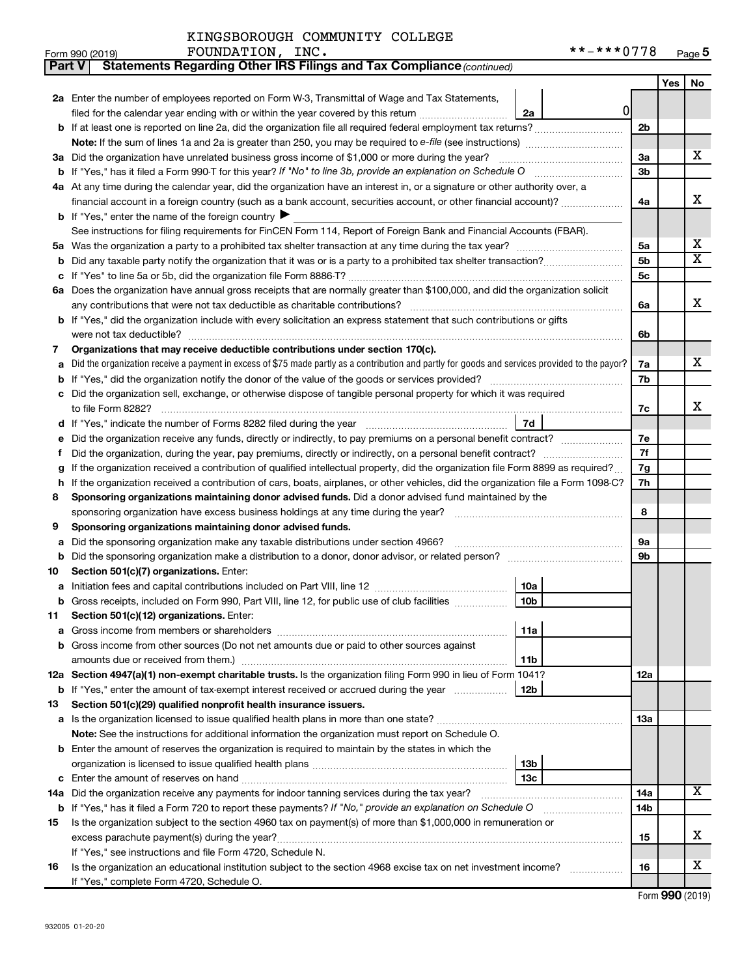| Part V  | Statements Regarding Other IRS Filings and Tax Compliance (continued)                                                                           |                 |     |    |  |
|---------|-------------------------------------------------------------------------------------------------------------------------------------------------|-----------------|-----|----|--|
|         |                                                                                                                                                 |                 | Yes | No |  |
|         | 2a Enter the number of employees reported on Form W-3, Transmittal of Wage and Tax Statements,                                                  |                 |     |    |  |
|         | 0<br>filed for the calendar year ending with or within the year covered by this return<br>2a                                                    |                 |     |    |  |
| b       |                                                                                                                                                 | 2 <sub>b</sub>  |     |    |  |
|         | Note: If the sum of lines 1a and 2a is greater than 250, you may be required to e-file (see instructions) <i></i>                               |                 |     |    |  |
|         | 3a Did the organization have unrelated business gross income of \$1,000 or more during the year?                                                | За              |     | х  |  |
| b       |                                                                                                                                                 | 3b              |     |    |  |
|         | 4a At any time during the calendar year, did the organization have an interest in, or a signature or other authority over, a                    |                 |     |    |  |
|         | financial account in a foreign country (such as a bank account, securities account, or other financial account)?                                | 4a              |     | x  |  |
|         | <b>b</b> If "Yes," enter the name of the foreign country $\blacktriangleright$                                                                  |                 |     |    |  |
|         | See instructions for filing requirements for FinCEN Form 114, Report of Foreign Bank and Financial Accounts (FBAR).                             |                 |     |    |  |
| 5a      |                                                                                                                                                 | 5a              |     | х  |  |
| b       |                                                                                                                                                 | 5 <sub>b</sub>  |     | X  |  |
|         |                                                                                                                                                 | 5c              |     |    |  |
|         | 6a Does the organization have annual gross receipts that are normally greater than \$100,000, and did the organization solicit                  |                 |     |    |  |
|         |                                                                                                                                                 | 6a              |     | x  |  |
|         | If "Yes," did the organization include with every solicitation an express statement that such contributions or gifts                            |                 |     |    |  |
|         | were not tax deductible?                                                                                                                        | 6b              |     |    |  |
| 7       | Organizations that may receive deductible contributions under section 170(c).                                                                   |                 |     |    |  |
| a       | Did the organization receive a payment in excess of \$75 made partly as a contribution and partly for goods and services provided to the payor? | 7a              |     | х  |  |
| b       |                                                                                                                                                 | 7b              |     |    |  |
|         | Did the organization sell, exchange, or otherwise dispose of tangible personal property for which it was required                               |                 |     |    |  |
|         | to file Form 8282?                                                                                                                              | 7c              |     | x  |  |
| d       | 7d                                                                                                                                              |                 |     |    |  |
|         | Did the organization receive any funds, directly or indirectly, to pay premiums on a personal benefit contract?                                 | 7e              |     |    |  |
| f       |                                                                                                                                                 | 7f              |     |    |  |
| g       | If the organization received a contribution of qualified intellectual property, did the organization file Form 8899 as required?                | 7g              |     |    |  |
| h       | If the organization received a contribution of cars, boats, airplanes, or other vehicles, did the organization file a Form 1098-C?              | 7h              |     |    |  |
| 8       | Sponsoring organizations maintaining donor advised funds. Did a donor advised fund maintained by the                                            |                 |     |    |  |
|         | sponsoring organization have excess business holdings at any time during the year? [11111111111111111111111111                                  | 8               |     |    |  |
| 9       | Sponsoring organizations maintaining donor advised funds.                                                                                       |                 |     |    |  |
| а       | Did the sponsoring organization make any taxable distributions under section 4966?                                                              | 9а              |     |    |  |
| b       | Did the sponsoring organization make a distribution to a donor, donor advisor, or related person?                                               | 9b              |     |    |  |
| 10      | Section 501(c)(7) organizations. Enter:<br>10a                                                                                                  |                 |     |    |  |
| а       | 10 <sub>b</sub><br>Gross receipts, included on Form 990, Part VIII, line 12, for public use of club facilities                                  |                 |     |    |  |
|         | Section 501(c)(12) organizations. Enter:                                                                                                        |                 |     |    |  |
| 11<br>а | 11a                                                                                                                                             |                 |     |    |  |
| b       | Gross income from other sources (Do not net amounts due or paid to other sources against                                                        |                 |     |    |  |
|         | 11b                                                                                                                                             |                 |     |    |  |
|         | 12a Section 4947(a)(1) non-exempt charitable trusts. Is the organization filing Form 990 in lieu of Form 1041?                                  | 12a             |     |    |  |
|         | b If "Yes," enter the amount of tax-exempt interest received or accrued during the year<br>12b                                                  |                 |     |    |  |
| 13      | Section 501(c)(29) qualified nonprofit health insurance issuers.                                                                                |                 |     |    |  |
|         | a Is the organization licensed to issue qualified health plans in more than one state?                                                          | 13a             |     |    |  |
|         | <b>Note:</b> See the instructions for additional information the organization must report on Schedule O.                                        |                 |     |    |  |
| b       | Enter the amount of reserves the organization is required to maintain by the states in which the                                                |                 |     |    |  |
|         | 13 <sub>b</sub>                                                                                                                                 |                 |     |    |  |
| с       | 13c                                                                                                                                             |                 |     |    |  |
|         | 14a Did the organization receive any payments for indoor tanning services during the tax year?                                                  | 14a             |     | x. |  |
|         | <b>b</b> If "Yes," has it filed a Form 720 to report these payments? If "No," provide an explanation on Schedule O                              | 14 <sub>b</sub> |     |    |  |
| 15      | Is the organization subject to the section 4960 tax on payment(s) of more than \$1,000,000 in remuneration or                                   |                 |     |    |  |
|         |                                                                                                                                                 | 15              |     | x  |  |
|         | If "Yes," see instructions and file Form 4720, Schedule N.                                                                                      |                 |     |    |  |
| 16      | Is the organization an educational institution subject to the section 4968 excise tax on net investment income?                                 | 16              |     | x  |  |
|         | If "Yes," complete Form 4720, Schedule O.                                                                                                       |                 |     |    |  |

Form (2019) **990**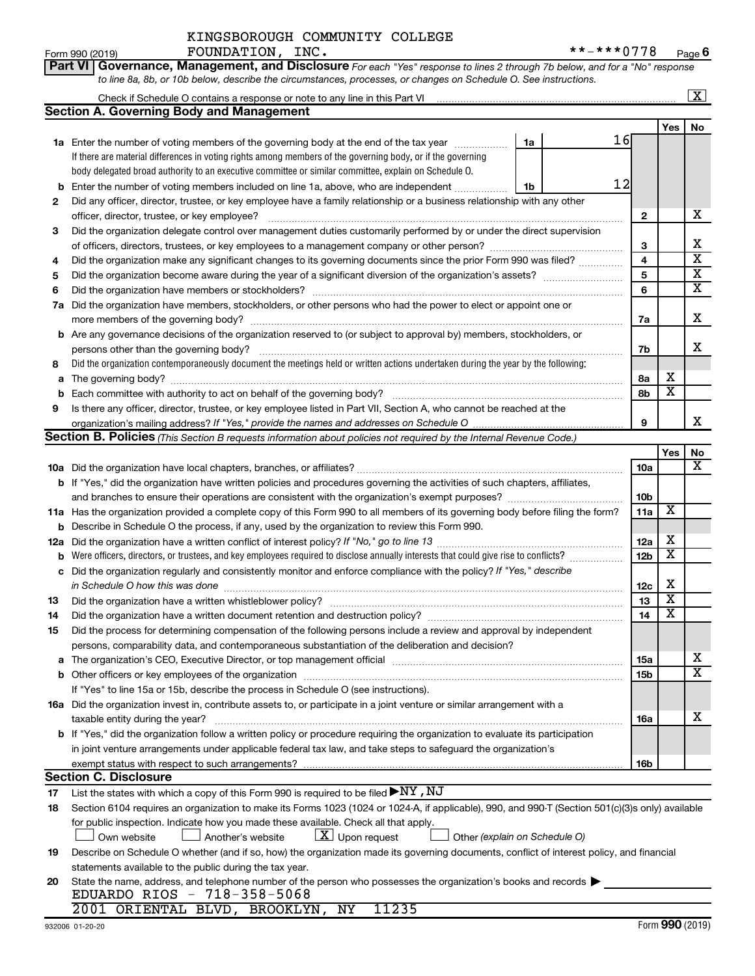**Part VI** Governance, Management, and Disclosure For each "Yes" response to lines 2 through 7b below, and for a "No" response *to line 8a, 8b, or 10b below, describe the circumstances, processes, or changes on Schedule O. See instructions.*

|     | Check if Schedule O contains a response or note to any line in this Part VI [11] [12] Check if Schedule O contains a response or note to any line in this Part VI |          |                         |                         | $\overline{\text{X}}$   |
|-----|-------------------------------------------------------------------------------------------------------------------------------------------------------------------|----------|-------------------------|-------------------------|-------------------------|
|     | <b>Section A. Governing Body and Management</b>                                                                                                                   |          |                         |                         |                         |
|     |                                                                                                                                                                   |          |                         | Yes                     | No                      |
|     | 1a Enter the number of voting members of the governing body at the end of the tax year <i>manument</i>                                                            | 16<br>1a |                         |                         |                         |
|     | If there are material differences in voting rights among members of the governing body, or if the governing                                                       |          |                         |                         |                         |
|     | body delegated broad authority to an executive committee or similar committee, explain on Schedule O.                                                             |          |                         |                         |                         |
| b   | Enter the number of voting members included on line 1a, above, who are independent <i>macono</i>                                                                  | 12<br>1b |                         |                         |                         |
| 2   | Did any officer, director, trustee, or key employee have a family relationship or a business relationship with any other                                          |          |                         |                         |                         |
|     |                                                                                                                                                                   |          | $\mathbf{2}$            |                         | x                       |
| 3   | Did the organization delegate control over management duties customarily performed by or under the direct supervision                                             |          |                         |                         |                         |
|     |                                                                                                                                                                   |          | 3                       |                         | x                       |
| 4   | Did the organization make any significant changes to its governing documents since the prior Form 990 was filed?                                                  |          | $\overline{\mathbf{4}}$ |                         | $\overline{\textbf{x}}$ |
| 5   |                                                                                                                                                                   |          | 5                       |                         | $\overline{\textbf{x}}$ |
| 6   |                                                                                                                                                                   |          | 6                       |                         | $\overline{\textbf{x}}$ |
|     | 7a Did the organization have members, stockholders, or other persons who had the power to elect or appoint one or                                                 |          |                         |                         |                         |
|     |                                                                                                                                                                   |          | 7a                      |                         | x                       |
|     | <b>b</b> Are any governance decisions of the organization reserved to (or subject to approval by) members, stockholders, or                                       |          |                         |                         |                         |
|     | persons other than the governing body?                                                                                                                            |          | 7b                      |                         | x                       |
| 8   | Did the organization contemporaneously document the meetings held or written actions undertaken during the year by the following:                                 |          |                         |                         |                         |
|     |                                                                                                                                                                   |          | 8a                      | x                       |                         |
| b   |                                                                                                                                                                   |          | 8b                      | $\overline{\textbf{x}}$ |                         |
| 9   | Is there any officer, director, trustee, or key employee listed in Part VII, Section A, who cannot be reached at the                                              |          |                         |                         |                         |
|     |                                                                                                                                                                   |          | 9                       |                         | x                       |
|     | Section B. Policies (This Section B requests information about policies not required by the Internal Revenue Code.)                                               |          |                         |                         |                         |
|     |                                                                                                                                                                   |          |                         | Yes                     | No                      |
|     |                                                                                                                                                                   |          | 10a                     |                         | $\overline{\mathbf{X}}$ |
|     | b If "Yes," did the organization have written policies and procedures governing the activities of such chapters, affiliates,                                      |          |                         |                         |                         |
|     | and branches to ensure their operations are consistent with the organization's exempt purposes?                                                                   |          | 10 <sub>b</sub>         |                         |                         |
|     | 11a Has the organization provided a complete copy of this Form 990 to all members of its governing body before filing the form?                                   |          | 11a                     | X                       |                         |
|     | <b>b</b> Describe in Schedule O the process, if any, used by the organization to review this Form 990.                                                            |          |                         |                         |                         |
| 12a |                                                                                                                                                                   |          | 12a                     | x                       |                         |
| b   | Were officers, directors, or trustees, and key employees required to disclose annually interests that could give rise to conflicts?                               |          | 12 <sub>b</sub>         | $\overline{\mathbf{x}}$ |                         |
| с   | Did the organization regularly and consistently monitor and enforce compliance with the policy? If "Yes," describe                                                |          |                         |                         |                         |
|     | in Schedule O how this was done                                                                                                                                   |          | 12c                     | х                       |                         |
| 13  |                                                                                                                                                                   |          | 13                      | $\overline{\textbf{x}}$ |                         |
| 14  | Did the organization have a written document retention and destruction policy? [11] manufaction manufaction in                                                    |          | 14                      | $\overline{\textbf{x}}$ |                         |
| 15  | Did the process for determining compensation of the following persons include a review and approval by independent                                                |          |                         |                         |                         |
|     | persons, comparability data, and contemporaneous substantiation of the deliberation and decision?                                                                 |          |                         |                         |                         |
|     | a The organization's CEO, Executive Director, or top management official manufactured content content of the o                                                    |          | 15a                     |                         | x                       |
|     | <b>b</b> Other officers or key employees of the organization                                                                                                      |          | 15b                     |                         | $\overline{\text{x}}$   |
|     | If "Yes" to line 15a or 15b, describe the process in Schedule O (see instructions).                                                                               |          |                         |                         |                         |
|     | 16a Did the organization invest in, contribute assets to, or participate in a joint venture or similar arrangement with a                                         |          |                         |                         |                         |
|     | taxable entity during the year?                                                                                                                                   |          | 16a                     |                         | x                       |
|     | b If "Yes," did the organization follow a written policy or procedure requiring the organization to evaluate its participation                                    |          |                         |                         |                         |
|     | in joint venture arrangements under applicable federal tax law, and take steps to safeguard the organization's                                                    |          |                         |                         |                         |
|     | exempt status with respect to such arrangements?                                                                                                                  |          | 16b                     |                         |                         |
|     | <b>Section C. Disclosure</b>                                                                                                                                      |          |                         |                         |                         |
| 17  | List the states with which a copy of this Form 990 is required to be filed $\blacktriangleright$ NY, NJ                                                           |          |                         |                         |                         |
| 18  | Section 6104 requires an organization to make its Forms 1023 (1024 or 1024-A, if applicable), 990, and 990-T (Section 501(c)(3)s only) available                  |          |                         |                         |                         |
|     | for public inspection. Indicate how you made these available. Check all that apply.                                                                               |          |                         |                         |                         |
|     | $ \underline{X} $ Upon request<br>Own website<br>Another's website<br>Other (explain on Schedule O)                                                               |          |                         |                         |                         |
| 19  | Describe on Schedule O whether (and if so, how) the organization made its governing documents, conflict of interest policy, and financial                         |          |                         |                         |                         |
|     | statements available to the public during the tax year.                                                                                                           |          |                         |                         |                         |
| 20  | State the name, address, and telephone number of the person who possesses the organization's books and records                                                    |          |                         |                         |                         |
|     | EDUARDO RIOS - 718-358-5068                                                                                                                                       |          |                         |                         |                         |
|     | 11235<br>2001 ORIENTAL BLVD, BROOKLYN, NY                                                                                                                         |          |                         |                         |                         |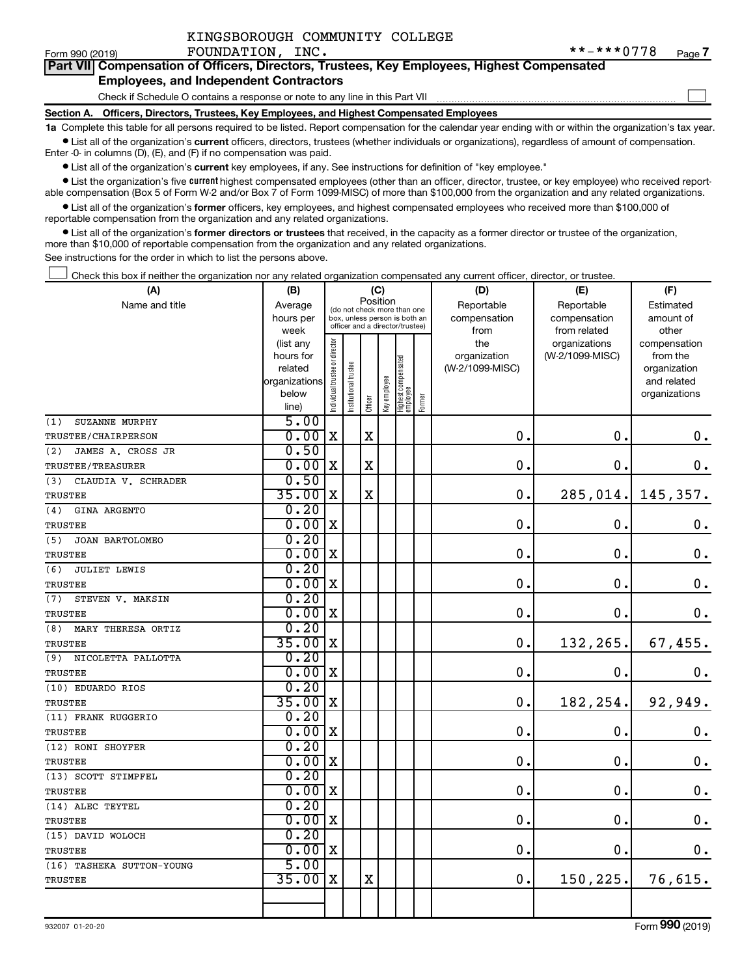| KINGSBOROUGH COMMUNITY COLLEGE |  |
|--------------------------------|--|
|                                |  |

 $\Box$ 

| Part VII Compensation of Officers, Directors, Trustees, Key Employees, Highest Compensated |  |  |  |
|--------------------------------------------------------------------------------------------|--|--|--|
| <b>Employees, and Independent Contractors</b>                                              |  |  |  |

Check if Schedule O contains a response or note to any line in this Part VII

**Section A. Officers, Directors, Trustees, Key Employees, and Highest Compensated Employees**

**1a**  Complete this table for all persons required to be listed. Report compensation for the calendar year ending with or within the organization's tax year.  $\bullet$  List all of the organization's current officers, directors, trustees (whether individuals or organizations), regardless of amount of compensation.

Enter -0- in columns (D), (E), and (F) if no compensation was paid.

**•** List all of the organization's current key employees, if any. See instructions for definition of "key employee."

• List the organization's five *current* highest compensated employees (other than an officer, director, trustee, or key employee) who received reportable compensation (Box 5 of Form W-2 and/or Box 7 of Form 1099-MISC) of more than \$100,000 from the organization and any related organizations.

 $\bullet$  List all of the organization's former officers, key employees, and highest compensated employees who received more than \$100,000 of reportable compensation from the organization and any related organizations.

**•** List all of the organization's former directors or trustees that received, in the capacity as a former director or trustee of the organization, more than \$10,000 of reportable compensation from the organization and any related organizations.

See instructions for the order in which to list the persons above.

Check this box if neither the organization nor any related organization compensated any current officer, director, or trustee.  $\Box$ 

| (A)                        | (B)                  |                                |                                                                  | (C)         |              |                                   |        | (D)                             | (E)             | (F)                         |
|----------------------------|----------------------|--------------------------------|------------------------------------------------------------------|-------------|--------------|-----------------------------------|--------|---------------------------------|-----------------|-----------------------------|
| Name and title             | Average              |                                | (do not check more than one                                      | Position    |              |                                   |        | Reportable                      | Reportable      | Estimated                   |
|                            | hours per            |                                | box, unless person is both an<br>officer and a director/trustee) |             |              |                                   |        | compensation                    | compensation    | amount of                   |
|                            | week                 |                                |                                                                  |             |              |                                   |        | from                            | from related    | other                       |
|                            | (list any            |                                |                                                                  |             |              |                                   |        | the                             | organizations   | compensation                |
|                            | hours for<br>related |                                |                                                                  |             |              |                                   |        | organization<br>(W-2/1099-MISC) | (W-2/1099-MISC) | from the                    |
|                            | organizations        |                                |                                                                  |             |              |                                   |        |                                 |                 | organization<br>and related |
|                            | below                |                                |                                                                  |             |              |                                   |        |                                 |                 | organizations               |
|                            | line)                | Individual trustee or director | Institutional trustee                                            | Officer     | Key employee | Highest compensated<br>  employee | Former |                                 |                 |                             |
| (1)<br>SUZANNE MURPHY      | 5.00                 |                                |                                                                  |             |              |                                   |        |                                 |                 |                             |
| TRUSTEE/CHAIRPERSON        | 0.00x                |                                |                                                                  | $\mathbf X$ |              |                                   |        | $\mathbf 0$ .                   | $\mathbf 0$ .   | 0.                          |
| JAMES A. CROSS JR<br>(2)   | 0.50                 |                                |                                                                  |             |              |                                   |        |                                 |                 |                             |
| TRUSTEE/TREASURER          | 0.00x                |                                |                                                                  | X           |              |                                   |        | $\mathbf 0$ .                   | $\mathbf 0$ .   | 0.                          |
| CLAUDIA V. SCHRADER<br>(3) | 0.50                 |                                |                                                                  |             |              |                                   |        |                                 |                 |                             |
| TRUSTEE                    | $35.00$ X            |                                |                                                                  | $\mathbf X$ |              |                                   |        | $\mathbf 0$ .                   | 285,014.        | 145,357.                    |
| (4)<br>GINA ARGENTO        | 0.20                 |                                |                                                                  |             |              |                                   |        |                                 |                 |                             |
| TRUSTEE                    | 0.00x                |                                |                                                                  |             |              |                                   |        | $\mathbf 0$ .                   | $\mathbf 0$ .   | $\mathbf 0$ .               |
| (5)<br>JOAN BARTOLOMEO     | 0.20                 |                                |                                                                  |             |              |                                   |        |                                 |                 |                             |
| TRUSTEE                    | 0.00x                |                                |                                                                  |             |              |                                   |        | $\mathbf 0$ .                   | $\mathbf 0$ .   | $\mathbf 0$ .               |
| (6)<br>JULIET LEWIS        | 0.20                 |                                |                                                                  |             |              |                                   |        |                                 |                 |                             |
| TRUSTEE                    | 0.00x                |                                |                                                                  |             |              |                                   |        | $\mathbf 0$ .                   | $\mathbf 0$ .   | $\mathbf 0$ .               |
| (7)<br>STEVEN V. MAKSIN    | 0.20                 |                                |                                                                  |             |              |                                   |        |                                 |                 |                             |
| <b>TRUSTEE</b>             | 0.00x                |                                |                                                                  |             |              |                                   |        | 0.                              | $\mathbf 0$ .   | 0.                          |
| (8)<br>MARY THERESA ORTIZ  | 0.20                 |                                |                                                                  |             |              |                                   |        |                                 |                 |                             |
| TRUSTEE                    | $35.00$ X            |                                |                                                                  |             |              |                                   |        | 0.                              | 132,265.        | 67,455.                     |
| (9) NICOLETTA PALLOTTA     | 0.20                 |                                |                                                                  |             |              |                                   |        |                                 |                 |                             |
| TRUSTEE                    | 0.00x                |                                |                                                                  |             |              |                                   |        | 0.                              | $\mathbf 0$ .   | 0.                          |
| (10) EDUARDO RIOS          | 0.20                 |                                |                                                                  |             |              |                                   |        |                                 |                 |                             |
| <b>TRUSTEE</b>             | $35.00$ X            |                                |                                                                  |             |              |                                   |        | 0.                              | 182,254.        | 92,949.                     |
| (11) FRANK RUGGERIO        | 0.20                 |                                |                                                                  |             |              |                                   |        |                                 |                 |                             |
| <b>TRUSTEE</b>             | 0.00x                |                                |                                                                  |             |              |                                   |        | 0.                              | $\mathbf 0$ .   | 0.                          |
| (12) RONI SHOYFER          | 0.20                 |                                |                                                                  |             |              |                                   |        |                                 |                 |                             |
| TRUSTEE                    | 0.00x                |                                |                                                                  |             |              |                                   |        | $\mathbf 0$ .                   | $\mathbf 0$ .   | $\mathbf 0$ .               |
| (13) SCOTT STIMPFEL        | 0.20                 |                                |                                                                  |             |              |                                   |        |                                 |                 |                             |
| <b>TRUSTEE</b>             | 0.00                 | x                              |                                                                  |             |              |                                   |        | $\mathbf 0$ .                   | О.              | $\boldsymbol{0}$ .          |
| (14) ALEC TEYTEL           | 0.20                 |                                |                                                                  |             |              |                                   |        |                                 |                 |                             |
| <b>TRUSTEE</b>             | $0.00 \, \mathrm{x}$ |                                |                                                                  |             |              |                                   |        | $\mathbf 0$ .                   | $\mathbf 0$ .   | $\mathbf 0$ .               |
| (15) DAVID WOLOCH          | 0.20                 |                                |                                                                  |             |              |                                   |        |                                 |                 |                             |
| <b>TRUSTEE</b>             | 0.00x                |                                |                                                                  |             |              |                                   |        | $\mathbf 0$ .                   | $\mathbf 0$ .   | $\mathbf 0$ .               |
| (16) TASHEKA SUTTON-YOUNG  | 5.00                 |                                |                                                                  |             |              |                                   |        |                                 |                 |                             |
| <b>TRUSTEE</b>             | 35.00                | X                              |                                                                  | $\mathbf X$ |              |                                   |        | 0.                              | 150,225.        | 76,615.                     |
|                            |                      |                                |                                                                  |             |              |                                   |        |                                 |                 |                             |
|                            |                      |                                |                                                                  |             |              |                                   |        |                                 |                 |                             |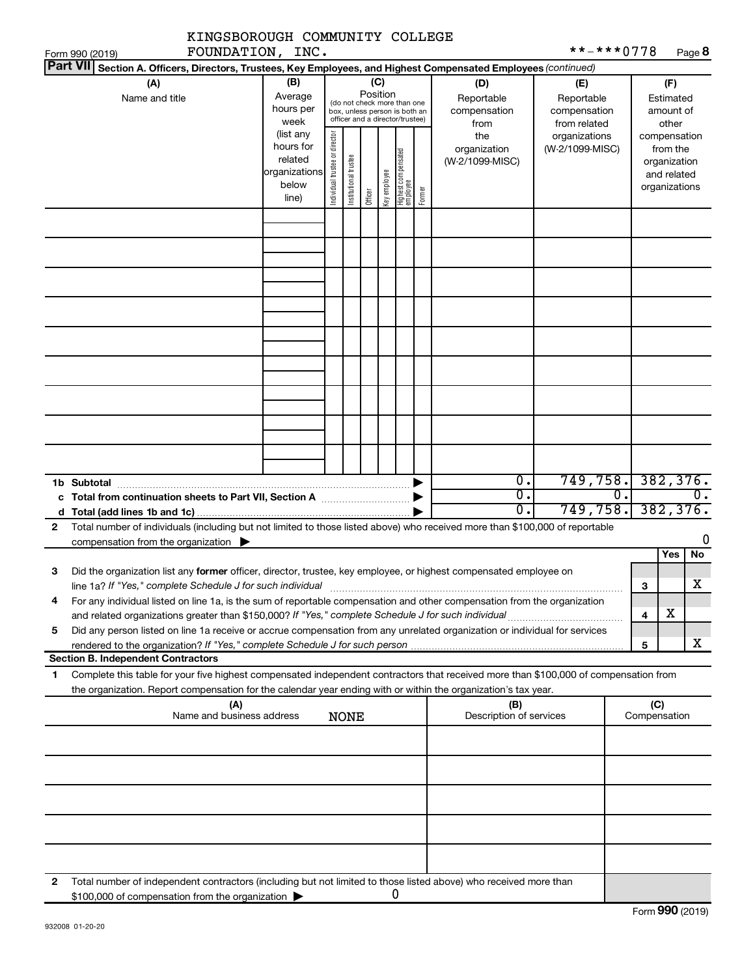|                                                                                                                                                                                                                                                             | KINGSBOROUGH COMMUNITY COLLEGE   |                                                         |                                                                                                                    |                       |         |              |                                 |        |                                                                                                        |                                                                    |    |                                                          |                       |
|-------------------------------------------------------------------------------------------------------------------------------------------------------------------------------------------------------------------------------------------------------------|----------------------------------|---------------------------------------------------------|--------------------------------------------------------------------------------------------------------------------|-----------------------|---------|--------------|---------------------------------|--------|--------------------------------------------------------------------------------------------------------|--------------------------------------------------------------------|----|----------------------------------------------------------|-----------------------|
| Form 990 (2019)                                                                                                                                                                                                                                             | FOUNDATION, INC.                 |                                                         |                                                                                                                    |                       |         |              |                                 |        |                                                                                                        | **-***0778                                                         |    |                                                          | Page 8                |
| <b>Part VII</b>                                                                                                                                                                                                                                             |                                  |                                                         |                                                                                                                    |                       |         |              |                                 |        | Section A. Officers, Directors, Trustees, Key Employees, and Highest Compensated Employees (continued) |                                                                    |    |                                                          |                       |
| (A)<br>Name and title                                                                                                                                                                                                                                       |                                  | (B)<br>Average<br>hours per<br>week<br>(list any        | (C)<br>Position<br>(do not check more than one<br>box, unless person is both an<br>officer and a director/trustee) |                       |         |              |                                 |        | (D)<br>Reportable<br>compensation<br>from<br>the                                                       | (E)<br>Reportable<br>compensation<br>from related<br>organizations |    | (F)<br>Estimated<br>amount of<br>other<br>compensation   |                       |
|                                                                                                                                                                                                                                                             |                                  | hours for<br>related<br>organizations<br>below<br>line) | Individual trustee or director                                                                                     | Institutional trustee | Officer | Key employee | Highest compensated<br>employee | Former | organization<br>(W-2/1099-MISC)                                                                        | (W-2/1099-MISC)                                                    |    | from the<br>organization<br>and related<br>organizations |                       |
|                                                                                                                                                                                                                                                             |                                  |                                                         |                                                                                                                    |                       |         |              |                                 |        |                                                                                                        |                                                                    |    |                                                          |                       |
|                                                                                                                                                                                                                                                             |                                  |                                                         |                                                                                                                    |                       |         |              |                                 |        |                                                                                                        |                                                                    |    |                                                          |                       |
|                                                                                                                                                                                                                                                             |                                  |                                                         |                                                                                                                    |                       |         |              |                                 |        |                                                                                                        |                                                                    |    |                                                          |                       |
|                                                                                                                                                                                                                                                             |                                  |                                                         |                                                                                                                    |                       |         |              |                                 |        |                                                                                                        |                                                                    |    |                                                          |                       |
|                                                                                                                                                                                                                                                             |                                  |                                                         |                                                                                                                    |                       |         |              |                                 |        |                                                                                                        |                                                                    |    |                                                          |                       |
| 1b Subtotal                                                                                                                                                                                                                                                 |                                  |                                                         |                                                                                                                    |                       |         |              |                                 |        | $\overline{0}$ .<br>σ.<br>σ.                                                                           | 749,758. 382,376.<br>749,758.                                      | 0. |                                                          | 0.<br>382, 376.       |
| d<br>Total number of individuals (including but not limited to those listed above) who received more than \$100,000 of reportable<br>$\mathbf{2}$<br>compensation from the organization $\blacktriangleright$                                               |                                  |                                                         |                                                                                                                    |                       |         |              |                                 |        |                                                                                                        |                                                                    |    |                                                          | 0                     |
|                                                                                                                                                                                                                                                             |                                  |                                                         |                                                                                                                    |                       |         |              |                                 |        |                                                                                                        |                                                                    |    | <b>Yes</b>                                               | No                    |
| Did the organization list any former officer, director, trustee, key employee, or highest compensated employee on<br>З<br>line 1a? If "Yes," complete Schedule J for such individual                                                                        |                                  |                                                         |                                                                                                                    |                       |         |              |                                 |        |                                                                                                        |                                                                    |    | 3                                                        | $\overline{\text{X}}$ |
| For any individual listed on line 1a, is the sum of reportable compensation and other compensation from the organization<br>4                                                                                                                               |                                  |                                                         |                                                                                                                    |                       |         |              |                                 |        |                                                                                                        |                                                                    |    | х<br>4                                                   |                       |
| Did any person listed on line 1a receive or accrue compensation from any unrelated organization or individual for services<br>5                                                                                                                             |                                  |                                                         |                                                                                                                    |                       |         |              |                                 |        |                                                                                                        |                                                                    |    | 5                                                        | X                     |
| <b>Section B. Independent Contractors</b>                                                                                                                                                                                                                   |                                  |                                                         |                                                                                                                    |                       |         |              |                                 |        |                                                                                                        |                                                                    |    |                                                          |                       |
| Complete this table for your five highest compensated independent contractors that received more than \$100,000 of compensation from<br>1<br>the organization. Report compensation for the calendar year ending with or within the organization's tax year. |                                  |                                                         |                                                                                                                    |                       |         |              |                                 |        |                                                                                                        |                                                                    |    |                                                          |                       |
|                                                                                                                                                                                                                                                             | (A)<br>Name and business address |                                                         |                                                                                                                    | <b>NONE</b>           |         |              |                                 |        | (B)<br>Description of services                                                                         |                                                                    |    | (C)<br>Compensation                                      |                       |
|                                                                                                                                                                                                                                                             |                                  |                                                         |                                                                                                                    |                       |         |              |                                 |        |                                                                                                        |                                                                    |    |                                                          |                       |
|                                                                                                                                                                                                                                                             |                                  |                                                         |                                                                                                                    |                       |         |              |                                 |        |                                                                                                        |                                                                    |    |                                                          |                       |
|                                                                                                                                                                                                                                                             |                                  |                                                         |                                                                                                                    |                       |         |              |                                 |        |                                                                                                        |                                                                    |    |                                                          |                       |
|                                                                                                                                                                                                                                                             |                                  |                                                         |                                                                                                                    |                       |         |              |                                 |        |                                                                                                        |                                                                    |    |                                                          |                       |
| Total number of independent contractors (including but not limited to those listed above) who received more than<br>2<br>\$100,000 of compensation from the organization                                                                                    |                                  |                                                         |                                                                                                                    |                       |         |              | 0                               |        |                                                                                                        |                                                                    |    |                                                          |                       |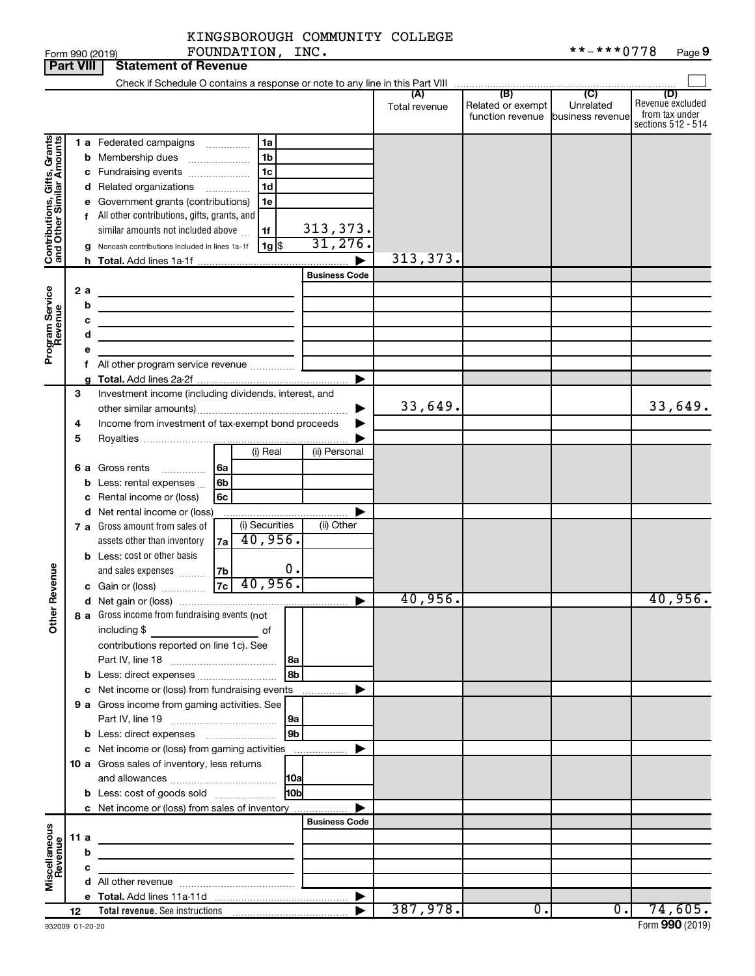|                                                           |                  |   | FOUNDATION, INC.<br>Form 990 (2019)                                                                                    |                          |               |                                   | **-***0778       | Page 9                               |
|-----------------------------------------------------------|------------------|---|------------------------------------------------------------------------------------------------------------------------|--------------------------|---------------|-----------------------------------|------------------|--------------------------------------|
|                                                           | <b>Part VIII</b> |   | <b>Statement of Revenue</b>                                                                                            |                          |               |                                   |                  |                                      |
|                                                           |                  |   |                                                                                                                        |                          |               |                                   |                  |                                      |
|                                                           |                  |   |                                                                                                                        |                          |               |                                   |                  | (D)                                  |
|                                                           |                  |   |                                                                                                                        |                          | Total revenue | Related or exempt                 | Unrelated        | Revenue excluded                     |
|                                                           |                  |   |                                                                                                                        |                          |               | function revenue business revenue |                  | from tax under<br>sections 512 - 514 |
|                                                           |                  |   |                                                                                                                        |                          |               |                                   |                  |                                      |
|                                                           |                  |   | 1a<br>1 a Federated campaigns                                                                                          |                          |               |                                   |                  |                                      |
|                                                           |                  |   | <b>b</b> Membership dues<br>1b                                                                                         |                          |               |                                   |                  |                                      |
|                                                           |                  |   | 1c<br>c Fundraising events                                                                                             |                          |               |                                   |                  |                                      |
|                                                           |                  |   | 1 <sub>d</sub><br>d Related organizations                                                                              |                          |               |                                   |                  |                                      |
|                                                           |                  |   | e Government grants (contributions)<br>1e                                                                              |                          |               |                                   |                  |                                      |
|                                                           |                  |   | f All other contributions, gifts, grants, and                                                                          |                          |               |                                   |                  |                                      |
| Contributions, Gifts, Grants<br>and Other Similar Amounts |                  |   | similar amounts not included above<br>1f                                                                               |                          |               |                                   |                  |                                      |
|                                                           |                  |   | 1g   \$<br>g Noncash contributions included in lines 1a-1f                                                             | $\frac{313,373}{31,276}$ |               |                                   |                  |                                      |
|                                                           |                  |   |                                                                                                                        |                          | 313, 373.     |                                   |                  |                                      |
|                                                           |                  |   |                                                                                                                        | <b>Business Code</b>     |               |                                   |                  |                                      |
|                                                           |                  |   |                                                                                                                        |                          |               |                                   |                  |                                      |
|                                                           | 2a               |   |                                                                                                                        |                          |               |                                   |                  |                                      |
|                                                           |                  | b | the control of the control of the control of the control of the control of                                             |                          |               |                                   |                  |                                      |
|                                                           |                  | с | <u> 1989 - Johann Stein, marwolaethau a bhann an t-Albann an t-Albann an t-Albann an t-Albann an t-Albann an t-Alb</u> |                          |               |                                   |                  |                                      |
|                                                           |                  | d | <u> 1989 - Johann Barbara, martin a</u>                                                                                |                          |               |                                   |                  |                                      |
| Program Service<br>Revenue                                |                  | е |                                                                                                                        |                          |               |                                   |                  |                                      |
|                                                           |                  |   |                                                                                                                        |                          |               |                                   |                  |                                      |
|                                                           |                  | g |                                                                                                                        |                          |               |                                   |                  |                                      |
|                                                           | 3                |   | Investment income (including dividends, interest, and                                                                  |                          |               |                                   |                  |                                      |
|                                                           |                  |   |                                                                                                                        |                          | 33,649.       |                                   |                  | 33,649.                              |
|                                                           | 4                |   | Income from investment of tax-exempt bond proceeds                                                                     |                          |               |                                   |                  |                                      |
|                                                           | 5                |   |                                                                                                                        |                          |               |                                   |                  |                                      |
|                                                           |                  |   | (i) Real                                                                                                               | (ii) Personal            |               |                                   |                  |                                      |
|                                                           |                  |   |                                                                                                                        |                          |               |                                   |                  |                                      |
|                                                           |                  |   | 6 a Gross rents<br>∣6a<br>.                                                                                            |                          |               |                                   |                  |                                      |
|                                                           |                  |   | 6b<br><b>b</b> Less: rental expenses $\ldots$                                                                          |                          |               |                                   |                  |                                      |
|                                                           |                  | с | Rental income or (loss)<br>6с                                                                                          |                          |               |                                   |                  |                                      |
|                                                           |                  |   | d Net rental income or (loss)                                                                                          |                          |               |                                   |                  |                                      |
|                                                           |                  |   | (i) Securities<br>7 a Gross amount from sales of                                                                       | (ii) Other               |               |                                   |                  |                                      |
|                                                           |                  |   | 40,956.<br>assets other than inventory<br>7a                                                                           |                          |               |                                   |                  |                                      |
|                                                           |                  |   | <b>b</b> Less: cost or other basis                                                                                     |                          |               |                                   |                  |                                      |
|                                                           |                  |   | 0.<br>and sales expenses<br>7b                                                                                         |                          |               |                                   |                  |                                      |
| evenue                                                    |                  |   | 7c <br>40,956.<br><b>c</b> Gain or (loss)                                                                              |                          |               |                                   |                  |                                      |
|                                                           |                  |   |                                                                                                                        |                          | 40,956.       |                                   |                  | $40,956$ .                           |
| Other R                                                   |                  |   | 8 a Gross income from fundraising events (not                                                                          |                          |               |                                   |                  |                                      |
|                                                           |                  |   |                                                                                                                        |                          |               |                                   |                  |                                      |
|                                                           |                  |   | including \$<br>of                                                                                                     |                          |               |                                   |                  |                                      |
|                                                           |                  |   | contributions reported on line 1c). See                                                                                |                          |               |                                   |                  |                                      |
|                                                           |                  |   | l 8a                                                                                                                   |                          |               |                                   |                  |                                      |
|                                                           |                  |   | 8b                                                                                                                     |                          |               |                                   |                  |                                      |
|                                                           |                  |   | c Net income or (loss) from fundraising events                                                                         |                          |               |                                   |                  |                                      |
|                                                           |                  |   | 9 a Gross income from gaming activities. See                                                                           |                          |               |                                   |                  |                                      |
|                                                           |                  |   | 9a                                                                                                                     |                          |               |                                   |                  |                                      |
|                                                           |                  |   | $\sqrt{9b}$                                                                                                            |                          |               |                                   |                  |                                      |
|                                                           |                  |   | c Net income or (loss) from gaming activities                                                                          |                          |               |                                   |                  |                                      |
|                                                           |                  |   | 10 a Gross sales of inventory, less returns                                                                            |                          |               |                                   |                  |                                      |
|                                                           |                  |   |                                                                                                                        |                          |               |                                   |                  |                                      |
|                                                           |                  |   | 10bl<br><b>b</b> Less: cost of goods sold                                                                              |                          |               |                                   |                  |                                      |
|                                                           |                  |   | c Net income or (loss) from sales of inventory                                                                         |                          |               |                                   |                  |                                      |
|                                                           |                  |   |                                                                                                                        |                          |               |                                   |                  |                                      |
|                                                           |                  |   |                                                                                                                        | <b>Business Code</b>     |               |                                   |                  |                                      |
|                                                           | 11 a             |   |                                                                                                                        |                          |               |                                   |                  |                                      |
| Miscellaneous<br>Revenue                                  |                  | b |                                                                                                                        |                          |               |                                   |                  |                                      |
|                                                           |                  | c |                                                                                                                        |                          |               |                                   |                  |                                      |
|                                                           |                  |   |                                                                                                                        |                          |               |                                   |                  |                                      |
|                                                           |                  |   |                                                                                                                        | $\blacktriangleright$    |               |                                   |                  |                                      |
|                                                           | 12               |   | Total revenue. See instructions [101] [101] Total revenue. See instructions                                            |                          | 387,978.      | $\overline{\phantom{0}}$          | $\overline{0}$ . | 74,605.                              |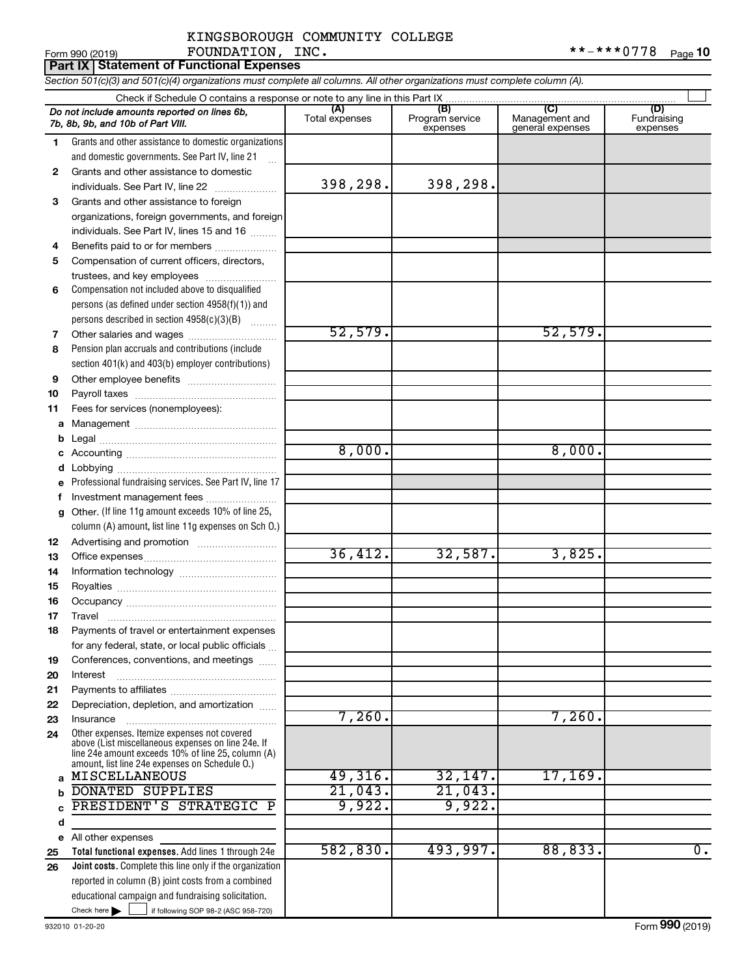#### KINGSBOROUGH COMMUNITY COLLEGE FOUNDATION, INC.

|          | FOUNDATION, INC.<br>Form 990 (2019)                                                                                                                                                                        |                |                             |                                    | **-***0778<br>Page 10   |
|----------|------------------------------------------------------------------------------------------------------------------------------------------------------------------------------------------------------------|----------------|-----------------------------|------------------------------------|-------------------------|
|          | <b>Part IX Statement of Functional Expenses</b>                                                                                                                                                            |                |                             |                                    |                         |
|          | Section 501(c)(3) and 501(c)(4) organizations must complete all columns. All other organizations must complete column (A).                                                                                 |                |                             |                                    |                         |
|          |                                                                                                                                                                                                            |                |                             |                                    |                         |
|          | Do not include amounts reported on lines 6b,<br>7b, 8b, 9b, and 10b of Part VIII.                                                                                                                          | Total expenses | Program service<br>expenses | Management and<br>general expenses | Fundraising<br>expenses |
| 1.       | Grants and other assistance to domestic organizations<br>and domestic governments. See Part IV, line 21                                                                                                    |                |                             |                                    |                         |
| 2        | Grants and other assistance to domestic<br>individuals. See Part IV, line 22                                                                                                                               | 398,298.       | 398,298.                    |                                    |                         |
| 3        | Grants and other assistance to foreign<br>organizations, foreign governments, and foreign<br>individuals. See Part IV, lines 15 and 16                                                                     |                |                             |                                    |                         |
| 4<br>5   | Benefits paid to or for members<br>Compensation of current officers, directors,<br>trustees, and key employees                                                                                             |                |                             |                                    |                         |
| 6        | Compensation not included above to disqualified<br>persons (as defined under section 4958(f)(1)) and<br>persons described in section 4958(c)(3)(B)                                                         |                |                             |                                    |                         |
| 7<br>8   | Pension plan accruals and contributions (include<br>section 401(k) and 403(b) employer contributions)                                                                                                      | 52,579.        |                             | 52,579.                            |                         |
| 9        |                                                                                                                                                                                                            |                |                             |                                    |                         |
| 10       |                                                                                                                                                                                                            |                |                             |                                    |                         |
| 11       | Fees for services (nonemployees):                                                                                                                                                                          |                |                             |                                    |                         |
| а        |                                                                                                                                                                                                            |                |                             |                                    |                         |
| b        |                                                                                                                                                                                                            | 8,000.         |                             | 8,000.                             |                         |
| с        |                                                                                                                                                                                                            |                |                             |                                    |                         |
| d        | Professional fundraising services. See Part IV, line 17                                                                                                                                                    |                |                             |                                    |                         |
| f        | Investment management fees                                                                                                                                                                                 |                |                             |                                    |                         |
| g        | Other. (If line 11g amount exceeds 10% of line 25,                                                                                                                                                         |                |                             |                                    |                         |
|          | column (A) amount, list line 11g expenses on Sch O.)                                                                                                                                                       |                |                             |                                    |                         |
| 12       |                                                                                                                                                                                                            |                |                             |                                    |                         |
| 13       |                                                                                                                                                                                                            | 36,412.        | 32,587.                     | 3,825.                             |                         |
| 14       |                                                                                                                                                                                                            |                |                             |                                    |                         |
| 15       |                                                                                                                                                                                                            |                |                             |                                    |                         |
|          |                                                                                                                                                                                                            |                |                             |                                    |                         |
| 17       | Travel                                                                                                                                                                                                     |                |                             |                                    |                         |
| 18       | Payments of travel or entertainment expenses                                                                                                                                                               |                |                             |                                    |                         |
|          | for any federal, state, or local public officials                                                                                                                                                          |                |                             |                                    |                         |
| 19       | Conferences, conventions, and meetings                                                                                                                                                                     |                |                             |                                    |                         |
| 20       | Interest                                                                                                                                                                                                   |                |                             |                                    |                         |
| 21       |                                                                                                                                                                                                            |                |                             |                                    |                         |
| 22       | Depreciation, depletion, and amortization                                                                                                                                                                  |                |                             |                                    |                         |
| 23       | Insurance                                                                                                                                                                                                  | 7,260.         |                             | 7,260.                             |                         |
| 24       | Other expenses. Itemize expenses not covered<br>above (List miscellaneous expenses on line 24e. If<br>line 24e amount exceeds 10% of line 25, column (A)<br>amount, list line 24e expenses on Schedule O.) |                |                             |                                    |                         |
| a        | MISCELLANEOUS                                                                                                                                                                                              | 49,316.        | 32,147.                     | 17, 169.                           |                         |
| b        | <b>DONATED SUPPLIES</b>                                                                                                                                                                                    | 21,043.        | 21,043.                     |                                    |                         |
| C        | PRESIDENT'S STRATEGIC P                                                                                                                                                                                    | 9,922.         | 9,922.                      |                                    |                         |
| d        |                                                                                                                                                                                                            |                |                             |                                    |                         |
| е        | All other expenses                                                                                                                                                                                         | 582,830.       | 493,997.                    | 88,833.                            | $\overline{0}$ .        |
| 25<br>26 | Total functional expenses. Add lines 1 through 24e<br><b>Joint costs.</b> Complete this line only if the organization                                                                                      |                |                             |                                    |                         |
|          | reported in column (B) joint costs from a combined                                                                                                                                                         |                |                             |                                    |                         |
|          | educational campaign and fundraising solicitation.                                                                                                                                                         |                |                             |                                    |                         |

Check here  $\blacktriangleright$   $\lfloor$ 

Check here  $\begin{array}{c} \begin{array}{|c} \hline \end{array} \end{array}$  if following SOP 98-2 (ASC 958-720)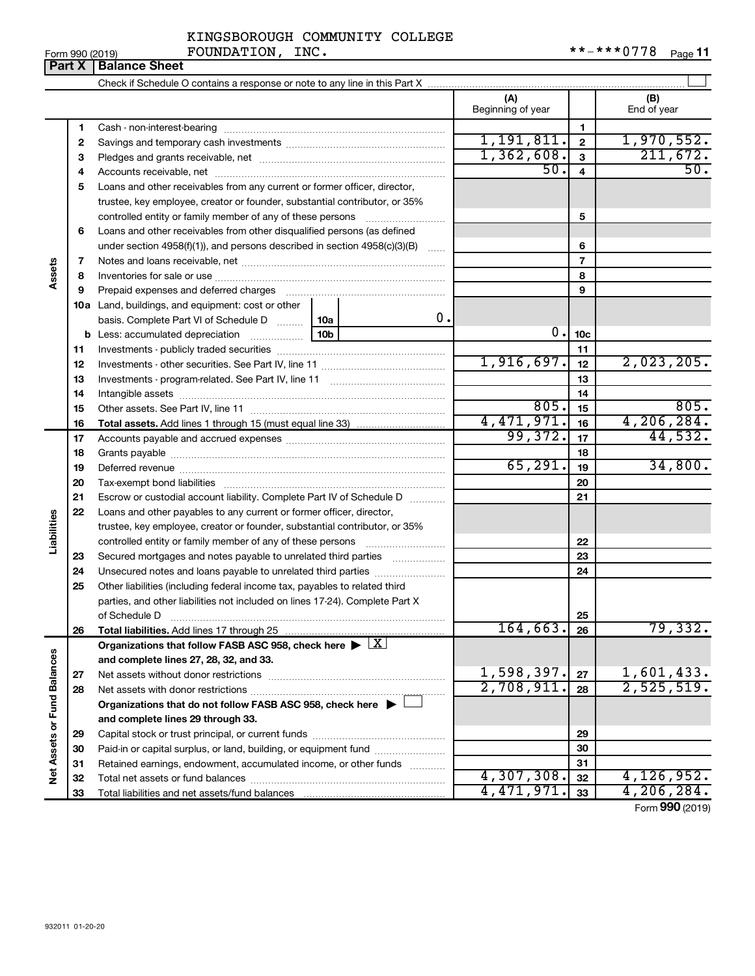| KINGSBOROUGH COMMUNITY COLLEGE |  |
|--------------------------------|--|
|                                |  |

Form 990 (2019) Page FOUNDATION, INC. \*\*-\*\*\*0778 **Part X Balance Sheet**

|                             |    |                                                                                                        |                 |          | (A) | Beginning of year |                          | (B)<br>End of year |
|-----------------------------|----|--------------------------------------------------------------------------------------------------------|-----------------|----------|-----|-------------------|--------------------------|--------------------|
|                             | 1  |                                                                                                        |                 |          |     |                   | 1                        |                    |
|                             | 2  |                                                                                                        |                 |          |     | 1,191,811.        | $\mathbf{2}$             | 1,970,552.         |
|                             | З  |                                                                                                        |                 |          |     | 1,362,608.        | 3                        | 211,672.           |
|                             | 4  |                                                                                                        |                 |          |     | 50.               | $\overline{4}$           | 50.                |
|                             | 5  | Loans and other receivables from any current or former officer, director,                              |                 |          |     |                   |                          |                    |
|                             |    | trustee, key employee, creator or founder, substantial contributor, or 35%                             |                 |          |     |                   |                          |                    |
|                             |    | controlled entity or family member of any of these persons                                             |                 |          |     |                   | 5                        |                    |
|                             | 6  | Loans and other receivables from other disqualified persons (as defined                                |                 |          |     |                   |                          |                    |
|                             |    | under section $4958(f)(1)$ , and persons described in section $4958(c)(3)(B)$                          |                 |          |     |                   | 6                        |                    |
|                             | 7  |                                                                                                        |                 |          |     |                   | $\overline{\phantom{a}}$ |                    |
| Assets                      | 8  |                                                                                                        |                 |          |     | 8                 |                          |                    |
|                             | 9  | Prepaid expenses and deferred charges                                                                  |                 |          |     |                   | 9                        |                    |
|                             |    | <b>10a</b> Land, buildings, and equipment: cost or other                                               |                 |          |     |                   |                          |                    |
|                             |    | basis. Complete Part VI of Schedule D                                                                  | 10a             | $0$ .    |     |                   |                          |                    |
|                             |    | <b>b</b> Less: accumulated depreciation <i>mimimimimi</i>                                              | 10 <sub>b</sub> |          |     | 0.                | 10 <sub>c</sub>          |                    |
|                             | 11 |                                                                                                        |                 |          |     | 11                |                          |                    |
|                             | 12 |                                                                                                        |                 |          |     | 1,916,697.        | 12                       | 2,023,205.         |
|                             | 13 |                                                                                                        |                 |          |     | 13                |                          |                    |
|                             | 14 |                                                                                                        |                 |          |     | 14                |                          |                    |
|                             | 15 |                                                                                                        |                 |          |     | 805.              | 15                       | 805.               |
|                             | 16 |                                                                                                        |                 |          |     | 4,471,971.        | 16                       | 4,206,284.         |
|                             | 17 |                                                                                                        |                 |          |     | 99,372.           | 17                       | 44,532.            |
|                             | 18 |                                                                                                        |                 |          |     |                   | 18                       |                    |
|                             | 19 |                                                                                                        |                 | 65, 291. | 19  | 34,800.           |                          |                    |
|                             | 20 |                                                                                                        |                 |          | 20  |                   |                          |                    |
|                             | 21 | Escrow or custodial account liability. Complete Part IV of Schedule D                                  |                 |          |     |                   | 21                       |                    |
|                             | 22 | Loans and other payables to any current or former officer, director,                                   |                 |          |     |                   |                          |                    |
| Liabilities                 |    | trustee, key employee, creator or founder, substantial contributor, or 35%                             |                 |          |     |                   |                          |                    |
|                             |    | controlled entity or family member of any of these persons                                             |                 |          |     |                   | 22                       |                    |
|                             | 23 | Secured mortgages and notes payable to unrelated third parties                                         |                 |          |     |                   | 23                       |                    |
|                             | 24 |                                                                                                        |                 |          |     |                   | 24                       |                    |
|                             | 25 | Other liabilities (including federal income tax, payables to related third                             |                 |          |     |                   |                          |                    |
|                             |    | parties, and other liabilities not included on lines 17-24). Complete Part X                           |                 |          |     |                   |                          |                    |
|                             |    | of Schedule D                                                                                          |                 |          |     |                   | 25                       |                    |
|                             | 26 | Total liabilities. Add lines 17 through 25                                                             |                 |          |     | 164,663.          | 26                       | 79,332.            |
|                             |    | Organizations that follow FASB ASC 958, check here $\blacktriangleright \lfloor \underline{X} \rfloor$ |                 |          |     |                   |                          |                    |
|                             |    | and complete lines 27, 28, 32, and 33.                                                                 |                 |          |     |                   |                          |                    |
|                             | 27 |                                                                                                        |                 |          |     | 1,598,397.        | 27                       | 1,601,433.         |
|                             | 28 |                                                                                                        |                 |          |     | 2,708,911.        | 28                       | 2,525,519.         |
|                             |    | Organizations that do not follow FASB ASC 958, check here $\blacktriangleright$                        |                 |          |     |                   |                          |                    |
|                             |    | and complete lines 29 through 33.                                                                      |                 |          |     |                   |                          |                    |
|                             | 29 |                                                                                                        |                 |          |     | 29                |                          |                    |
|                             | 30 | Paid-in or capital surplus, or land, building, or equipment fund                                       |                 |          |     |                   | 30                       |                    |
| Net Assets or Fund Balances | 31 | Retained earnings, endowment, accumulated income, or other funds                                       |                 |          |     |                   | 31                       |                    |
|                             | 32 |                                                                                                        |                 |          |     | 4,307,308.        | 32                       | 4,126,952.         |
|                             | 33 |                                                                                                        |                 |          |     | 4,471,971.        | 33                       | 4, 206, 284.       |

Form (2019) **990**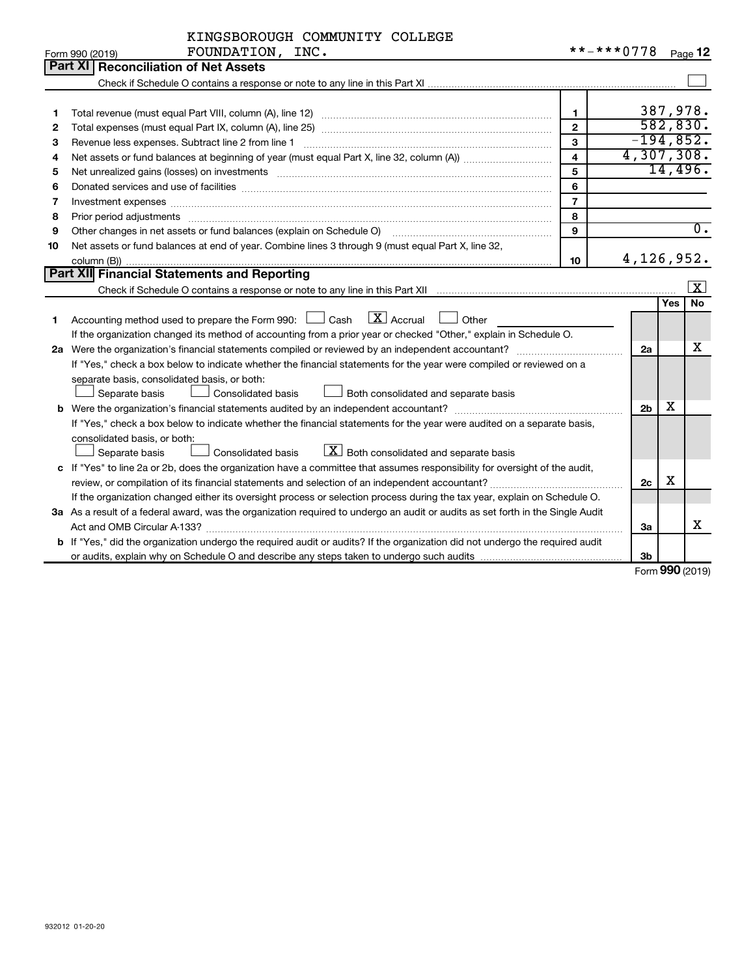| KINGSBOROUGH COMMUNITY COLLEGE |      |  |
|--------------------------------|------|--|
| <b>ROUNDATION</b>              | TNO. |  |

|    | Form 990 (2019)<br>FOUNDATION, INC.                                                                                             |                         |                |     | Page 12             |
|----|---------------------------------------------------------------------------------------------------------------------------------|-------------------------|----------------|-----|---------------------|
|    | <b>Part XI Reconciliation of Net Assets</b>                                                                                     |                         |                |     |                     |
|    |                                                                                                                                 |                         |                |     |                     |
|    |                                                                                                                                 |                         |                |     |                     |
| 1  |                                                                                                                                 | $\mathbf{1}$            |                |     | 387,978.            |
| 2  |                                                                                                                                 | $\mathbf{2}$            |                |     | 582, 830.           |
| з  | Revenue less expenses. Subtract line 2 from line 1                                                                              | 3                       | $-194,852.$    |     |                     |
| 4  |                                                                                                                                 | $\overline{\mathbf{4}}$ | 4,307,308.     |     |                     |
| 5  |                                                                                                                                 | 5                       |                |     | 14,496.             |
| 6  |                                                                                                                                 | 6                       |                |     |                     |
| 7  | Investment expenses www.communication.communication.com/www.communication.com/www.communication.com                             | $\overline{7}$          |                |     |                     |
| 8  | Prior period adjustments                                                                                                        | 8                       |                |     |                     |
| 9  | Other changes in net assets or fund balances (explain on Schedule O)                                                            | $\mathbf{Q}$            |                |     | $\overline{0}$ .    |
| 10 | Net assets or fund balances at end of year. Combine lines 3 through 9 (must equal Part X, line 32,                              |                         |                |     |                     |
|    |                                                                                                                                 | 10                      | 4, 126, 952.   |     |                     |
|    | Part XII Financial Statements and Reporting                                                                                     |                         |                |     |                     |
|    |                                                                                                                                 |                         |                |     | $\lfloor x \rfloor$ |
|    |                                                                                                                                 |                         |                | Yes | <b>No</b>           |
| 1  | $\lfloor x \rfloor$ Accrual<br>Accounting method used to prepare the Form 990: [130] Cash<br>$\Box$ Other                       |                         |                |     |                     |
|    | If the organization changed its method of accounting from a prior year or checked "Other," explain in Schedule O.               |                         |                |     |                     |
|    |                                                                                                                                 |                         | 2a             |     | x                   |
|    | If "Yes," check a box below to indicate whether the financial statements for the year were compiled or reviewed on a            |                         |                |     |                     |
|    | separate basis, consolidated basis, or both:                                                                                    |                         |                |     |                     |
|    | Both consolidated and separate basis<br>Separate basis<br>Consolidated basis                                                    |                         |                |     |                     |
|    |                                                                                                                                 |                         | 2 <sub>b</sub> | х   |                     |
|    | If "Yes," check a box below to indicate whether the financial statements for the year were audited on a separate basis,         |                         |                |     |                     |
|    | consolidated basis, or both:                                                                                                    |                         |                |     |                     |
|    | $\lfloor \underline{X} \rfloor$ Both consolidated and separate basis<br>Separate basis<br>Consolidated basis                    |                         |                |     |                     |
|    | c If "Yes" to line 2a or 2b, does the organization have a committee that assumes responsibility for oversight of the audit,     |                         |                |     |                     |
|    | review, or compilation of its financial statements and selection of an independent accountant?                                  |                         | 2c             | X   |                     |
|    | If the organization changed either its oversight process or selection process during the tax year, explain on Schedule O.       |                         |                |     |                     |
|    | 3a As a result of a federal award, was the organization required to undergo an audit or audits as set forth in the Single Audit |                         |                |     |                     |
|    |                                                                                                                                 |                         | За             |     | х                   |
|    | b If "Yes," did the organization undergo the required audit or audits? If the organization did not undergo the required audit   |                         |                |     |                     |
|    |                                                                                                                                 |                         | 3 <sub>b</sub> |     |                     |

Form (2019) **990**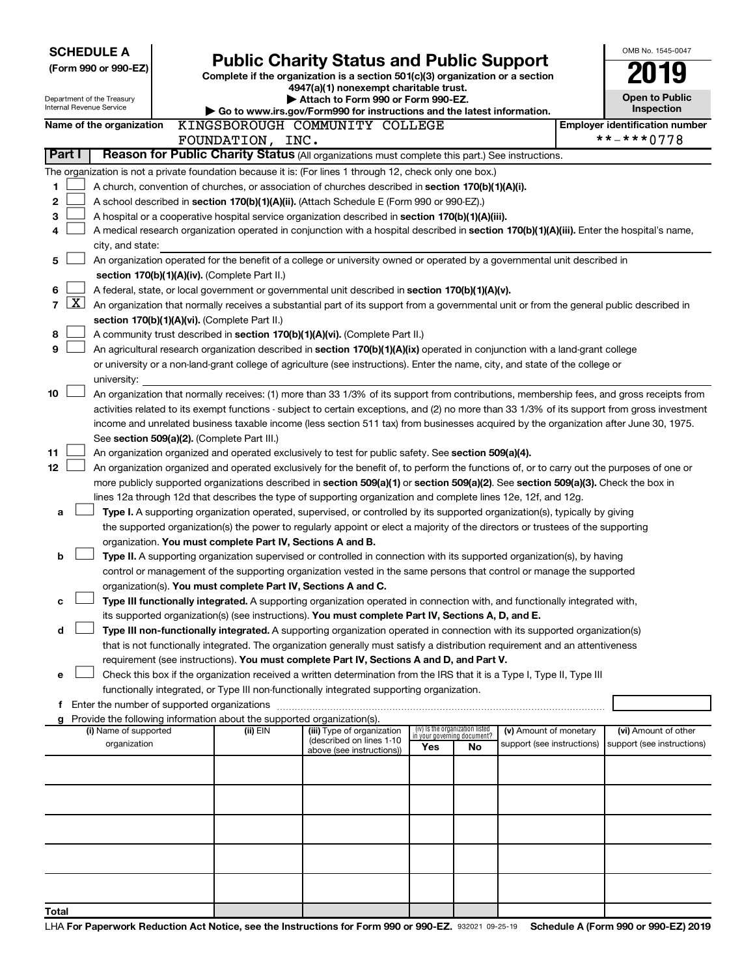| <b>SCHEDULE A</b>                                                                                                                                                                    |                                                                                                                                                                                                                                                                                            |                                                                                                                         |                                    |    |                            |  | OMB No. 1545-0047                                   |  |  |  |  |  |
|--------------------------------------------------------------------------------------------------------------------------------------------------------------------------------------|--------------------------------------------------------------------------------------------------------------------------------------------------------------------------------------------------------------------------------------------------------------------------------------------|-------------------------------------------------------------------------------------------------------------------------|------------------------------------|----|----------------------------|--|-----------------------------------------------------|--|--|--|--|--|
| (Form 990 or 990-EZ)                                                                                                                                                                 |                                                                                                                                                                                                                                                                                            | <b>Public Charity Status and Public Support</b>                                                                         |                                    |    |                            |  |                                                     |  |  |  |  |  |
|                                                                                                                                                                                      |                                                                                                                                                                                                                                                                                            | Complete if the organization is a section 501(c)(3) organization or a section<br>4947(a)(1) nonexempt charitable trust. |                                    |    |                            |  |                                                     |  |  |  |  |  |
| Department of the Treasury                                                                                                                                                           |                                                                                                                                                                                                                                                                                            | Attach to Form 990 or Form 990-EZ.                                                                                      |                                    |    |                            |  | <b>Open to Public</b>                               |  |  |  |  |  |
| Internal Revenue Service                                                                                                                                                             |                                                                                                                                                                                                                                                                                            | Go to www.irs.gov/Form990 for instructions and the latest information.                                                  |                                    |    |                            |  | Inspection                                          |  |  |  |  |  |
| Name of the organization                                                                                                                                                             | KINGSBOROUGH COMMUNITY COLLEGE<br>FOUNDATION, INC.                                                                                                                                                                                                                                         |                                                                                                                         |                                    |    |                            |  | <b>Employer identification number</b><br>**-***0778 |  |  |  |  |  |
| Part I                                                                                                                                                                               | Reason for Public Charity Status (All organizations must complete this part.) See instructions.                                                                                                                                                                                            |                                                                                                                         |                                    |    |                            |  |                                                     |  |  |  |  |  |
| The organization is not a private foundation because it is: (For lines 1 through 12, check only one box.)                                                                            |                                                                                                                                                                                                                                                                                            |                                                                                                                         |                                    |    |                            |  |                                                     |  |  |  |  |  |
| 1                                                                                                                                                                                    | A church, convention of churches, or association of churches described in section 170(b)(1)(A)(i).                                                                                                                                                                                         |                                                                                                                         |                                    |    |                            |  |                                                     |  |  |  |  |  |
| 2                                                                                                                                                                                    | A school described in section 170(b)(1)(A)(ii). (Attach Schedule E (Form 990 or 990-EZ).)                                                                                                                                                                                                  |                                                                                                                         |                                    |    |                            |  |                                                     |  |  |  |  |  |
| з                                                                                                                                                                                    | A hospital or a cooperative hospital service organization described in section 170(b)(1)(A)(iii).                                                                                                                                                                                          |                                                                                                                         |                                    |    |                            |  |                                                     |  |  |  |  |  |
| 4                                                                                                                                                                                    | A medical research organization operated in conjunction with a hospital described in section 170(b)(1)(A)(iii). Enter the hospital's name,                                                                                                                                                 |                                                                                                                         |                                    |    |                            |  |                                                     |  |  |  |  |  |
| city, and state:                                                                                                                                                                     |                                                                                                                                                                                                                                                                                            |                                                                                                                         |                                    |    |                            |  |                                                     |  |  |  |  |  |
| 5                                                                                                                                                                                    | An organization operated for the benefit of a college or university owned or operated by a governmental unit described in                                                                                                                                                                  |                                                                                                                         |                                    |    |                            |  |                                                     |  |  |  |  |  |
| section 170(b)(1)(A)(iv). (Complete Part II.)                                                                                                                                        |                                                                                                                                                                                                                                                                                            |                                                                                                                         |                                    |    |                            |  |                                                     |  |  |  |  |  |
| 6                                                                                                                                                                                    | A federal, state, or local government or governmental unit described in section 170(b)(1)(A)(v).                                                                                                                                                                                           |                                                                                                                         |                                    |    |                            |  |                                                     |  |  |  |  |  |
| $\mathbf{X}$<br>$\overline{7}$<br>An organization that normally receives a substantial part of its support from a governmental unit or from the general public described in          |                                                                                                                                                                                                                                                                                            |                                                                                                                         |                                    |    |                            |  |                                                     |  |  |  |  |  |
| section 170(b)(1)(A)(vi). (Complete Part II.)                                                                                                                                        |                                                                                                                                                                                                                                                                                            |                                                                                                                         |                                    |    |                            |  |                                                     |  |  |  |  |  |
| 8                                                                                                                                                                                    | A community trust described in section 170(b)(1)(A)(vi). (Complete Part II.)<br>An agricultural research organization described in section 170(b)(1)(A)(ix) operated in conjunction with a land-grant college                                                                              |                                                                                                                         |                                    |    |                            |  |                                                     |  |  |  |  |  |
| 9                                                                                                                                                                                    |                                                                                                                                                                                                                                                                                            |                                                                                                                         |                                    |    |                            |  |                                                     |  |  |  |  |  |
|                                                                                                                                                                                      | or university or a non-land-grant college of agriculture (see instructions). Enter the name, city, and state of the college or<br>university:                                                                                                                                              |                                                                                                                         |                                    |    |                            |  |                                                     |  |  |  |  |  |
| 10                                                                                                                                                                                   |                                                                                                                                                                                                                                                                                            |                                                                                                                         |                                    |    |                            |  |                                                     |  |  |  |  |  |
|                                                                                                                                                                                      | An organization that normally receives: (1) more than 33 1/3% of its support from contributions, membership fees, and gross receipts from<br>activities related to its exempt functions - subject to certain exceptions, and (2) no more than 33 1/3% of its support from gross investment |                                                                                                                         |                                    |    |                            |  |                                                     |  |  |  |  |  |
|                                                                                                                                                                                      |                                                                                                                                                                                                                                                                                            |                                                                                                                         |                                    |    |                            |  |                                                     |  |  |  |  |  |
| income and unrelated business taxable income (less section 511 tax) from businesses acquired by the organization after June 30, 1975.<br>See section 509(a)(2). (Complete Part III.) |                                                                                                                                                                                                                                                                                            |                                                                                                                         |                                    |    |                            |  |                                                     |  |  |  |  |  |
| 11                                                                                                                                                                                   | An organization organized and operated exclusively to test for public safety. See section 509(a)(4).                                                                                                                                                                                       |                                                                                                                         |                                    |    |                            |  |                                                     |  |  |  |  |  |
| 12                                                                                                                                                                                   | An organization organized and operated exclusively for the benefit of, to perform the functions of, or to carry out the purposes of one or                                                                                                                                                 |                                                                                                                         |                                    |    |                            |  |                                                     |  |  |  |  |  |
|                                                                                                                                                                                      | more publicly supported organizations described in section 509(a)(1) or section 509(a)(2). See section 509(a)(3). Check the box in                                                                                                                                                         |                                                                                                                         |                                    |    |                            |  |                                                     |  |  |  |  |  |
|                                                                                                                                                                                      | lines 12a through 12d that describes the type of supporting organization and complete lines 12e, 12f, and 12g.                                                                                                                                                                             |                                                                                                                         |                                    |    |                            |  |                                                     |  |  |  |  |  |
| a                                                                                                                                                                                    | Type I. A supporting organization operated, supervised, or controlled by its supported organization(s), typically by giving                                                                                                                                                                |                                                                                                                         |                                    |    |                            |  |                                                     |  |  |  |  |  |
|                                                                                                                                                                                      | the supported organization(s) the power to regularly appoint or elect a majority of the directors or trustees of the supporting                                                                                                                                                            |                                                                                                                         |                                    |    |                            |  |                                                     |  |  |  |  |  |
| b                                                                                                                                                                                    | organization. You must complete Part IV, Sections A and B.                                                                                                                                                                                                                                 |                                                                                                                         |                                    |    |                            |  |                                                     |  |  |  |  |  |
|                                                                                                                                                                                      | Type II. A supporting organization supervised or controlled in connection with its supported organization(s), by having<br>control or management of the supporting organization vested in the same persons that control or manage the supported                                            |                                                                                                                         |                                    |    |                            |  |                                                     |  |  |  |  |  |
|                                                                                                                                                                                      | organization(s). You must complete Part IV, Sections A and C.                                                                                                                                                                                                                              |                                                                                                                         |                                    |    |                            |  |                                                     |  |  |  |  |  |
| с                                                                                                                                                                                    | Type III functionally integrated. A supporting organization operated in connection with, and functionally integrated with,                                                                                                                                                                 |                                                                                                                         |                                    |    |                            |  |                                                     |  |  |  |  |  |
|                                                                                                                                                                                      | its supported organization(s) (see instructions). You must complete Part IV, Sections A, D, and E.                                                                                                                                                                                         |                                                                                                                         |                                    |    |                            |  |                                                     |  |  |  |  |  |
| d                                                                                                                                                                                    | Type III non-functionally integrated. A supporting organization operated in connection with its supported organization(s)                                                                                                                                                                  |                                                                                                                         |                                    |    |                            |  |                                                     |  |  |  |  |  |
|                                                                                                                                                                                      | that is not functionally integrated. The organization generally must satisfy a distribution requirement and an attentiveness                                                                                                                                                               |                                                                                                                         |                                    |    |                            |  |                                                     |  |  |  |  |  |
|                                                                                                                                                                                      | requirement (see instructions). You must complete Part IV, Sections A and D, and Part V.                                                                                                                                                                                                   |                                                                                                                         |                                    |    |                            |  |                                                     |  |  |  |  |  |
| е                                                                                                                                                                                    | Check this box if the organization received a written determination from the IRS that it is a Type I, Type II, Type III                                                                                                                                                                    |                                                                                                                         |                                    |    |                            |  |                                                     |  |  |  |  |  |
|                                                                                                                                                                                      | functionally integrated, or Type III non-functionally integrated supporting organization.                                                                                                                                                                                                  |                                                                                                                         |                                    |    |                            |  |                                                     |  |  |  |  |  |
| f Enter the number of supported organizations                                                                                                                                        |                                                                                                                                                                                                                                                                                            |                                                                                                                         |                                    |    |                            |  |                                                     |  |  |  |  |  |
| Provide the following information about the supported organization(s).<br>g<br>(i) Name of supported                                                                                 | (ii) EIN                                                                                                                                                                                                                                                                                   | (iii) Type of organization                                                                                              | (iv) Is the organization listed    |    | (v) Amount of monetary     |  | (vi) Amount of other                                |  |  |  |  |  |
| organization                                                                                                                                                                         |                                                                                                                                                                                                                                                                                            | (described on lines 1-10                                                                                                | in your governing document?<br>Yes | No | support (see instructions) |  | support (see instructions)                          |  |  |  |  |  |
|                                                                                                                                                                                      |                                                                                                                                                                                                                                                                                            | above (see instructions))                                                                                               |                                    |    |                            |  |                                                     |  |  |  |  |  |
|                                                                                                                                                                                      |                                                                                                                                                                                                                                                                                            |                                                                                                                         |                                    |    |                            |  |                                                     |  |  |  |  |  |
|                                                                                                                                                                                      |                                                                                                                                                                                                                                                                                            |                                                                                                                         |                                    |    |                            |  |                                                     |  |  |  |  |  |
|                                                                                                                                                                                      |                                                                                                                                                                                                                                                                                            |                                                                                                                         |                                    |    |                            |  |                                                     |  |  |  |  |  |
|                                                                                                                                                                                      |                                                                                                                                                                                                                                                                                            |                                                                                                                         |                                    |    |                            |  |                                                     |  |  |  |  |  |
|                                                                                                                                                                                      |                                                                                                                                                                                                                                                                                            |                                                                                                                         |                                    |    |                            |  |                                                     |  |  |  |  |  |
|                                                                                                                                                                                      |                                                                                                                                                                                                                                                                                            |                                                                                                                         |                                    |    |                            |  |                                                     |  |  |  |  |  |
|                                                                                                                                                                                      |                                                                                                                                                                                                                                                                                            |                                                                                                                         |                                    |    |                            |  |                                                     |  |  |  |  |  |
|                                                                                                                                                                                      |                                                                                                                                                                                                                                                                                            |                                                                                                                         |                                    |    |                            |  |                                                     |  |  |  |  |  |
| Total                                                                                                                                                                                |                                                                                                                                                                                                                                                                                            |                                                                                                                         |                                    |    |                            |  |                                                     |  |  |  |  |  |
|                                                                                                                                                                                      |                                                                                                                                                                                                                                                                                            |                                                                                                                         |                                    |    |                            |  |                                                     |  |  |  |  |  |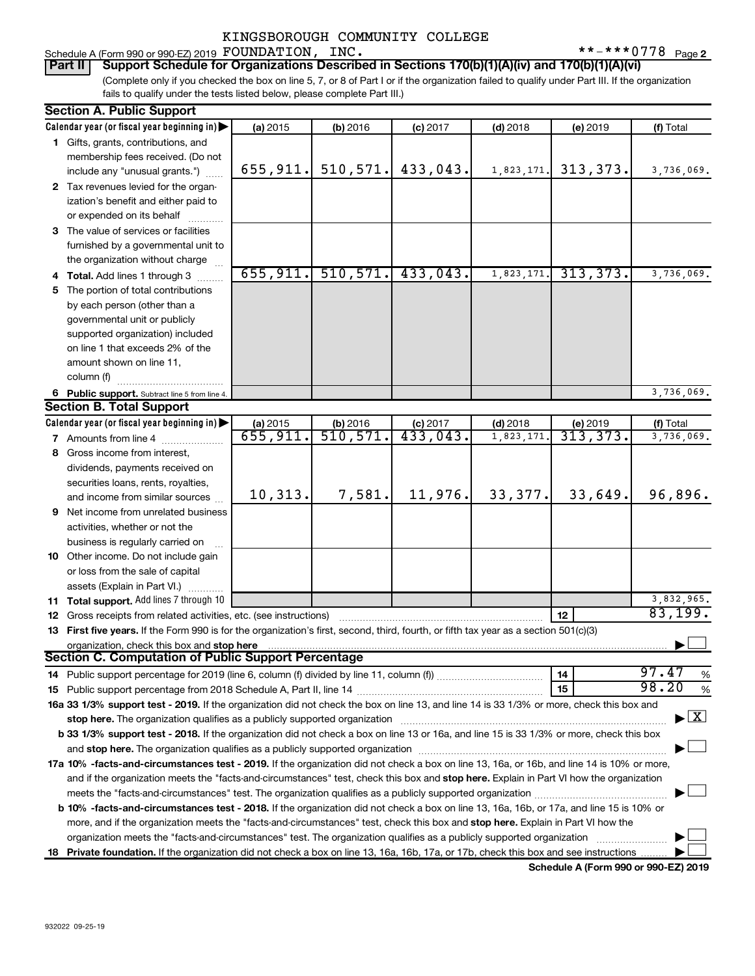### Schedule A (Form 990 or 990-EZ) 2019  ${\tt FOUNDATION}$ ,  ${\tt INC.}$   $\bf \ast = \ast + \ast + 0778$   $_{\tt Page}$ KINGSBOROUGH COMMUNITY COLLEGE

 $***$   $***$  0778 <sub>Page 2</sub>

(Complete only if you checked the box on line 5, 7, or 8 of Part I or if the organization failed to qualify under Part III. If the organization **Part II Support Schedule for Organizations Described in Sections 170(b)(1)(A)(iv) and 170(b)(1)(A)(vi)**

fails to qualify under the tests listed below, please complete Part III.)

|    | <b>Section A. Public Support</b>                                                                                                           |           |           |            |            |           |                                    |
|----|--------------------------------------------------------------------------------------------------------------------------------------------|-----------|-----------|------------|------------|-----------|------------------------------------|
|    | Calendar year (or fiscal year beginning in)                                                                                                | (a) 2015  | (b) 2016  | $(c)$ 2017 | $(d)$ 2018 | (e) 2019  | (f) Total                          |
|    | 1 Gifts, grants, contributions, and                                                                                                        |           |           |            |            |           |                                    |
|    | membership fees received. (Do not                                                                                                          |           |           |            |            |           |                                    |
|    | include any "unusual grants.")                                                                                                             | 655, 911. | 510, 571. | 433,043.   | 1,823,171. | 313, 373. | 3,736,069.                         |
|    | 2 Tax revenues levied for the organ-                                                                                                       |           |           |            |            |           |                                    |
|    | ization's benefit and either paid to                                                                                                       |           |           |            |            |           |                                    |
|    | or expended on its behalf                                                                                                                  |           |           |            |            |           |                                    |
|    | 3 The value of services or facilities                                                                                                      |           |           |            |            |           |                                    |
|    | furnished by a governmental unit to                                                                                                        |           |           |            |            |           |                                    |
|    | the organization without charge                                                                                                            |           |           |            |            |           |                                    |
|    | 4 Total. Add lines 1 through 3                                                                                                             | 655, 911. | 510, 571. | 433,043.   | 1,823,171. | 313, 373. | 3,736,069.                         |
|    |                                                                                                                                            |           |           |            |            |           |                                    |
| 5. | The portion of total contributions                                                                                                         |           |           |            |            |           |                                    |
|    | by each person (other than a                                                                                                               |           |           |            |            |           |                                    |
|    | governmental unit or publicly                                                                                                              |           |           |            |            |           |                                    |
|    | supported organization) included                                                                                                           |           |           |            |            |           |                                    |
|    | on line 1 that exceeds 2% of the                                                                                                           |           |           |            |            |           |                                    |
|    | amount shown on line 11,                                                                                                                   |           |           |            |            |           |                                    |
|    | column (f)                                                                                                                                 |           |           |            |            |           |                                    |
|    | 6 Public support. Subtract line 5 from line 4.                                                                                             |           |           |            |            |           | 3,736,069.                         |
|    | <b>Section B. Total Support</b>                                                                                                            |           |           |            |            |           |                                    |
|    | Calendar year (or fiscal year beginning in)                                                                                                | (a) 2015  | (b) 2016  | $(c)$ 2017 | $(d)$ 2018 | (e) 2019  | (f) Total                          |
|    | <b>7</b> Amounts from line 4                                                                                                               | 655,911.  | 510,571.  | 433,043.   | 1,823,171  | 313,373.  | 3,736,069.                         |
|    | 8 Gross income from interest,                                                                                                              |           |           |            |            |           |                                    |
|    | dividends, payments received on                                                                                                            |           |           |            |            |           |                                    |
|    | securities loans, rents, royalties,                                                                                                        |           |           |            |            |           |                                    |
|    | and income from similar sources                                                                                                            | 10, 313.  | 7,581.    | 11,976.    | 33,377.    | 33,649.   | 96,896.                            |
|    | 9 Net income from unrelated business                                                                                                       |           |           |            |            |           |                                    |
|    | activities, whether or not the                                                                                                             |           |           |            |            |           |                                    |
|    | business is regularly carried on                                                                                                           |           |           |            |            |           |                                    |
|    | 10 Other income. Do not include gain                                                                                                       |           |           |            |            |           |                                    |
|    | or loss from the sale of capital                                                                                                           |           |           |            |            |           |                                    |
|    | assets (Explain in Part VI.)                                                                                                               |           |           |            |            |           |                                    |
|    | 11 Total support. Add lines 7 through 10                                                                                                   |           |           |            |            |           | 3,832,965.                         |
|    | <b>12</b> Gross receipts from related activities, etc. (see instructions)                                                                  |           |           |            |            | 12        | 83,199.                            |
|    | 13 First five years. If the Form 990 is for the organization's first, second, third, fourth, or fifth tax year as a section 501(c)(3)      |           |           |            |            |           |                                    |
|    | organization, check this box and stop here                                                                                                 |           |           |            |            |           |                                    |
|    | Section C. Computation of Public Support Percentage                                                                                        |           |           |            |            |           |                                    |
|    |                                                                                                                                            |           |           |            |            | 14        | 97.47<br>%                         |
|    |                                                                                                                                            |           |           |            |            | 15        | 98.20<br>$\%$                      |
|    | 16a 33 1/3% support test - 2019. If the organization did not check the box on line 13, and line 14 is 33 1/3% or more, check this box and  |           |           |            |            |           |                                    |
|    |                                                                                                                                            |           |           |            |            |           | $\blacktriangleright$ $\mathbf{X}$ |
|    | b 33 1/3% support test - 2018. If the organization did not check a box on line 13 or 16a, and line 15 is 33 1/3% or more, check this box   |           |           |            |            |           |                                    |
|    |                                                                                                                                            |           |           |            |            |           |                                    |
|    |                                                                                                                                            |           |           |            |            |           |                                    |
|    | 17a 10% -facts-and-circumstances test - 2019. If the organization did not check a box on line 13, 16a, or 16b, and line 14 is 10% or more, |           |           |            |            |           |                                    |
|    | and if the organization meets the "facts-and-circumstances" test, check this box and stop here. Explain in Part VI how the organization    |           |           |            |            |           |                                    |
|    |                                                                                                                                            |           |           |            |            |           |                                    |
|    | b 10% -facts-and-circumstances test - 2018. If the organization did not check a box on line 13, 16a, 16b, or 17a, and line 15 is 10% or    |           |           |            |            |           |                                    |
|    | more, and if the organization meets the "facts-and-circumstances" test, check this box and stop here. Explain in Part VI how the           |           |           |            |            |           |                                    |
|    | organization meets the "facts-and-circumstances" test. The organization qualifies as a publicly supported organization                     |           |           |            |            |           |                                    |
|    | 18 Private foundation. If the organization did not check a box on line 13, 16a, 16b, 17a, or 17b, check this box and see instructions      |           |           |            |            |           |                                    |

**Schedule A (Form 990 or 990-EZ) 2019**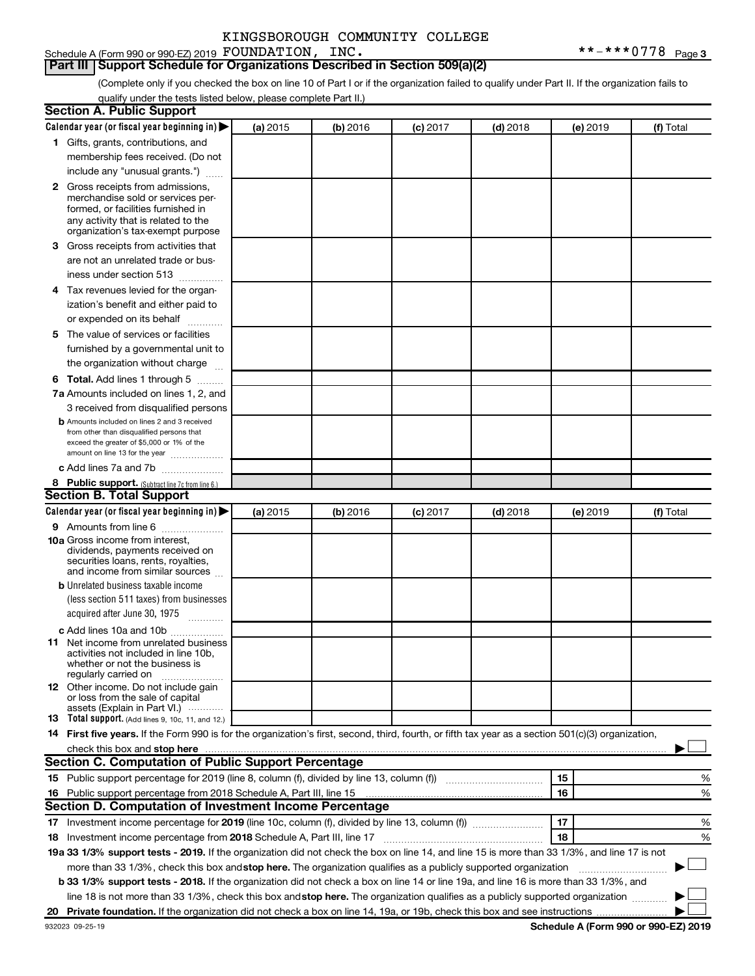#### Schedule A (Form 990 or 990-EZ) 2019  ${\tt FOUNDATION}$ ,  ${\tt INC.}$   $\bf \ast = \ast + \ast + 0778$   $_{\tt Page}$ **Part III Support Schedule for Organizations Described in Section 509(a)(2)**

(Complete only if you checked the box on line 10 of Part I or if the organization failed to qualify under Part II. If the organization fails to qualify under the tests listed below, please complete Part II.)

| <b>Section A. Public Support</b>                                                                                                                    |          |          |                 |            |          |           |
|-----------------------------------------------------------------------------------------------------------------------------------------------------|----------|----------|-----------------|------------|----------|-----------|
| Calendar year (or fiscal year beginning in)                                                                                                         | (a) 2015 | (b) 2016 | $(c)$ 2017      | $(d)$ 2018 | (e) 2019 | (f) Total |
| 1 Gifts, grants, contributions, and                                                                                                                 |          |          |                 |            |          |           |
| membership fees received. (Do not                                                                                                                   |          |          |                 |            |          |           |
| include any "unusual grants.")                                                                                                                      |          |          |                 |            |          |           |
| 2 Gross receipts from admissions,                                                                                                                   |          |          |                 |            |          |           |
| merchandise sold or services per-                                                                                                                   |          |          |                 |            |          |           |
| formed, or facilities furnished in                                                                                                                  |          |          |                 |            |          |           |
| any activity that is related to the<br>organization's tax-exempt purpose                                                                            |          |          |                 |            |          |           |
| 3 Gross receipts from activities that                                                                                                               |          |          |                 |            |          |           |
| are not an unrelated trade or bus-                                                                                                                  |          |          |                 |            |          |           |
| iness under section 513                                                                                                                             |          |          |                 |            |          |           |
| 4 Tax revenues levied for the organ-                                                                                                                |          |          |                 |            |          |           |
| ization's benefit and either paid to                                                                                                                |          |          |                 |            |          |           |
| or expended on its behalf                                                                                                                           |          |          |                 |            |          |           |
| 5 The value of services or facilities                                                                                                               |          |          |                 |            |          |           |
| furnished by a governmental unit to                                                                                                                 |          |          |                 |            |          |           |
| the organization without charge                                                                                                                     |          |          |                 |            |          |           |
| <b>6 Total.</b> Add lines 1 through 5                                                                                                               |          |          |                 |            |          |           |
| 7a Amounts included on lines 1, 2, and                                                                                                              |          |          |                 |            |          |           |
| 3 received from disqualified persons                                                                                                                |          |          |                 |            |          |           |
| <b>b</b> Amounts included on lines 2 and 3 received                                                                                                 |          |          |                 |            |          |           |
| from other than disqualified persons that                                                                                                           |          |          |                 |            |          |           |
| exceed the greater of \$5,000 or 1% of the                                                                                                          |          |          |                 |            |          |           |
| amount on line 13 for the year                                                                                                                      |          |          |                 |            |          |           |
| c Add lines 7a and 7b                                                                                                                               |          |          |                 |            |          |           |
| 8 Public support. (Subtract line 7c from line 6.)<br><b>Section B. Total Support</b>                                                                |          |          |                 |            |          |           |
| Calendar year (or fiscal year beginning in)                                                                                                         | (a) 2015 | (b) 2016 |                 | $(d)$ 2018 |          | (f) Total |
| <b>9</b> Amounts from line 6                                                                                                                        |          |          | <b>(c)</b> 2017 |            | (e) 2019 |           |
| <b>10a</b> Gross income from interest,                                                                                                              |          |          |                 |            |          |           |
| dividends, payments received on                                                                                                                     |          |          |                 |            |          |           |
| securities loans, rents, royalties,                                                                                                                 |          |          |                 |            |          |           |
| and income from similar sources                                                                                                                     |          |          |                 |            |          |           |
| <b>b</b> Unrelated business taxable income                                                                                                          |          |          |                 |            |          |           |
| (less section 511 taxes) from businesses                                                                                                            |          |          |                 |            |          |           |
| acquired after June 30, 1975<br>$\frac{1}{2}$                                                                                                       |          |          |                 |            |          |           |
| c Add lines 10a and 10b                                                                                                                             |          |          |                 |            |          |           |
| 11 Net income from unrelated business<br>activities not included in line 10b.                                                                       |          |          |                 |            |          |           |
| whether or not the business is                                                                                                                      |          |          |                 |            |          |           |
| regularly carried on                                                                                                                                |          |          |                 |            |          |           |
| <b>12</b> Other income. Do not include gain<br>or loss from the sale of capital                                                                     |          |          |                 |            |          |           |
| assets (Explain in Part VI.)                                                                                                                        |          |          |                 |            |          |           |
| <b>13</b> Total support. (Add lines 9, 10c, 11, and 12.)                                                                                            |          |          |                 |            |          |           |
| 14 First five years. If the Form 990 is for the organization's first, second, third, fourth, or fifth tax year as a section 501(c)(3) organization, |          |          |                 |            |          |           |
|                                                                                                                                                     |          |          |                 |            |          |           |
| Section C. Computation of Public Support Percentage                                                                                                 |          |          |                 |            |          |           |
|                                                                                                                                                     |          |          |                 |            | 15       | %         |
| 16 Public support percentage from 2018 Schedule A, Part III, line 15                                                                                |          |          |                 |            | 16       | %         |
| Section D. Computation of Investment Income Percentage                                                                                              |          |          |                 |            |          |           |
| 17 Investment income percentage for 2019 (line 10c, column (f), divided by line 13, column (f))                                                     |          |          |                 |            | 17       | %         |
| 18 Investment income percentage from 2018 Schedule A, Part III, line 17                                                                             |          |          |                 |            | 18       | %         |
| 19a 33 1/3% support tests - 2019. If the organization did not check the box on line 14, and line 15 is more than 33 1/3%, and line 17 is not        |          |          |                 |            |          |           |
| more than 33 1/3%, check this box and stop here. The organization qualifies as a publicly supported organization                                    |          |          |                 |            |          |           |
| b 33 1/3% support tests - 2018. If the organization did not check a box on line 14 or line 19a, and line 16 is more than 33 1/3%, and               |          |          |                 |            |          |           |
| line 18 is not more than 33 1/3%, check this box and stop here. The organization qualifies as a publicly supported organization                     |          |          |                 |            |          |           |
|                                                                                                                                                     |          |          |                 |            |          |           |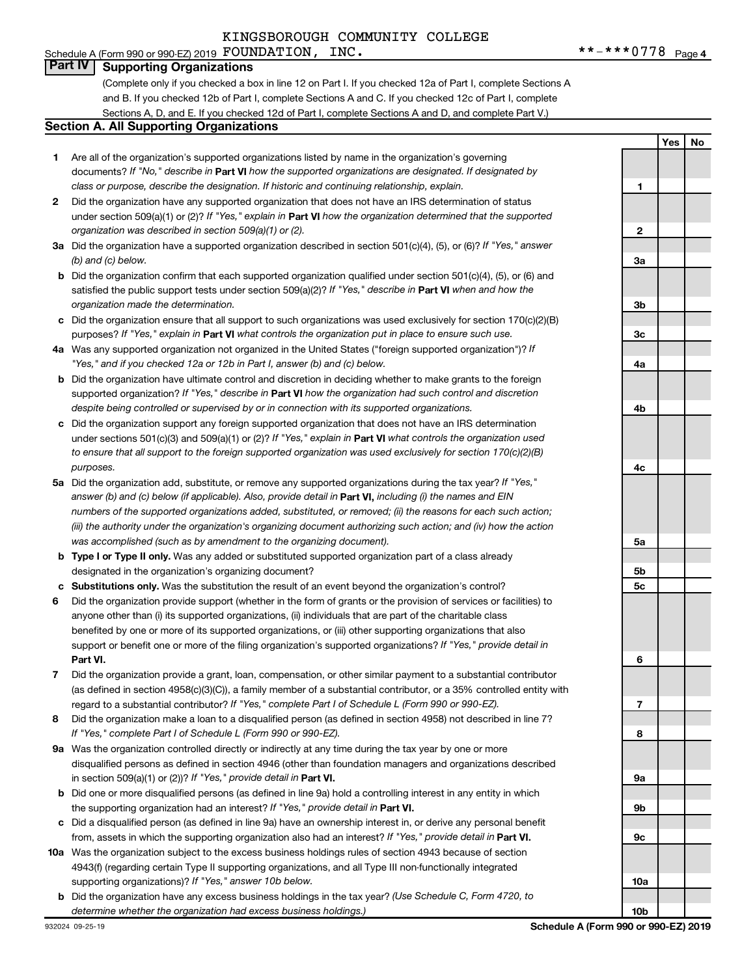### Schedule A (Form 990 or 990-EZ) 2019  ${\tt FOUNDATION}$ ,  ${\tt INC.}$   $\bf \ast = \ast + \ast + 0778$   $_{\tt Page}$ KINGSBOROUGH COMMUNITY COLLEGE

**1**

**Yes No**

## **Part IV Supporting Organizations**

(Complete only if you checked a box in line 12 on Part I. If you checked 12a of Part I, complete Sections A and B. If you checked 12b of Part I, complete Sections A and C. If you checked 12c of Part I, complete Sections A, D, and E. If you checked 12d of Part I, complete Sections A and D, and complete Part V.)

#### **Section A. All Supporting Organizations**

- **1** Are all of the organization's supported organizations listed by name in the organization's governing documents? If "No," describe in Part VI how the supported organizations are designated. If designated by *class or purpose, describe the designation. If historic and continuing relationship, explain.*
- **2** Did the organization have any supported organization that does not have an IRS determination of status under section 509(a)(1) or (2)? If "Yes," explain in Part **VI** how the organization determined that the supported *organization was described in section 509(a)(1) or (2).*
- **3a** Did the organization have a supported organization described in section 501(c)(4), (5), or (6)? If "Yes," answer *(b) and (c) below.*
- **b** Did the organization confirm that each supported organization qualified under section 501(c)(4), (5), or (6) and satisfied the public support tests under section 509(a)(2)? If "Yes," describe in Part VI when and how the *organization made the determination.*
- **c** Did the organization ensure that all support to such organizations was used exclusively for section 170(c)(2)(B) purposes? If "Yes," explain in Part VI what controls the organization put in place to ensure such use.
- **4 a** *If* Was any supported organization not organized in the United States ("foreign supported organization")? *"Yes," and if you checked 12a or 12b in Part I, answer (b) and (c) below.*
- **b** Did the organization have ultimate control and discretion in deciding whether to make grants to the foreign supported organization? If "Yes," describe in Part VI how the organization had such control and discretion *despite being controlled or supervised by or in connection with its supported organizations.*
- **c** Did the organization support any foreign supported organization that does not have an IRS determination under sections 501(c)(3) and 509(a)(1) or (2)? If "Yes," explain in Part VI what controls the organization used *to ensure that all support to the foreign supported organization was used exclusively for section 170(c)(2)(B) purposes.*
- **5a** Did the organization add, substitute, or remove any supported organizations during the tax year? If "Yes," answer (b) and (c) below (if applicable). Also, provide detail in **Part VI,** including (i) the names and EIN *numbers of the supported organizations added, substituted, or removed; (ii) the reasons for each such action; (iii) the authority under the organization's organizing document authorizing such action; and (iv) how the action was accomplished (such as by amendment to the organizing document).*
- **b** Type I or Type II only. Was any added or substituted supported organization part of a class already designated in the organization's organizing document?
- **c Substitutions only.**  Was the substitution the result of an event beyond the organization's control?
- **6** Did the organization provide support (whether in the form of grants or the provision of services or facilities) to **Part VI.** support or benefit one or more of the filing organization's supported organizations? If "Yes," provide detail in anyone other than (i) its supported organizations, (ii) individuals that are part of the charitable class benefited by one or more of its supported organizations, or (iii) other supporting organizations that also
- **7** Did the organization provide a grant, loan, compensation, or other similar payment to a substantial contributor regard to a substantial contributor? If "Yes," complete Part I of Schedule L (Form 990 or 990-EZ). (as defined in section 4958(c)(3)(C)), a family member of a substantial contributor, or a 35% controlled entity with
- **8** Did the organization make a loan to a disqualified person (as defined in section 4958) not described in line 7? *If "Yes," complete Part I of Schedule L (Form 990 or 990-EZ).*
- **9 a** Was the organization controlled directly or indirectly at any time during the tax year by one or more in section 509(a)(1) or (2))? If "Yes," provide detail in **Part VI.** disqualified persons as defined in section 4946 (other than foundation managers and organizations described
- **b** Did one or more disqualified persons (as defined in line 9a) hold a controlling interest in any entity in which the supporting organization had an interest? If "Yes," provide detail in Part VI.
- **c** Did a disqualified person (as defined in line 9a) have an ownership interest in, or derive any personal benefit from, assets in which the supporting organization also had an interest? If "Yes," provide detail in Part VI.
- **10 a** Was the organization subject to the excess business holdings rules of section 4943 because of section supporting organizations)? If "Yes," answer 10b below. 4943(f) (regarding certain Type II supporting organizations, and all Type III non-functionally integrated
- **b** Did the organization have any excess business holdings in the tax year? (Use Schedule C, Form 4720, to *determine whether the organization had excess business holdings.)*

**2 3a 3b 3c 4a 4b 4c 5a 5b 5c 6 7 8 9a 9b 9c 10a 10b**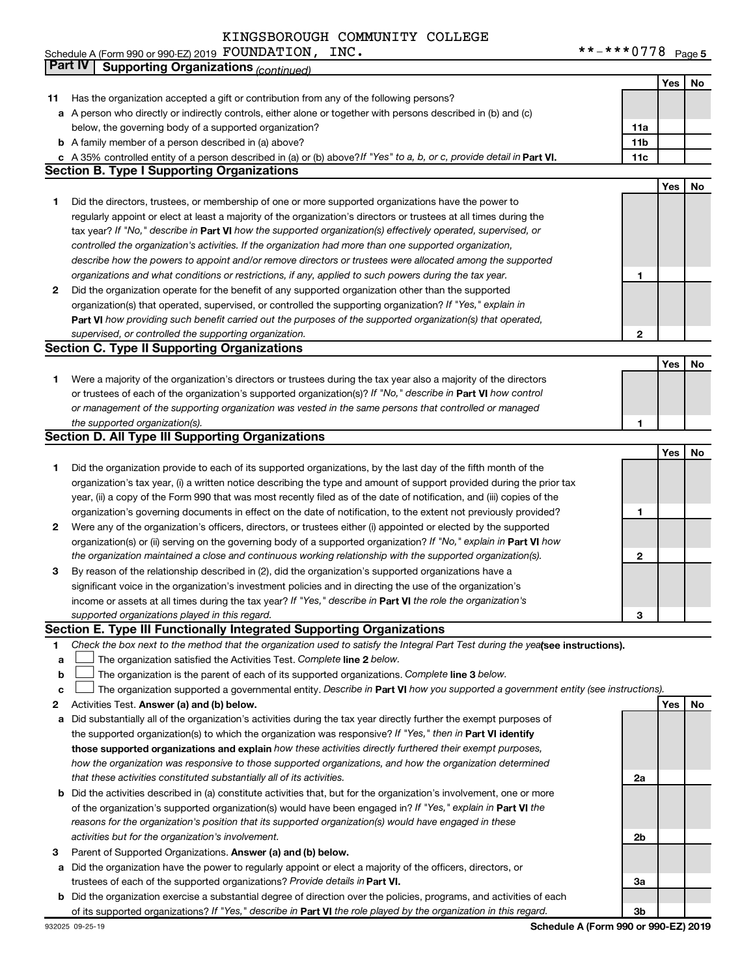|              | <b>Part IV</b><br><b>Supporting Organizations (continued)</b>                                                                                                                                                                                |              |            |    |
|--------------|----------------------------------------------------------------------------------------------------------------------------------------------------------------------------------------------------------------------------------------------|--------------|------------|----|
|              |                                                                                                                                                                                                                                              |              | Yes        | No |
| 11           | Has the organization accepted a gift or contribution from any of the following persons?                                                                                                                                                      |              |            |    |
|              | a A person who directly or indirectly controls, either alone or together with persons described in (b) and (c)                                                                                                                               |              |            |    |
|              | below, the governing body of a supported organization?                                                                                                                                                                                       | 11a          |            |    |
|              | <b>b</b> A family member of a person described in (a) above?                                                                                                                                                                                 |              |            |    |
|              |                                                                                                                                                                                                                                              | 11b          |            |    |
|              | c A 35% controlled entity of a person described in (a) or (b) above? If "Yes" to a, b, or c, provide detail in Part VI.                                                                                                                      | 11c          |            |    |
|              | <b>Section B. Type I Supporting Organizations</b>                                                                                                                                                                                            |              |            |    |
|              |                                                                                                                                                                                                                                              |              | <b>Yes</b> | No |
| 1            | Did the directors, trustees, or membership of one or more supported organizations have the power to                                                                                                                                          |              |            |    |
|              | regularly appoint or elect at least a majority of the organization's directors or trustees at all times during the                                                                                                                           |              |            |    |
|              | tax year? If "No," describe in Part VI how the supported organization(s) effectively operated, supervised, or                                                                                                                                |              |            |    |
|              | controlled the organization's activities. If the organization had more than one supported organization,                                                                                                                                      |              |            |    |
|              | describe how the powers to appoint and/or remove directors or trustees were allocated among the supported                                                                                                                                    |              |            |    |
|              | organizations and what conditions or restrictions, if any, applied to such powers during the tax year.                                                                                                                                       | 1            |            |    |
| $\mathbf{2}$ | Did the organization operate for the benefit of any supported organization other than the supported                                                                                                                                          |              |            |    |
|              | organization(s) that operated, supervised, or controlled the supporting organization? If "Yes," explain in                                                                                                                                   |              |            |    |
|              | Part VI how providing such benefit carried out the purposes of the supported organization(s) that operated,                                                                                                                                  |              |            |    |
|              | supervised, or controlled the supporting organization.                                                                                                                                                                                       | $\mathbf{2}$ |            |    |
|              | <b>Section C. Type II Supporting Organizations</b>                                                                                                                                                                                           |              |            |    |
|              |                                                                                                                                                                                                                                              |              | Yes        | No |
| 1.           | Were a majority of the organization's directors or trustees during the tax year also a majority of the directors                                                                                                                             |              |            |    |
|              | or trustees of each of the organization's supported organization(s)? If "No," describe in Part VI how control                                                                                                                                |              |            |    |
|              | or management of the supporting organization was vested in the same persons that controlled or managed                                                                                                                                       |              |            |    |
|              | the supported organization(s).                                                                                                                                                                                                               | 1            |            |    |
|              | <b>Section D. All Type III Supporting Organizations</b>                                                                                                                                                                                      |              |            |    |
|              |                                                                                                                                                                                                                                              |              | <b>Yes</b> | No |
| 1.           | Did the organization provide to each of its supported organizations, by the last day of the fifth month of the                                                                                                                               |              |            |    |
|              | organization's tax year, (i) a written notice describing the type and amount of support provided during the prior tax                                                                                                                        |              |            |    |
|              | year, (ii) a copy of the Form 990 that was most recently filed as of the date of notification, and (iii) copies of the                                                                                                                       |              |            |    |
|              | organization's governing documents in effect on the date of notification, to the extent not previously provided?                                                                                                                             | 1            |            |    |
| 2            | Were any of the organization's officers, directors, or trustees either (i) appointed or elected by the supported                                                                                                                             |              |            |    |
|              | organization(s) or (ii) serving on the governing body of a supported organization? If "No," explain in Part VI how                                                                                                                           |              |            |    |
|              | the organization maintained a close and continuous working relationship with the supported organization(s).                                                                                                                                  | 2            |            |    |
| 3            | By reason of the relationship described in (2), did the organization's supported organizations have a                                                                                                                                        |              |            |    |
|              | significant voice in the organization's investment policies and in directing the use of the organization's                                                                                                                                   |              |            |    |
|              | income or assets at all times during the tax year? If "Yes," describe in Part VI the role the organization's                                                                                                                                 |              |            |    |
|              | supported organizations played in this regard.                                                                                                                                                                                               | 3            |            |    |
|              | <b>Section E. Type III Functionally Integrated Supporting Organizations</b>                                                                                                                                                                  |              |            |    |
| 1            | Check the box next to the method that the organization used to satisfy the Integral Part Test during the yealsee instructions).                                                                                                              |              |            |    |
| a            | The organization satisfied the Activities Test. Complete line 2 below.                                                                                                                                                                       |              |            |    |
| b            | The organization is the parent of each of its supported organizations. Complete line 3 below.                                                                                                                                                |              |            |    |
| с            | The organization supported a governmental entity. Describe in Part VI how you supported a government entity (see instructions).                                                                                                              |              |            |    |
| 2            | Activities Test. Answer (a) and (b) below.                                                                                                                                                                                                   |              | Yes        | No |
| а            | Did substantially all of the organization's activities during the tax year directly further the exempt purposes of                                                                                                                           |              |            |    |
|              | the supported organization(s) to which the organization was responsive? If "Yes," then in Part VI identify                                                                                                                                   |              |            |    |
|              | those supported organizations and explain how these activities directly furthered their exempt purposes,                                                                                                                                     |              |            |    |
|              | how the organization was responsive to those supported organizations, and how the organization determined                                                                                                                                    |              |            |    |
|              | that these activities constituted substantially all of its activities.                                                                                                                                                                       | 2a           |            |    |
|              |                                                                                                                                                                                                                                              |              |            |    |
|              | <b>b</b> Did the activities described in (a) constitute activities that, but for the organization's involvement, one or more<br>of the organization's supported organization(s) would have been engaged in? If "Yes," explain in Part VI the |              |            |    |
|              |                                                                                                                                                                                                                                              |              |            |    |
|              | reasons for the organization's position that its supported organization(s) would have engaged in these                                                                                                                                       |              |            |    |
|              | activities but for the organization's involvement.                                                                                                                                                                                           | 2b           |            |    |
| 3            | Parent of Supported Organizations. Answer (a) and (b) below.                                                                                                                                                                                 |              |            |    |
|              | a Did the organization have the power to regularly appoint or elect a majority of the officers, directors, or                                                                                                                                |              |            |    |
|              | trustees of each of the supported organizations? Provide details in Part VI.                                                                                                                                                                 | За           |            |    |
|              | <b>b</b> Did the organization exercise a substantial degree of direction over the policies, programs, and activities of each                                                                                                                 |              |            |    |

**b** of its supported organizations? If "Yes," describe in Part VI the role played by the organization in this regard. Did the organization exercise a substantial degree of direction over the policies, programs, and activities of each

**3b**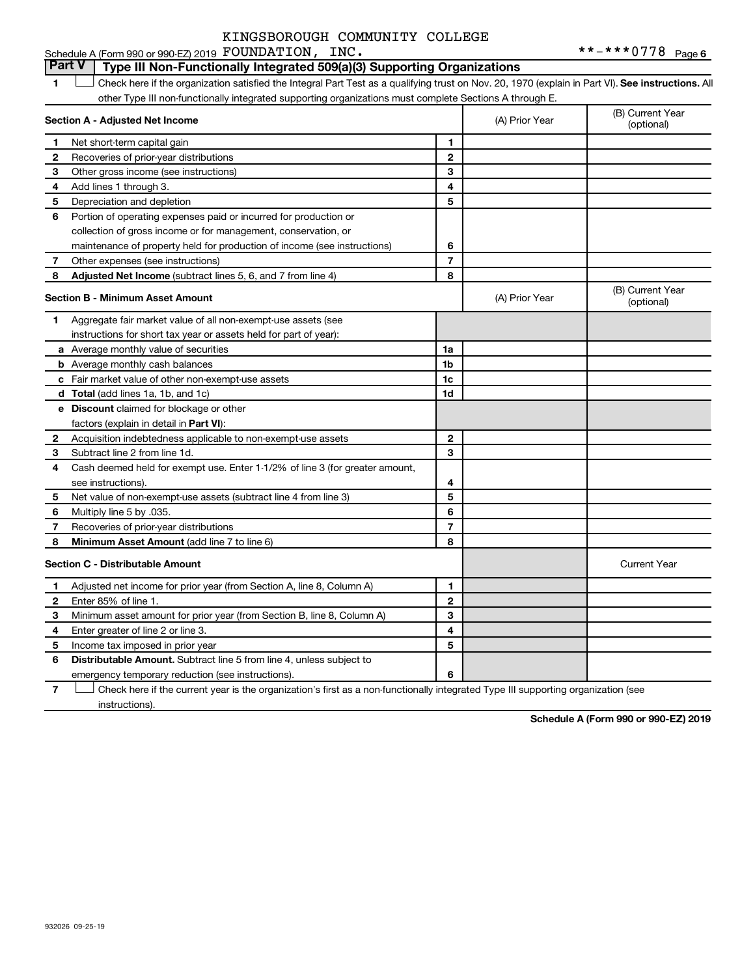#### Schedule A (Form 990 or 990-EZ) 2019  ${\tt FOUNDATION}$ ,  ${\tt INC.}$   $\bf \ast = \ast + \ast + 0778$   $_{\tt Page}$ KINGSBOROUGH COMMUNITY COLLEGE

#### **1 Lett** Check here if the organization satisfied the Integral Part Test as a qualifying trust on Nov. 20, 1970 (explain in Part VI). See instructions. All **Section A - Adjusted Net Income 1 2 3 4 5 6 7 8 1 2 3 4 5 6 7 Adjusted Net Income** (subtract lines 5, 6, and 7 from line 4) **8 8 Section B - Minimum Asset Amount 1 2 3 4 5 6 7 8 a** Average monthly value of securities **b** Average monthly cash balances **c** Fair market value of other non-exempt-use assets **d Total**  (add lines 1a, 1b, and 1c) **e Discount** claimed for blockage or other **1a 1b 1c 1d 2 3 4 5 6 7 8** factors (explain in detail in Part VI): **Minimum Asset Amount**  (add line 7 to line 6) **Section C - Distributable Amount 1 2 3 4 5 6 1 2 3 4 5 6** Distributable Amount. Subtract line 5 from line 4, unless subject to other Type III non-functionally integrated supporting organizations must complete Sections A through E. (B) Current Year<br>(optional) (A) Prior Year Net short-term capital gain Recoveries of prior-year distributions Other gross income (see instructions) Add lines 1 through 3. Depreciation and depletion Portion of operating expenses paid or incurred for production or collection of gross income or for management, conservation, or maintenance of property held for production of income (see instructions) Other expenses (see instructions) (B) Current Year  $(A)$  Prior Year  $\left\{\n\begin{array}{ccc}\n\end{array}\n\right\}$  (optional) Aggregate fair market value of all non-exempt-use assets (see instructions for short tax year or assets held for part of year): Acquisition indebtedness applicable to non-exempt-use assets Subtract line 2 from line 1d. Cash deemed held for exempt use. Enter 1-1/2% of line 3 (for greater amount, see instructions). Net value of non-exempt-use assets (subtract line 4 from line 3) Multiply line 5 by .035. Recoveries of prior-year distributions Current Year Adjusted net income for prior year (from Section A, line 8, Column A) Enter 85% of line 1. Minimum asset amount for prior year (from Section B, line 8, Column A) Enter greater of line 2 or line 3. Income tax imposed in prior year emergency temporary reduction (see instructions). **Part V Type III Non-Functionally Integrated 509(a)(3) Supporting Organizations**   $\Box$

**7** Check here if the current year is the organization's first as a non-functionally integrated Type III supporting organization (see † instructions).

**Schedule A (Form 990 or 990-EZ) 2019**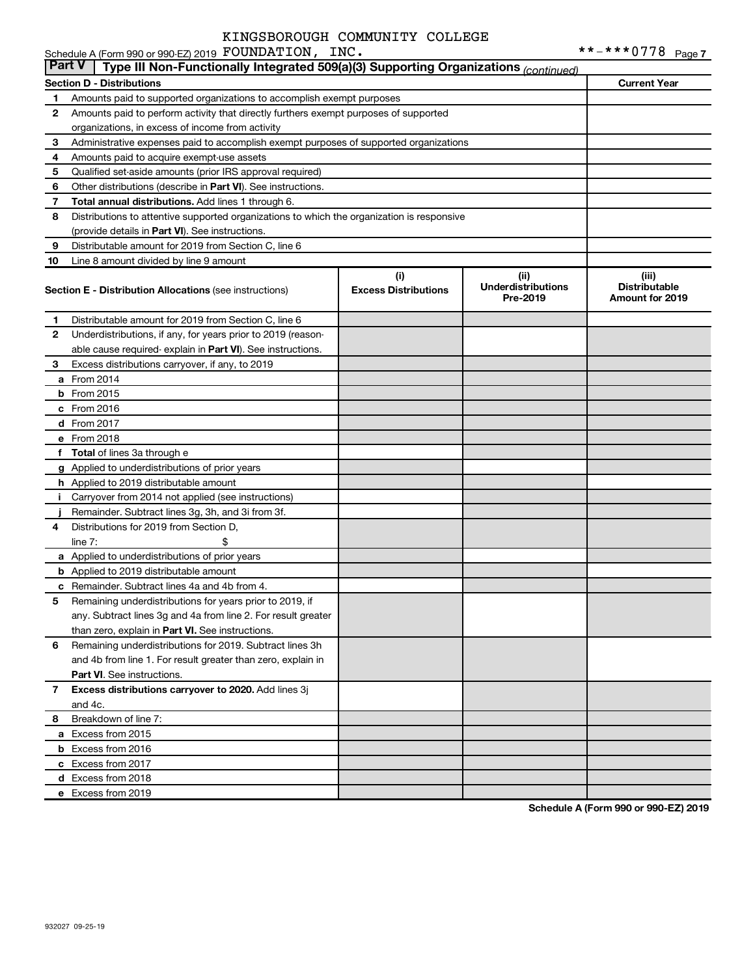|               | Schedule A (Form 990 or 990-EZ) 2019 FOUNDATION, INC.                                      |                                    |                                               |                                                  |
|---------------|--------------------------------------------------------------------------------------------|------------------------------------|-----------------------------------------------|--------------------------------------------------|
| <b>Part V</b> | Type III Non-Functionally Integrated 509(a)(3) Supporting Organizations (continued)        |                                    |                                               |                                                  |
|               | <b>Section D - Distributions</b>                                                           |                                    |                                               | <b>Current Year</b>                              |
| 1             | Amounts paid to supported organizations to accomplish exempt purposes                      |                                    |                                               |                                                  |
| 2             | Amounts paid to perform activity that directly furthers exempt purposes of supported       |                                    |                                               |                                                  |
|               | organizations, in excess of income from activity                                           |                                    |                                               |                                                  |
| 3             | Administrative expenses paid to accomplish exempt purposes of supported organizations      |                                    |                                               |                                                  |
| 4             | Amounts paid to acquire exempt-use assets                                                  |                                    |                                               |                                                  |
| 5             | Qualified set-aside amounts (prior IRS approval required)                                  |                                    |                                               |                                                  |
| 6             | Other distributions (describe in <b>Part VI</b> ). See instructions.                       |                                    |                                               |                                                  |
| 7             | Total annual distributions. Add lines 1 through 6.                                         |                                    |                                               |                                                  |
| 8             | Distributions to attentive supported organizations to which the organization is responsive |                                    |                                               |                                                  |
|               | (provide details in Part VI). See instructions.                                            |                                    |                                               |                                                  |
| 9             | Distributable amount for 2019 from Section C, line 6                                       |                                    |                                               |                                                  |
| 10            | Line 8 amount divided by line 9 amount                                                     |                                    |                                               |                                                  |
|               | <b>Section E - Distribution Allocations (see instructions)</b>                             | (i)<br><b>Excess Distributions</b> | (ii)<br><b>Underdistributions</b><br>Pre-2019 | (iii)<br><b>Distributable</b><br>Amount for 2019 |
| 1             | Distributable amount for 2019 from Section C, line 6                                       |                                    |                                               |                                                  |
| 2             | Underdistributions, if any, for years prior to 2019 (reason-                               |                                    |                                               |                                                  |
|               | able cause required- explain in Part VI). See instructions.                                |                                    |                                               |                                                  |
| 3             | Excess distributions carryover, if any, to 2019                                            |                                    |                                               |                                                  |
|               | a From 2014                                                                                |                                    |                                               |                                                  |
|               | <b>b</b> From 2015                                                                         |                                    |                                               |                                                  |
|               | c From 2016                                                                                |                                    |                                               |                                                  |
|               | <b>d</b> From 2017                                                                         |                                    |                                               |                                                  |
|               | e From 2018                                                                                |                                    |                                               |                                                  |
|               | f Total of lines 3a through e                                                              |                                    |                                               |                                                  |
|               | g Applied to underdistributions of prior years                                             |                                    |                                               |                                                  |
|               | <b>h</b> Applied to 2019 distributable amount                                              |                                    |                                               |                                                  |
| Ť.            | Carryover from 2014 not applied (see instructions)                                         |                                    |                                               |                                                  |
|               | Remainder. Subtract lines 3g, 3h, and 3i from 3f.                                          |                                    |                                               |                                                  |
| 4             | Distributions for 2019 from Section D,                                                     |                                    |                                               |                                                  |
|               | line $7:$                                                                                  |                                    |                                               |                                                  |
|               | a Applied to underdistributions of prior years                                             |                                    |                                               |                                                  |
|               | <b>b</b> Applied to 2019 distributable amount                                              |                                    |                                               |                                                  |
|               | <b>c</b> Remainder. Subtract lines 4a and 4b from 4.                                       |                                    |                                               |                                                  |
|               | 5 Remaining underdistributions for years prior to 2019, if                                 |                                    |                                               |                                                  |
|               | any. Subtract lines 3g and 4a from line 2. For result greater                              |                                    |                                               |                                                  |
|               | than zero, explain in Part VI. See instructions.                                           |                                    |                                               |                                                  |
| 6             | Remaining underdistributions for 2019. Subtract lines 3h                                   |                                    |                                               |                                                  |
|               | and 4b from line 1. For result greater than zero, explain in                               |                                    |                                               |                                                  |
|               | <b>Part VI.</b> See instructions.                                                          |                                    |                                               |                                                  |
| 7             | Excess distributions carryover to 2020. Add lines 3j                                       |                                    |                                               |                                                  |
|               | and 4c.                                                                                    |                                    |                                               |                                                  |
| 8             | Breakdown of line 7:                                                                       |                                    |                                               |                                                  |
|               | a Excess from 2015                                                                         |                                    |                                               |                                                  |
|               | <b>b</b> Excess from 2016                                                                  |                                    |                                               |                                                  |
|               | c Excess from 2017                                                                         |                                    |                                               |                                                  |
|               | d Excess from 2018                                                                         |                                    |                                               |                                                  |
|               | e Excess from 2019                                                                         |                                    |                                               |                                                  |
|               |                                                                                            |                                    |                                               |                                                  |

**Schedule A (Form 990 or 990-EZ) 2019**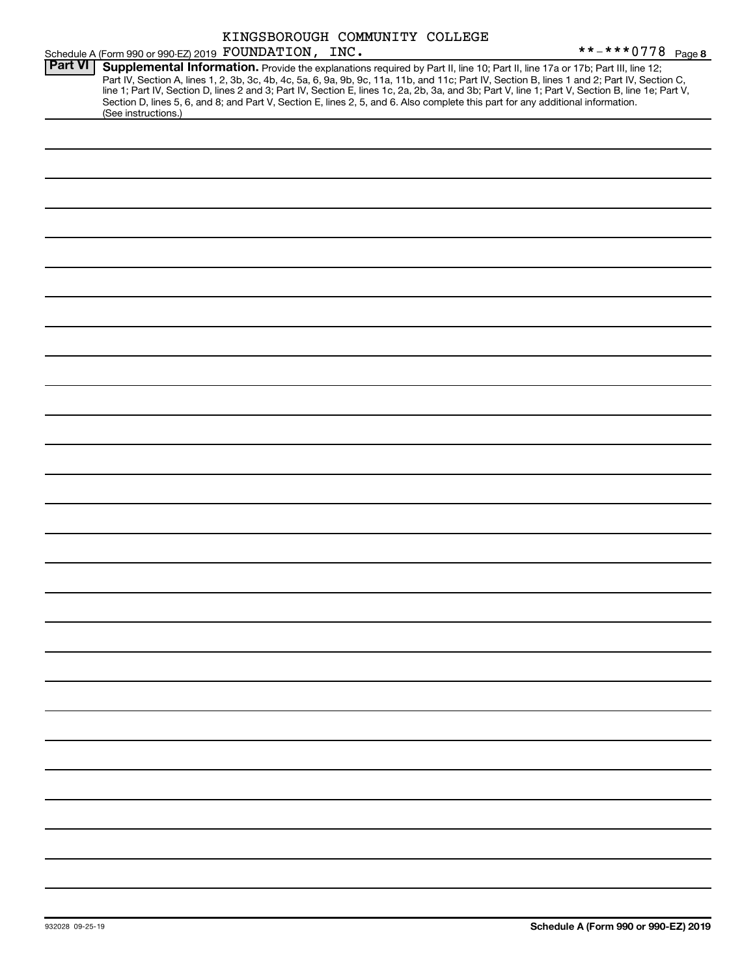| **-***0778 Page 8<br>Schedule A (Form 990 or 990 EZ) 2019 FOUNDATION, INC.<br><b>Part VI</b><br>Supplemental Information. Provide the explanations required by Part II, line 10; Part II, line 17a or 17b; Part III, line 12;<br>Part IV, Section A, lines 1, 2, 3b, 3c, 4b, 4c, 5a, 6, 9a, 9b, 9c, 11a, 11b, and 11c; Part IV, Section B, lines 1 and 2; Part IV, Section C,<br>line 1; Part IV, Section D, lines 2 and 3; Part IV, Section E, lines 1c, 2a, 2b, 3a, and 3b; Part V, line 1; Part V, Section B, line 1e; Part V,<br>Section D, lines 5, 6, and 8; and Part V, Section E, lines 2, 5, and 6. Also complete this part for any additional information.<br>(See instructions.) |
|---------------------------------------------------------------------------------------------------------------------------------------------------------------------------------------------------------------------------------------------------------------------------------------------------------------------------------------------------------------------------------------------------------------------------------------------------------------------------------------------------------------------------------------------------------------------------------------------------------------------------------------------------------------------------------------------|
|                                                                                                                                                                                                                                                                                                                                                                                                                                                                                                                                                                                                                                                                                             |
|                                                                                                                                                                                                                                                                                                                                                                                                                                                                                                                                                                                                                                                                                             |
|                                                                                                                                                                                                                                                                                                                                                                                                                                                                                                                                                                                                                                                                                             |
|                                                                                                                                                                                                                                                                                                                                                                                                                                                                                                                                                                                                                                                                                             |
|                                                                                                                                                                                                                                                                                                                                                                                                                                                                                                                                                                                                                                                                                             |
|                                                                                                                                                                                                                                                                                                                                                                                                                                                                                                                                                                                                                                                                                             |
|                                                                                                                                                                                                                                                                                                                                                                                                                                                                                                                                                                                                                                                                                             |
|                                                                                                                                                                                                                                                                                                                                                                                                                                                                                                                                                                                                                                                                                             |
|                                                                                                                                                                                                                                                                                                                                                                                                                                                                                                                                                                                                                                                                                             |
|                                                                                                                                                                                                                                                                                                                                                                                                                                                                                                                                                                                                                                                                                             |
|                                                                                                                                                                                                                                                                                                                                                                                                                                                                                                                                                                                                                                                                                             |
|                                                                                                                                                                                                                                                                                                                                                                                                                                                                                                                                                                                                                                                                                             |
|                                                                                                                                                                                                                                                                                                                                                                                                                                                                                                                                                                                                                                                                                             |
|                                                                                                                                                                                                                                                                                                                                                                                                                                                                                                                                                                                                                                                                                             |
|                                                                                                                                                                                                                                                                                                                                                                                                                                                                                                                                                                                                                                                                                             |
|                                                                                                                                                                                                                                                                                                                                                                                                                                                                                                                                                                                                                                                                                             |
|                                                                                                                                                                                                                                                                                                                                                                                                                                                                                                                                                                                                                                                                                             |
|                                                                                                                                                                                                                                                                                                                                                                                                                                                                                                                                                                                                                                                                                             |
|                                                                                                                                                                                                                                                                                                                                                                                                                                                                                                                                                                                                                                                                                             |
|                                                                                                                                                                                                                                                                                                                                                                                                                                                                                                                                                                                                                                                                                             |
|                                                                                                                                                                                                                                                                                                                                                                                                                                                                                                                                                                                                                                                                                             |
|                                                                                                                                                                                                                                                                                                                                                                                                                                                                                                                                                                                                                                                                                             |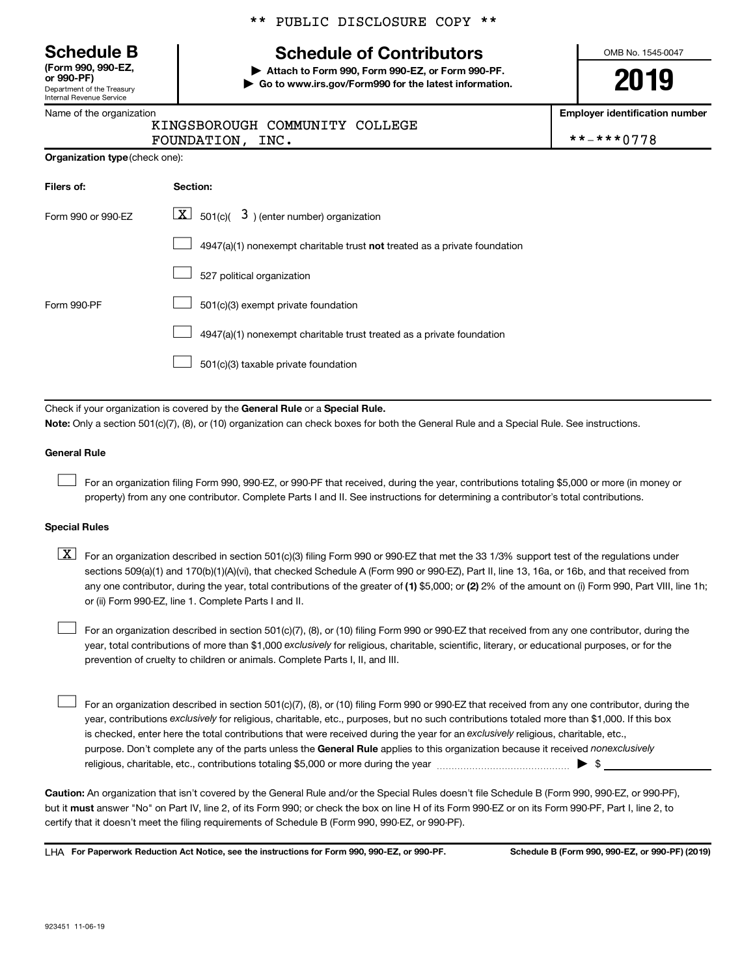Department of the Treasury Internal Revenue Service **(Form 990, 990-EZ,**

|  |  | Name of the organization |
|--|--|--------------------------|
|  |  |                          |

**Organization type** (check one):

### \*\* PUBLIC DISCLOSURE COPY \*\*

# **Schedule B Schedule of Contributors**

**or 990-PF) | Attach to Form 990, Form 990-EZ, or Form 990-PF. | Go to www.irs.gov/Form990 for the latest information.** OMB No. 1545-0047

**2019**

**Employer identification number**

| **-***0778 |
|------------|
|            |

| .                              |  |
|--------------------------------|--|
| KINGSBOROUGH COMMUNITY COLLEGE |  |
|                                |  |

FOUNDATION, INC.

| Filers of:         | Section:                                                                  |
|--------------------|---------------------------------------------------------------------------|
| Form 990 or 990-EZ | $\lfloor x \rfloor$ 501(c)( 3) (enter number) organization                |
|                    | 4947(a)(1) nonexempt charitable trust not treated as a private foundation |
|                    | 527 political organization                                                |
| Form 990-PF        | 501(c)(3) exempt private foundation                                       |
|                    | 4947(a)(1) nonexempt charitable trust treated as a private foundation     |
|                    | 501(c)(3) taxable private foundation                                      |

Check if your organization is covered by the General Rule or a Special Rule. **Note:**  Only a section 501(c)(7), (8), or (10) organization can check boxes for both the General Rule and a Special Rule. See instructions.

#### **General Rule**

 $\Box$ 

For an organization filing Form 990, 990-EZ, or 990-PF that received, during the year, contributions totaling \$5,000 or more (in money or property) from any one contributor. Complete Parts I and II. See instructions for determining a contributor's total contributions.

#### **Special Rules**

any one contributor, during the year, total contributions of the greater of (1) \$5,000; or (2) 2% of the amount on (i) Form 990, Part VIII, line 1h;  $\boxed{\text{X}}$  For an organization described in section 501(c)(3) filing Form 990 or 990-EZ that met the 33 1/3% support test of the regulations under sections 509(a)(1) and 170(b)(1)(A)(vi), that checked Schedule A (Form 990 or 990-EZ), Part II, line 13, 16a, or 16b, and that received from or (ii) Form 990-EZ, line 1. Complete Parts I and II.

year, total contributions of more than \$1,000 *exclusively* for religious, charitable, scientific, literary, or educational purposes, or for the For an organization described in section 501(c)(7), (8), or (10) filing Form 990 or 990-EZ that received from any one contributor, during the prevention of cruelty to children or animals. Complete Parts I, II, and III.  $\Box$ 

purpose. Don't complete any of the parts unless the General Rule applies to this organization because it received nonexclusively year, contributions exclusively for religious, charitable, etc., purposes, but no such contributions totaled more than \$1,000. If this box is checked, enter here the total contributions that were received during the year for an exclusively religious, charitable, etc., For an organization described in section 501(c)(7), (8), or (10) filing Form 990 or 990-EZ that received from any one contributor, during the religious, charitable, etc., contributions totaling \$5,000 or more during the year  $\ldots$  $\ldots$  $\ldots$  $\ldots$  $\ldots$  $\ldots$  $\Box$ 

**Caution:**  An organization that isn't covered by the General Rule and/or the Special Rules doesn't file Schedule B (Form 990, 990-EZ, or 990-PF),  **must** but it answer "No" on Part IV, line 2, of its Form 990; or check the box on line H of its Form 990-EZ or on its Form 990-PF, Part I, line 2, to certify that it doesn't meet the filing requirements of Schedule B (Form 990, 990-EZ, or 990-PF).

**For Paperwork Reduction Act Notice, see the instructions for Form 990, 990-EZ, or 990-PF. Schedule B (Form 990, 990-EZ, or 990-PF) (2019)** LHA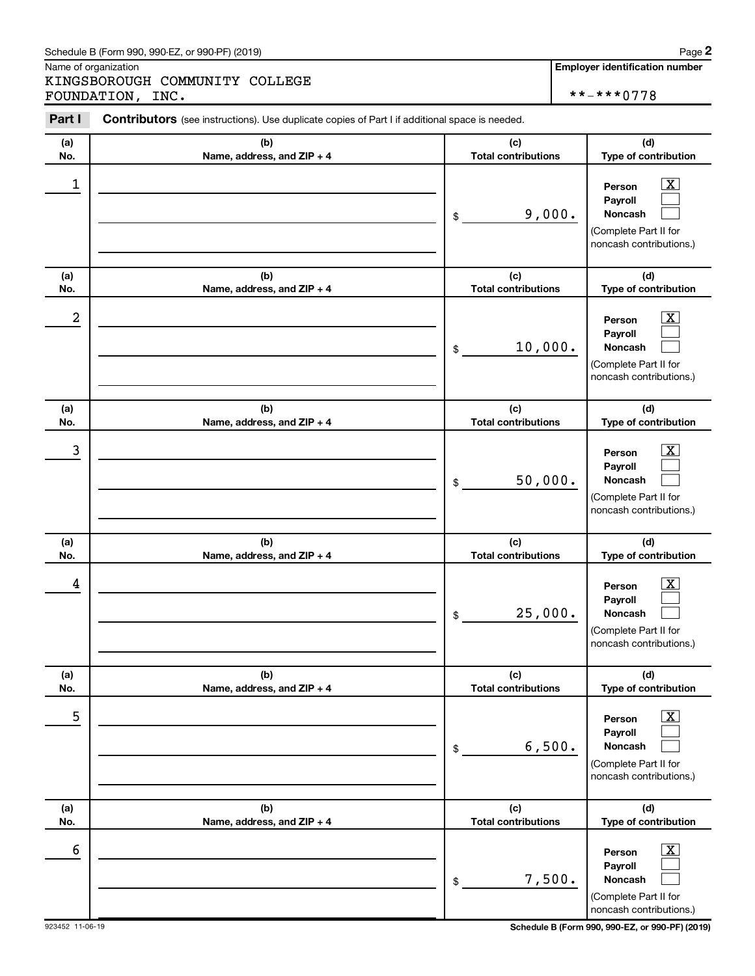#### Schedule B (Form 990, 990-EZ, or 990-PF) (2019)

Name of organization

KINGSBOROUGH COMMUNITY COLLEGE FOUNDATION, INC. \*\*-\*\*\*0778

| Part I     | <b>Contributors</b> (see instructions). Use duplicate copies of Part I if additional space is needed. |                                             |                                                                                                                                     |  |  |  |  |  |  |  |
|------------|-------------------------------------------------------------------------------------------------------|---------------------------------------------|-------------------------------------------------------------------------------------------------------------------------------------|--|--|--|--|--|--|--|
| (a)        | (b)                                                                                                   | (c)                                         | (d)                                                                                                                                 |  |  |  |  |  |  |  |
| No.        | Name, address, and ZIP + 4                                                                            | <b>Total contributions</b>                  | Type of contribution                                                                                                                |  |  |  |  |  |  |  |
| 1          |                                                                                                       | 9,000.<br>\$                                | $\overline{\textbf{X}}$<br>Person<br>Payroll<br>Noncash<br>(Complete Part II for<br>noncash contributions.)                         |  |  |  |  |  |  |  |
| (a)<br>No. | (b)<br>Name, address, and ZIP + 4                                                                     | (c)<br><b>Total contributions</b>           | (d)<br>Type of contribution                                                                                                         |  |  |  |  |  |  |  |
| 2          |                                                                                                       | 10,000.<br>\$                               | $\overline{\text{X}}$<br>Person<br>Payroll<br>Noncash<br>(Complete Part II for<br>noncash contributions.)                           |  |  |  |  |  |  |  |
| (a)<br>No. | (b)<br>Name, address, and ZIP + 4                                                                     | (c)<br><b>Total contributions</b>           | (d)<br>Type of contribution                                                                                                         |  |  |  |  |  |  |  |
| 3          |                                                                                                       | 50,000.<br>\$                               | $\overline{\text{X}}$<br>Person<br>Payroll<br>Noncash<br>(Complete Part II for<br>noncash contributions.)                           |  |  |  |  |  |  |  |
| (a)        | (b)                                                                                                   | (c)                                         | (d)                                                                                                                                 |  |  |  |  |  |  |  |
| No.<br>4   | Name, address, and ZIP + 4                                                                            | <b>Total contributions</b><br>25,000.<br>\$ | Type of contribution<br>$\overline{\text{X}}$<br>Person<br>Payroll<br>Noncash<br>(Complete Part II for<br>noncash contributions.)   |  |  |  |  |  |  |  |
| (a)        | (b)                                                                                                   | (c)<br><b>Total contributions</b>           | (d)                                                                                                                                 |  |  |  |  |  |  |  |
| No.<br>5   | Name, address, and ZIP + 4                                                                            | 6,500.<br>\$                                | Type of contribution<br>$\overline{\textbf{x}}$<br>Person<br>Payroll<br>Noncash<br>(Complete Part II for<br>noncash contributions.) |  |  |  |  |  |  |  |
| (a)<br>No. | (b)<br>Name, address, and ZIP + 4                                                                     | (c)<br><b>Total contributions</b>           | (d)<br>Type of contribution                                                                                                         |  |  |  |  |  |  |  |
| 6          |                                                                                                       | 7,500.<br>\$                                | $\overline{\textbf{x}}$<br>Person<br>Payroll<br>Noncash<br>(Complete Part II for<br>noncash contributions.)                         |  |  |  |  |  |  |  |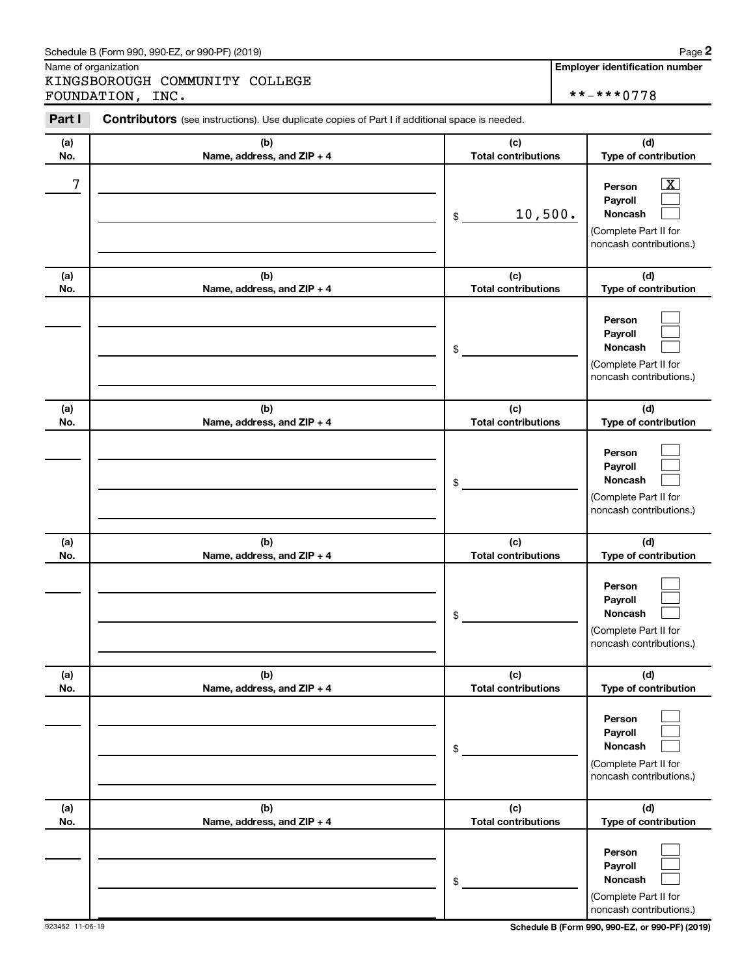#### Schedule B (Form 990, 990-EZ, or 990-PF) (2019)

Name of organization

KINGSBOROUGH COMMUNITY COLLEGE FOUNDATION, INC. \*\*-\*\*\*0778

| Part I     | Contributors (see instructions). Use duplicate copies of Part I if additional space is needed. |                                   |                                                                                                                    |
|------------|------------------------------------------------------------------------------------------------|-----------------------------------|--------------------------------------------------------------------------------------------------------------------|
| (a)<br>No. | (b)<br>Name, address, and ZIP + 4                                                              | (c)<br><b>Total contributions</b> | (d)<br>Type of contribution                                                                                        |
| 7          |                                                                                                | 10,500.<br>\$                     | $\overline{\textbf{X}}$<br>Person<br>Payroll<br><b>Noncash</b><br>(Complete Part II for<br>noncash contributions.) |
| (a)<br>No. | (b)<br>Name, address, and ZIP + 4                                                              | (c)<br><b>Total contributions</b> | (d)<br>Type of contribution                                                                                        |
|            |                                                                                                | \$                                | Person<br>Payroll<br><b>Noncash</b><br>(Complete Part II for<br>noncash contributions.)                            |
| (a)<br>No. | (b)<br>Name, address, and ZIP + 4                                                              | (c)<br><b>Total contributions</b> | (d)<br>Type of contribution                                                                                        |
|            |                                                                                                | \$                                | Person<br>Payroll<br><b>Noncash</b><br>(Complete Part II for<br>noncash contributions.)                            |
| (a)<br>No. | (b)<br>Name, address, and ZIP + 4                                                              | (c)<br><b>Total contributions</b> | (d)<br>Type of contribution                                                                                        |
|            |                                                                                                | \$                                | Person<br>Payroll<br>Noncash<br>(Complete Part II for<br>noncash contributions.)                                   |
| (a)<br>No. | (b)<br>Name, address, and ZIP + 4                                                              | (c)<br><b>Total contributions</b> | (d)<br>Type of contribution                                                                                        |
|            |                                                                                                | \$                                | Person<br>Payroll<br>Noncash<br>(Complete Part II for<br>noncash contributions.)                                   |
| (a)<br>No. | (b)<br>Name, address, and ZIP + 4                                                              | (c)<br><b>Total contributions</b> | (d)<br>Type of contribution                                                                                        |
|            |                                                                                                | \$                                | Person<br>Payroll<br>Noncash<br>(Complete Part II for<br>noncash contributions.)                                   |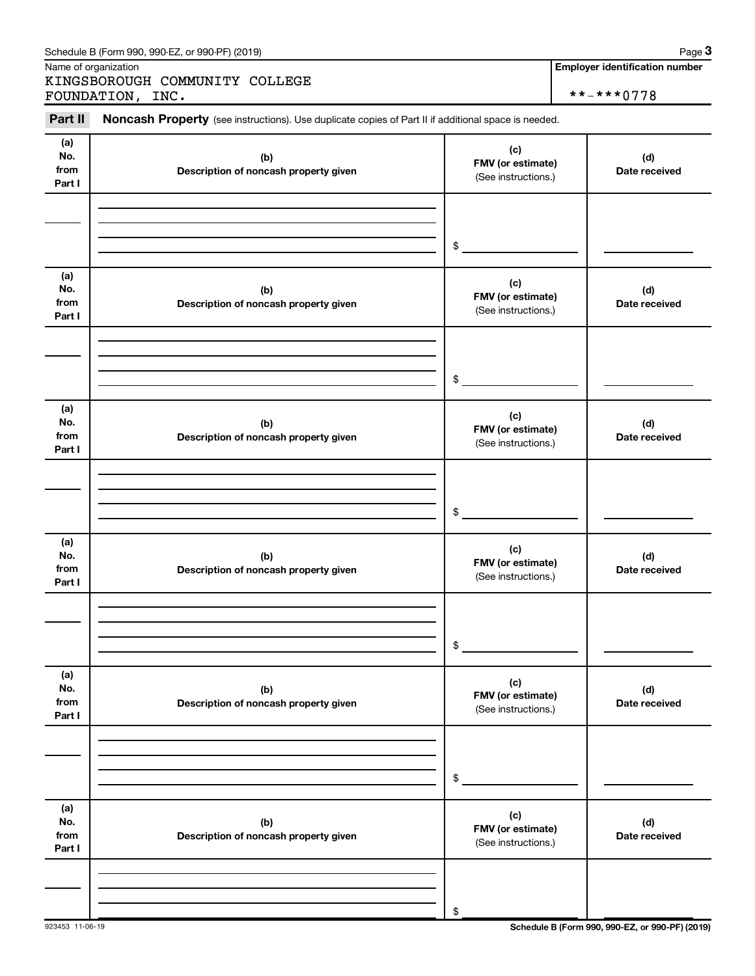| (a)<br>No.<br>from<br>Part I | (b)<br>Description of noncash property given | (c)<br>FMV (or estimate)<br>(See instructions.) | (d)<br>Date received                            |
|------------------------------|----------------------------------------------|-------------------------------------------------|-------------------------------------------------|
|                              |                                              | \$                                              |                                                 |
| (a)<br>No.<br>from<br>Part I | (b)<br>Description of noncash property given | (c)<br>FMV (or estimate)<br>(See instructions.) | (d)<br>Date received                            |
|                              |                                              | \$                                              |                                                 |
| (a)<br>No.<br>from<br>Part I | (b)<br>Description of noncash property given | (c)<br>FMV (or estimate)<br>(See instructions.) | (d)<br>Date received                            |
|                              |                                              | \$                                              |                                                 |
| (a)<br>No.<br>from<br>Part I | (b)<br>Description of noncash property given | (c)<br>FMV (or estimate)<br>(See instructions.) | (d)<br>Date received                            |
|                              |                                              | \$                                              |                                                 |
| (a)<br>No.<br>from<br>Part I | (b)<br>Description of noncash property given | (c)<br>FMV (or estimate)<br>(See instructions.) | (d)<br>Date received                            |
|                              |                                              | \$                                              |                                                 |
| (a)<br>No.<br>from<br>Part I | (b)<br>Description of noncash property given | (c)<br>FMV (or estimate)<br>(See instructions.) | (d)<br>Date received                            |
| 923453 11-06-19              |                                              | \$                                              | Schedule B (Form 990, 990-EZ, or 990-PF) (2019) |

Part II Noncash Property (see instructions). Use duplicate copies of Part II if additional space is needed.

Schedule B (Form 990, 990-EZ, or 990-PF) (2019)

KINGSBOROUGH COMMUNITY COLLEGE

Name of organization

**Employer identification number**

**3**

FOUNDATION, INC. \*\*-\*\*\*0778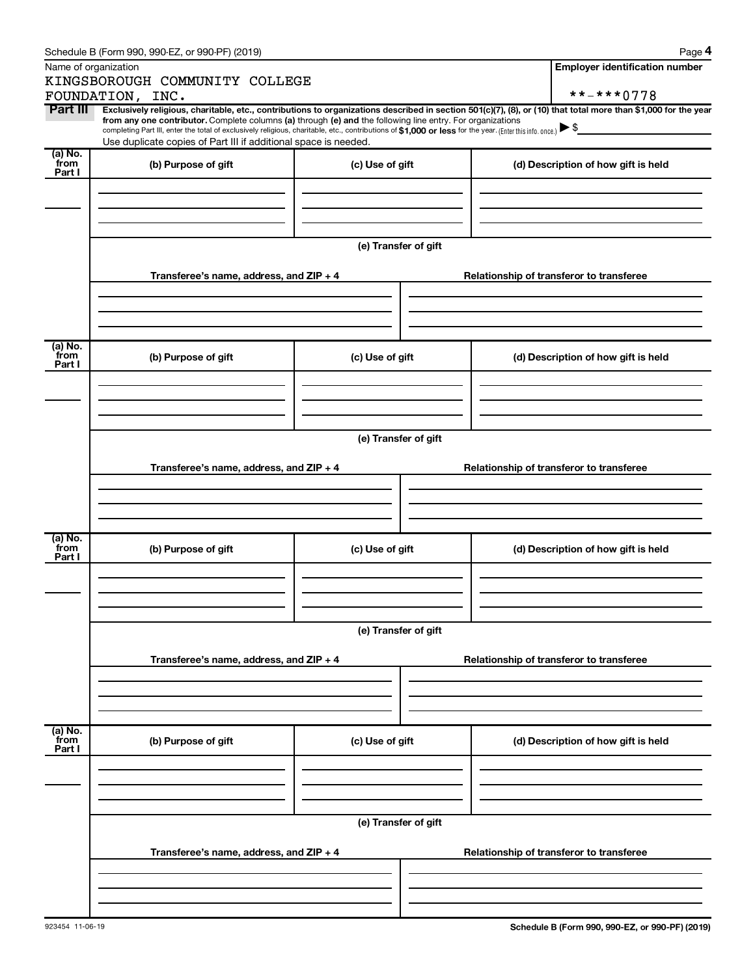|                           | Schedule B (Form 990, 990-EZ, or 990-PF) (2019)                                                                                                                                                                                                                                                                                                                                                                                          |                                          |                                          |                                          | Page 4                                   |  |  |
|---------------------------|------------------------------------------------------------------------------------------------------------------------------------------------------------------------------------------------------------------------------------------------------------------------------------------------------------------------------------------------------------------------------------------------------------------------------------------|------------------------------------------|------------------------------------------|------------------------------------------|------------------------------------------|--|--|
|                           | Name of organization                                                                                                                                                                                                                                                                                                                                                                                                                     |                                          |                                          |                                          | <b>Employer identification number</b>    |  |  |
|                           | KINGSBOROUGH COMMUNITY COLLEGE                                                                                                                                                                                                                                                                                                                                                                                                           |                                          |                                          |                                          |                                          |  |  |
|                           | FOUNDATION, INC.                                                                                                                                                                                                                                                                                                                                                                                                                         |                                          |                                          |                                          | **-***0778                               |  |  |
| Part III                  | Exclusively religious, charitable, etc., contributions to organizations described in section 501(c)(7), (8), or (10) that total more than \$1,000 for the year<br>from any one contributor. Complete columns (a) through (e) and the following line entry. For organizations<br>completing Part III, enter the total of exclusively religious, charitable, etc., contributions of \$1,000 or less for the year. (Enter this info. once.) |                                          |                                          |                                          |                                          |  |  |
|                           | Use duplicate copies of Part III if additional space is needed.                                                                                                                                                                                                                                                                                                                                                                          |                                          |                                          |                                          |                                          |  |  |
| (a) No.<br>from<br>Part I | (b) Purpose of gift                                                                                                                                                                                                                                                                                                                                                                                                                      | (c) Use of gift                          |                                          | (d) Description of how gift is held      |                                          |  |  |
|                           |                                                                                                                                                                                                                                                                                                                                                                                                                                          |                                          |                                          |                                          |                                          |  |  |
|                           |                                                                                                                                                                                                                                                                                                                                                                                                                                          |                                          |                                          |                                          |                                          |  |  |
|                           |                                                                                                                                                                                                                                                                                                                                                                                                                                          | (e) Transfer of gift                     |                                          |                                          |                                          |  |  |
|                           | Transferee's name, address, and ZIP + 4                                                                                                                                                                                                                                                                                                                                                                                                  |                                          |                                          |                                          | Relationship of transferor to transferee |  |  |
|                           |                                                                                                                                                                                                                                                                                                                                                                                                                                          |                                          |                                          |                                          |                                          |  |  |
| (a) No.<br>from<br>Part I | (b) Purpose of gift                                                                                                                                                                                                                                                                                                                                                                                                                      | (c) Use of gift                          |                                          |                                          | (d) Description of how gift is held      |  |  |
|                           |                                                                                                                                                                                                                                                                                                                                                                                                                                          |                                          |                                          |                                          |                                          |  |  |
|                           |                                                                                                                                                                                                                                                                                                                                                                                                                                          |                                          |                                          |                                          |                                          |  |  |
|                           | (e) Transfer of gift                                                                                                                                                                                                                                                                                                                                                                                                                     |                                          |                                          |                                          |                                          |  |  |
|                           | Transferee's name, address, and ZIP + 4                                                                                                                                                                                                                                                                                                                                                                                                  |                                          |                                          | Relationship of transferor to transferee |                                          |  |  |
|                           |                                                                                                                                                                                                                                                                                                                                                                                                                                          |                                          |                                          |                                          |                                          |  |  |
|                           |                                                                                                                                                                                                                                                                                                                                                                                                                                          |                                          |                                          |                                          |                                          |  |  |
| (a) No.<br>from<br>Part I | (b) Purpose of gift                                                                                                                                                                                                                                                                                                                                                                                                                      | (c) Use of gift                          |                                          |                                          | (d) Description of how gift is held      |  |  |
|                           |                                                                                                                                                                                                                                                                                                                                                                                                                                          |                                          |                                          |                                          |                                          |  |  |
|                           |                                                                                                                                                                                                                                                                                                                                                                                                                                          |                                          |                                          |                                          |                                          |  |  |
|                           |                                                                                                                                                                                                                                                                                                                                                                                                                                          |                                          |                                          |                                          |                                          |  |  |
|                           | (e) Transfer of gift                                                                                                                                                                                                                                                                                                                                                                                                                     |                                          |                                          |                                          |                                          |  |  |
|                           | Transferee's name, address, and ZIP + 4                                                                                                                                                                                                                                                                                                                                                                                                  | Relationship of transferor to transferee |                                          |                                          |                                          |  |  |
|                           |                                                                                                                                                                                                                                                                                                                                                                                                                                          |                                          |                                          |                                          |                                          |  |  |
|                           |                                                                                                                                                                                                                                                                                                                                                                                                                                          |                                          |                                          |                                          |                                          |  |  |
| (a) No.<br>from<br>Part I | (b) Purpose of gift                                                                                                                                                                                                                                                                                                                                                                                                                      | (c) Use of gift                          |                                          | (d) Description of how gift is held      |                                          |  |  |
|                           |                                                                                                                                                                                                                                                                                                                                                                                                                                          |                                          |                                          |                                          |                                          |  |  |
|                           |                                                                                                                                                                                                                                                                                                                                                                                                                                          |                                          |                                          |                                          |                                          |  |  |
|                           |                                                                                                                                                                                                                                                                                                                                                                                                                                          | (e) Transfer of gift                     |                                          |                                          |                                          |  |  |
|                           | Transferee's name, address, and $ZIP + 4$                                                                                                                                                                                                                                                                                                                                                                                                |                                          | Relationship of transferor to transferee |                                          |                                          |  |  |
|                           |                                                                                                                                                                                                                                                                                                                                                                                                                                          |                                          |                                          |                                          |                                          |  |  |
|                           |                                                                                                                                                                                                                                                                                                                                                                                                                                          |                                          |                                          |                                          |                                          |  |  |
|                           |                                                                                                                                                                                                                                                                                                                                                                                                                                          |                                          |                                          |                                          |                                          |  |  |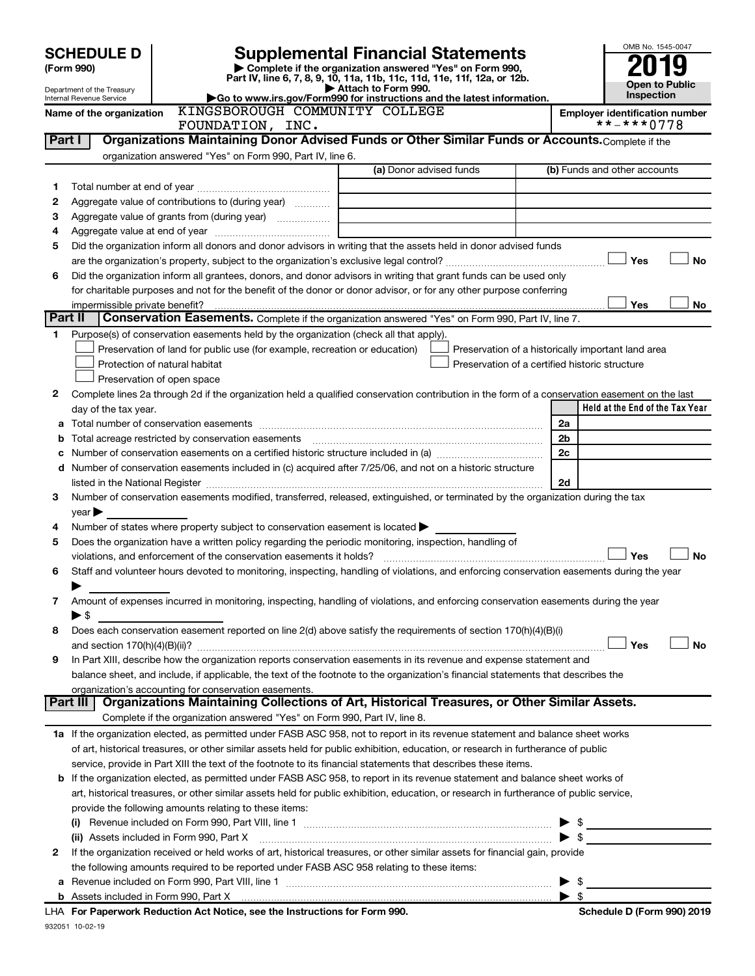| <b>Supplemental Financial Statements</b><br><b>SCHEDULE D</b><br>Complete if the organization answered "Yes" on Form 990,<br>(Form 990)<br>Part IV, line 6, 7, 8, 9, 10, 11a, 11b, 11c, 11d, 11e, 11f, 12a, or 12b.<br>Open to Public<br>Attach to Form 990.<br>Department of the Treasury<br>Inspection<br>Go to www.irs.gov/Form990 for instructions and the latest information.<br><b>Internal Revenue Service</b><br>KINGSBOROUGH COMMUNITY COLLEGE<br>Name of the organization<br><b>Employer identification number</b><br>**-***0778<br>FOUNDATION, INC.<br>Organizations Maintaining Donor Advised Funds or Other Similar Funds or Accounts. Complete if the<br>Part I<br>organization answered "Yes" on Form 990, Part IV, line 6.<br>(a) Donor advised funds<br>(b) Funds and other accounts<br>1<br>Aggregate value of contributions to (during year)<br>2<br>the control of the control of the control of the control of the control of<br>З<br><u> 1980 - Johann Barbara, martin a</u><br>4<br>Did the organization inform all donors and donor advisors in writing that the assets held in donor advised funds<br>5<br><b>Yes</b><br>No<br>Did the organization inform all grantees, donors, and donor advisors in writing that grant funds can be used only<br>6<br>for charitable purposes and not for the benefit of the donor or donor advisor, or for any other purpose conferring<br>Yes<br>impermissible private benefit?<br>No<br>Part II<br>Conservation Easements. Complete if the organization answered "Yes" on Form 990, Part IV, line 7.<br>Purpose(s) of conservation easements held by the organization (check all that apply).<br>1.<br>Preservation of land for public use (for example, recreation or education)<br>Preservation of a historically important land area<br>Protection of natural habitat<br>Preservation of a certified historic structure<br>Preservation of open space<br>Complete lines 2a through 2d if the organization held a qualified conservation contribution in the form of a conservation easement on the last<br>2<br>Held at the End of the Tax Year<br>day of the tax year.<br>2a<br>Total acreage restricted by conservation easements<br>2b<br>b<br>2c<br>c Number of conservation easements on a certified historic structure included in (a) manufacture included in (a)<br>d Number of conservation easements included in (c) acquired after 7/25/06, and not on a historic structure<br>2d<br>listed in the National Register [111] Marshall Register [11] Marshall Register [11] Marshall Register [11] Marshall Register [11] Marshall Register [11] Marshall Register [11] Marshall Register [11] Marshall Register [11]<br>Number of conservation easements modified, transferred, released, extinguished, or terminated by the organization during the tax<br>3<br>$year \blacktriangleright$<br>Number of states where property subject to conservation easement is located ><br>4<br>Does the organization have a written policy regarding the periodic monitoring, inspection, handling of<br>5<br>Yes<br>No<br>violations, and enforcement of the conservation easements it holds?<br>Staff and volunteer hours devoted to monitoring, inspecting, handling of violations, and enforcing conservation easements during the year<br>6<br>Amount of expenses incurred in monitoring, inspecting, handling of violations, and enforcing conservation easements during the year<br>7<br>$\blacktriangleright$ \$<br>Does each conservation easement reported on line 2(d) above satisfy the requirements of section 170(h)(4)(B)(i)<br>8<br>Yes<br><b>No</b><br>In Part XIII, describe how the organization reports conservation easements in its revenue and expense statement and<br>9<br>balance sheet, and include, if applicable, the text of the footnote to the organization's financial statements that describes the<br>organization's accounting for conservation easements.<br>Part III   Organizations Maintaining Collections of Art, Historical Treasures, or Other Similar Assets.<br>Complete if the organization answered "Yes" on Form 990, Part IV, line 8.<br>1a If the organization elected, as permitted under FASB ASC 958, not to report in its revenue statement and balance sheet works<br>of art, historical treasures, or other similar assets held for public exhibition, education, or research in furtherance of public<br>service, provide in Part XIII the text of the footnote to its financial statements that describes these items.<br>b If the organization elected, as permitted under FASB ASC 958, to report in its revenue statement and balance sheet works of<br>art, historical treasures, or other similar assets held for public exhibition, education, or research in furtherance of public service,<br>provide the following amounts relating to these items:<br>$\triangleright$ \$<br>$\blacktriangleright$ \$<br>(ii) Assets included in Form 990, Part X [11] Marson Marson Marson Marson Marson Marson Marson Marson Marson M<br>If the organization received or held works of art, historical treasures, or other similar assets for financial gain, provide<br>2<br>the following amounts required to be reported under FASB ASC 958 relating to these items: |  |  |  |  |  | OMB No. 1545-0047 |  |
|------------------------------------------------------------------------------------------------------------------------------------------------------------------------------------------------------------------------------------------------------------------------------------------------------------------------------------------------------------------------------------------------------------------------------------------------------------------------------------------------------------------------------------------------------------------------------------------------------------------------------------------------------------------------------------------------------------------------------------------------------------------------------------------------------------------------------------------------------------------------------------------------------------------------------------------------------------------------------------------------------------------------------------------------------------------------------------------------------------------------------------------------------------------------------------------------------------------------------------------------------------------------------------------------------------------------------------------------------------------------------------------------------------------------------------------------------------------------------------------------------------------------------------------------------------------------------------------------------------------------------------------------------------------------------------------------------------------------------------------------------------------------------------------------------------------------------------------------------------------------------------------------------------------------------------------------------------------------------------------------------------------------------------------------------------------------------------------------------------------------------------------------------------------------------------------------------------------------------------------------------------------------------------------------------------------------------------------------------------------------------------------------------------------------------------------------------------------------------------------------------------------------------------------------------------------------------------------------------------------------------------------------------------------------------------------------------------------------------------------------------------------------------------------------------------------------------------------------------------------------------------------------------------------------------------------------------------------------------------------------------------------------------------------------------------------------------------------------------------------------------------------------------------------------------------------------------------------------------------------------------------------------------------------------------------------------------------------------------------------------------------------------------------------------------------------------------------------------------------------------------------------------------------------------------------------------------------------------------------------------------------------------------------------------------------------------------------------------------------------------------------------------------------------------------------------------------------------------------------------------------------------------------------------------------------------------------------------------------------------------------------------------------------------------------------------------------------------------------------------------------------------------------------------------------------------------------------------------------------------------------------------------------------------------------------------------------------------------------------------------------------------------------------------------------------------------------------------------------------------------------------------------------------------------------------------------------------------------------------------------------------------------------------------------------------------------------------------------------------------------------------------------------------------------------------------------------------------------------------------------------------------------------------------------------------------------------------------------------------------------------------------------------------------------------------------------------------------------------------------------------------------------------------------------------------------------------------------------------------------------------------------------------------------------|--|--|--|--|--|-------------------|--|
|                                                                                                                                                                                                                                                                                                                                                                                                                                                                                                                                                                                                                                                                                                                                                                                                                                                                                                                                                                                                                                                                                                                                                                                                                                                                                                                                                                                                                                                                                                                                                                                                                                                                                                                                                                                                                                                                                                                                                                                                                                                                                                                                                                                                                                                                                                                                                                                                                                                                                                                                                                                                                                                                                                                                                                                                                                                                                                                                                                                                                                                                                                                                                                                                                                                                                                                                                                                                                                                                                                                                                                                                                                                                                                                                                                                                                                                                                                                                                                                                                                                                                                                                                                                                                                                                                                                                                                                                                                                                                                                                                                                                                                                                                                                                                                                                                                                                                                                                                                                                                                                                                                                                                                                                                                                                                                |  |  |  |  |  |                   |  |
|                                                                                                                                                                                                                                                                                                                                                                                                                                                                                                                                                                                                                                                                                                                                                                                                                                                                                                                                                                                                                                                                                                                                                                                                                                                                                                                                                                                                                                                                                                                                                                                                                                                                                                                                                                                                                                                                                                                                                                                                                                                                                                                                                                                                                                                                                                                                                                                                                                                                                                                                                                                                                                                                                                                                                                                                                                                                                                                                                                                                                                                                                                                                                                                                                                                                                                                                                                                                                                                                                                                                                                                                                                                                                                                                                                                                                                                                                                                                                                                                                                                                                                                                                                                                                                                                                                                                                                                                                                                                                                                                                                                                                                                                                                                                                                                                                                                                                                                                                                                                                                                                                                                                                                                                                                                                                                |  |  |  |  |  |                   |  |
|                                                                                                                                                                                                                                                                                                                                                                                                                                                                                                                                                                                                                                                                                                                                                                                                                                                                                                                                                                                                                                                                                                                                                                                                                                                                                                                                                                                                                                                                                                                                                                                                                                                                                                                                                                                                                                                                                                                                                                                                                                                                                                                                                                                                                                                                                                                                                                                                                                                                                                                                                                                                                                                                                                                                                                                                                                                                                                                                                                                                                                                                                                                                                                                                                                                                                                                                                                                                                                                                                                                                                                                                                                                                                                                                                                                                                                                                                                                                                                                                                                                                                                                                                                                                                                                                                                                                                                                                                                                                                                                                                                                                                                                                                                                                                                                                                                                                                                                                                                                                                                                                                                                                                                                                                                                                                                |  |  |  |  |  |                   |  |
|                                                                                                                                                                                                                                                                                                                                                                                                                                                                                                                                                                                                                                                                                                                                                                                                                                                                                                                                                                                                                                                                                                                                                                                                                                                                                                                                                                                                                                                                                                                                                                                                                                                                                                                                                                                                                                                                                                                                                                                                                                                                                                                                                                                                                                                                                                                                                                                                                                                                                                                                                                                                                                                                                                                                                                                                                                                                                                                                                                                                                                                                                                                                                                                                                                                                                                                                                                                                                                                                                                                                                                                                                                                                                                                                                                                                                                                                                                                                                                                                                                                                                                                                                                                                                                                                                                                                                                                                                                                                                                                                                                                                                                                                                                                                                                                                                                                                                                                                                                                                                                                                                                                                                                                                                                                                                                |  |  |  |  |  |                   |  |
|                                                                                                                                                                                                                                                                                                                                                                                                                                                                                                                                                                                                                                                                                                                                                                                                                                                                                                                                                                                                                                                                                                                                                                                                                                                                                                                                                                                                                                                                                                                                                                                                                                                                                                                                                                                                                                                                                                                                                                                                                                                                                                                                                                                                                                                                                                                                                                                                                                                                                                                                                                                                                                                                                                                                                                                                                                                                                                                                                                                                                                                                                                                                                                                                                                                                                                                                                                                                                                                                                                                                                                                                                                                                                                                                                                                                                                                                                                                                                                                                                                                                                                                                                                                                                                                                                                                                                                                                                                                                                                                                                                                                                                                                                                                                                                                                                                                                                                                                                                                                                                                                                                                                                                                                                                                                                                |  |  |  |  |  |                   |  |
|                                                                                                                                                                                                                                                                                                                                                                                                                                                                                                                                                                                                                                                                                                                                                                                                                                                                                                                                                                                                                                                                                                                                                                                                                                                                                                                                                                                                                                                                                                                                                                                                                                                                                                                                                                                                                                                                                                                                                                                                                                                                                                                                                                                                                                                                                                                                                                                                                                                                                                                                                                                                                                                                                                                                                                                                                                                                                                                                                                                                                                                                                                                                                                                                                                                                                                                                                                                                                                                                                                                                                                                                                                                                                                                                                                                                                                                                                                                                                                                                                                                                                                                                                                                                                                                                                                                                                                                                                                                                                                                                                                                                                                                                                                                                                                                                                                                                                                                                                                                                                                                                                                                                                                                                                                                                                                |  |  |  |  |  |                   |  |
|                                                                                                                                                                                                                                                                                                                                                                                                                                                                                                                                                                                                                                                                                                                                                                                                                                                                                                                                                                                                                                                                                                                                                                                                                                                                                                                                                                                                                                                                                                                                                                                                                                                                                                                                                                                                                                                                                                                                                                                                                                                                                                                                                                                                                                                                                                                                                                                                                                                                                                                                                                                                                                                                                                                                                                                                                                                                                                                                                                                                                                                                                                                                                                                                                                                                                                                                                                                                                                                                                                                                                                                                                                                                                                                                                                                                                                                                                                                                                                                                                                                                                                                                                                                                                                                                                                                                                                                                                                                                                                                                                                                                                                                                                                                                                                                                                                                                                                                                                                                                                                                                                                                                                                                                                                                                                                |  |  |  |  |  |                   |  |
|                                                                                                                                                                                                                                                                                                                                                                                                                                                                                                                                                                                                                                                                                                                                                                                                                                                                                                                                                                                                                                                                                                                                                                                                                                                                                                                                                                                                                                                                                                                                                                                                                                                                                                                                                                                                                                                                                                                                                                                                                                                                                                                                                                                                                                                                                                                                                                                                                                                                                                                                                                                                                                                                                                                                                                                                                                                                                                                                                                                                                                                                                                                                                                                                                                                                                                                                                                                                                                                                                                                                                                                                                                                                                                                                                                                                                                                                                                                                                                                                                                                                                                                                                                                                                                                                                                                                                                                                                                                                                                                                                                                                                                                                                                                                                                                                                                                                                                                                                                                                                                                                                                                                                                                                                                                                                                |  |  |  |  |  |                   |  |
|                                                                                                                                                                                                                                                                                                                                                                                                                                                                                                                                                                                                                                                                                                                                                                                                                                                                                                                                                                                                                                                                                                                                                                                                                                                                                                                                                                                                                                                                                                                                                                                                                                                                                                                                                                                                                                                                                                                                                                                                                                                                                                                                                                                                                                                                                                                                                                                                                                                                                                                                                                                                                                                                                                                                                                                                                                                                                                                                                                                                                                                                                                                                                                                                                                                                                                                                                                                                                                                                                                                                                                                                                                                                                                                                                                                                                                                                                                                                                                                                                                                                                                                                                                                                                                                                                                                                                                                                                                                                                                                                                                                                                                                                                                                                                                                                                                                                                                                                                                                                                                                                                                                                                                                                                                                                                                |  |  |  |  |  |                   |  |
|                                                                                                                                                                                                                                                                                                                                                                                                                                                                                                                                                                                                                                                                                                                                                                                                                                                                                                                                                                                                                                                                                                                                                                                                                                                                                                                                                                                                                                                                                                                                                                                                                                                                                                                                                                                                                                                                                                                                                                                                                                                                                                                                                                                                                                                                                                                                                                                                                                                                                                                                                                                                                                                                                                                                                                                                                                                                                                                                                                                                                                                                                                                                                                                                                                                                                                                                                                                                                                                                                                                                                                                                                                                                                                                                                                                                                                                                                                                                                                                                                                                                                                                                                                                                                                                                                                                                                                                                                                                                                                                                                                                                                                                                                                                                                                                                                                                                                                                                                                                                                                                                                                                                                                                                                                                                                                |  |  |  |  |  |                   |  |
|                                                                                                                                                                                                                                                                                                                                                                                                                                                                                                                                                                                                                                                                                                                                                                                                                                                                                                                                                                                                                                                                                                                                                                                                                                                                                                                                                                                                                                                                                                                                                                                                                                                                                                                                                                                                                                                                                                                                                                                                                                                                                                                                                                                                                                                                                                                                                                                                                                                                                                                                                                                                                                                                                                                                                                                                                                                                                                                                                                                                                                                                                                                                                                                                                                                                                                                                                                                                                                                                                                                                                                                                                                                                                                                                                                                                                                                                                                                                                                                                                                                                                                                                                                                                                                                                                                                                                                                                                                                                                                                                                                                                                                                                                                                                                                                                                                                                                                                                                                                                                                                                                                                                                                                                                                                                                                |  |  |  |  |  |                   |  |
|                                                                                                                                                                                                                                                                                                                                                                                                                                                                                                                                                                                                                                                                                                                                                                                                                                                                                                                                                                                                                                                                                                                                                                                                                                                                                                                                                                                                                                                                                                                                                                                                                                                                                                                                                                                                                                                                                                                                                                                                                                                                                                                                                                                                                                                                                                                                                                                                                                                                                                                                                                                                                                                                                                                                                                                                                                                                                                                                                                                                                                                                                                                                                                                                                                                                                                                                                                                                                                                                                                                                                                                                                                                                                                                                                                                                                                                                                                                                                                                                                                                                                                                                                                                                                                                                                                                                                                                                                                                                                                                                                                                                                                                                                                                                                                                                                                                                                                                                                                                                                                                                                                                                                                                                                                                                                                |  |  |  |  |  |                   |  |
|                                                                                                                                                                                                                                                                                                                                                                                                                                                                                                                                                                                                                                                                                                                                                                                                                                                                                                                                                                                                                                                                                                                                                                                                                                                                                                                                                                                                                                                                                                                                                                                                                                                                                                                                                                                                                                                                                                                                                                                                                                                                                                                                                                                                                                                                                                                                                                                                                                                                                                                                                                                                                                                                                                                                                                                                                                                                                                                                                                                                                                                                                                                                                                                                                                                                                                                                                                                                                                                                                                                                                                                                                                                                                                                                                                                                                                                                                                                                                                                                                                                                                                                                                                                                                                                                                                                                                                                                                                                                                                                                                                                                                                                                                                                                                                                                                                                                                                                                                                                                                                                                                                                                                                                                                                                                                                |  |  |  |  |  |                   |  |
|                                                                                                                                                                                                                                                                                                                                                                                                                                                                                                                                                                                                                                                                                                                                                                                                                                                                                                                                                                                                                                                                                                                                                                                                                                                                                                                                                                                                                                                                                                                                                                                                                                                                                                                                                                                                                                                                                                                                                                                                                                                                                                                                                                                                                                                                                                                                                                                                                                                                                                                                                                                                                                                                                                                                                                                                                                                                                                                                                                                                                                                                                                                                                                                                                                                                                                                                                                                                                                                                                                                                                                                                                                                                                                                                                                                                                                                                                                                                                                                                                                                                                                                                                                                                                                                                                                                                                                                                                                                                                                                                                                                                                                                                                                                                                                                                                                                                                                                                                                                                                                                                                                                                                                                                                                                                                                |  |  |  |  |  |                   |  |
|                                                                                                                                                                                                                                                                                                                                                                                                                                                                                                                                                                                                                                                                                                                                                                                                                                                                                                                                                                                                                                                                                                                                                                                                                                                                                                                                                                                                                                                                                                                                                                                                                                                                                                                                                                                                                                                                                                                                                                                                                                                                                                                                                                                                                                                                                                                                                                                                                                                                                                                                                                                                                                                                                                                                                                                                                                                                                                                                                                                                                                                                                                                                                                                                                                                                                                                                                                                                                                                                                                                                                                                                                                                                                                                                                                                                                                                                                                                                                                                                                                                                                                                                                                                                                                                                                                                                                                                                                                                                                                                                                                                                                                                                                                                                                                                                                                                                                                                                                                                                                                                                                                                                                                                                                                                                                                |  |  |  |  |  |                   |  |
|                                                                                                                                                                                                                                                                                                                                                                                                                                                                                                                                                                                                                                                                                                                                                                                                                                                                                                                                                                                                                                                                                                                                                                                                                                                                                                                                                                                                                                                                                                                                                                                                                                                                                                                                                                                                                                                                                                                                                                                                                                                                                                                                                                                                                                                                                                                                                                                                                                                                                                                                                                                                                                                                                                                                                                                                                                                                                                                                                                                                                                                                                                                                                                                                                                                                                                                                                                                                                                                                                                                                                                                                                                                                                                                                                                                                                                                                                                                                                                                                                                                                                                                                                                                                                                                                                                                                                                                                                                                                                                                                                                                                                                                                                                                                                                                                                                                                                                                                                                                                                                                                                                                                                                                                                                                                                                |  |  |  |  |  |                   |  |
|                                                                                                                                                                                                                                                                                                                                                                                                                                                                                                                                                                                                                                                                                                                                                                                                                                                                                                                                                                                                                                                                                                                                                                                                                                                                                                                                                                                                                                                                                                                                                                                                                                                                                                                                                                                                                                                                                                                                                                                                                                                                                                                                                                                                                                                                                                                                                                                                                                                                                                                                                                                                                                                                                                                                                                                                                                                                                                                                                                                                                                                                                                                                                                                                                                                                                                                                                                                                                                                                                                                                                                                                                                                                                                                                                                                                                                                                                                                                                                                                                                                                                                                                                                                                                                                                                                                                                                                                                                                                                                                                                                                                                                                                                                                                                                                                                                                                                                                                                                                                                                                                                                                                                                                                                                                                                                |  |  |  |  |  |                   |  |
|                                                                                                                                                                                                                                                                                                                                                                                                                                                                                                                                                                                                                                                                                                                                                                                                                                                                                                                                                                                                                                                                                                                                                                                                                                                                                                                                                                                                                                                                                                                                                                                                                                                                                                                                                                                                                                                                                                                                                                                                                                                                                                                                                                                                                                                                                                                                                                                                                                                                                                                                                                                                                                                                                                                                                                                                                                                                                                                                                                                                                                                                                                                                                                                                                                                                                                                                                                                                                                                                                                                                                                                                                                                                                                                                                                                                                                                                                                                                                                                                                                                                                                                                                                                                                                                                                                                                                                                                                                                                                                                                                                                                                                                                                                                                                                                                                                                                                                                                                                                                                                                                                                                                                                                                                                                                                                |  |  |  |  |  |                   |  |
|                                                                                                                                                                                                                                                                                                                                                                                                                                                                                                                                                                                                                                                                                                                                                                                                                                                                                                                                                                                                                                                                                                                                                                                                                                                                                                                                                                                                                                                                                                                                                                                                                                                                                                                                                                                                                                                                                                                                                                                                                                                                                                                                                                                                                                                                                                                                                                                                                                                                                                                                                                                                                                                                                                                                                                                                                                                                                                                                                                                                                                                                                                                                                                                                                                                                                                                                                                                                                                                                                                                                                                                                                                                                                                                                                                                                                                                                                                                                                                                                                                                                                                                                                                                                                                                                                                                                                                                                                                                                                                                                                                                                                                                                                                                                                                                                                                                                                                                                                                                                                                                                                                                                                                                                                                                                                                |  |  |  |  |  |                   |  |
|                                                                                                                                                                                                                                                                                                                                                                                                                                                                                                                                                                                                                                                                                                                                                                                                                                                                                                                                                                                                                                                                                                                                                                                                                                                                                                                                                                                                                                                                                                                                                                                                                                                                                                                                                                                                                                                                                                                                                                                                                                                                                                                                                                                                                                                                                                                                                                                                                                                                                                                                                                                                                                                                                                                                                                                                                                                                                                                                                                                                                                                                                                                                                                                                                                                                                                                                                                                                                                                                                                                                                                                                                                                                                                                                                                                                                                                                                                                                                                                                                                                                                                                                                                                                                                                                                                                                                                                                                                                                                                                                                                                                                                                                                                                                                                                                                                                                                                                                                                                                                                                                                                                                                                                                                                                                                                |  |  |  |  |  |                   |  |
|                                                                                                                                                                                                                                                                                                                                                                                                                                                                                                                                                                                                                                                                                                                                                                                                                                                                                                                                                                                                                                                                                                                                                                                                                                                                                                                                                                                                                                                                                                                                                                                                                                                                                                                                                                                                                                                                                                                                                                                                                                                                                                                                                                                                                                                                                                                                                                                                                                                                                                                                                                                                                                                                                                                                                                                                                                                                                                                                                                                                                                                                                                                                                                                                                                                                                                                                                                                                                                                                                                                                                                                                                                                                                                                                                                                                                                                                                                                                                                                                                                                                                                                                                                                                                                                                                                                                                                                                                                                                                                                                                                                                                                                                                                                                                                                                                                                                                                                                                                                                                                                                                                                                                                                                                                                                                                |  |  |  |  |  |                   |  |
|                                                                                                                                                                                                                                                                                                                                                                                                                                                                                                                                                                                                                                                                                                                                                                                                                                                                                                                                                                                                                                                                                                                                                                                                                                                                                                                                                                                                                                                                                                                                                                                                                                                                                                                                                                                                                                                                                                                                                                                                                                                                                                                                                                                                                                                                                                                                                                                                                                                                                                                                                                                                                                                                                                                                                                                                                                                                                                                                                                                                                                                                                                                                                                                                                                                                                                                                                                                                                                                                                                                                                                                                                                                                                                                                                                                                                                                                                                                                                                                                                                                                                                                                                                                                                                                                                                                                                                                                                                                                                                                                                                                                                                                                                                                                                                                                                                                                                                                                                                                                                                                                                                                                                                                                                                                                                                |  |  |  |  |  |                   |  |
|                                                                                                                                                                                                                                                                                                                                                                                                                                                                                                                                                                                                                                                                                                                                                                                                                                                                                                                                                                                                                                                                                                                                                                                                                                                                                                                                                                                                                                                                                                                                                                                                                                                                                                                                                                                                                                                                                                                                                                                                                                                                                                                                                                                                                                                                                                                                                                                                                                                                                                                                                                                                                                                                                                                                                                                                                                                                                                                                                                                                                                                                                                                                                                                                                                                                                                                                                                                                                                                                                                                                                                                                                                                                                                                                                                                                                                                                                                                                                                                                                                                                                                                                                                                                                                                                                                                                                                                                                                                                                                                                                                                                                                                                                                                                                                                                                                                                                                                                                                                                                                                                                                                                                                                                                                                                                                |  |  |  |  |  |                   |  |
|                                                                                                                                                                                                                                                                                                                                                                                                                                                                                                                                                                                                                                                                                                                                                                                                                                                                                                                                                                                                                                                                                                                                                                                                                                                                                                                                                                                                                                                                                                                                                                                                                                                                                                                                                                                                                                                                                                                                                                                                                                                                                                                                                                                                                                                                                                                                                                                                                                                                                                                                                                                                                                                                                                                                                                                                                                                                                                                                                                                                                                                                                                                                                                                                                                                                                                                                                                                                                                                                                                                                                                                                                                                                                                                                                                                                                                                                                                                                                                                                                                                                                                                                                                                                                                                                                                                                                                                                                                                                                                                                                                                                                                                                                                                                                                                                                                                                                                                                                                                                                                                                                                                                                                                                                                                                                                |  |  |  |  |  |                   |  |
|                                                                                                                                                                                                                                                                                                                                                                                                                                                                                                                                                                                                                                                                                                                                                                                                                                                                                                                                                                                                                                                                                                                                                                                                                                                                                                                                                                                                                                                                                                                                                                                                                                                                                                                                                                                                                                                                                                                                                                                                                                                                                                                                                                                                                                                                                                                                                                                                                                                                                                                                                                                                                                                                                                                                                                                                                                                                                                                                                                                                                                                                                                                                                                                                                                                                                                                                                                                                                                                                                                                                                                                                                                                                                                                                                                                                                                                                                                                                                                                                                                                                                                                                                                                                                                                                                                                                                                                                                                                                                                                                                                                                                                                                                                                                                                                                                                                                                                                                                                                                                                                                                                                                                                                                                                                                                                |  |  |  |  |  |                   |  |
|                                                                                                                                                                                                                                                                                                                                                                                                                                                                                                                                                                                                                                                                                                                                                                                                                                                                                                                                                                                                                                                                                                                                                                                                                                                                                                                                                                                                                                                                                                                                                                                                                                                                                                                                                                                                                                                                                                                                                                                                                                                                                                                                                                                                                                                                                                                                                                                                                                                                                                                                                                                                                                                                                                                                                                                                                                                                                                                                                                                                                                                                                                                                                                                                                                                                                                                                                                                                                                                                                                                                                                                                                                                                                                                                                                                                                                                                                                                                                                                                                                                                                                                                                                                                                                                                                                                                                                                                                                                                                                                                                                                                                                                                                                                                                                                                                                                                                                                                                                                                                                                                                                                                                                                                                                                                                                |  |  |  |  |  |                   |  |
|                                                                                                                                                                                                                                                                                                                                                                                                                                                                                                                                                                                                                                                                                                                                                                                                                                                                                                                                                                                                                                                                                                                                                                                                                                                                                                                                                                                                                                                                                                                                                                                                                                                                                                                                                                                                                                                                                                                                                                                                                                                                                                                                                                                                                                                                                                                                                                                                                                                                                                                                                                                                                                                                                                                                                                                                                                                                                                                                                                                                                                                                                                                                                                                                                                                                                                                                                                                                                                                                                                                                                                                                                                                                                                                                                                                                                                                                                                                                                                                                                                                                                                                                                                                                                                                                                                                                                                                                                                                                                                                                                                                                                                                                                                                                                                                                                                                                                                                                                                                                                                                                                                                                                                                                                                                                                                |  |  |  |  |  |                   |  |
|                                                                                                                                                                                                                                                                                                                                                                                                                                                                                                                                                                                                                                                                                                                                                                                                                                                                                                                                                                                                                                                                                                                                                                                                                                                                                                                                                                                                                                                                                                                                                                                                                                                                                                                                                                                                                                                                                                                                                                                                                                                                                                                                                                                                                                                                                                                                                                                                                                                                                                                                                                                                                                                                                                                                                                                                                                                                                                                                                                                                                                                                                                                                                                                                                                                                                                                                                                                                                                                                                                                                                                                                                                                                                                                                                                                                                                                                                                                                                                                                                                                                                                                                                                                                                                                                                                                                                                                                                                                                                                                                                                                                                                                                                                                                                                                                                                                                                                                                                                                                                                                                                                                                                                                                                                                                                                |  |  |  |  |  |                   |  |
|                                                                                                                                                                                                                                                                                                                                                                                                                                                                                                                                                                                                                                                                                                                                                                                                                                                                                                                                                                                                                                                                                                                                                                                                                                                                                                                                                                                                                                                                                                                                                                                                                                                                                                                                                                                                                                                                                                                                                                                                                                                                                                                                                                                                                                                                                                                                                                                                                                                                                                                                                                                                                                                                                                                                                                                                                                                                                                                                                                                                                                                                                                                                                                                                                                                                                                                                                                                                                                                                                                                                                                                                                                                                                                                                                                                                                                                                                                                                                                                                                                                                                                                                                                                                                                                                                                                                                                                                                                                                                                                                                                                                                                                                                                                                                                                                                                                                                                                                                                                                                                                                                                                                                                                                                                                                                                |  |  |  |  |  |                   |  |
|                                                                                                                                                                                                                                                                                                                                                                                                                                                                                                                                                                                                                                                                                                                                                                                                                                                                                                                                                                                                                                                                                                                                                                                                                                                                                                                                                                                                                                                                                                                                                                                                                                                                                                                                                                                                                                                                                                                                                                                                                                                                                                                                                                                                                                                                                                                                                                                                                                                                                                                                                                                                                                                                                                                                                                                                                                                                                                                                                                                                                                                                                                                                                                                                                                                                                                                                                                                                                                                                                                                                                                                                                                                                                                                                                                                                                                                                                                                                                                                                                                                                                                                                                                                                                                                                                                                                                                                                                                                                                                                                                                                                                                                                                                                                                                                                                                                                                                                                                                                                                                                                                                                                                                                                                                                                                                |  |  |  |  |  |                   |  |
|                                                                                                                                                                                                                                                                                                                                                                                                                                                                                                                                                                                                                                                                                                                                                                                                                                                                                                                                                                                                                                                                                                                                                                                                                                                                                                                                                                                                                                                                                                                                                                                                                                                                                                                                                                                                                                                                                                                                                                                                                                                                                                                                                                                                                                                                                                                                                                                                                                                                                                                                                                                                                                                                                                                                                                                                                                                                                                                                                                                                                                                                                                                                                                                                                                                                                                                                                                                                                                                                                                                                                                                                                                                                                                                                                                                                                                                                                                                                                                                                                                                                                                                                                                                                                                                                                                                                                                                                                                                                                                                                                                                                                                                                                                                                                                                                                                                                                                                                                                                                                                                                                                                                                                                                                                                                                                |  |  |  |  |  |                   |  |
|                                                                                                                                                                                                                                                                                                                                                                                                                                                                                                                                                                                                                                                                                                                                                                                                                                                                                                                                                                                                                                                                                                                                                                                                                                                                                                                                                                                                                                                                                                                                                                                                                                                                                                                                                                                                                                                                                                                                                                                                                                                                                                                                                                                                                                                                                                                                                                                                                                                                                                                                                                                                                                                                                                                                                                                                                                                                                                                                                                                                                                                                                                                                                                                                                                                                                                                                                                                                                                                                                                                                                                                                                                                                                                                                                                                                                                                                                                                                                                                                                                                                                                                                                                                                                                                                                                                                                                                                                                                                                                                                                                                                                                                                                                                                                                                                                                                                                                                                                                                                                                                                                                                                                                                                                                                                                                |  |  |  |  |  |                   |  |
|                                                                                                                                                                                                                                                                                                                                                                                                                                                                                                                                                                                                                                                                                                                                                                                                                                                                                                                                                                                                                                                                                                                                                                                                                                                                                                                                                                                                                                                                                                                                                                                                                                                                                                                                                                                                                                                                                                                                                                                                                                                                                                                                                                                                                                                                                                                                                                                                                                                                                                                                                                                                                                                                                                                                                                                                                                                                                                                                                                                                                                                                                                                                                                                                                                                                                                                                                                                                                                                                                                                                                                                                                                                                                                                                                                                                                                                                                                                                                                                                                                                                                                                                                                                                                                                                                                                                                                                                                                                                                                                                                                                                                                                                                                                                                                                                                                                                                                                                                                                                                                                                                                                                                                                                                                                                                                |  |  |  |  |  |                   |  |
|                                                                                                                                                                                                                                                                                                                                                                                                                                                                                                                                                                                                                                                                                                                                                                                                                                                                                                                                                                                                                                                                                                                                                                                                                                                                                                                                                                                                                                                                                                                                                                                                                                                                                                                                                                                                                                                                                                                                                                                                                                                                                                                                                                                                                                                                                                                                                                                                                                                                                                                                                                                                                                                                                                                                                                                                                                                                                                                                                                                                                                                                                                                                                                                                                                                                                                                                                                                                                                                                                                                                                                                                                                                                                                                                                                                                                                                                                                                                                                                                                                                                                                                                                                                                                                                                                                                                                                                                                                                                                                                                                                                                                                                                                                                                                                                                                                                                                                                                                                                                                                                                                                                                                                                                                                                                                                |  |  |  |  |  |                   |  |
|                                                                                                                                                                                                                                                                                                                                                                                                                                                                                                                                                                                                                                                                                                                                                                                                                                                                                                                                                                                                                                                                                                                                                                                                                                                                                                                                                                                                                                                                                                                                                                                                                                                                                                                                                                                                                                                                                                                                                                                                                                                                                                                                                                                                                                                                                                                                                                                                                                                                                                                                                                                                                                                                                                                                                                                                                                                                                                                                                                                                                                                                                                                                                                                                                                                                                                                                                                                                                                                                                                                                                                                                                                                                                                                                                                                                                                                                                                                                                                                                                                                                                                                                                                                                                                                                                                                                                                                                                                                                                                                                                                                                                                                                                                                                                                                                                                                                                                                                                                                                                                                                                                                                                                                                                                                                                                |  |  |  |  |  |                   |  |
|                                                                                                                                                                                                                                                                                                                                                                                                                                                                                                                                                                                                                                                                                                                                                                                                                                                                                                                                                                                                                                                                                                                                                                                                                                                                                                                                                                                                                                                                                                                                                                                                                                                                                                                                                                                                                                                                                                                                                                                                                                                                                                                                                                                                                                                                                                                                                                                                                                                                                                                                                                                                                                                                                                                                                                                                                                                                                                                                                                                                                                                                                                                                                                                                                                                                                                                                                                                                                                                                                                                                                                                                                                                                                                                                                                                                                                                                                                                                                                                                                                                                                                                                                                                                                                                                                                                                                                                                                                                                                                                                                                                                                                                                                                                                                                                                                                                                                                                                                                                                                                                                                                                                                                                                                                                                                                |  |  |  |  |  |                   |  |
|                                                                                                                                                                                                                                                                                                                                                                                                                                                                                                                                                                                                                                                                                                                                                                                                                                                                                                                                                                                                                                                                                                                                                                                                                                                                                                                                                                                                                                                                                                                                                                                                                                                                                                                                                                                                                                                                                                                                                                                                                                                                                                                                                                                                                                                                                                                                                                                                                                                                                                                                                                                                                                                                                                                                                                                                                                                                                                                                                                                                                                                                                                                                                                                                                                                                                                                                                                                                                                                                                                                                                                                                                                                                                                                                                                                                                                                                                                                                                                                                                                                                                                                                                                                                                                                                                                                                                                                                                                                                                                                                                                                                                                                                                                                                                                                                                                                                                                                                                                                                                                                                                                                                                                                                                                                                                                |  |  |  |  |  |                   |  |
|                                                                                                                                                                                                                                                                                                                                                                                                                                                                                                                                                                                                                                                                                                                                                                                                                                                                                                                                                                                                                                                                                                                                                                                                                                                                                                                                                                                                                                                                                                                                                                                                                                                                                                                                                                                                                                                                                                                                                                                                                                                                                                                                                                                                                                                                                                                                                                                                                                                                                                                                                                                                                                                                                                                                                                                                                                                                                                                                                                                                                                                                                                                                                                                                                                                                                                                                                                                                                                                                                                                                                                                                                                                                                                                                                                                                                                                                                                                                                                                                                                                                                                                                                                                                                                                                                                                                                                                                                                                                                                                                                                                                                                                                                                                                                                                                                                                                                                                                                                                                                                                                                                                                                                                                                                                                                                |  |  |  |  |  |                   |  |
|                                                                                                                                                                                                                                                                                                                                                                                                                                                                                                                                                                                                                                                                                                                                                                                                                                                                                                                                                                                                                                                                                                                                                                                                                                                                                                                                                                                                                                                                                                                                                                                                                                                                                                                                                                                                                                                                                                                                                                                                                                                                                                                                                                                                                                                                                                                                                                                                                                                                                                                                                                                                                                                                                                                                                                                                                                                                                                                                                                                                                                                                                                                                                                                                                                                                                                                                                                                                                                                                                                                                                                                                                                                                                                                                                                                                                                                                                                                                                                                                                                                                                                                                                                                                                                                                                                                                                                                                                                                                                                                                                                                                                                                                                                                                                                                                                                                                                                                                                                                                                                                                                                                                                                                                                                                                                                |  |  |  |  |  |                   |  |
|                                                                                                                                                                                                                                                                                                                                                                                                                                                                                                                                                                                                                                                                                                                                                                                                                                                                                                                                                                                                                                                                                                                                                                                                                                                                                                                                                                                                                                                                                                                                                                                                                                                                                                                                                                                                                                                                                                                                                                                                                                                                                                                                                                                                                                                                                                                                                                                                                                                                                                                                                                                                                                                                                                                                                                                                                                                                                                                                                                                                                                                                                                                                                                                                                                                                                                                                                                                                                                                                                                                                                                                                                                                                                                                                                                                                                                                                                                                                                                                                                                                                                                                                                                                                                                                                                                                                                                                                                                                                                                                                                                                                                                                                                                                                                                                                                                                                                                                                                                                                                                                                                                                                                                                                                                                                                                |  |  |  |  |  |                   |  |
|                                                                                                                                                                                                                                                                                                                                                                                                                                                                                                                                                                                                                                                                                                                                                                                                                                                                                                                                                                                                                                                                                                                                                                                                                                                                                                                                                                                                                                                                                                                                                                                                                                                                                                                                                                                                                                                                                                                                                                                                                                                                                                                                                                                                                                                                                                                                                                                                                                                                                                                                                                                                                                                                                                                                                                                                                                                                                                                                                                                                                                                                                                                                                                                                                                                                                                                                                                                                                                                                                                                                                                                                                                                                                                                                                                                                                                                                                                                                                                                                                                                                                                                                                                                                                                                                                                                                                                                                                                                                                                                                                                                                                                                                                                                                                                                                                                                                                                                                                                                                                                                                                                                                                                                                                                                                                                |  |  |  |  |  |                   |  |
|                                                                                                                                                                                                                                                                                                                                                                                                                                                                                                                                                                                                                                                                                                                                                                                                                                                                                                                                                                                                                                                                                                                                                                                                                                                                                                                                                                                                                                                                                                                                                                                                                                                                                                                                                                                                                                                                                                                                                                                                                                                                                                                                                                                                                                                                                                                                                                                                                                                                                                                                                                                                                                                                                                                                                                                                                                                                                                                                                                                                                                                                                                                                                                                                                                                                                                                                                                                                                                                                                                                                                                                                                                                                                                                                                                                                                                                                                                                                                                                                                                                                                                                                                                                                                                                                                                                                                                                                                                                                                                                                                                                                                                                                                                                                                                                                                                                                                                                                                                                                                                                                                                                                                                                                                                                                                                |  |  |  |  |  |                   |  |
|                                                                                                                                                                                                                                                                                                                                                                                                                                                                                                                                                                                                                                                                                                                                                                                                                                                                                                                                                                                                                                                                                                                                                                                                                                                                                                                                                                                                                                                                                                                                                                                                                                                                                                                                                                                                                                                                                                                                                                                                                                                                                                                                                                                                                                                                                                                                                                                                                                                                                                                                                                                                                                                                                                                                                                                                                                                                                                                                                                                                                                                                                                                                                                                                                                                                                                                                                                                                                                                                                                                                                                                                                                                                                                                                                                                                                                                                                                                                                                                                                                                                                                                                                                                                                                                                                                                                                                                                                                                                                                                                                                                                                                                                                                                                                                                                                                                                                                                                                                                                                                                                                                                                                                                                                                                                                                |  |  |  |  |  |                   |  |
|                                                                                                                                                                                                                                                                                                                                                                                                                                                                                                                                                                                                                                                                                                                                                                                                                                                                                                                                                                                                                                                                                                                                                                                                                                                                                                                                                                                                                                                                                                                                                                                                                                                                                                                                                                                                                                                                                                                                                                                                                                                                                                                                                                                                                                                                                                                                                                                                                                                                                                                                                                                                                                                                                                                                                                                                                                                                                                                                                                                                                                                                                                                                                                                                                                                                                                                                                                                                                                                                                                                                                                                                                                                                                                                                                                                                                                                                                                                                                                                                                                                                                                                                                                                                                                                                                                                                                                                                                                                                                                                                                                                                                                                                                                                                                                                                                                                                                                                                                                                                                                                                                                                                                                                                                                                                                                |  |  |  |  |  |                   |  |
|                                                                                                                                                                                                                                                                                                                                                                                                                                                                                                                                                                                                                                                                                                                                                                                                                                                                                                                                                                                                                                                                                                                                                                                                                                                                                                                                                                                                                                                                                                                                                                                                                                                                                                                                                                                                                                                                                                                                                                                                                                                                                                                                                                                                                                                                                                                                                                                                                                                                                                                                                                                                                                                                                                                                                                                                                                                                                                                                                                                                                                                                                                                                                                                                                                                                                                                                                                                                                                                                                                                                                                                                                                                                                                                                                                                                                                                                                                                                                                                                                                                                                                                                                                                                                                                                                                                                                                                                                                                                                                                                                                                                                                                                                                                                                                                                                                                                                                                                                                                                                                                                                                                                                                                                                                                                                                |  |  |  |  |  |                   |  |
|                                                                                                                                                                                                                                                                                                                                                                                                                                                                                                                                                                                                                                                                                                                                                                                                                                                                                                                                                                                                                                                                                                                                                                                                                                                                                                                                                                                                                                                                                                                                                                                                                                                                                                                                                                                                                                                                                                                                                                                                                                                                                                                                                                                                                                                                                                                                                                                                                                                                                                                                                                                                                                                                                                                                                                                                                                                                                                                                                                                                                                                                                                                                                                                                                                                                                                                                                                                                                                                                                                                                                                                                                                                                                                                                                                                                                                                                                                                                                                                                                                                                                                                                                                                                                                                                                                                                                                                                                                                                                                                                                                                                                                                                                                                                                                                                                                                                                                                                                                                                                                                                                                                                                                                                                                                                                                |  |  |  |  |  |                   |  |
|                                                                                                                                                                                                                                                                                                                                                                                                                                                                                                                                                                                                                                                                                                                                                                                                                                                                                                                                                                                                                                                                                                                                                                                                                                                                                                                                                                                                                                                                                                                                                                                                                                                                                                                                                                                                                                                                                                                                                                                                                                                                                                                                                                                                                                                                                                                                                                                                                                                                                                                                                                                                                                                                                                                                                                                                                                                                                                                                                                                                                                                                                                                                                                                                                                                                                                                                                                                                                                                                                                                                                                                                                                                                                                                                                                                                                                                                                                                                                                                                                                                                                                                                                                                                                                                                                                                                                                                                                                                                                                                                                                                                                                                                                                                                                                                                                                                                                                                                                                                                                                                                                                                                                                                                                                                                                                |  |  |  |  |  |                   |  |
|                                                                                                                                                                                                                                                                                                                                                                                                                                                                                                                                                                                                                                                                                                                                                                                                                                                                                                                                                                                                                                                                                                                                                                                                                                                                                                                                                                                                                                                                                                                                                                                                                                                                                                                                                                                                                                                                                                                                                                                                                                                                                                                                                                                                                                                                                                                                                                                                                                                                                                                                                                                                                                                                                                                                                                                                                                                                                                                                                                                                                                                                                                                                                                                                                                                                                                                                                                                                                                                                                                                                                                                                                                                                                                                                                                                                                                                                                                                                                                                                                                                                                                                                                                                                                                                                                                                                                                                                                                                                                                                                                                                                                                                                                                                                                                                                                                                                                                                                                                                                                                                                                                                                                                                                                                                                                                |  |  |  |  |  |                   |  |
|                                                                                                                                                                                                                                                                                                                                                                                                                                                                                                                                                                                                                                                                                                                                                                                                                                                                                                                                                                                                                                                                                                                                                                                                                                                                                                                                                                                                                                                                                                                                                                                                                                                                                                                                                                                                                                                                                                                                                                                                                                                                                                                                                                                                                                                                                                                                                                                                                                                                                                                                                                                                                                                                                                                                                                                                                                                                                                                                                                                                                                                                                                                                                                                                                                                                                                                                                                                                                                                                                                                                                                                                                                                                                                                                                                                                                                                                                                                                                                                                                                                                                                                                                                                                                                                                                                                                                                                                                                                                                                                                                                                                                                                                                                                                                                                                                                                                                                                                                                                                                                                                                                                                                                                                                                                                                                |  |  |  |  |  |                   |  |
|                                                                                                                                                                                                                                                                                                                                                                                                                                                                                                                                                                                                                                                                                                                                                                                                                                                                                                                                                                                                                                                                                                                                                                                                                                                                                                                                                                                                                                                                                                                                                                                                                                                                                                                                                                                                                                                                                                                                                                                                                                                                                                                                                                                                                                                                                                                                                                                                                                                                                                                                                                                                                                                                                                                                                                                                                                                                                                                                                                                                                                                                                                                                                                                                                                                                                                                                                                                                                                                                                                                                                                                                                                                                                                                                                                                                                                                                                                                                                                                                                                                                                                                                                                                                                                                                                                                                                                                                                                                                                                                                                                                                                                                                                                                                                                                                                                                                                                                                                                                                                                                                                                                                                                                                                                                                                                |  |  |  |  |  |                   |  |
|                                                                                                                                                                                                                                                                                                                                                                                                                                                                                                                                                                                                                                                                                                                                                                                                                                                                                                                                                                                                                                                                                                                                                                                                                                                                                                                                                                                                                                                                                                                                                                                                                                                                                                                                                                                                                                                                                                                                                                                                                                                                                                                                                                                                                                                                                                                                                                                                                                                                                                                                                                                                                                                                                                                                                                                                                                                                                                                                                                                                                                                                                                                                                                                                                                                                                                                                                                                                                                                                                                                                                                                                                                                                                                                                                                                                                                                                                                                                                                                                                                                                                                                                                                                                                                                                                                                                                                                                                                                                                                                                                                                                                                                                                                                                                                                                                                                                                                                                                                                                                                                                                                                                                                                                                                                                                                |  |  |  |  |  |                   |  |
|                                                                                                                                                                                                                                                                                                                                                                                                                                                                                                                                                                                                                                                                                                                                                                                                                                                                                                                                                                                                                                                                                                                                                                                                                                                                                                                                                                                                                                                                                                                                                                                                                                                                                                                                                                                                                                                                                                                                                                                                                                                                                                                                                                                                                                                                                                                                                                                                                                                                                                                                                                                                                                                                                                                                                                                                                                                                                                                                                                                                                                                                                                                                                                                                                                                                                                                                                                                                                                                                                                                                                                                                                                                                                                                                                                                                                                                                                                                                                                                                                                                                                                                                                                                                                                                                                                                                                                                                                                                                                                                                                                                                                                                                                                                                                                                                                                                                                                                                                                                                                                                                                                                                                                                                                                                                                                |  |  |  |  |  |                   |  |
| $\blacktriangleright$ \$<br>а<br>$\blacktriangleright$ \$                                                                                                                                                                                                                                                                                                                                                                                                                                                                                                                                                                                                                                                                                                                                                                                                                                                                                                                                                                                                                                                                                                                                                                                                                                                                                                                                                                                                                                                                                                                                                                                                                                                                                                                                                                                                                                                                                                                                                                                                                                                                                                                                                                                                                                                                                                                                                                                                                                                                                                                                                                                                                                                                                                                                                                                                                                                                                                                                                                                                                                                                                                                                                                                                                                                                                                                                                                                                                                                                                                                                                                                                                                                                                                                                                                                                                                                                                                                                                                                                                                                                                                                                                                                                                                                                                                                                                                                                                                                                                                                                                                                                                                                                                                                                                                                                                                                                                                                                                                                                                                                                                                                                                                                                                                      |  |  |  |  |  |                   |  |

932051 10-02-19 **For Paperwork Reduction Act Notice, see the Instructions for Form 990. Schedule D (Form 990) 2019** LHA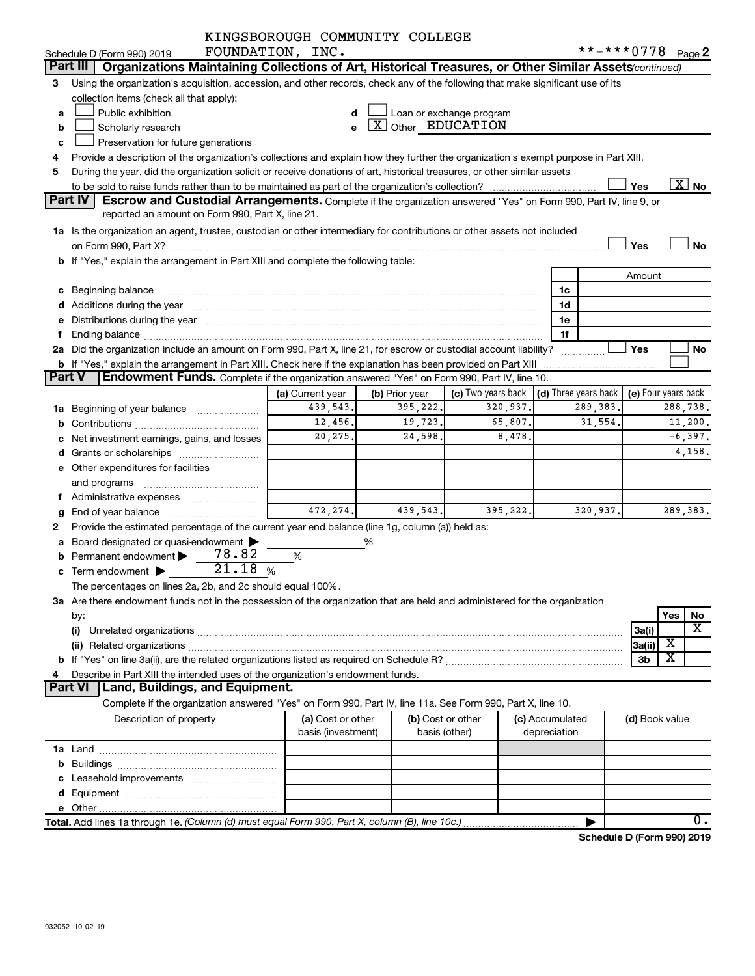|        |                                                                                                                                                                                                                                     | KINGSBOROUGH COMMUNITY COLLEGE          |                                     |                                    |                 |              |                      |                |                            |  |
|--------|-------------------------------------------------------------------------------------------------------------------------------------------------------------------------------------------------------------------------------------|-----------------------------------------|-------------------------------------|------------------------------------|-----------------|--------------|----------------------|----------------|----------------------------|--|
|        | Schedule D (Form 990) 2019                                                                                                                                                                                                          | FOUNDATION, INC.                        |                                     |                                    |                 |              | $***$ $***$ 0778     |                | Page 2                     |  |
|        | Part III   Organizations Maintaining Collections of Art, Historical Treasures, or Other Similar Assets(continued)                                                                                                                   |                                         |                                     |                                    |                 |              |                      |                |                            |  |
| 3.     | Using the organization's acquisition, accession, and other records, check any of the following that make significant use of its                                                                                                     |                                         |                                     |                                    |                 |              |                      |                |                            |  |
|        | collection items (check all that apply):                                                                                                                                                                                            |                                         |                                     |                                    |                 |              |                      |                |                            |  |
| a      | Public exhibition                                                                                                                                                                                                                   |                                         |                                     | Loan or exchange program           |                 |              |                      |                |                            |  |
| b      | Scholarly research                                                                                                                                                                                                                  | e                                       | $\lfloor x \rfloor$ Other EDUCATION |                                    |                 |              |                      |                |                            |  |
| c      | Preservation for future generations                                                                                                                                                                                                 |                                         |                                     |                                    |                 |              |                      |                |                            |  |
| 4      | Provide a description of the organization's collections and explain how they further the organization's exempt purpose in Part XIII.                                                                                                |                                         |                                     |                                    |                 |              |                      |                |                            |  |
| 5      | During the year, did the organization solicit or receive donations of art, historical treasures, or other similar assets                                                                                                            |                                         |                                     |                                    |                 |              |                      |                |                            |  |
|        |                                                                                                                                                                                                                                     |                                         |                                     |                                    |                 |              |                      | Yes            | $\overline{\text{X}}$ No   |  |
|        | Part IV<br>Escrow and Custodial Arrangements. Complete if the organization answered "Yes" on Form 990, Part IV, line 9, or                                                                                                          |                                         |                                     |                                    |                 |              |                      |                |                            |  |
|        | reported an amount on Form 990, Part X, line 21.                                                                                                                                                                                    |                                         |                                     |                                    |                 |              |                      |                |                            |  |
|        | 1a Is the organization an agent, trustee, custodian or other intermediary for contributions or other assets not included                                                                                                            |                                         |                                     |                                    |                 |              |                      |                |                            |  |
|        |                                                                                                                                                                                                                                     |                                         |                                     |                                    |                 |              |                      | Yes            | <b>No</b>                  |  |
|        | b If "Yes," explain the arrangement in Part XIII and complete the following table:                                                                                                                                                  |                                         |                                     |                                    |                 |              |                      |                |                            |  |
|        |                                                                                                                                                                                                                                     |                                         |                                     |                                    |                 |              |                      | Amount         |                            |  |
|        | c Beginning balance <b>communications</b> and a construction of the construction of the construction of the construction of the construction of the construction of the construction of the construction of the construction of the |                                         |                                     |                                    |                 | 1c           |                      |                |                            |  |
|        |                                                                                                                                                                                                                                     |                                         |                                     |                                    |                 | 1d           |                      |                |                            |  |
|        | e Distributions during the year manufactured and an account of the year manufactured and account of the year manufactured and account of the state of the state of the state of the state of the state of the state of the sta      |                                         |                                     |                                    |                 | 1e           |                      |                |                            |  |
| f      |                                                                                                                                                                                                                                     |                                         |                                     |                                    |                 | 1f           |                      |                |                            |  |
|        | 2a Did the organization include an amount on Form 990, Part X, line 21, for escrow or custodial account liability?                                                                                                                  |                                         |                                     |                                    |                 |              |                      | Yes            | No                         |  |
|        | <b>b</b> If "Yes," explain the arrangement in Part XIII. Check here if the explanation has been provided on Part XIII                                                                                                               |                                         |                                     |                                    |                 |              |                      |                |                            |  |
| Part V | Endowment Funds. Complete if the organization answered "Yes" on Form 990, Part IV, line 10.                                                                                                                                         |                                         |                                     |                                    |                 |              |                      |                |                            |  |
|        |                                                                                                                                                                                                                                     | (a) Current year                        | (b) Prior year                      | (c) Two years back                 |                 |              | (d) Three years back |                | (e) Four years back        |  |
|        | 1a Beginning of year balance                                                                                                                                                                                                        | 439,543.                                | 395,222.                            | 320,937.                           |                 |              | 289,383.             |                | 288,738.                   |  |
|        |                                                                                                                                                                                                                                     | 12,456.                                 | 19,723.                             | 65,807.                            |                 |              | 31,554.              |                | 11,200.                    |  |
|        | c Net investment earnings, gains, and losses                                                                                                                                                                                        | 20,275.                                 | 24,598.                             | 8,478.                             |                 |              |                      |                | $-6,397.$                  |  |
|        |                                                                                                                                                                                                                                     |                                         |                                     |                                    |                 |              |                      |                | 4,158.                     |  |
|        | e Other expenditures for facilities                                                                                                                                                                                                 |                                         |                                     |                                    |                 |              |                      |                |                            |  |
|        | and programs                                                                                                                                                                                                                        |                                         |                                     |                                    |                 |              |                      |                |                            |  |
|        | f Administrative expenses                                                                                                                                                                                                           |                                         |                                     |                                    |                 |              |                      |                |                            |  |
|        |                                                                                                                                                                                                                                     | 472, 274.                               | 439,543.                            | 395, 222.                          |                 |              | 320,937.             |                | 289,383.                   |  |
| 2      | Provide the estimated percentage of the current year end balance (line 1g, column (a)) held as:                                                                                                                                     |                                         |                                     |                                    |                 |              |                      |                |                            |  |
|        | a Board designated or quasi-endowment >                                                                                                                                                                                             |                                         | %                                   |                                    |                 |              |                      |                |                            |  |
|        | 78.82<br>Permanent endowment<br>21.18%                                                                                                                                                                                              | %                                       |                                     |                                    |                 |              |                      |                |                            |  |
|        | c Term endowment $\blacktriangleright$                                                                                                                                                                                              |                                         |                                     |                                    |                 |              |                      |                |                            |  |
|        | The percentages on lines 2a, 2b, and 2c should equal 100%.                                                                                                                                                                          |                                         |                                     |                                    |                 |              |                      |                |                            |  |
|        | 3a Are there endowment funds not in the possession of the organization that are held and administered for the organization                                                                                                          |                                         |                                     |                                    |                 |              |                      |                |                            |  |
|        | by:                                                                                                                                                                                                                                 |                                         |                                     |                                    |                 |              |                      |                | Yes<br>No<br>X             |  |
|        | (i)                                                                                                                                                                                                                                 |                                         |                                     |                                    |                 |              |                      | 3a(i)          | х                          |  |
|        |                                                                                                                                                                                                                                     |                                         |                                     |                                    |                 |              |                      | 3a(ii)         | х                          |  |
|        |                                                                                                                                                                                                                                     |                                         |                                     |                                    |                 |              |                      | 3 <sub>b</sub> |                            |  |
| 4      | Describe in Part XIII the intended uses of the organization's endowment funds.<br>Part VI   Land, Buildings, and Equipment.                                                                                                         |                                         |                                     |                                    |                 |              |                      |                |                            |  |
|        | Complete if the organization answered "Yes" on Form 990, Part IV, line 11a. See Form 990, Part X, line 10.                                                                                                                          |                                         |                                     |                                    |                 |              |                      |                |                            |  |
|        |                                                                                                                                                                                                                                     |                                         |                                     |                                    | (c) Accumulated |              |                      |                |                            |  |
|        | Description of property                                                                                                                                                                                                             | (a) Cost or other<br>basis (investment) |                                     | (b) Cost or other<br>basis (other) |                 | depreciation |                      | (d) Book value |                            |  |
|        |                                                                                                                                                                                                                                     |                                         |                                     |                                    |                 |              |                      |                |                            |  |
|        |                                                                                                                                                                                                                                     |                                         |                                     |                                    |                 |              |                      |                |                            |  |
|        |                                                                                                                                                                                                                                     |                                         |                                     |                                    |                 |              |                      |                |                            |  |
|        |                                                                                                                                                                                                                                     |                                         |                                     |                                    |                 |              |                      |                |                            |  |
|        |                                                                                                                                                                                                                                     |                                         |                                     |                                    |                 |              |                      |                |                            |  |
|        | Total. Add lines 1a through 1e. (Column (d) must equal Form 990, Part X, column (B), line 10c.)                                                                                                                                     |                                         |                                     |                                    |                 |              |                      |                | ο.                         |  |
|        |                                                                                                                                                                                                                                     |                                         |                                     |                                    |                 |              |                      |                | Schedule D (Form 990) 2019 |  |
|        |                                                                                                                                                                                                                                     |                                         |                                     |                                    |                 |              |                      |                |                            |  |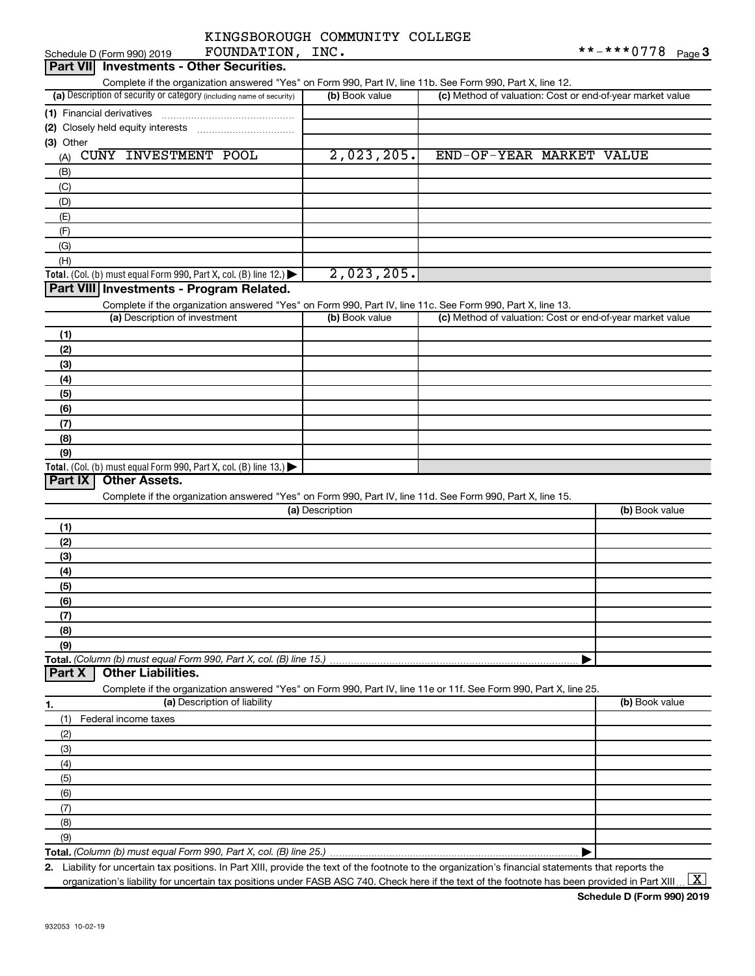| KINGSBOROUGH COMMUNITY COLLEGE |      |  |
|--------------------------------|------|--|
| ᢑᢕᠮᠯᠮᠮᡗ᠊ᠯᡴᡏ᠘ᠾ                  | TNTC |  |

| Schedule D (Form 990) 2019<br>FOUNDATION,                                                                         | TMC.            |                                                           | $***$ $0/8$<br>Page 3 |
|-------------------------------------------------------------------------------------------------------------------|-----------------|-----------------------------------------------------------|-----------------------|
| Part VII Investments - Other Securities.                                                                          |                 |                                                           |                       |
| Complete if the organization answered "Yes" on Form 990, Part IV, line 11b. See Form 990, Part X, line 12.        |                 |                                                           |                       |
| (a) Description of security or category (including name of security)                                              | (b) Book value  | (c) Method of valuation: Cost or end-of-year market value |                       |
| (1) Financial derivatives                                                                                         |                 |                                                           |                       |
| (2) Closely held equity interests                                                                                 |                 |                                                           |                       |
| (3) Other                                                                                                         |                 |                                                           |                       |
| CUNY INVESTMENT POOL<br>(A)                                                                                       | 2,023,205.      | END-OF-YEAR MARKET VALUE                                  |                       |
| (B)                                                                                                               |                 |                                                           |                       |
| (C)                                                                                                               |                 |                                                           |                       |
| (D)                                                                                                               |                 |                                                           |                       |
| (E)                                                                                                               |                 |                                                           |                       |
| (F)                                                                                                               |                 |                                                           |                       |
| (G)                                                                                                               |                 |                                                           |                       |
| (H)                                                                                                               |                 |                                                           |                       |
| Total. (Col. (b) must equal Form 990, Part X, col. (B) line 12.) $\blacktriangleright$                            | 2,023,205.      |                                                           |                       |
| Part VIII Investments - Program Related.                                                                          |                 |                                                           |                       |
| Complete if the organization answered "Yes" on Form 990, Part IV, line 11c. See Form 990, Part X, line 13.        |                 |                                                           |                       |
| (a) Description of investment                                                                                     | (b) Book value  | (c) Method of valuation: Cost or end-of-year market value |                       |
| (1)                                                                                                               |                 |                                                           |                       |
| (2)                                                                                                               |                 |                                                           |                       |
| (3)                                                                                                               |                 |                                                           |                       |
| (4)                                                                                                               |                 |                                                           |                       |
| (5)                                                                                                               |                 |                                                           |                       |
| (6)                                                                                                               |                 |                                                           |                       |
| (7)                                                                                                               |                 |                                                           |                       |
| (8)                                                                                                               |                 |                                                           |                       |
| (9)                                                                                                               |                 |                                                           |                       |
| Total. (Col. (b) must equal Form 990, Part X, col. (B) line 13.) $\blacktriangleright$                            |                 |                                                           |                       |
| <b>Other Assets.</b><br>Part IX                                                                                   |                 |                                                           |                       |
| Complete if the organization answered "Yes" on Form 990, Part IV, line 11d. See Form 990, Part X, line 15.        |                 |                                                           |                       |
|                                                                                                                   | (a) Description |                                                           | (b) Book value        |
| (1)                                                                                                               |                 |                                                           |                       |
| (2)                                                                                                               |                 |                                                           |                       |
| (3)                                                                                                               |                 |                                                           |                       |
| (4)                                                                                                               |                 |                                                           |                       |
| (5)                                                                                                               |                 |                                                           |                       |
| (6)                                                                                                               |                 |                                                           |                       |
| (7)                                                                                                               |                 |                                                           |                       |
| (8)                                                                                                               |                 |                                                           |                       |
| (9)                                                                                                               |                 |                                                           |                       |
| Total. (Column (b) must equal Form 990, Part X, col. (B) line 15.)                                                |                 |                                                           |                       |
| <b>Other Liabilities.</b><br>Part X                                                                               |                 |                                                           |                       |
| Complete if the organization answered "Yes" on Form 990, Part IV, line 11e or 11f. See Form 990, Part X, line 25. |                 |                                                           |                       |
| (a) Description of liability<br>1.                                                                                |                 |                                                           | (b) Book value        |
| (1)<br>Federal income taxes                                                                                       |                 |                                                           |                       |
| (2)                                                                                                               |                 |                                                           |                       |
| (3)                                                                                                               |                 |                                                           |                       |
| (4)                                                                                                               |                 |                                                           |                       |
| (5)                                                                                                               |                 |                                                           |                       |
| (6)                                                                                                               |                 |                                                           |                       |
| (7)                                                                                                               |                 |                                                           |                       |
| (8)                                                                                                               |                 |                                                           |                       |
| (9)                                                                                                               |                 |                                                           |                       |
| Total. (Column (b) must equal Form 990, Part X, col. (B) line 25.)                                                |                 |                                                           |                       |

**2.** Liability for uncertain tax positions. In Part XIII, provide the text of the footnote to the organization's financial statements that reports the organization's liability for uncertain tax positions under FASB ASC 740. Check here if the text of the footnote has been provided in Part XIII ...  $\fbox{\bf X}$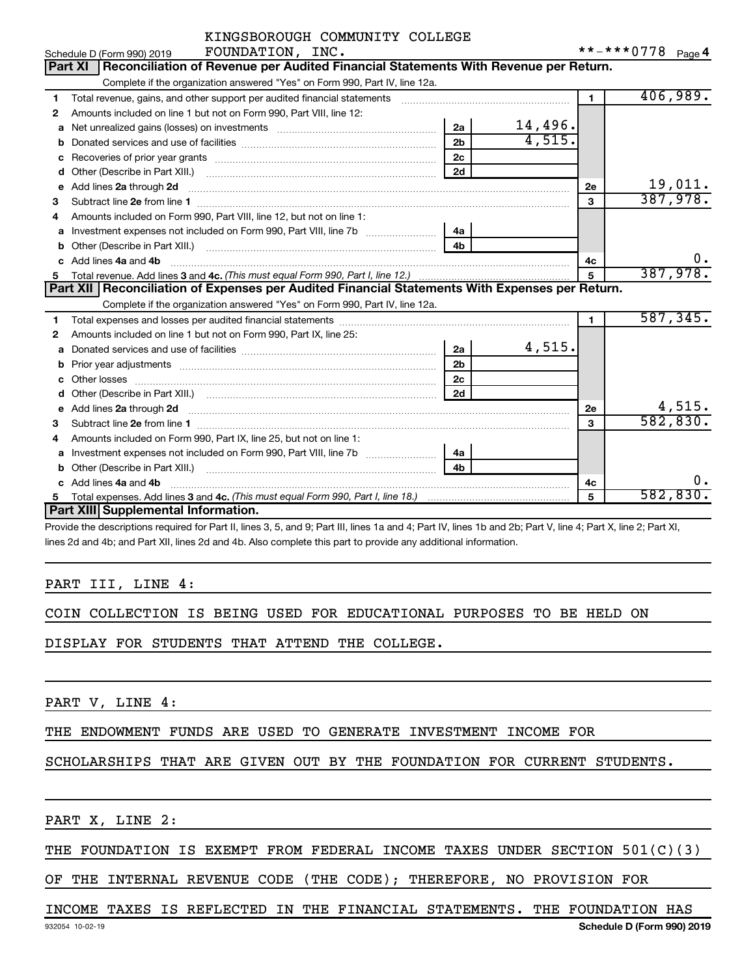|   | KINGSBOROUGH COMMUNITY COLLEGE                                                                                                                               |                |         |              |                   |
|---|--------------------------------------------------------------------------------------------------------------------------------------------------------------|----------------|---------|--------------|-------------------|
|   | FOUNDATION, INC.<br>Schedule D (Form 990) 2019                                                                                                               |                |         |              | **-***0778 Page 4 |
|   | Reconciliation of Revenue per Audited Financial Statements With Revenue per Return.<br><b>Part XI</b>                                                        |                |         |              |                   |
|   | Complete if the organization answered "Yes" on Form 990, Part IV, line 12a.                                                                                  |                |         |              |                   |
| 1 | Total revenue, gains, and other support per audited financial statements [111] [11] Total revenue, gains, and other support per audited financial statements |                |         | $\mathbf{1}$ | 406,989.          |
| 2 | Amounts included on line 1 but not on Form 990, Part VIII, line 12:                                                                                          |                |         |              |                   |
| a | Net unrealized gains (losses) on investments [111] [12] matter contracts and a local metal of the university o                                               | 2a             | 14,496. |              |                   |
| b |                                                                                                                                                              | 2 <sub>b</sub> | 4,515.  |              |                   |
|   |                                                                                                                                                              | 2 <sub>c</sub> |         |              |                   |
| d |                                                                                                                                                              | 2d             |         |              |                   |
|   | e Add lines 2a through 2d                                                                                                                                    |                |         | <b>2e</b>    | 19,011.           |
| 3 |                                                                                                                                                              |                |         | 3            | 387,978.          |
| 4 | Amounts included on Form 990, Part VIII, line 12, but not on line 1:                                                                                         |                |         |              |                   |
| a |                                                                                                                                                              | 4a             |         |              |                   |
|   |                                                                                                                                                              | 4 <sub>h</sub> |         |              |                   |
|   | c Add lines 4a and 4b                                                                                                                                        |                |         | 4с           | 0.                |
| 5 |                                                                                                                                                              |                |         | 5            | 387,978.          |
|   | Part XII   Reconciliation of Expenses per Audited Financial Statements With Expenses per Return.                                                             |                |         |              |                   |
|   | Complete if the organization answered "Yes" on Form 990, Part IV, line 12a.                                                                                  |                |         |              |                   |
| 1 |                                                                                                                                                              |                |         | $\mathbf{1}$ | 587, 345.         |
| 2 | Amounts included on line 1 but not on Form 990, Part IX, line 25:                                                                                            |                |         |              |                   |
| a |                                                                                                                                                              | 2a             | 4,515.  |              |                   |
| b |                                                                                                                                                              | 2 <sub>b</sub> |         |              |                   |
|   |                                                                                                                                                              | 2 <sub>c</sub> |         |              |                   |
| d |                                                                                                                                                              | 2d             |         |              |                   |
|   | e Add lines 2a through 2d [11] manual contract and a set of the set of the Add lines 2a through 2d                                                           |                |         | 2e           | 4,515.            |
| 3 |                                                                                                                                                              |                |         | 3            | 582, 830.         |
| 4 | Amounts included on Form 990, Part IX, line 25, but not on line 1:                                                                                           |                |         |              |                   |
| a |                                                                                                                                                              | 4a             |         |              |                   |
|   | Other (Describe in Part XIII.) [100] [100] [100] [100] [100] [100] [100] [100] [100] [100] [100] [100] [100] [                                               | 4 <sub>b</sub> |         |              |                   |
|   | Add lines 4a and 4b                                                                                                                                          |                |         | 4c           | ο.                |
|   |                                                                                                                                                              |                |         | 5            | 582,830.          |
|   | Part XIII Supplemental Information.                                                                                                                          |                |         |              |                   |

Provide the descriptions required for Part II, lines 3, 5, and 9; Part III, lines 1a and 4; Part IV, lines 1b and 2b; Part V, line 4; Part X, line 2; Part XI, lines 2d and 4b; and Part XII, lines 2d and 4b. Also complete this part to provide any additional information.

#### PART III, LINE 4:

|  |  |  |  |  |  | COIN COLLECTION IS BEING USED FOR EDUCATIONAL PURPOSES TO BE HELD ON |  |  |  |  |  |
|--|--|--|--|--|--|----------------------------------------------------------------------|--|--|--|--|--|
|--|--|--|--|--|--|----------------------------------------------------------------------|--|--|--|--|--|

DISPLAY FOR STUDENTS THAT ATTEND THE COLLEGE.

PART V, LINE 4:

THE ENDOWMENT FUNDS ARE USED TO GENERATE INVESTMENT INCOME FOR

SCHOLARSHIPS THAT ARE GIVEN OUT BY THE FOUNDATION FOR CURRENT STUDENTS.

PART X, LINE 2:

#### THE FOUNDATION IS EXEMPT FROM FEDERAL INCOME TAXES UNDER SECTION 501(C)(3)

OF THE INTERNAL REVENUE CODE (THE CODE); THEREFORE, NO PROVISION FOR

#### INCOME TAXES IS REFLECTED IN THE FINANCIAL STATEMENTS. THE FOUNDATION HAS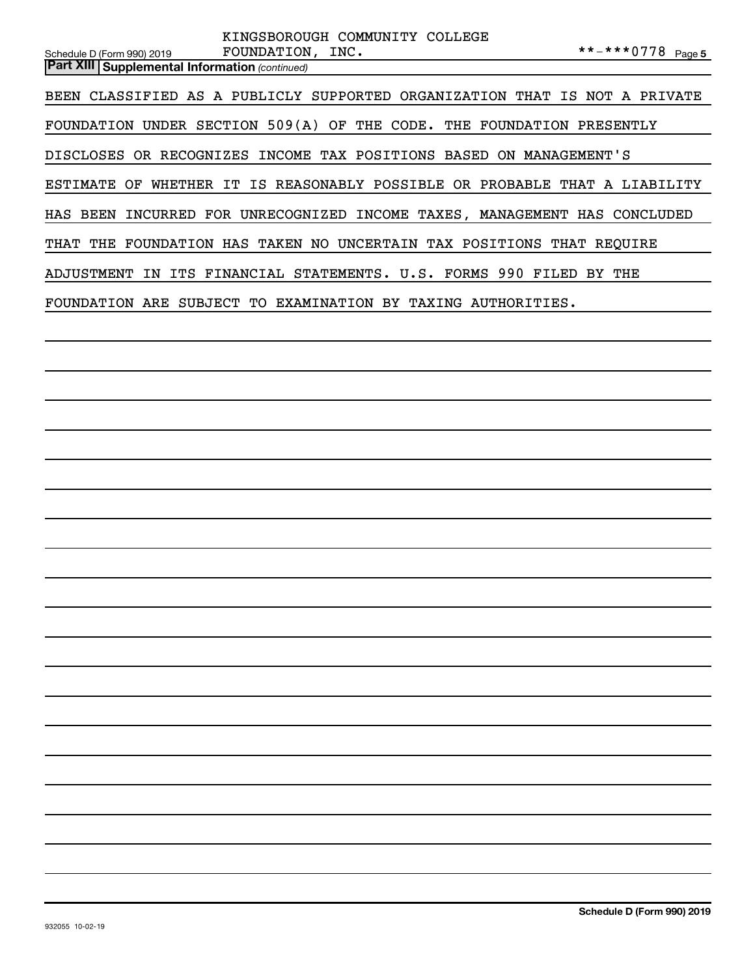| KINGSBOROUGH COMMUNITY COLLEGE                                                                                               |
|------------------------------------------------------------------------------------------------------------------------------|
| **-***0778 Page 5<br>FOUNDATION, INC.<br>Schedule D (Form 990) 2019<br><b>Part XIII Supplemental Information (continued)</b> |
|                                                                                                                              |
| BEEN CLASSIFIED AS A PUBLICLY SUPPORTED ORGANIZATION THAT IS NOT A PRIVATE                                                   |
| FOUNDATION UNDER SECTION 509(A) OF THE CODE. THE FOUNDATION PRESENTLY                                                        |
| DISCLOSES OR RECOGNIZES INCOME TAX POSITIONS BASED ON MANAGEMENT'S                                                           |
| ESTIMATE OF WHETHER IT IS REASONABLY POSSIBLE OR PROBABLE THAT A LIABILITY                                                   |
| HAS BEEN INCURRED FOR UNRECOGNIZED INCOME TAXES, MANAGEMENT HAS CONCLUDED                                                    |
| THAT THE FOUNDATION HAS TAKEN NO UNCERTAIN TAX POSITIONS THAT REQUIRE                                                        |
| ADJUSTMENT IN ITS FINANCIAL STATEMENTS. U.S. FORMS 990 FILED BY THE                                                          |
| FOUNDATION ARE SUBJECT TO EXAMINATION BY TAXING AUTHORITIES.                                                                 |
|                                                                                                                              |
|                                                                                                                              |
|                                                                                                                              |
|                                                                                                                              |
|                                                                                                                              |
|                                                                                                                              |
|                                                                                                                              |
|                                                                                                                              |
|                                                                                                                              |
|                                                                                                                              |
|                                                                                                                              |
|                                                                                                                              |
|                                                                                                                              |
|                                                                                                                              |
|                                                                                                                              |
|                                                                                                                              |
|                                                                                                                              |
|                                                                                                                              |
|                                                                                                                              |
|                                                                                                                              |
|                                                                                                                              |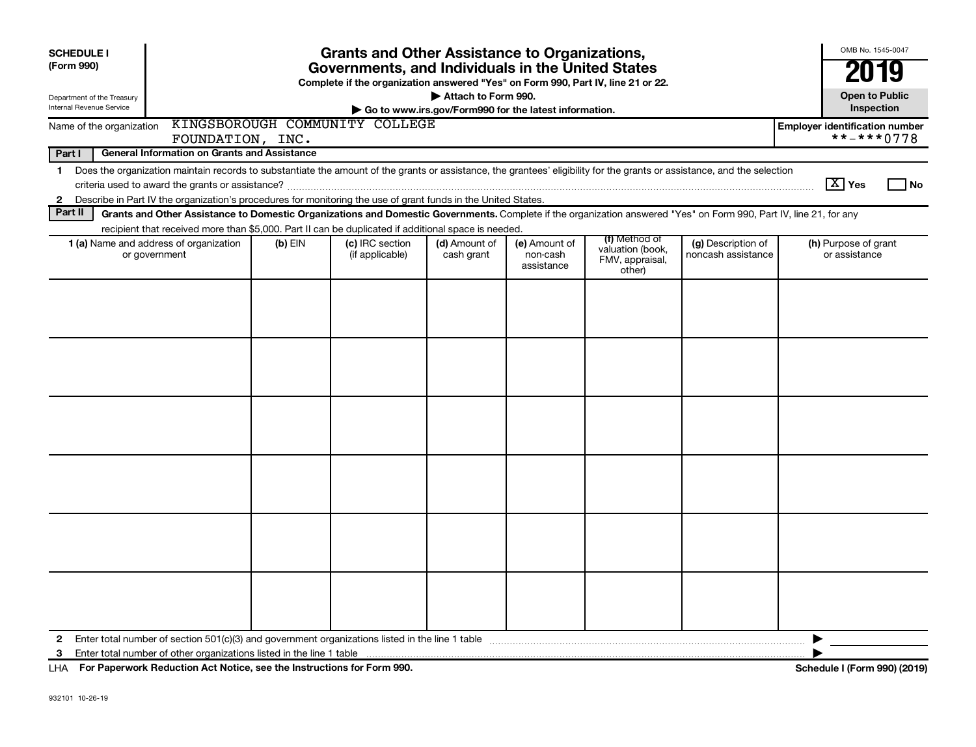| <b>SCHEDULE I</b><br>(Form 990)                        |                                                                                                                                                                                                                                                                                     |           | <b>Grants and Other Assistance to Organizations,</b><br>Governments, and Individuals in the United States |                             |                                                       |                                                                |                                          | OMB No. 1545-0047                                        |
|--------------------------------------------------------|-------------------------------------------------------------------------------------------------------------------------------------------------------------------------------------------------------------------------------------------------------------------------------------|-----------|-----------------------------------------------------------------------------------------------------------|-----------------------------|-------------------------------------------------------|----------------------------------------------------------------|------------------------------------------|----------------------------------------------------------|
|                                                        |                                                                                                                                                                                                                                                                                     |           | Complete if the organization answered "Yes" on Form 990, Part IV, line 21 or 22.                          |                             |                                                       |                                                                |                                          |                                                          |
| Department of the Treasury<br>Internal Revenue Service |                                                                                                                                                                                                                                                                                     |           |                                                                                                           | Attach to Form 990.         | Go to www.irs.gov/Form990 for the latest information. |                                                                |                                          | <b>Open to Public</b><br>Inspection                      |
| Name of the organization                               | FOUNDATION, INC.                                                                                                                                                                                                                                                                    |           | KINGSBOROUGH COMMUNITY COLLEGE                                                                            |                             |                                                       |                                                                |                                          | <b>Employer identification number</b><br>$***$ -*** 0778 |
| Part I                                                 | <b>General Information on Grants and Assistance</b>                                                                                                                                                                                                                                 |           |                                                                                                           |                             |                                                       |                                                                |                                          |                                                          |
| $\mathbf 1$                                            | Does the organization maintain records to substantiate the amount of the grants or assistance, the grantees' eligibility for the grants or assistance, and the selection                                                                                                            |           |                                                                                                           |                             |                                                       |                                                                |                                          | $\boxed{\text{X}}$ Yes<br>  No                           |
| $\mathbf{2}$<br>Part II                                | Describe in Part IV the organization's procedures for monitoring the use of grant funds in the United States.<br>Grants and Other Assistance to Domestic Organizations and Domestic Governments. Complete if the organization answered "Yes" on Form 990, Part IV, line 21, for any |           |                                                                                                           |                             |                                                       |                                                                |                                          |                                                          |
|                                                        | recipient that received more than \$5,000. Part II can be duplicated if additional space is needed.                                                                                                                                                                                 |           |                                                                                                           |                             |                                                       |                                                                |                                          |                                                          |
|                                                        | 1 (a) Name and address of organization<br>or government                                                                                                                                                                                                                             | $(b)$ EIN | (c) IRC section<br>(if applicable)                                                                        | (d) Amount of<br>cash grant | (e) Amount of<br>non-cash<br>assistance               | (f) Method of<br>valuation (book,<br>FMV, appraisal,<br>other) | (g) Description of<br>noncash assistance | (h) Purpose of grant<br>or assistance                    |
|                                                        |                                                                                                                                                                                                                                                                                     |           |                                                                                                           |                             |                                                       |                                                                |                                          |                                                          |
|                                                        |                                                                                                                                                                                                                                                                                     |           |                                                                                                           |                             |                                                       |                                                                |                                          |                                                          |
|                                                        |                                                                                                                                                                                                                                                                                     |           |                                                                                                           |                             |                                                       |                                                                |                                          |                                                          |
|                                                        |                                                                                                                                                                                                                                                                                     |           |                                                                                                           |                             |                                                       |                                                                |                                          |                                                          |
|                                                        |                                                                                                                                                                                                                                                                                     |           |                                                                                                           |                             |                                                       |                                                                |                                          |                                                          |
|                                                        |                                                                                                                                                                                                                                                                                     |           |                                                                                                           |                             |                                                       |                                                                |                                          |                                                          |
| 2<br>3                                                 |                                                                                                                                                                                                                                                                                     |           |                                                                                                           |                             |                                                       |                                                                |                                          | ▶                                                        |

**For Paperwork Reduction Act Notice, see the Instructions for Form 990. Schedule I (Form 990) (2019)** LHA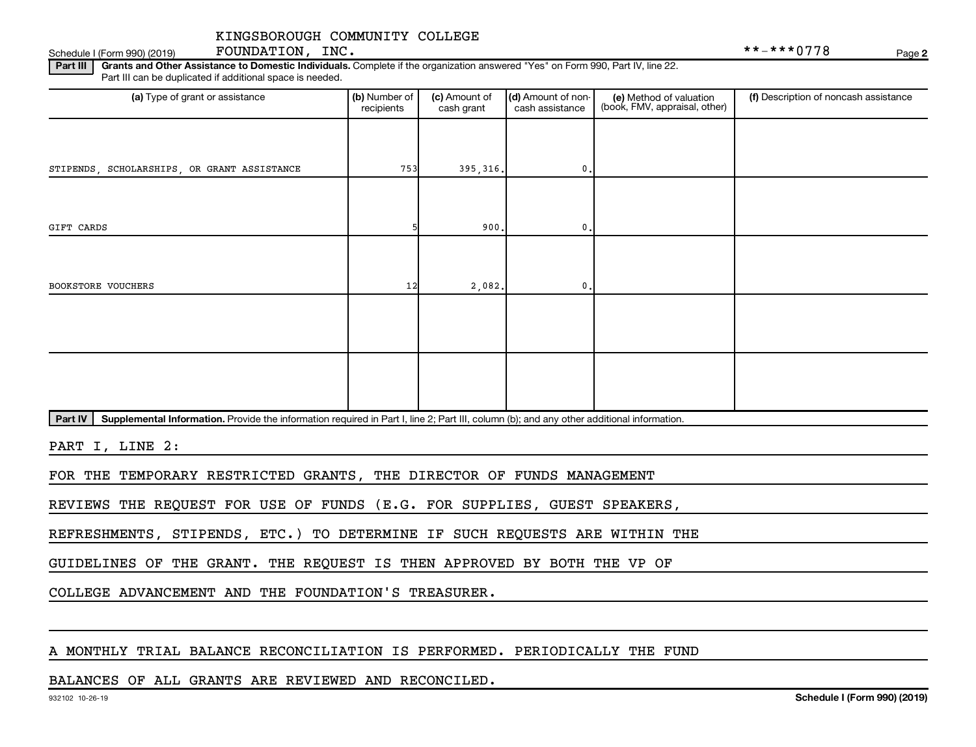Schedule I (Form 990) (2019)  $\qquad \qquad \qquad$   $\qquad \qquad$   $\qquad \qquad$   $\qquad \qquad$   $\qquad \qquad$   $\qquad \qquad$   $\qquad \qquad$   $\qquad \qquad$   $\qquad \qquad$   $\qquad \qquad$   $\qquad \qquad$   $\qquad \qquad$   $\qquad \qquad$   $\qquad \qquad$   $\qquad \qquad$   $\qquad \qquad$   $\qquad \qquad$   $\qquad \qquad$   $\qquad \qquad$   $\qquad \qquad$   $\qquad \qquad$ 

FOUNDATION, INC.

**2**

Part III | Grants and Other Assistance to Domestic Individuals. Complete if the organization answered "Yes" on Form 990, Part IV, line 22. Part III can be duplicated if additional space is needed.

| (a) Type of grant or assistance             | (b) Number of<br>recipients | (c) Amount of<br>cash grant | (d) Amount of non-<br>cash assistance | (e) Method of valuation<br>(book, FMV, appraisal, other) | (f) Description of noncash assistance |
|---------------------------------------------|-----------------------------|-----------------------------|---------------------------------------|----------------------------------------------------------|---------------------------------------|
|                                             |                             |                             |                                       |                                                          |                                       |
| STIPENDS, SCHOLARSHIPS, OR GRANT ASSISTANCE | 753                         | 395, 316.                   | $0$ .                                 |                                                          |                                       |
|                                             |                             |                             |                                       |                                                          |                                       |
| GIFT CARDS                                  |                             | 900.                        | 0.                                    |                                                          |                                       |
|                                             |                             |                             |                                       |                                                          |                                       |
| BOOKSTORE VOUCHERS                          | 12                          | 2,082.                      | $\mathbf 0$ .                         |                                                          |                                       |
|                                             |                             |                             |                                       |                                                          |                                       |
|                                             |                             |                             |                                       |                                                          |                                       |
|                                             |                             |                             |                                       |                                                          |                                       |
|                                             |                             |                             |                                       |                                                          |                                       |

Part IV | Supplemental Information. Provide the information required in Part I, line 2; Part III, column (b); and any other additional information.

PART I, LINE 2:

FOR THE TEMPORARY RESTRICTED GRANTS, THE DIRECTOR OF FUNDS MANAGEMENT

REVIEWS THE REQUEST FOR USE OF FUNDS (E.G. FOR SUPPLIES, GUEST SPEAKERS,

REFRESHMENTS, STIPENDS, ETC.) TO DETERMINE IF SUCH REQUESTS ARE WITHIN THE

GUIDELINES OF THE GRANT. THE REQUEST IS THEN APPROVED BY BOTH THE VP OF

COLLEGE ADVANCEMENT AND THE FOUNDATION'S TREASURER.

## A MONTHLY TRIAL BALANCE RECONCILIATION IS PERFORMED. PERIODICALLY THE FUND

### BALANCES OF ALL GRANTS ARE REVIEWED AND RECONCILED.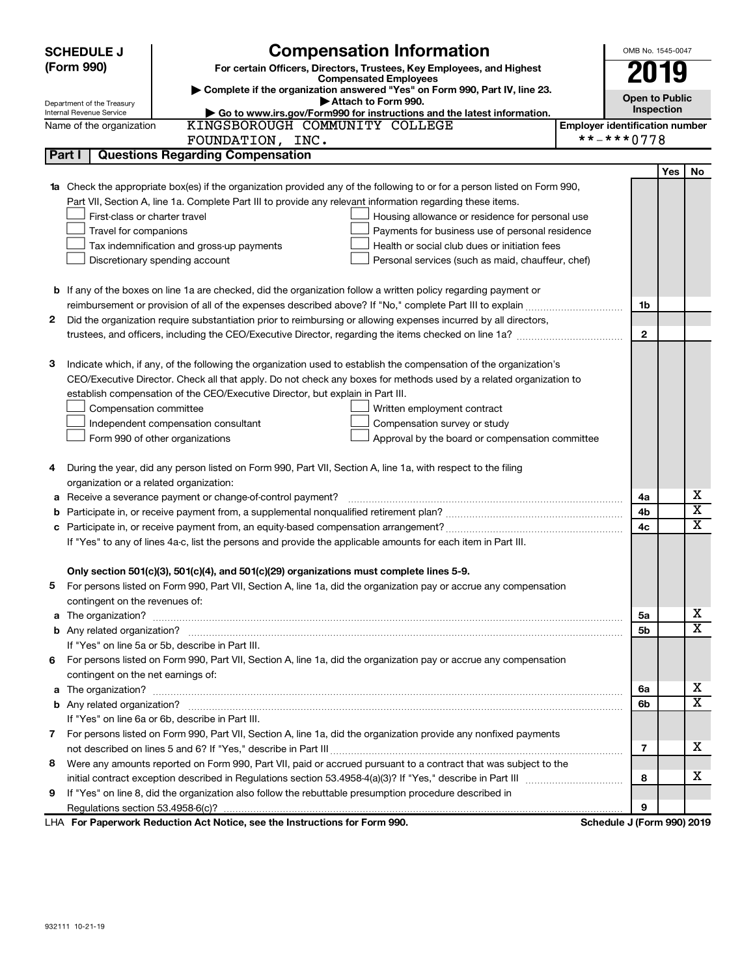| Complete if the organization answered "Yes" on Form 990, Part IV, line 23.<br><b>Open to Public</b><br>Attach to Form 990.<br>Department of the Treasury<br><b>Inspection</b><br>Internal Revenue Service<br>Go to www.irs.gov/Form990 for instructions and the latest information.<br>KINGSBOROUGH COMMUNITY COLLEGE<br><b>Employer identification number</b><br>Name of the organization<br>**-***0778<br>FOUNDATION, INC.<br>Part I<br><b>Questions Regarding Compensation</b><br>Yes<br>No<br><b>1a</b> Check the appropriate box(es) if the organization provided any of the following to or for a person listed on Form 990,<br>Part VII, Section A, line 1a. Complete Part III to provide any relevant information regarding these items.<br>First-class or charter travel<br>Housing allowance or residence for personal use<br>Travel for companions<br>Payments for business use of personal residence<br>Tax indemnification and gross-up payments<br>Health or social club dues or initiation fees<br>Discretionary spending account<br>Personal services (such as maid, chauffeur, chef)<br><b>b</b> If any of the boxes on line 1a are checked, did the organization follow a written policy regarding payment or<br>1b<br>Did the organization require substantiation prior to reimbursing or allowing expenses incurred by all directors,<br>2<br>$\mathbf{2}$<br>Indicate which, if any, of the following the organization used to establish the compensation of the organization's<br>3<br>CEO/Executive Director. Check all that apply. Do not check any boxes for methods used by a related organization to<br>establish compensation of the CEO/Executive Director, but explain in Part III.<br>Compensation committee<br>Written employment contract<br>Independent compensation consultant<br>Compensation survey or study<br>Form 990 of other organizations<br>Approval by the board or compensation committee<br>During the year, did any person listed on Form 990, Part VII, Section A, line 1a, with respect to the filing<br>4<br>organization or a related organization:<br>х<br>Receive a severance payment or change-of-control payment?<br>4a<br>а<br>$\overline{\texttt{x}}$<br>4b<br>b<br>X<br>4c<br>If "Yes" to any of lines 4a-c, list the persons and provide the applicable amounts for each item in Part III.<br>Only section 501(c)(3), 501(c)(4), and 501(c)(29) organizations must complete lines 5-9.<br>For persons listed on Form 990, Part VII, Section A, line 1a, did the organization pay or accrue any compensation<br>contingent on the revenues of:<br>х<br>a The organization? <b>Entitation</b> 2008 Communication of the organization of the organization?<br>5a<br>X<br>5b<br>If "Yes" on line 5a or 5b, describe in Part III.<br>6 For persons listed on Form 990, Part VII, Section A, line 1a, did the organization pay or accrue any compensation<br>contingent on the net earnings of:<br>х<br>6а<br>x<br>6b<br>If "Yes" on line 6a or 6b, describe in Part III.<br>7 For persons listed on Form 990, Part VII, Section A, line 1a, did the organization provide any nonfixed payments<br>х<br>7<br>Were any amounts reported on Form 990, Part VII, paid or accrued pursuant to a contract that was subject to the<br>8<br>х<br>8<br>If "Yes" on line 8, did the organization also follow the rebuttable presumption procedure described in<br>9<br>9<br>LHA For Paperwork Reduction Act Notice, see the Instructions for Form 990.<br>Schedule J (Form 990) 2019 | <b>Compensation Information</b><br><b>SCHEDULE J</b><br>(Form 990)<br>For certain Officers, Directors, Trustees, Key Employees, and Highest<br><b>Compensated Employees</b> | OMB No. 1545-0047<br>2019 |  |  |  |  |
|-----------------------------------------------------------------------------------------------------------------------------------------------------------------------------------------------------------------------------------------------------------------------------------------------------------------------------------------------------------------------------------------------------------------------------------------------------------------------------------------------------------------------------------------------------------------------------------------------------------------------------------------------------------------------------------------------------------------------------------------------------------------------------------------------------------------------------------------------------------------------------------------------------------------------------------------------------------------------------------------------------------------------------------------------------------------------------------------------------------------------------------------------------------------------------------------------------------------------------------------------------------------------------------------------------------------------------------------------------------------------------------------------------------------------------------------------------------------------------------------------------------------------------------------------------------------------------------------------------------------------------------------------------------------------------------------------------------------------------------------------------------------------------------------------------------------------------------------------------------------------------------------------------------------------------------------------------------------------------------------------------------------------------------------------------------------------------------------------------------------------------------------------------------------------------------------------------------------------------------------------------------------------------------------------------------------------------------------------------------------------------------------------------------------------------------------------------------------------------------------------------------------------------------------------------------------------------------------------------------------------------------------------------------------------------------------------------------------------------------------------------------------------------------------------------------------------------------------------------------------------------------------------------------------------------------------------------------------------------------------------------------------------------------------------------------------------------------------------------------------------------------------------------------------------------------------------------------------------------------------------------------------------------------------------------------------------------------------------------------------------------------------------------------------------------------------------------------------------------------------------------------------------------------|-----------------------------------------------------------------------------------------------------------------------------------------------------------------------------|---------------------------|--|--|--|--|
|                                                                                                                                                                                                                                                                                                                                                                                                                                                                                                                                                                                                                                                                                                                                                                                                                                                                                                                                                                                                                                                                                                                                                                                                                                                                                                                                                                                                                                                                                                                                                                                                                                                                                                                                                                                                                                                                                                                                                                                                                                                                                                                                                                                                                                                                                                                                                                                                                                                                                                                                                                                                                                                                                                                                                                                                                                                                                                                                                                                                                                                                                                                                                                                                                                                                                                                                                                                                                                                                                                                                   |                                                                                                                                                                             |                           |  |  |  |  |
|                                                                                                                                                                                                                                                                                                                                                                                                                                                                                                                                                                                                                                                                                                                                                                                                                                                                                                                                                                                                                                                                                                                                                                                                                                                                                                                                                                                                                                                                                                                                                                                                                                                                                                                                                                                                                                                                                                                                                                                                                                                                                                                                                                                                                                                                                                                                                                                                                                                                                                                                                                                                                                                                                                                                                                                                                                                                                                                                                                                                                                                                                                                                                                                                                                                                                                                                                                                                                                                                                                                                   |                                                                                                                                                                             |                           |  |  |  |  |
|                                                                                                                                                                                                                                                                                                                                                                                                                                                                                                                                                                                                                                                                                                                                                                                                                                                                                                                                                                                                                                                                                                                                                                                                                                                                                                                                                                                                                                                                                                                                                                                                                                                                                                                                                                                                                                                                                                                                                                                                                                                                                                                                                                                                                                                                                                                                                                                                                                                                                                                                                                                                                                                                                                                                                                                                                                                                                                                                                                                                                                                                                                                                                                                                                                                                                                                                                                                                                                                                                                                                   |                                                                                                                                                                             |                           |  |  |  |  |
|                                                                                                                                                                                                                                                                                                                                                                                                                                                                                                                                                                                                                                                                                                                                                                                                                                                                                                                                                                                                                                                                                                                                                                                                                                                                                                                                                                                                                                                                                                                                                                                                                                                                                                                                                                                                                                                                                                                                                                                                                                                                                                                                                                                                                                                                                                                                                                                                                                                                                                                                                                                                                                                                                                                                                                                                                                                                                                                                                                                                                                                                                                                                                                                                                                                                                                                                                                                                                                                                                                                                   |                                                                                                                                                                             |                           |  |  |  |  |
|                                                                                                                                                                                                                                                                                                                                                                                                                                                                                                                                                                                                                                                                                                                                                                                                                                                                                                                                                                                                                                                                                                                                                                                                                                                                                                                                                                                                                                                                                                                                                                                                                                                                                                                                                                                                                                                                                                                                                                                                                                                                                                                                                                                                                                                                                                                                                                                                                                                                                                                                                                                                                                                                                                                                                                                                                                                                                                                                                                                                                                                                                                                                                                                                                                                                                                                                                                                                                                                                                                                                   |                                                                                                                                                                             |                           |  |  |  |  |
|                                                                                                                                                                                                                                                                                                                                                                                                                                                                                                                                                                                                                                                                                                                                                                                                                                                                                                                                                                                                                                                                                                                                                                                                                                                                                                                                                                                                                                                                                                                                                                                                                                                                                                                                                                                                                                                                                                                                                                                                                                                                                                                                                                                                                                                                                                                                                                                                                                                                                                                                                                                                                                                                                                                                                                                                                                                                                                                                                                                                                                                                                                                                                                                                                                                                                                                                                                                                                                                                                                                                   |                                                                                                                                                                             |                           |  |  |  |  |
|                                                                                                                                                                                                                                                                                                                                                                                                                                                                                                                                                                                                                                                                                                                                                                                                                                                                                                                                                                                                                                                                                                                                                                                                                                                                                                                                                                                                                                                                                                                                                                                                                                                                                                                                                                                                                                                                                                                                                                                                                                                                                                                                                                                                                                                                                                                                                                                                                                                                                                                                                                                                                                                                                                                                                                                                                                                                                                                                                                                                                                                                                                                                                                                                                                                                                                                                                                                                                                                                                                                                   |                                                                                                                                                                             |                           |  |  |  |  |
|                                                                                                                                                                                                                                                                                                                                                                                                                                                                                                                                                                                                                                                                                                                                                                                                                                                                                                                                                                                                                                                                                                                                                                                                                                                                                                                                                                                                                                                                                                                                                                                                                                                                                                                                                                                                                                                                                                                                                                                                                                                                                                                                                                                                                                                                                                                                                                                                                                                                                                                                                                                                                                                                                                                                                                                                                                                                                                                                                                                                                                                                                                                                                                                                                                                                                                                                                                                                                                                                                                                                   |                                                                                                                                                                             |                           |  |  |  |  |
|                                                                                                                                                                                                                                                                                                                                                                                                                                                                                                                                                                                                                                                                                                                                                                                                                                                                                                                                                                                                                                                                                                                                                                                                                                                                                                                                                                                                                                                                                                                                                                                                                                                                                                                                                                                                                                                                                                                                                                                                                                                                                                                                                                                                                                                                                                                                                                                                                                                                                                                                                                                                                                                                                                                                                                                                                                                                                                                                                                                                                                                                                                                                                                                                                                                                                                                                                                                                                                                                                                                                   |                                                                                                                                                                             |                           |  |  |  |  |
|                                                                                                                                                                                                                                                                                                                                                                                                                                                                                                                                                                                                                                                                                                                                                                                                                                                                                                                                                                                                                                                                                                                                                                                                                                                                                                                                                                                                                                                                                                                                                                                                                                                                                                                                                                                                                                                                                                                                                                                                                                                                                                                                                                                                                                                                                                                                                                                                                                                                                                                                                                                                                                                                                                                                                                                                                                                                                                                                                                                                                                                                                                                                                                                                                                                                                                                                                                                                                                                                                                                                   |                                                                                                                                                                             |                           |  |  |  |  |
|                                                                                                                                                                                                                                                                                                                                                                                                                                                                                                                                                                                                                                                                                                                                                                                                                                                                                                                                                                                                                                                                                                                                                                                                                                                                                                                                                                                                                                                                                                                                                                                                                                                                                                                                                                                                                                                                                                                                                                                                                                                                                                                                                                                                                                                                                                                                                                                                                                                                                                                                                                                                                                                                                                                                                                                                                                                                                                                                                                                                                                                                                                                                                                                                                                                                                                                                                                                                                                                                                                                                   |                                                                                                                                                                             |                           |  |  |  |  |
|                                                                                                                                                                                                                                                                                                                                                                                                                                                                                                                                                                                                                                                                                                                                                                                                                                                                                                                                                                                                                                                                                                                                                                                                                                                                                                                                                                                                                                                                                                                                                                                                                                                                                                                                                                                                                                                                                                                                                                                                                                                                                                                                                                                                                                                                                                                                                                                                                                                                                                                                                                                                                                                                                                                                                                                                                                                                                                                                                                                                                                                                                                                                                                                                                                                                                                                                                                                                                                                                                                                                   |                                                                                                                                                                             |                           |  |  |  |  |
|                                                                                                                                                                                                                                                                                                                                                                                                                                                                                                                                                                                                                                                                                                                                                                                                                                                                                                                                                                                                                                                                                                                                                                                                                                                                                                                                                                                                                                                                                                                                                                                                                                                                                                                                                                                                                                                                                                                                                                                                                                                                                                                                                                                                                                                                                                                                                                                                                                                                                                                                                                                                                                                                                                                                                                                                                                                                                                                                                                                                                                                                                                                                                                                                                                                                                                                                                                                                                                                                                                                                   |                                                                                                                                                                             |                           |  |  |  |  |
|                                                                                                                                                                                                                                                                                                                                                                                                                                                                                                                                                                                                                                                                                                                                                                                                                                                                                                                                                                                                                                                                                                                                                                                                                                                                                                                                                                                                                                                                                                                                                                                                                                                                                                                                                                                                                                                                                                                                                                                                                                                                                                                                                                                                                                                                                                                                                                                                                                                                                                                                                                                                                                                                                                                                                                                                                                                                                                                                                                                                                                                                                                                                                                                                                                                                                                                                                                                                                                                                                                                                   |                                                                                                                                                                             |                           |  |  |  |  |
|                                                                                                                                                                                                                                                                                                                                                                                                                                                                                                                                                                                                                                                                                                                                                                                                                                                                                                                                                                                                                                                                                                                                                                                                                                                                                                                                                                                                                                                                                                                                                                                                                                                                                                                                                                                                                                                                                                                                                                                                                                                                                                                                                                                                                                                                                                                                                                                                                                                                                                                                                                                                                                                                                                                                                                                                                                                                                                                                                                                                                                                                                                                                                                                                                                                                                                                                                                                                                                                                                                                                   |                                                                                                                                                                             |                           |  |  |  |  |
|                                                                                                                                                                                                                                                                                                                                                                                                                                                                                                                                                                                                                                                                                                                                                                                                                                                                                                                                                                                                                                                                                                                                                                                                                                                                                                                                                                                                                                                                                                                                                                                                                                                                                                                                                                                                                                                                                                                                                                                                                                                                                                                                                                                                                                                                                                                                                                                                                                                                                                                                                                                                                                                                                                                                                                                                                                                                                                                                                                                                                                                                                                                                                                                                                                                                                                                                                                                                                                                                                                                                   |                                                                                                                                                                             |                           |  |  |  |  |
|                                                                                                                                                                                                                                                                                                                                                                                                                                                                                                                                                                                                                                                                                                                                                                                                                                                                                                                                                                                                                                                                                                                                                                                                                                                                                                                                                                                                                                                                                                                                                                                                                                                                                                                                                                                                                                                                                                                                                                                                                                                                                                                                                                                                                                                                                                                                                                                                                                                                                                                                                                                                                                                                                                                                                                                                                                                                                                                                                                                                                                                                                                                                                                                                                                                                                                                                                                                                                                                                                                                                   |                                                                                                                                                                             |                           |  |  |  |  |
|                                                                                                                                                                                                                                                                                                                                                                                                                                                                                                                                                                                                                                                                                                                                                                                                                                                                                                                                                                                                                                                                                                                                                                                                                                                                                                                                                                                                                                                                                                                                                                                                                                                                                                                                                                                                                                                                                                                                                                                                                                                                                                                                                                                                                                                                                                                                                                                                                                                                                                                                                                                                                                                                                                                                                                                                                                                                                                                                                                                                                                                                                                                                                                                                                                                                                                                                                                                                                                                                                                                                   |                                                                                                                                                                             |                           |  |  |  |  |
|                                                                                                                                                                                                                                                                                                                                                                                                                                                                                                                                                                                                                                                                                                                                                                                                                                                                                                                                                                                                                                                                                                                                                                                                                                                                                                                                                                                                                                                                                                                                                                                                                                                                                                                                                                                                                                                                                                                                                                                                                                                                                                                                                                                                                                                                                                                                                                                                                                                                                                                                                                                                                                                                                                                                                                                                                                                                                                                                                                                                                                                                                                                                                                                                                                                                                                                                                                                                                                                                                                                                   |                                                                                                                                                                             |                           |  |  |  |  |
|                                                                                                                                                                                                                                                                                                                                                                                                                                                                                                                                                                                                                                                                                                                                                                                                                                                                                                                                                                                                                                                                                                                                                                                                                                                                                                                                                                                                                                                                                                                                                                                                                                                                                                                                                                                                                                                                                                                                                                                                                                                                                                                                                                                                                                                                                                                                                                                                                                                                                                                                                                                                                                                                                                                                                                                                                                                                                                                                                                                                                                                                                                                                                                                                                                                                                                                                                                                                                                                                                                                                   |                                                                                                                                                                             |                           |  |  |  |  |
|                                                                                                                                                                                                                                                                                                                                                                                                                                                                                                                                                                                                                                                                                                                                                                                                                                                                                                                                                                                                                                                                                                                                                                                                                                                                                                                                                                                                                                                                                                                                                                                                                                                                                                                                                                                                                                                                                                                                                                                                                                                                                                                                                                                                                                                                                                                                                                                                                                                                                                                                                                                                                                                                                                                                                                                                                                                                                                                                                                                                                                                                                                                                                                                                                                                                                                                                                                                                                                                                                                                                   |                                                                                                                                                                             |                           |  |  |  |  |
|                                                                                                                                                                                                                                                                                                                                                                                                                                                                                                                                                                                                                                                                                                                                                                                                                                                                                                                                                                                                                                                                                                                                                                                                                                                                                                                                                                                                                                                                                                                                                                                                                                                                                                                                                                                                                                                                                                                                                                                                                                                                                                                                                                                                                                                                                                                                                                                                                                                                                                                                                                                                                                                                                                                                                                                                                                                                                                                                                                                                                                                                                                                                                                                                                                                                                                                                                                                                                                                                                                                                   |                                                                                                                                                                             |                           |  |  |  |  |
|                                                                                                                                                                                                                                                                                                                                                                                                                                                                                                                                                                                                                                                                                                                                                                                                                                                                                                                                                                                                                                                                                                                                                                                                                                                                                                                                                                                                                                                                                                                                                                                                                                                                                                                                                                                                                                                                                                                                                                                                                                                                                                                                                                                                                                                                                                                                                                                                                                                                                                                                                                                                                                                                                                                                                                                                                                                                                                                                                                                                                                                                                                                                                                                                                                                                                                                                                                                                                                                                                                                                   |                                                                                                                                                                             |                           |  |  |  |  |
|                                                                                                                                                                                                                                                                                                                                                                                                                                                                                                                                                                                                                                                                                                                                                                                                                                                                                                                                                                                                                                                                                                                                                                                                                                                                                                                                                                                                                                                                                                                                                                                                                                                                                                                                                                                                                                                                                                                                                                                                                                                                                                                                                                                                                                                                                                                                                                                                                                                                                                                                                                                                                                                                                                                                                                                                                                                                                                                                                                                                                                                                                                                                                                                                                                                                                                                                                                                                                                                                                                                                   |                                                                                                                                                                             |                           |  |  |  |  |
|                                                                                                                                                                                                                                                                                                                                                                                                                                                                                                                                                                                                                                                                                                                                                                                                                                                                                                                                                                                                                                                                                                                                                                                                                                                                                                                                                                                                                                                                                                                                                                                                                                                                                                                                                                                                                                                                                                                                                                                                                                                                                                                                                                                                                                                                                                                                                                                                                                                                                                                                                                                                                                                                                                                                                                                                                                                                                                                                                                                                                                                                                                                                                                                                                                                                                                                                                                                                                                                                                                                                   |                                                                                                                                                                             |                           |  |  |  |  |
|                                                                                                                                                                                                                                                                                                                                                                                                                                                                                                                                                                                                                                                                                                                                                                                                                                                                                                                                                                                                                                                                                                                                                                                                                                                                                                                                                                                                                                                                                                                                                                                                                                                                                                                                                                                                                                                                                                                                                                                                                                                                                                                                                                                                                                                                                                                                                                                                                                                                                                                                                                                                                                                                                                                                                                                                                                                                                                                                                                                                                                                                                                                                                                                                                                                                                                                                                                                                                                                                                                                                   |                                                                                                                                                                             |                           |  |  |  |  |
|                                                                                                                                                                                                                                                                                                                                                                                                                                                                                                                                                                                                                                                                                                                                                                                                                                                                                                                                                                                                                                                                                                                                                                                                                                                                                                                                                                                                                                                                                                                                                                                                                                                                                                                                                                                                                                                                                                                                                                                                                                                                                                                                                                                                                                                                                                                                                                                                                                                                                                                                                                                                                                                                                                                                                                                                                                                                                                                                                                                                                                                                                                                                                                                                                                                                                                                                                                                                                                                                                                                                   |                                                                                                                                                                             |                           |  |  |  |  |
|                                                                                                                                                                                                                                                                                                                                                                                                                                                                                                                                                                                                                                                                                                                                                                                                                                                                                                                                                                                                                                                                                                                                                                                                                                                                                                                                                                                                                                                                                                                                                                                                                                                                                                                                                                                                                                                                                                                                                                                                                                                                                                                                                                                                                                                                                                                                                                                                                                                                                                                                                                                                                                                                                                                                                                                                                                                                                                                                                                                                                                                                                                                                                                                                                                                                                                                                                                                                                                                                                                                                   |                                                                                                                                                                             |                           |  |  |  |  |
|                                                                                                                                                                                                                                                                                                                                                                                                                                                                                                                                                                                                                                                                                                                                                                                                                                                                                                                                                                                                                                                                                                                                                                                                                                                                                                                                                                                                                                                                                                                                                                                                                                                                                                                                                                                                                                                                                                                                                                                                                                                                                                                                                                                                                                                                                                                                                                                                                                                                                                                                                                                                                                                                                                                                                                                                                                                                                                                                                                                                                                                                                                                                                                                                                                                                                                                                                                                                                                                                                                                                   |                                                                                                                                                                             |                           |  |  |  |  |
|                                                                                                                                                                                                                                                                                                                                                                                                                                                                                                                                                                                                                                                                                                                                                                                                                                                                                                                                                                                                                                                                                                                                                                                                                                                                                                                                                                                                                                                                                                                                                                                                                                                                                                                                                                                                                                                                                                                                                                                                                                                                                                                                                                                                                                                                                                                                                                                                                                                                                                                                                                                                                                                                                                                                                                                                                                                                                                                                                                                                                                                                                                                                                                                                                                                                                                                                                                                                                                                                                                                                   |                                                                                                                                                                             |                           |  |  |  |  |
|                                                                                                                                                                                                                                                                                                                                                                                                                                                                                                                                                                                                                                                                                                                                                                                                                                                                                                                                                                                                                                                                                                                                                                                                                                                                                                                                                                                                                                                                                                                                                                                                                                                                                                                                                                                                                                                                                                                                                                                                                                                                                                                                                                                                                                                                                                                                                                                                                                                                                                                                                                                                                                                                                                                                                                                                                                                                                                                                                                                                                                                                                                                                                                                                                                                                                                                                                                                                                                                                                                                                   |                                                                                                                                                                             |                           |  |  |  |  |
|                                                                                                                                                                                                                                                                                                                                                                                                                                                                                                                                                                                                                                                                                                                                                                                                                                                                                                                                                                                                                                                                                                                                                                                                                                                                                                                                                                                                                                                                                                                                                                                                                                                                                                                                                                                                                                                                                                                                                                                                                                                                                                                                                                                                                                                                                                                                                                                                                                                                                                                                                                                                                                                                                                                                                                                                                                                                                                                                                                                                                                                                                                                                                                                                                                                                                                                                                                                                                                                                                                                                   |                                                                                                                                                                             |                           |  |  |  |  |
|                                                                                                                                                                                                                                                                                                                                                                                                                                                                                                                                                                                                                                                                                                                                                                                                                                                                                                                                                                                                                                                                                                                                                                                                                                                                                                                                                                                                                                                                                                                                                                                                                                                                                                                                                                                                                                                                                                                                                                                                                                                                                                                                                                                                                                                                                                                                                                                                                                                                                                                                                                                                                                                                                                                                                                                                                                                                                                                                                                                                                                                                                                                                                                                                                                                                                                                                                                                                                                                                                                                                   |                                                                                                                                                                             |                           |  |  |  |  |
|                                                                                                                                                                                                                                                                                                                                                                                                                                                                                                                                                                                                                                                                                                                                                                                                                                                                                                                                                                                                                                                                                                                                                                                                                                                                                                                                                                                                                                                                                                                                                                                                                                                                                                                                                                                                                                                                                                                                                                                                                                                                                                                                                                                                                                                                                                                                                                                                                                                                                                                                                                                                                                                                                                                                                                                                                                                                                                                                                                                                                                                                                                                                                                                                                                                                                                                                                                                                                                                                                                                                   |                                                                                                                                                                             |                           |  |  |  |  |
|                                                                                                                                                                                                                                                                                                                                                                                                                                                                                                                                                                                                                                                                                                                                                                                                                                                                                                                                                                                                                                                                                                                                                                                                                                                                                                                                                                                                                                                                                                                                                                                                                                                                                                                                                                                                                                                                                                                                                                                                                                                                                                                                                                                                                                                                                                                                                                                                                                                                                                                                                                                                                                                                                                                                                                                                                                                                                                                                                                                                                                                                                                                                                                                                                                                                                                                                                                                                                                                                                                                                   |                                                                                                                                                                             |                           |  |  |  |  |
|                                                                                                                                                                                                                                                                                                                                                                                                                                                                                                                                                                                                                                                                                                                                                                                                                                                                                                                                                                                                                                                                                                                                                                                                                                                                                                                                                                                                                                                                                                                                                                                                                                                                                                                                                                                                                                                                                                                                                                                                                                                                                                                                                                                                                                                                                                                                                                                                                                                                                                                                                                                                                                                                                                                                                                                                                                                                                                                                                                                                                                                                                                                                                                                                                                                                                                                                                                                                                                                                                                                                   |                                                                                                                                                                             |                           |  |  |  |  |
|                                                                                                                                                                                                                                                                                                                                                                                                                                                                                                                                                                                                                                                                                                                                                                                                                                                                                                                                                                                                                                                                                                                                                                                                                                                                                                                                                                                                                                                                                                                                                                                                                                                                                                                                                                                                                                                                                                                                                                                                                                                                                                                                                                                                                                                                                                                                                                                                                                                                                                                                                                                                                                                                                                                                                                                                                                                                                                                                                                                                                                                                                                                                                                                                                                                                                                                                                                                                                                                                                                                                   |                                                                                                                                                                             |                           |  |  |  |  |
|                                                                                                                                                                                                                                                                                                                                                                                                                                                                                                                                                                                                                                                                                                                                                                                                                                                                                                                                                                                                                                                                                                                                                                                                                                                                                                                                                                                                                                                                                                                                                                                                                                                                                                                                                                                                                                                                                                                                                                                                                                                                                                                                                                                                                                                                                                                                                                                                                                                                                                                                                                                                                                                                                                                                                                                                                                                                                                                                                                                                                                                                                                                                                                                                                                                                                                                                                                                                                                                                                                                                   |                                                                                                                                                                             |                           |  |  |  |  |
|                                                                                                                                                                                                                                                                                                                                                                                                                                                                                                                                                                                                                                                                                                                                                                                                                                                                                                                                                                                                                                                                                                                                                                                                                                                                                                                                                                                                                                                                                                                                                                                                                                                                                                                                                                                                                                                                                                                                                                                                                                                                                                                                                                                                                                                                                                                                                                                                                                                                                                                                                                                                                                                                                                                                                                                                                                                                                                                                                                                                                                                                                                                                                                                                                                                                                                                                                                                                                                                                                                                                   |                                                                                                                                                                             |                           |  |  |  |  |
|                                                                                                                                                                                                                                                                                                                                                                                                                                                                                                                                                                                                                                                                                                                                                                                                                                                                                                                                                                                                                                                                                                                                                                                                                                                                                                                                                                                                                                                                                                                                                                                                                                                                                                                                                                                                                                                                                                                                                                                                                                                                                                                                                                                                                                                                                                                                                                                                                                                                                                                                                                                                                                                                                                                                                                                                                                                                                                                                                                                                                                                                                                                                                                                                                                                                                                                                                                                                                                                                                                                                   |                                                                                                                                                                             |                           |  |  |  |  |
|                                                                                                                                                                                                                                                                                                                                                                                                                                                                                                                                                                                                                                                                                                                                                                                                                                                                                                                                                                                                                                                                                                                                                                                                                                                                                                                                                                                                                                                                                                                                                                                                                                                                                                                                                                                                                                                                                                                                                                                                                                                                                                                                                                                                                                                                                                                                                                                                                                                                                                                                                                                                                                                                                                                                                                                                                                                                                                                                                                                                                                                                                                                                                                                                                                                                                                                                                                                                                                                                                                                                   |                                                                                                                                                                             |                           |  |  |  |  |
|                                                                                                                                                                                                                                                                                                                                                                                                                                                                                                                                                                                                                                                                                                                                                                                                                                                                                                                                                                                                                                                                                                                                                                                                                                                                                                                                                                                                                                                                                                                                                                                                                                                                                                                                                                                                                                                                                                                                                                                                                                                                                                                                                                                                                                                                                                                                                                                                                                                                                                                                                                                                                                                                                                                                                                                                                                                                                                                                                                                                                                                                                                                                                                                                                                                                                                                                                                                                                                                                                                                                   |                                                                                                                                                                             |                           |  |  |  |  |
|                                                                                                                                                                                                                                                                                                                                                                                                                                                                                                                                                                                                                                                                                                                                                                                                                                                                                                                                                                                                                                                                                                                                                                                                                                                                                                                                                                                                                                                                                                                                                                                                                                                                                                                                                                                                                                                                                                                                                                                                                                                                                                                                                                                                                                                                                                                                                                                                                                                                                                                                                                                                                                                                                                                                                                                                                                                                                                                                                                                                                                                                                                                                                                                                                                                                                                                                                                                                                                                                                                                                   |                                                                                                                                                                             |                           |  |  |  |  |
|                                                                                                                                                                                                                                                                                                                                                                                                                                                                                                                                                                                                                                                                                                                                                                                                                                                                                                                                                                                                                                                                                                                                                                                                                                                                                                                                                                                                                                                                                                                                                                                                                                                                                                                                                                                                                                                                                                                                                                                                                                                                                                                                                                                                                                                                                                                                                                                                                                                                                                                                                                                                                                                                                                                                                                                                                                                                                                                                                                                                                                                                                                                                                                                                                                                                                                                                                                                                                                                                                                                                   |                                                                                                                                                                             |                           |  |  |  |  |
|                                                                                                                                                                                                                                                                                                                                                                                                                                                                                                                                                                                                                                                                                                                                                                                                                                                                                                                                                                                                                                                                                                                                                                                                                                                                                                                                                                                                                                                                                                                                                                                                                                                                                                                                                                                                                                                                                                                                                                                                                                                                                                                                                                                                                                                                                                                                                                                                                                                                                                                                                                                                                                                                                                                                                                                                                                                                                                                                                                                                                                                                                                                                                                                                                                                                                                                                                                                                                                                                                                                                   |                                                                                                                                                                             |                           |  |  |  |  |
|                                                                                                                                                                                                                                                                                                                                                                                                                                                                                                                                                                                                                                                                                                                                                                                                                                                                                                                                                                                                                                                                                                                                                                                                                                                                                                                                                                                                                                                                                                                                                                                                                                                                                                                                                                                                                                                                                                                                                                                                                                                                                                                                                                                                                                                                                                                                                                                                                                                                                                                                                                                                                                                                                                                                                                                                                                                                                                                                                                                                                                                                                                                                                                                                                                                                                                                                                                                                                                                                                                                                   |                                                                                                                                                                             |                           |  |  |  |  |
|                                                                                                                                                                                                                                                                                                                                                                                                                                                                                                                                                                                                                                                                                                                                                                                                                                                                                                                                                                                                                                                                                                                                                                                                                                                                                                                                                                                                                                                                                                                                                                                                                                                                                                                                                                                                                                                                                                                                                                                                                                                                                                                                                                                                                                                                                                                                                                                                                                                                                                                                                                                                                                                                                                                                                                                                                                                                                                                                                                                                                                                                                                                                                                                                                                                                                                                                                                                                                                                                                                                                   |                                                                                                                                                                             |                           |  |  |  |  |
|                                                                                                                                                                                                                                                                                                                                                                                                                                                                                                                                                                                                                                                                                                                                                                                                                                                                                                                                                                                                                                                                                                                                                                                                                                                                                                                                                                                                                                                                                                                                                                                                                                                                                                                                                                                                                                                                                                                                                                                                                                                                                                                                                                                                                                                                                                                                                                                                                                                                                                                                                                                                                                                                                                                                                                                                                                                                                                                                                                                                                                                                                                                                                                                                                                                                                                                                                                                                                                                                                                                                   |                                                                                                                                                                             |                           |  |  |  |  |
|                                                                                                                                                                                                                                                                                                                                                                                                                                                                                                                                                                                                                                                                                                                                                                                                                                                                                                                                                                                                                                                                                                                                                                                                                                                                                                                                                                                                                                                                                                                                                                                                                                                                                                                                                                                                                                                                                                                                                                                                                                                                                                                                                                                                                                                                                                                                                                                                                                                                                                                                                                                                                                                                                                                                                                                                                                                                                                                                                                                                                                                                                                                                                                                                                                                                                                                                                                                                                                                                                                                                   |                                                                                                                                                                             |                           |  |  |  |  |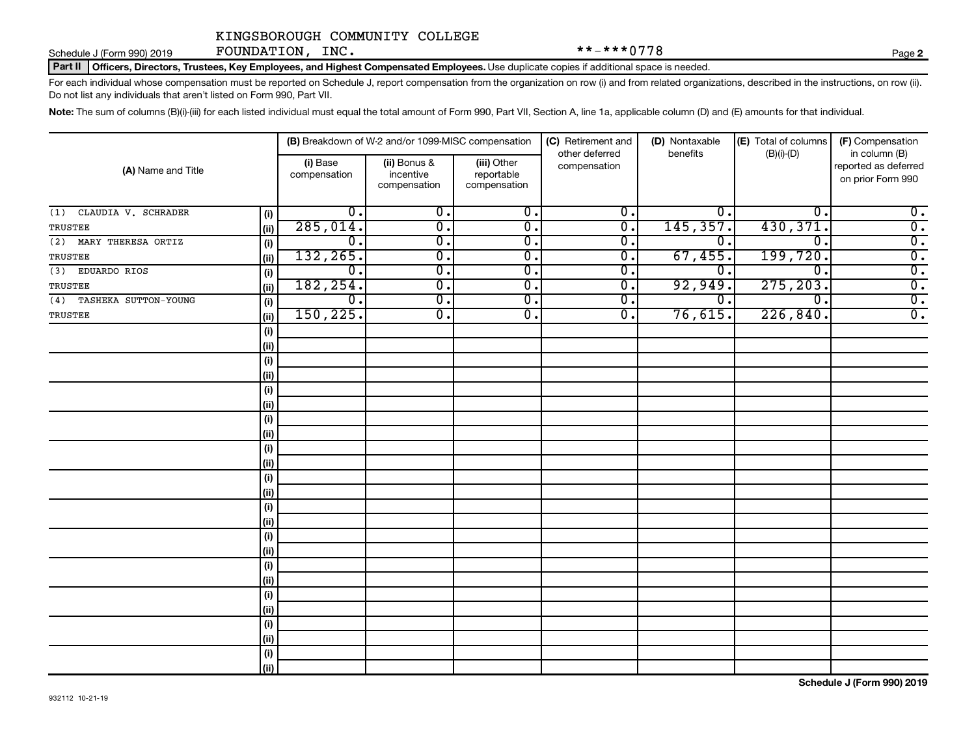Schedule J (Form 990) 2019 **FOUNDATION,INC .** \*\*-\*\*\*0778 Page

Part II | Officers, Directors, Trustees, Key Employees, and Highest Compensated Employees. Use duplicate copies if additional space is needed.

For each individual whose compensation must be reported on Schedule J, report compensation from the organization on row (i) and from related organizations, described in the instructions, on row (ii). Do not list any individuals that aren't listed on Form 990, Part VII.

Note: The sum of columns (B)(i)-(iii) for each listed individual must equal the total amount of Form 990, Part VII, Section A, line 1a, applicable column (D) and (E) amounts for that individual.

|                            |      |                          | (B) Breakdown of W-2 and/or 1099-MISC compensation |                                           | (C) Retirement and<br>other deferred | (D) Nontaxable<br>benefits | (E) Total of columns<br>$(B)(i)-(D)$ | (F) Compensation<br>in column (B)         |
|----------------------------|------|--------------------------|----------------------------------------------------|-------------------------------------------|--------------------------------------|----------------------------|--------------------------------------|-------------------------------------------|
| (A) Name and Title         |      | (i) Base<br>compensation | (ii) Bonus &<br>incentive<br>compensation          | (iii) Other<br>reportable<br>compensation | compensation                         |                            |                                      | reported as deferred<br>on prior Form 990 |
| CLAUDIA V. SCHRADER<br>(1) | (i)  | $\overline{0}$ .         | $\overline{0}$ .                                   | $\overline{0}$ .                          | $\overline{0}$ .                     | $0$ .                      | $\mathbf 0$                          | $\overline{0}$ .                          |
| TRUSTEE                    | (ii) | 285,014.                 | $\overline{\mathfrak{o}}$ .                        | $\overline{0}$ .                          | $\overline{0}$ .                     | 145, 357.                  | 430, 371.                            | $\overline{\mathbf{0}}$ .                 |
| (2) MARY THERESA ORTIZ     | (i)  | $\overline{0}$ .         | $\overline{\mathfrak{o}}$ .                        | $\overline{0}$ .                          | $\overline{0}$ .                     | 0.                         | $\mathbf 0$                          | $\overline{0}$ .                          |
| TRUSTEE                    | (ii) | 132,265.                 | $\overline{0}$ .                                   | 0.                                        | $\overline{0}$ .                     | 67,455.                    | 199,720.                             | $\overline{0}$ .                          |
| (3)<br>EDUARDO RIOS        | (i)  | $0$ .                    | $\overline{\mathfrak{o}}$ .                        | $\overline{0}$ .                          | О.                                   | $\Omega$ .                 | $\overline{0}$ .                     | $\overline{0}$ .                          |
| TRUSTEE                    | (ii) | 182, 254.                | $\overline{\mathfrak{o}}$ .                        | $\overline{0}$ .                          | σ.                                   | 92,949.                    | 275, 203.                            | $\overline{0}$ .                          |
| (4) TASHEKA SUTTON-YOUNG   | (i)  | $0$ .                    | $\overline{\mathfrak{o}}$ .                        | $\overline{0}$ .                          | $\overline{0}$ .                     | О.                         | $\overline{0}$ .                     | $\overline{\mathbf{0}}$ .                 |
| TRUSTEE                    | (ii) | 150, 225.                | $\overline{\mathfrak{o}}$ .                        | $\overline{\mathbf{0}}$ .                 | σ.                                   | 76,615.                    | 226,840.                             | $\overline{0}$ .                          |
|                            | (i)  |                          |                                                    |                                           |                                      |                            |                                      |                                           |
|                            | (ii) |                          |                                                    |                                           |                                      |                            |                                      |                                           |
|                            | (i)  |                          |                                                    |                                           |                                      |                            |                                      |                                           |
|                            | (ii) |                          |                                                    |                                           |                                      |                            |                                      |                                           |
|                            | (i)  |                          |                                                    |                                           |                                      |                            |                                      |                                           |
|                            | (ii) |                          |                                                    |                                           |                                      |                            |                                      |                                           |
|                            | (i)  |                          |                                                    |                                           |                                      |                            |                                      |                                           |
|                            | (ii) |                          |                                                    |                                           |                                      |                            |                                      |                                           |
|                            | (i)  |                          |                                                    |                                           |                                      |                            |                                      |                                           |
|                            | (ii) |                          |                                                    |                                           |                                      |                            |                                      |                                           |
|                            | (i)  |                          |                                                    |                                           |                                      |                            |                                      |                                           |
|                            | (ii) |                          |                                                    |                                           |                                      |                            |                                      |                                           |
|                            | (i)  |                          |                                                    |                                           |                                      |                            |                                      |                                           |
|                            | (ii) |                          |                                                    |                                           |                                      |                            |                                      |                                           |
|                            | (i)  |                          |                                                    |                                           |                                      |                            |                                      |                                           |
|                            | (ii) |                          |                                                    |                                           |                                      |                            |                                      |                                           |
|                            | (i)  |                          |                                                    |                                           |                                      |                            |                                      |                                           |
|                            | (ii) |                          |                                                    |                                           |                                      |                            |                                      |                                           |
|                            | (i)  |                          |                                                    |                                           |                                      |                            |                                      |                                           |
|                            | (ii) |                          |                                                    |                                           |                                      |                            |                                      |                                           |
|                            | (i)  |                          |                                                    |                                           |                                      |                            |                                      |                                           |
|                            | (ii) |                          |                                                    |                                           |                                      |                            |                                      |                                           |
|                            | (i)  |                          |                                                    |                                           |                                      |                            |                                      |                                           |
|                            | (ii) |                          |                                                    |                                           |                                      |                            |                                      |                                           |

**2**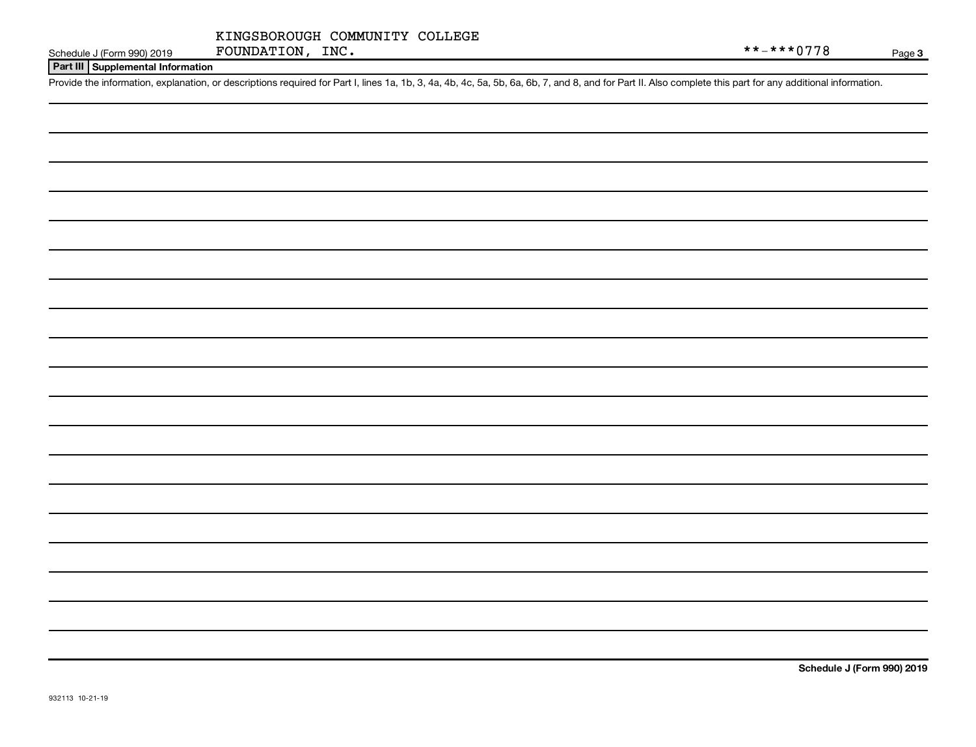#### **Part III Supplemental Information**

Provide the information, explanation, or descriptions required for Part I, lines 1a, 1b, 3, 4a, 4b, 4c, 5a, 5b, 6a, 6b, 7, and 8, and for Part II. Also complete this part for any additional information.

**Schedule J (Form 990) 2019**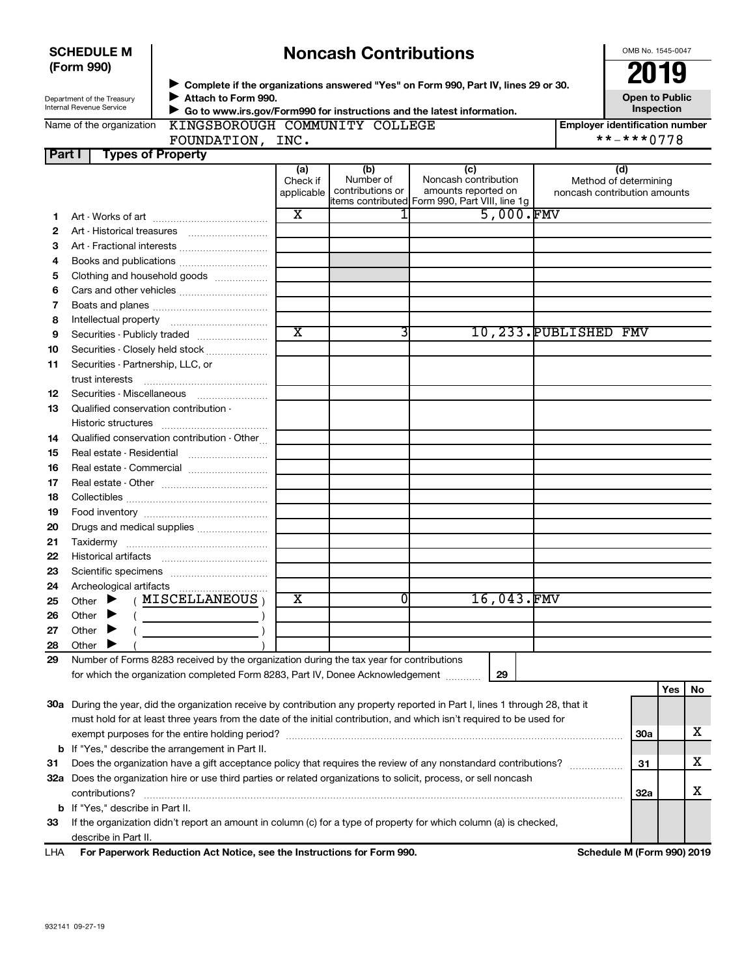| <b>SCHEDULE M</b> |  |
|-------------------|--|
| (Form 990)        |  |

# **Noncash Contributions**

OMB No. 1545-0047

| Department of the Treasury |  |  |  |  |  |
|----------------------------|--|--|--|--|--|
| Internal Revenue Service   |  |  |  |  |  |

◆ Complete if the organizations answered "Yes" on Form 990, Part IV, lines 29 or 30.<br>▶ Complete if the organizations answered "Yes" on Form 990, Part IV, lines 29 or 30. **Attach to Form 990.** J

**Open to Public Inspection**

Name of the organization

 **Go to www.irs.gov/Form990 for instructions and the latest information.** J KINGSBOROUGH COMMUNITY COLLEGE

**Employer identification number**<br>\*\*-\*\*\*0778

**Part I Types of Property** FOUNDATION, INC.

| UN, | TMC . |  |
|-----|-------|--|
|     |       |  |
|     |       |  |
|     |       |  |

|     |                                                                                                                                | (a)<br>Check if<br>applicable | (b)<br>Number of<br>contributions or | (c)<br>Noncash contribution<br>amounts reported on | (d)<br>Method of determining<br>noncash contribution amounts |            |     |     |
|-----|--------------------------------------------------------------------------------------------------------------------------------|-------------------------------|--------------------------------------|----------------------------------------------------|--------------------------------------------------------------|------------|-----|-----|
|     |                                                                                                                                |                               |                                      | litems contributed Form 990, Part VIII, line 1g    |                                                              |            |     |     |
| 1.  |                                                                                                                                | х                             |                                      |                                                    | 5,000.FMV                                                    |            |     |     |
| 2   |                                                                                                                                |                               |                                      |                                                    |                                                              |            |     |     |
| з   | Art - Fractional interests                                                                                                     |                               |                                      |                                                    |                                                              |            |     |     |
| 4   | Books and publications                                                                                                         |                               |                                      |                                                    |                                                              |            |     |     |
| 5   | Clothing and household goods                                                                                                   |                               |                                      |                                                    |                                                              |            |     |     |
| 6   | Cars and other vehicles                                                                                                        |                               |                                      |                                                    |                                                              |            |     |     |
| 7   |                                                                                                                                |                               |                                      |                                                    |                                                              |            |     |     |
| 8   |                                                                                                                                |                               |                                      |                                                    |                                                              |            |     |     |
| 9   | Securities - Publicly traded                                                                                                   | $\overline{\textbf{x}}$       |                                      |                                                    | 10,233. PUBLISHED FMV                                        |            |     |     |
| 10  | Securities - Closely held stock                                                                                                |                               |                                      |                                                    |                                                              |            |     |     |
| 11  | Securities - Partnership, LLC, or                                                                                              |                               |                                      |                                                    |                                                              |            |     |     |
|     | trust interests                                                                                                                |                               |                                      |                                                    |                                                              |            |     |     |
| 12  |                                                                                                                                |                               |                                      |                                                    |                                                              |            |     |     |
| 13  | Qualified conservation contribution -                                                                                          |                               |                                      |                                                    |                                                              |            |     |     |
|     |                                                                                                                                |                               |                                      |                                                    |                                                              |            |     |     |
| 14  | Qualified conservation contribution - Other                                                                                    |                               |                                      |                                                    |                                                              |            |     |     |
| 15  |                                                                                                                                |                               |                                      |                                                    |                                                              |            |     |     |
| 16  | Real estate - Commercial                                                                                                       |                               |                                      |                                                    |                                                              |            |     |     |
| 17  |                                                                                                                                |                               |                                      |                                                    |                                                              |            |     |     |
| 18  |                                                                                                                                |                               |                                      |                                                    |                                                              |            |     |     |
| 19  |                                                                                                                                |                               |                                      |                                                    |                                                              |            |     |     |
| 20  | Drugs and medical supplies                                                                                                     |                               |                                      |                                                    |                                                              |            |     |     |
| 21  |                                                                                                                                |                               |                                      |                                                    |                                                              |            |     |     |
| 22  |                                                                                                                                |                               |                                      |                                                    |                                                              |            |     |     |
| 23  |                                                                                                                                |                               |                                      |                                                    |                                                              |            |     |     |
| 24  |                                                                                                                                |                               |                                      |                                                    |                                                              |            |     |     |
| 25  | (MISCELLANEOUS)<br>Other $\blacktriangleright$                                                                                 | х                             | 0                                    | 16,043.FMV                                         |                                                              |            |     |     |
| 26  | Other $\blacktriangleright$                                                                                                    |                               |                                      |                                                    |                                                              |            |     |     |
|     |                                                                                                                                |                               |                                      |                                                    |                                                              |            |     |     |
| 27  | Other $\blacktriangleright$                                                                                                    |                               |                                      |                                                    |                                                              |            |     |     |
| 28  | Other                                                                                                                          |                               |                                      |                                                    |                                                              |            |     |     |
| 29  | Number of Forms 8283 received by the organization during the tax year for contributions                                        |                               |                                      |                                                    |                                                              |            |     |     |
|     | for which the organization completed Form 8283, Part IV, Donee Acknowledgement                                                 |                               |                                      | 29                                                 |                                                              |            |     |     |
|     |                                                                                                                                |                               |                                      |                                                    |                                                              |            | Yes | No. |
|     | 30a During the year, did the organization receive by contribution any property reported in Part I, lines 1 through 28, that it |                               |                                      |                                                    |                                                              |            |     |     |
|     | must hold for at least three years from the date of the initial contribution, and which isn't required to be used for          |                               |                                      |                                                    |                                                              |            |     |     |
|     |                                                                                                                                |                               |                                      |                                                    |                                                              | <b>30a</b> |     | х   |
| b   | If "Yes," describe the arrangement in Part II.                                                                                 |                               |                                      |                                                    |                                                              |            |     |     |
| 31  | Does the organization have a gift acceptance policy that requires the review of any nonstandard contributions?                 |                               |                                      |                                                    |                                                              | 31         |     | х   |
|     | 32a Does the organization hire or use third parties or related organizations to solicit, process, or sell noncash              |                               |                                      |                                                    |                                                              |            |     |     |
|     | contributions?                                                                                                                 |                               |                                      |                                                    |                                                              | <b>32a</b> |     | х   |
|     | <b>b</b> If "Yes," describe in Part II.                                                                                        |                               |                                      |                                                    |                                                              |            |     |     |
| 33  | If the organization didn't report an amount in column (c) for a type of property for which column (a) is checked,              |                               |                                      |                                                    |                                                              |            |     |     |
|     | describe in Part II.                                                                                                           |                               |                                      |                                                    |                                                              |            |     |     |
| LHA | For Paperwork Reduction Act Notice, see the Instructions for Form 990.                                                         |                               |                                      |                                                    | Schedule M (Form 990) 2019                                   |            |     |     |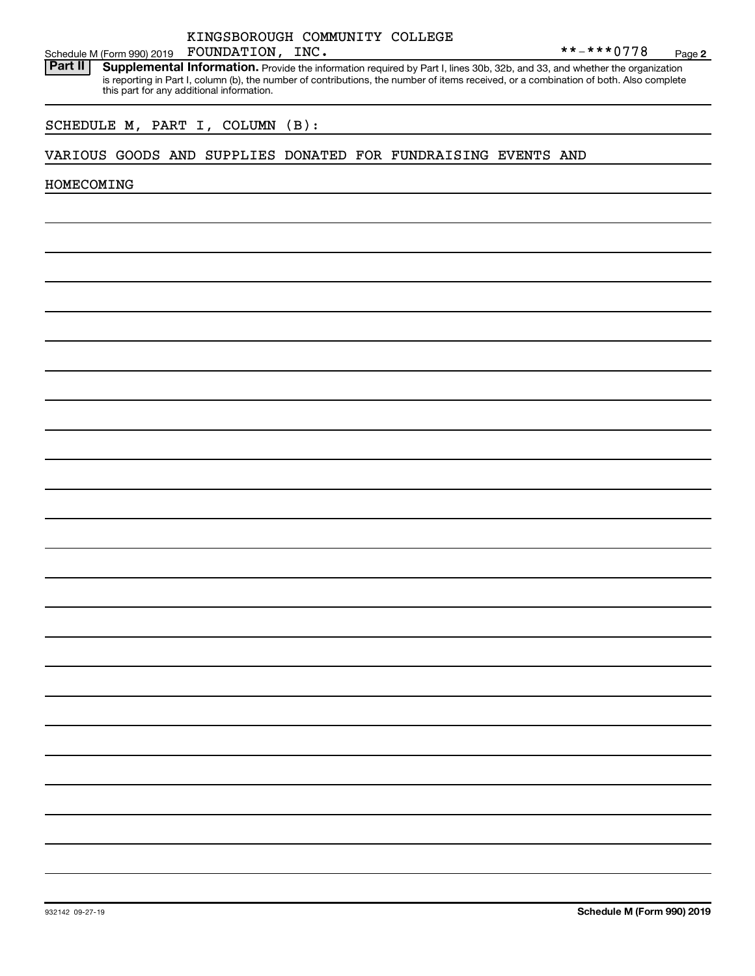#### KINGSBOROUGH COMMUNITY COLLEGE FOUNDATION, INC.

Schedule M (Form 990) 2019 FOUNDATION, INC.<br>**Part II** Supplemental Information. Provide the information required by Part L lines 30b, 32b, and 33, and whether the orga Provide the information required by Part I, lines 30b, 32b, and 33, and whether the organization is reporting in Part I, column (b), the number of contributions, the number of items received, or a combination of both. Also complete this part for any additional information. **Part II Supplemental Information.** 

## SCHEDULE M, PART I, COLUMN (B):

#### VARIOUS GOODS AND SUPPLIES DONATED FOR FUNDRAISING EVENTS AND

HOMECOMING

**Schedule M (Form 990) 2019**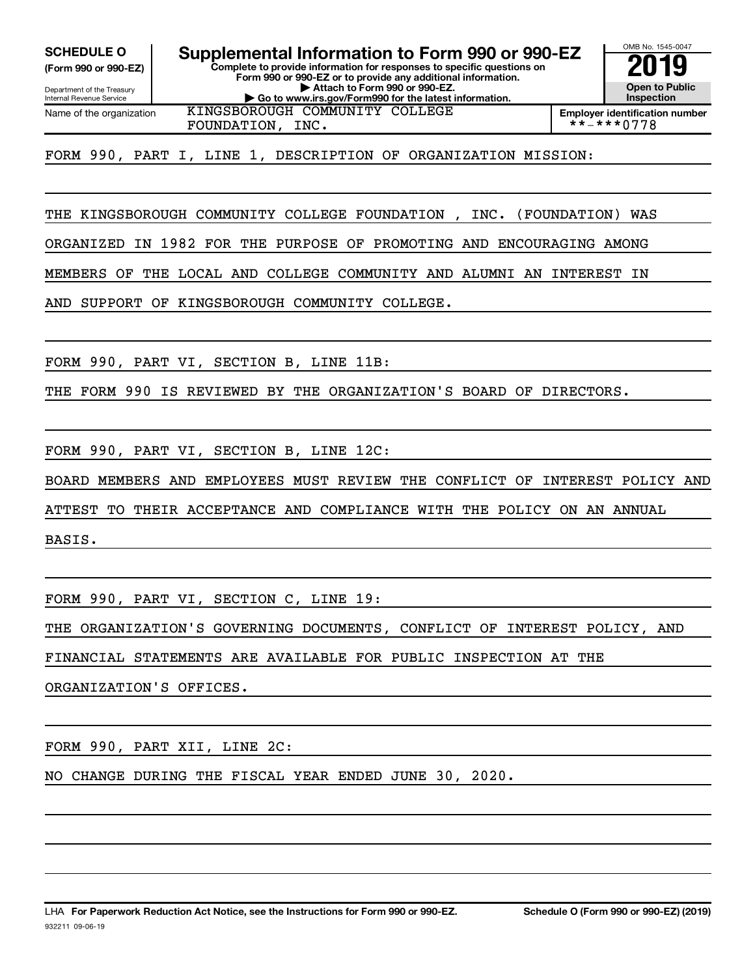**(Form 990 or 990-EZ)**

Department of the Treasury Internal Revenue Service Name of the organization

**Complete to provide information for responses to specific questions on Form 990 or 990-EZ or to provide any additional information. | Attach to Form 990 or 990-EZ. SCHEDULE O Supplemental Information to Form 990 or 990-EZ 2019**

**| Go to www.irs.gov/Form990 for the latest information.**

OMB No. 1545-0047 **Open to Public Inspection**

KINGSBOROUGH COMMUNITY COLLEGE

**Employer identification number**<br>\*\*-\*\*\*0778

FORM 990, PART I, LINE 1, DESCRIPTION OF ORGANIZATION MISSION:

THE KINGSBOROUGH COMMUNITY COLLEGE FOUNDATION , INC. (FOUNDATION) WAS

ORGANIZED IN 1982 FOR THE PURPOSE OF PROMOTING AND ENCOURAGING AMONG

MEMBERS OF THE LOCAL AND COLLEGE COMMUNITY AND ALUMNI AN INTEREST IN

AND SUPPORT OF KINGSBOROUGH COMMUNITY COLLEGE.

FOUNDATION, INC.

FORM 990, PART VI, SECTION B, LINE 11B:

THE FORM 990 IS REVIEWED BY THE ORGANIZATION'S BOARD OF DIRECTORS.

FORM 990, PART VI, SECTION B, LINE 12C:

BOARD MEMBERS AND EMPLOYEES MUST REVIEW THE CONFLICT OF INTEREST POLICY AND

ATTEST TO THEIR ACCEPTANCE AND COMPLIANCE WITH THE POLICY ON AN ANNUAL

BASIS.

FORM 990, PART VI, SECTION C, LINE 19:

THE ORGANIZATION'S GOVERNING DOCUMENTS, CONFLICT OF INTEREST POLICY, AND

FINANCIAL STATEMENTS ARE AVAILABLE FOR PUBLIC INSPECTION AT THE

ORGANIZATION'S OFFICES.

FORM 990, PART XII, LINE 2C:

NO CHANGE DURING THE FISCAL YEAR ENDED JUNE 30, 2020.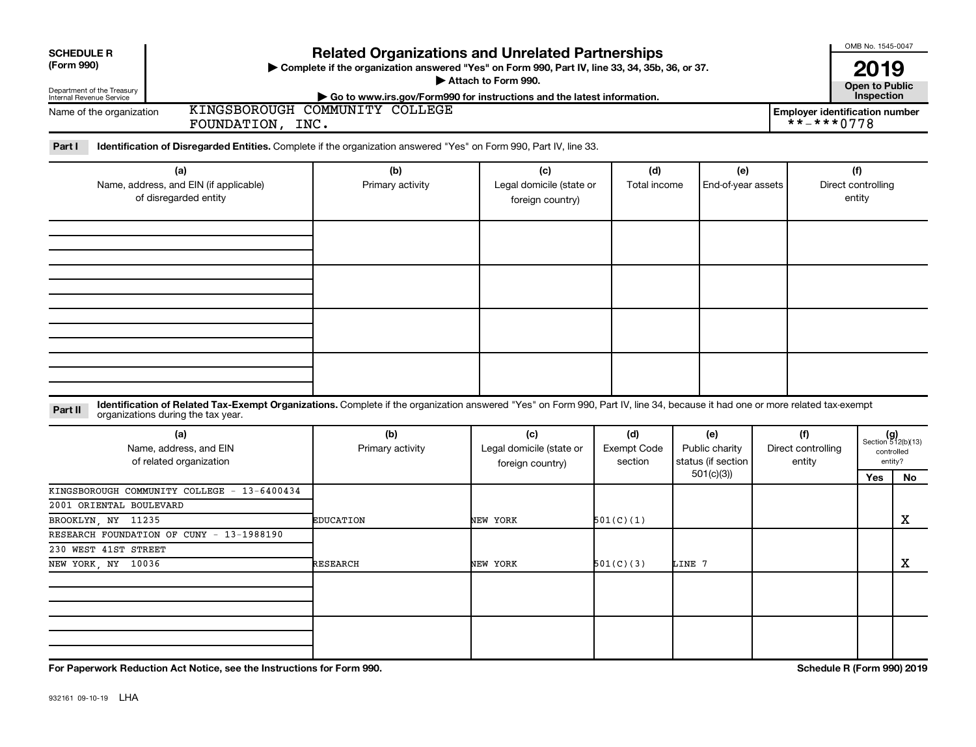| <b>SCHEDULE R</b><br>(Form 990)<br>Department of the Treasury<br>Internal Revenue Service |                                                                                                                                                                                                                    | <b>Related Organizations and Unrelated Partnerships</b><br>Complete if the organization answered "Yes" on Form 990, Part IV, line 33, 34, 35b, 36, or 37.<br>Go to www.irs.gov/Form990 for instructions and the latest information. | Attach to Form 990.                                 |                                      |                                                          |                                     | OMB No. 1545-0047<br><b>2019</b><br><b>Open to Public</b><br>Inspection |                                                            |  |  |
|-------------------------------------------------------------------------------------------|--------------------------------------------------------------------------------------------------------------------------------------------------------------------------------------------------------------------|-------------------------------------------------------------------------------------------------------------------------------------------------------------------------------------------------------------------------------------|-----------------------------------------------------|--------------------------------------|----------------------------------------------------------|-------------------------------------|-------------------------------------------------------------------------|------------------------------------------------------------|--|--|
| Name of the organization                                                                  | FOUNDATION, INC.                                                                                                                                                                                                   | KINGSBOROUGH COMMUNITY COLLEGE                                                                                                                                                                                                      |                                                     |                                      |                                                          |                                     |                                                                         |                                                            |  |  |
| Part I                                                                                    | Identification of Disregarded Entities. Complete if the organization answered "Yes" on Form 990, Part IV, line 33.                                                                                                 |                                                                                                                                                                                                                                     |                                                     |                                      |                                                          |                                     |                                                                         |                                                            |  |  |
|                                                                                           | (a)<br>Name, address, and EIN (if applicable)<br>of disregarded entity                                                                                                                                             | (b)<br>Primary activity                                                                                                                                                                                                             | (c)<br>Legal domicile (state or<br>foreign country) | (d)<br>Total income                  | (e)<br>End-of-year assets                                |                                     | (f)<br>Direct controlling<br>entity                                     |                                                            |  |  |
|                                                                                           |                                                                                                                                                                                                                    |                                                                                                                                                                                                                                     |                                                     |                                      |                                                          |                                     |                                                                         |                                                            |  |  |
|                                                                                           |                                                                                                                                                                                                                    |                                                                                                                                                                                                                                     |                                                     |                                      |                                                          |                                     |                                                                         |                                                            |  |  |
| Part II                                                                                   | Identification of Related Tax-Exempt Organizations. Complete if the organization answered "Yes" on Form 990, Part IV, line 34, because it had one or more related tax-exempt<br>organizations during the tax year. |                                                                                                                                                                                                                                     |                                                     |                                      |                                                          |                                     |                                                                         |                                                            |  |  |
|                                                                                           | (a)<br>Name, address, and EIN<br>of related organization                                                                                                                                                           | (b)<br>Primary activity                                                                                                                                                                                                             | (c)<br>Legal domicile (state or<br>foreign country) | (d)<br><b>Exempt Code</b><br>section | (e)<br>Public charity<br>status (if section<br>501(c)(3) | (f)<br>Direct controlling<br>entity | Yes                                                                     | $(g)$<br>Section 512(b)(13)<br>controlled<br>entity?<br>No |  |  |
| 2001 ORIENTAL BOULEVARD<br>BROOKLYN, NY 11235                                             | KINGSBOROUGH COMMUNITY COLLEGE - 13-6400434                                                                                                                                                                        | <b>EDUCATION</b>                                                                                                                                                                                                                    | NEW YORK                                            | 501(C)(1)                            |                                                          |                                     |                                                                         | x                                                          |  |  |
| 230 WEST 41ST STREET                                                                      | RESEARCH FOUNDATION OF CUNY - 13-1988190                                                                                                                                                                           |                                                                                                                                                                                                                                     |                                                     |                                      |                                                          |                                     |                                                                         |                                                            |  |  |
| NEW YORK, NY 10036                                                                        |                                                                                                                                                                                                                    | RESEARCH                                                                                                                                                                                                                            | NEW YORK                                            | 501(C)(3)                            | LINE 7                                                   |                                     |                                                                         | x                                                          |  |  |
|                                                                                           | For Paperwork Reduction Act Notice, see the Instructions for Form 990.                                                                                                                                             |                                                                                                                                                                                                                                     |                                                     |                                      |                                                          |                                     | Schedule R (Form 990) 2019                                              |                                                            |  |  |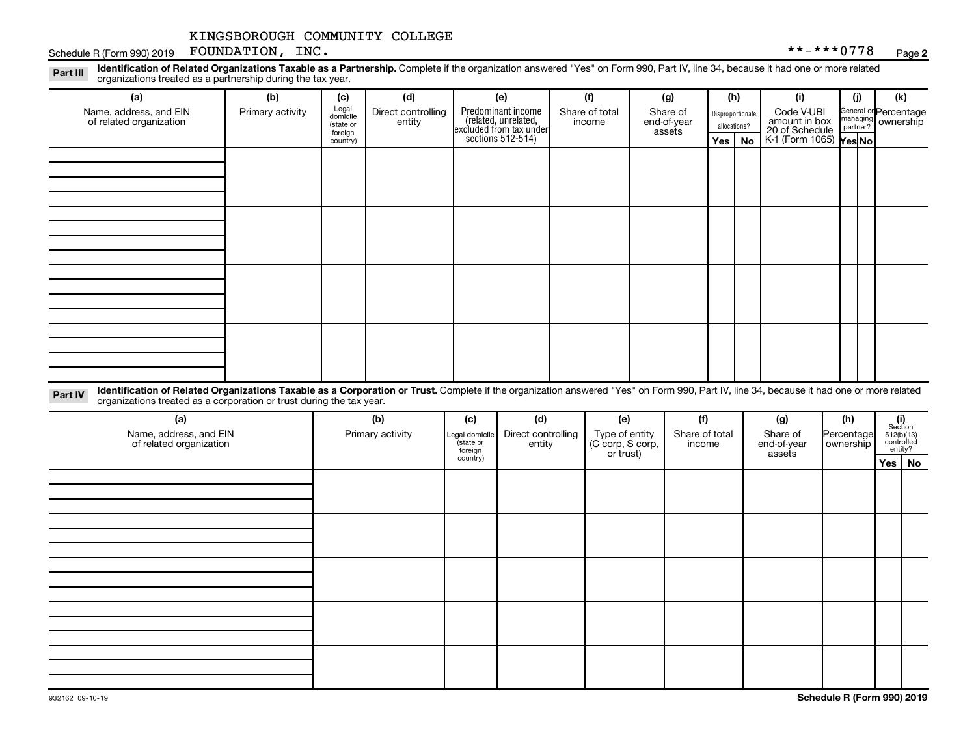Schedule R (Form 990) 2019 Page FOUNDATION, INC. \*\*-\*\*\*0778

Legal Part III Identification of Related Organizations Taxable as a Partnership. Complete if the organization answered "Yes" on Form 990, Part IV, line 34, because it had one or more related<br>Read to the organizations tracted as **(a) (b) (c) (d) (e) (f) (g) (h) (i) (j) (k)** organizations treated as a partnership during the tax year.

| Name, address, and EIN<br>of related organization | Primary activity | Legal<br>domicile<br>(state or<br>foreign | Direct controlling<br>entity | Predominant income<br>(related, unrelated,<br>excluded from tax under<br>sections 512-514) | Share of total<br>income | Share of<br>end-of-year<br>assets | Disproportionate<br>allocations? |  | Code V-UBI<br>amount in box<br>20 of Schedule<br>K-1 (Form 1065) Yes No |  | General or Percentage<br>managing<br>partner?<br>partner? |
|---------------------------------------------------|------------------|-------------------------------------------|------------------------------|--------------------------------------------------------------------------------------------|--------------------------|-----------------------------------|----------------------------------|--|-------------------------------------------------------------------------|--|-----------------------------------------------------------|
|                                                   |                  | country)                                  |                              |                                                                                            |                          |                                   | Yes   No                         |  |                                                                         |  |                                                           |
|                                                   |                  |                                           |                              |                                                                                            |                          |                                   |                                  |  |                                                                         |  |                                                           |
|                                                   |                  |                                           |                              |                                                                                            |                          |                                   |                                  |  |                                                                         |  |                                                           |
|                                                   |                  |                                           |                              |                                                                                            |                          |                                   |                                  |  |                                                                         |  |                                                           |
|                                                   |                  |                                           |                              |                                                                                            |                          |                                   |                                  |  |                                                                         |  |                                                           |
|                                                   |                  |                                           |                              |                                                                                            |                          |                                   |                                  |  |                                                                         |  |                                                           |
|                                                   |                  |                                           |                              |                                                                                            |                          |                                   |                                  |  |                                                                         |  |                                                           |
|                                                   |                  |                                           |                              |                                                                                            |                          |                                   |                                  |  |                                                                         |  |                                                           |
|                                                   |                  |                                           |                              |                                                                                            |                          |                                   |                                  |  |                                                                         |  |                                                           |
|                                                   |                  |                                           |                              |                                                                                            |                          |                                   |                                  |  |                                                                         |  |                                                           |
|                                                   |                  |                                           |                              |                                                                                            |                          |                                   |                                  |  |                                                                         |  |                                                           |
|                                                   |                  |                                           |                              |                                                                                            |                          |                                   |                                  |  |                                                                         |  |                                                           |
|                                                   |                  |                                           |                              |                                                                                            |                          |                                   |                                  |  |                                                                         |  |                                                           |
|                                                   |                  |                                           |                              |                                                                                            |                          |                                   |                                  |  |                                                                         |  |                                                           |
|                                                   |                  |                                           |                              |                                                                                            |                          |                                   |                                  |  |                                                                         |  |                                                           |
|                                                   |                  |                                           |                              |                                                                                            |                          |                                   |                                  |  |                                                                         |  |                                                           |
|                                                   |                  |                                           |                              |                                                                                            |                          |                                   |                                  |  |                                                                         |  |                                                           |
|                                                   |                  |                                           |                              |                                                                                            |                          |                                   |                                  |  |                                                                         |  |                                                           |

Part IV Identification of Related Organizations Taxable as a Corporation or Trust. Complete if the organization answered "Yes" on Form 990, Part IV, line 34, because it had one or more related organizations treated as a corporation or trust during the tax year.

| (a)<br>Name, address, and EIN<br>of related organization | (b)<br>Primary activity | (c)<br>Legal domicile<br>state or<br>foreign | (d)<br>Direct controlling<br>entity | (e)<br>Type of entity<br>(C corp, S corp,<br>or trust) | (f)<br>Share of total<br>income | (g)<br>Share of<br>end-of-year<br>assets | (h)<br>Percentage<br>  ownership | (i)<br>Section<br>$512(b)(13)$<br>controlled<br>entity? |  |
|----------------------------------------------------------|-------------------------|----------------------------------------------|-------------------------------------|--------------------------------------------------------|---------------------------------|------------------------------------------|----------------------------------|---------------------------------------------------------|--|
|                                                          |                         | country)                                     |                                     |                                                        |                                 |                                          |                                  | Yes   No                                                |  |
|                                                          |                         |                                              |                                     |                                                        |                                 |                                          |                                  |                                                         |  |
|                                                          |                         |                                              |                                     |                                                        |                                 |                                          |                                  |                                                         |  |
|                                                          |                         |                                              |                                     |                                                        |                                 |                                          |                                  |                                                         |  |
|                                                          |                         |                                              |                                     |                                                        |                                 |                                          |                                  |                                                         |  |
|                                                          |                         |                                              |                                     |                                                        |                                 |                                          |                                  |                                                         |  |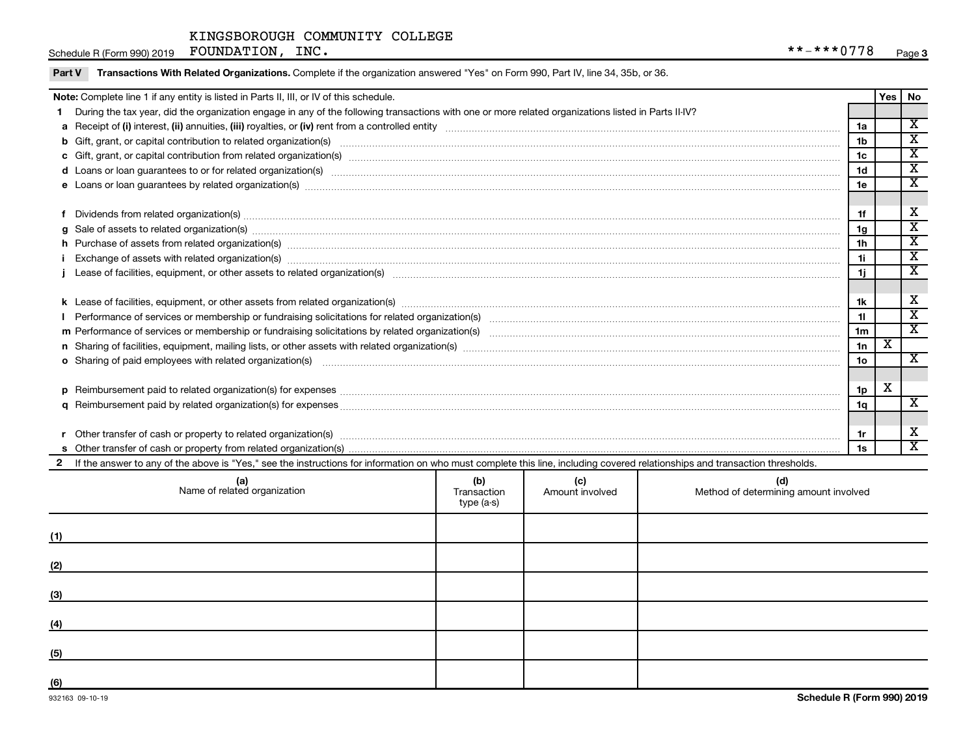|    | Note: Complete line 1 if any entity is listed in Parts II, III, or IV of this schedule.                                                                                                                                        |                 | Yes | l No                        |
|----|--------------------------------------------------------------------------------------------------------------------------------------------------------------------------------------------------------------------------------|-----------------|-----|-----------------------------|
|    | During the tax year, did the organization engage in any of the following transactions with one or more related organizations listed in Parts II-IV?                                                                            |                 |     |                             |
|    |                                                                                                                                                                                                                                | 1a              |     | $\overline{\mathbf{x}}$     |
|    |                                                                                                                                                                                                                                | 1 <sub>b</sub>  |     | $\overline{\textnormal{x}}$ |
|    |                                                                                                                                                                                                                                | 1c              |     | $\overline{\mathbf{X}}$     |
|    | d Loans or loan guarantees to or for related organization(s) www.communities.com/www.communities.com/www.communities.com/www.communities.com/www.communities.com/www.communities.com/www.communities.com/www.communities.com/w | 1 <sub>d</sub>  |     | $\overline{\textnormal{x}}$ |
|    | e Loans or loan guarantees by related organization(s) www.array.com/www.array.com/www.array.com/www.array.com/www.array.com/www.array.com/www.array.com/www.array.com/www.array.com/www.array.com/www.array.com/www.array.com/ | 1e              |     | X                           |
|    |                                                                                                                                                                                                                                |                 |     |                             |
|    | Dividends from related organization(s) www.andron.com/www.andron.com/www.andron.com/www.andron.com/www.andron.com/www.andron.com/www.andron.com/www.andron.com/www.andron.com/www.andron.com/www.andron.com/www.andron.com/www | 1f              |     | х                           |
| a  | Sale of assets to related organization(s) www.assemicroscopy.com/news/contract/news/contract/news/contract/news/contract/news/contract/news/contract/news/contract/news/contract/news/contract/news/contract/news/contract/new | 1g              |     | х                           |
|    | h Purchase of assets from related organization(s) manufactured content to the content of the content of the content of the content of the content of the content of the content of the content of the content of the content o | 1h              |     | X                           |
|    | Exchange of assets with related organization(s) www.array.com/www.array.com/www.array.com/www.array.com/www.array.com/www.array.com/www.array.com/www.array.com/www.array.com/www.array.com/www.array.com/www.array.com/www.ar | 1i              |     | $\overline{\textnormal{x}}$ |
|    |                                                                                                                                                                                                                                | 1j              |     | $\overline{\textnormal{x}}$ |
|    |                                                                                                                                                                                                                                |                 |     |                             |
|    |                                                                                                                                                                                                                                | 1k              |     | х                           |
|    |                                                                                                                                                                                                                                | 11              |     | $\overline{\textnormal{x}}$ |
|    |                                                                                                                                                                                                                                | 1 <sub>m</sub>  |     | $\overline{\mathbf{x}}$     |
|    |                                                                                                                                                                                                                                | 1n              | х   |                             |
|    | o Sharing of paid employees with related organization(s) material contents and content to the star of paid employees with related organization(s) materials are expected as a series of the star of the star of the star of th | 10 <sub>o</sub> |     | X                           |
|    |                                                                                                                                                                                                                                |                 |     |                             |
| D. | Reimbursement paid to related organization(s) for expenses [11111] Research Manuscript Reimbursement paid to related organization(s) for expenses [11111] [1111] Reimbursement manuscript Reimbursement paid to related organi | 1p              | X   |                             |
|    |                                                                                                                                                                                                                                | 1q              |     | $\mathbf{x}$                |
|    |                                                                                                                                                                                                                                |                 |     |                             |
|    | Other transfer of cash or property to related organization(s) COLOGY CONSERVITY OF A CONSERVITY OF A CONSERVITY OF A CONSERVITY OF A CONSERVITY OF A CONSERVITY OF A CONSERVITY OF A CONSERVITY OF A CONSERVITY OF A CONSERVIT | 1r              |     | х                           |
|    |                                                                                                                                                                                                                                | 1s              |     | $\overline{\mathbf{X}}$     |
|    | 2 If the answer to any of the above is "Yes," see the instructions for information on who must complete this line, including covered relationships and transaction thresholds.                                                 |                 |     |                             |

|     | (a)<br>Name of related organization | (b)<br>Transaction<br>type (a-s) | (c)<br>Amount involved | (d)<br>Method of determining amount involved |
|-----|-------------------------------------|----------------------------------|------------------------|----------------------------------------------|
| (1) |                                     |                                  |                        |                                              |
| (2) |                                     |                                  |                        |                                              |
| (3) |                                     |                                  |                        |                                              |
| (4) |                                     |                                  |                        |                                              |
| (5) |                                     |                                  |                        |                                              |
| (6) |                                     |                                  |                        |                                              |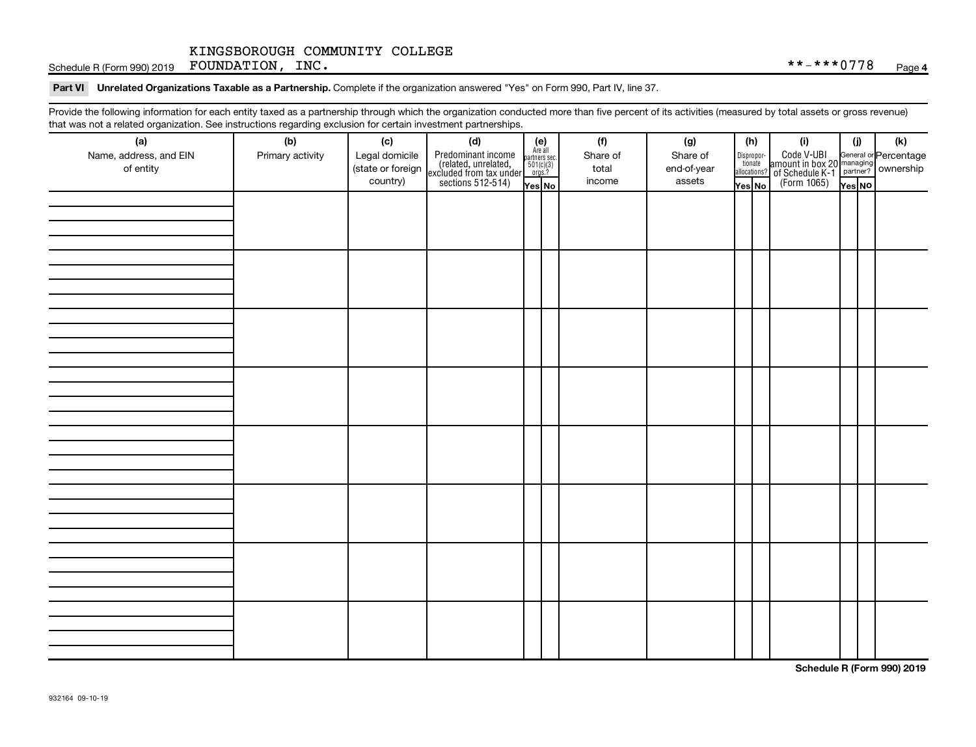Schedule R (Form 990) 2019 Page FOUNDATION, INC. \*\*-\*\*\*0778

Part VI Unrelated Organizations Taxable as a Partnership. Complete if the organization answered "Yes" on Form 990, Part IV, line 37.

Provide the following information for each entity taxed as a partnership through which the organization conducted more than five percent of its activities (measured by total assets or gross revenue) that was not a related organization. See instructions regarding exclusion for certain investment partnerships.

| mat mac not a rolated organization. Oce included regularity excludion for coltain invectment partnerompe.<br>(a) | (b)              | (c)                                 | (d)                                                                                        | $(e)$<br>Are all                            |  | (f)               | (g)                     | (h)    |                                                                                                                                           | (i)                                                                                                 | (i)    | (k) |
|------------------------------------------------------------------------------------------------------------------|------------------|-------------------------------------|--------------------------------------------------------------------------------------------|---------------------------------------------|--|-------------------|-------------------------|--------|-------------------------------------------------------------------------------------------------------------------------------------------|-----------------------------------------------------------------------------------------------------|--------|-----|
| Name, address, and EIN<br>of entity                                                                              | Primary activity | Legal domicile<br>(state or foreign | Predominant income<br>(related, unrelated,<br>excluded from tax under<br>sections 512-514) | partners sec.<br>$\frac{501(c)(3)}{0rgs.?}$ |  | Share of<br>total | Share of<br>end-of-year |        | $\fbox{\parbox{0.5cm}{\begin{tabular}{ l l } \hline Disproportion} \\ \hline \text{tion} \\ \hline allocations? \\ \hline \end{tabular}}$ | Code V-UBI<br>amount in box 20 managing<br>of Schedule K-1<br>(Form 1065)<br>$\sqrt{\text{res}}$ No |        |     |
|                                                                                                                  |                  | country)                            |                                                                                            | Yes No                                      |  | income            | assets                  | Yes No |                                                                                                                                           |                                                                                                     | Yes NO |     |
|                                                                                                                  |                  |                                     |                                                                                            |                                             |  |                   |                         |        |                                                                                                                                           |                                                                                                     |        |     |
|                                                                                                                  |                  |                                     |                                                                                            |                                             |  |                   |                         |        |                                                                                                                                           |                                                                                                     |        |     |
|                                                                                                                  |                  |                                     |                                                                                            |                                             |  |                   |                         |        |                                                                                                                                           |                                                                                                     |        |     |
|                                                                                                                  |                  |                                     |                                                                                            |                                             |  |                   |                         |        |                                                                                                                                           |                                                                                                     |        |     |
|                                                                                                                  |                  |                                     |                                                                                            |                                             |  |                   |                         |        |                                                                                                                                           |                                                                                                     |        |     |
|                                                                                                                  |                  |                                     |                                                                                            |                                             |  |                   |                         |        |                                                                                                                                           |                                                                                                     |        |     |
|                                                                                                                  |                  |                                     |                                                                                            |                                             |  |                   |                         |        |                                                                                                                                           |                                                                                                     |        |     |
|                                                                                                                  |                  |                                     |                                                                                            |                                             |  |                   |                         |        |                                                                                                                                           |                                                                                                     |        |     |
|                                                                                                                  |                  |                                     |                                                                                            |                                             |  |                   |                         |        |                                                                                                                                           |                                                                                                     |        |     |
|                                                                                                                  |                  |                                     |                                                                                            |                                             |  |                   |                         |        |                                                                                                                                           |                                                                                                     |        |     |
|                                                                                                                  |                  |                                     |                                                                                            |                                             |  |                   |                         |        |                                                                                                                                           |                                                                                                     |        |     |
|                                                                                                                  |                  |                                     |                                                                                            |                                             |  |                   |                         |        |                                                                                                                                           |                                                                                                     |        |     |
|                                                                                                                  |                  |                                     |                                                                                            |                                             |  |                   |                         |        |                                                                                                                                           |                                                                                                     |        |     |
|                                                                                                                  |                  |                                     |                                                                                            |                                             |  |                   |                         |        |                                                                                                                                           |                                                                                                     |        |     |
|                                                                                                                  |                  |                                     |                                                                                            |                                             |  |                   |                         |        |                                                                                                                                           |                                                                                                     |        |     |
|                                                                                                                  |                  |                                     |                                                                                            |                                             |  |                   |                         |        |                                                                                                                                           |                                                                                                     |        |     |
|                                                                                                                  |                  |                                     |                                                                                            |                                             |  |                   |                         |        |                                                                                                                                           |                                                                                                     |        |     |
|                                                                                                                  |                  |                                     |                                                                                            |                                             |  |                   |                         |        |                                                                                                                                           |                                                                                                     |        |     |
|                                                                                                                  |                  |                                     |                                                                                            |                                             |  |                   |                         |        |                                                                                                                                           |                                                                                                     |        |     |
|                                                                                                                  |                  |                                     |                                                                                            |                                             |  |                   |                         |        |                                                                                                                                           |                                                                                                     |        |     |
|                                                                                                                  |                  |                                     |                                                                                            |                                             |  |                   |                         |        |                                                                                                                                           |                                                                                                     |        |     |
|                                                                                                                  |                  |                                     |                                                                                            |                                             |  |                   |                         |        |                                                                                                                                           |                                                                                                     |        |     |
|                                                                                                                  |                  |                                     |                                                                                            |                                             |  |                   |                         |        |                                                                                                                                           |                                                                                                     |        |     |
|                                                                                                                  |                  |                                     |                                                                                            |                                             |  |                   |                         |        |                                                                                                                                           |                                                                                                     |        |     |
|                                                                                                                  |                  |                                     |                                                                                            |                                             |  |                   |                         |        |                                                                                                                                           |                                                                                                     |        |     |
|                                                                                                                  |                  |                                     |                                                                                            |                                             |  |                   |                         |        |                                                                                                                                           |                                                                                                     |        |     |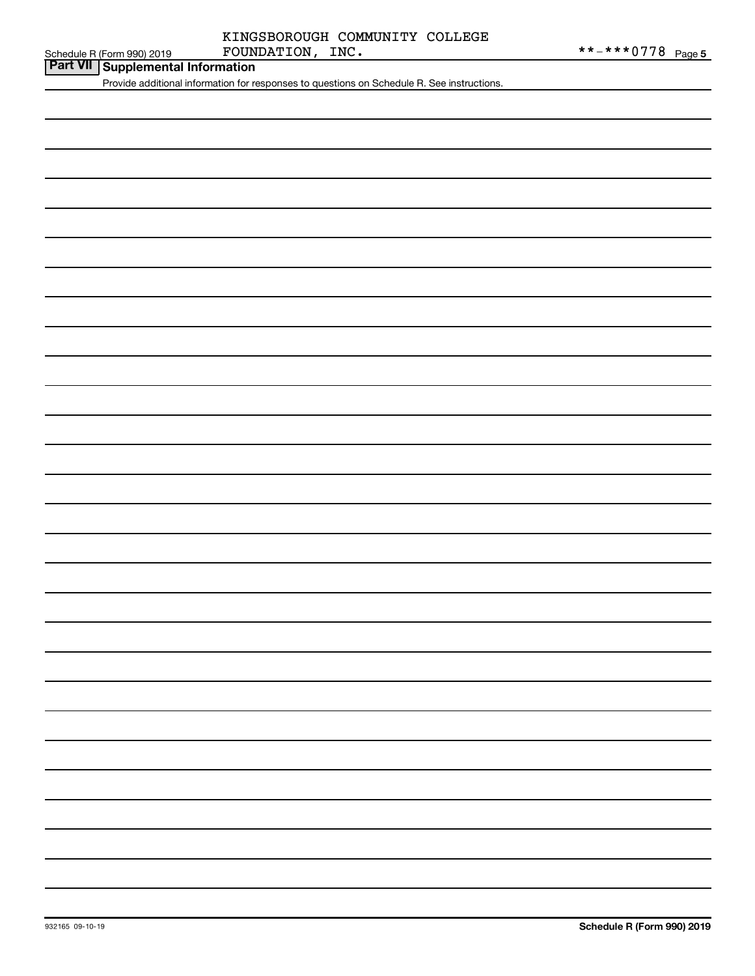## Schedule R (Form 990) 2019  $\qquad \qquad \text{FOUNDATION}$ ,  $\qquad \text{INC.} \qquad \qquad \text{*** -*** 0 778}$   $\qquad \text{Page}$ KINGSBOROUGH COMMUNITY COLLEGE

**Part VII Schedule R (Form 990) 2019 Part VII Supplemental Information** 

Provide additional information for responses to questions on Schedule R. See instructions.